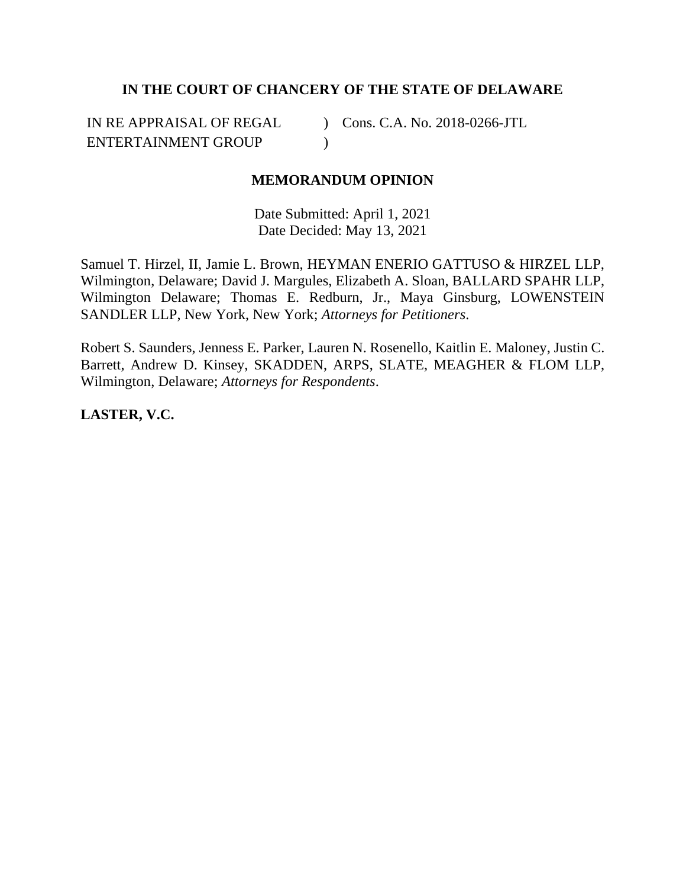# **IN THE COURT OF CHANCERY OF THE STATE OF DELAWARE**

IN RE APPRAISAL OF REGAL ENTERTAINMENT GROUP ) Cons. C.A. No. 2018-0266-JTL  $\lambda$ 

## **MEMORANDUM OPINION**

Date Submitted: April 1, 2021 Date Decided: May 13, 2021

Samuel T. Hirzel, II, Jamie L. Brown, HEYMAN ENERIO GATTUSO & HIRZEL LLP, Wilmington, Delaware; David J. Margules, Elizabeth A. Sloan, BALLARD SPAHR LLP, Wilmington Delaware; Thomas E. Redburn, Jr., Maya Ginsburg, LOWENSTEIN SANDLER LLP, New York, New York; *Attorneys for Petitioners*.

Robert S. Saunders, Jenness E. Parker, Lauren N. Rosenello, Kaitlin E. Maloney, Justin C. Barrett, Andrew D. Kinsey, SKADDEN, ARPS, SLATE, MEAGHER & FLOM LLP, Wilmington, Delaware; *Attorneys for Respondents*.

**LASTER, V.C.**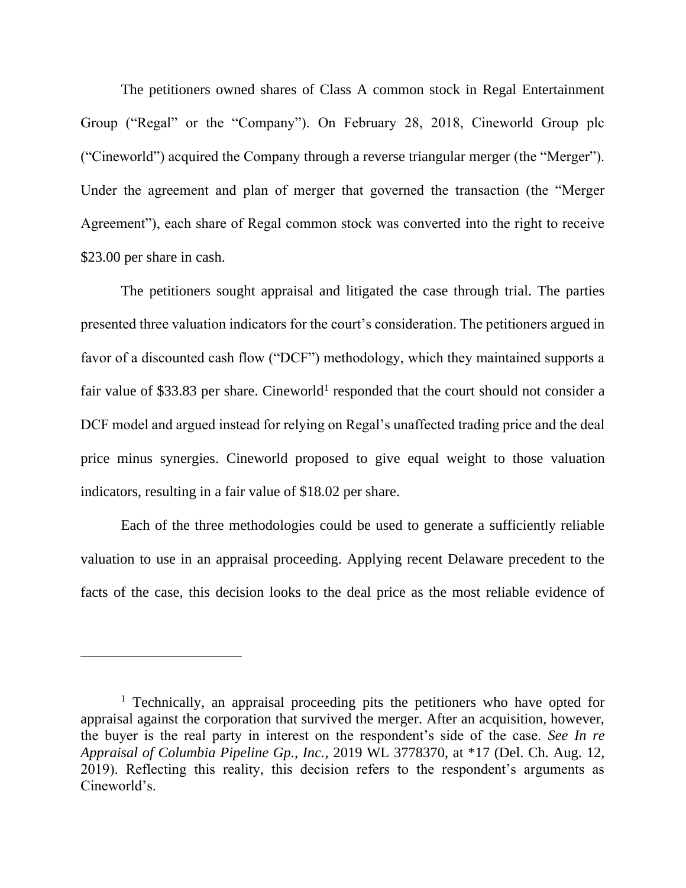The petitioners owned shares of Class A common stock in Regal Entertainment Group ("Regal" or the "Company"). On February 28, 2018, Cineworld Group plc ("Cineworld") acquired the Company through a reverse triangular merger (the "Merger"). Under the agreement and plan of merger that governed the transaction (the "Merger Agreement"), each share of Regal common stock was converted into the right to receive \$23.00 per share in cash.

The petitioners sought appraisal and litigated the case through trial. The parties presented three valuation indicators for the court's consideration. The petitioners argued in favor of a discounted cash flow ("DCF") methodology, which they maintained supports a fair value of \$33.83 per share. Cineworld<sup>1</sup> responded that the court should not consider a DCF model and argued instead for relying on Regal's unaffected trading price and the deal price minus synergies. Cineworld proposed to give equal weight to those valuation indicators, resulting in a fair value of \$18.02 per share.

Each of the three methodologies could be used to generate a sufficiently reliable valuation to use in an appraisal proceeding. Applying recent Delaware precedent to the facts of the case, this decision looks to the deal price as the most reliable evidence of

<sup>&</sup>lt;sup>1</sup> Technically, an appraisal proceeding pits the petitioners who have opted for appraisal against the corporation that survived the merger. After an acquisition, however, the buyer is the real party in interest on the respondent's side of the case. *See In re Appraisal of Columbia Pipeline Gp., Inc.*, 2019 WL 3778370, at \*17 (Del. Ch. Aug. 12, 2019). Reflecting this reality, this decision refers to the respondent's arguments as Cineworld's.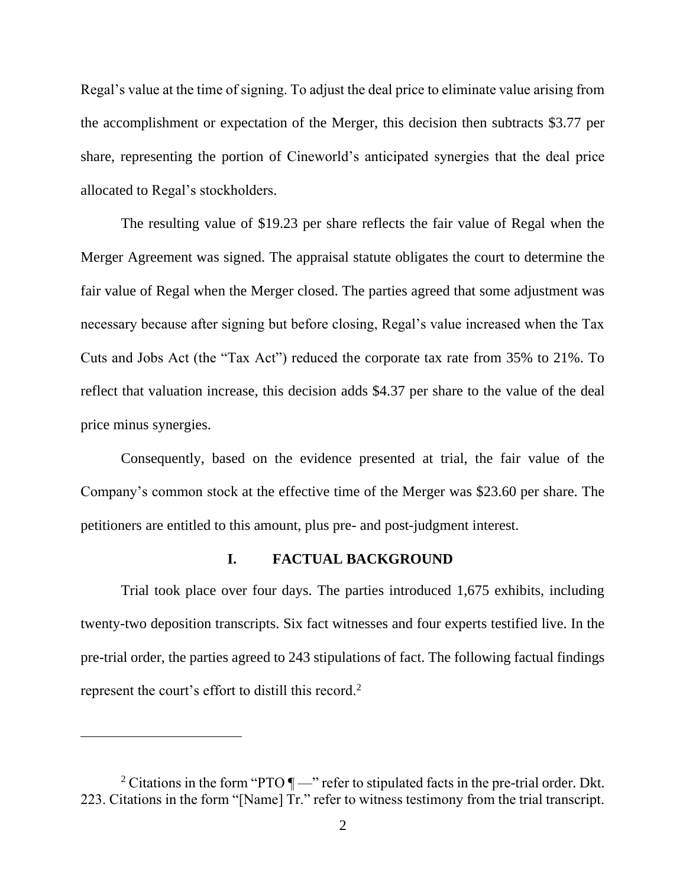Regal's value at the time of signing. To adjust the deal price to eliminate value arising from the accomplishment or expectation of the Merger, this decision then subtracts \$3.77 per share, representing the portion of Cineworld's anticipated synergies that the deal price allocated to Regal's stockholders.

The resulting value of \$19.23 per share reflects the fair value of Regal when the Merger Agreement was signed. The appraisal statute obligates the court to determine the fair value of Regal when the Merger closed. The parties agreed that some adjustment was necessary because after signing but before closing, Regal's value increased when the Tax Cuts and Jobs Act (the "Tax Act") reduced the corporate tax rate from 35% to 21%. To reflect that valuation increase, this decision adds \$4.37 per share to the value of the deal price minus synergies.

Consequently, based on the evidence presented at trial, the fair value of the Company's common stock at the effective time of the Merger was \$23.60 per share. The petitioners are entitled to this amount, plus pre- and post-judgment interest.

### **I. FACTUAL BACKGROUND**

Trial took place over four days. The parties introduced 1,675 exhibits, including twenty-two deposition transcripts. Six fact witnesses and four experts testified live. In the pre-trial order, the parties agreed to 243 stipulations of fact. The following factual findings represent the court's effort to distill this record.<sup>2</sup>

<sup>&</sup>lt;sup>2</sup> Citations in the form "PTO  $\P$ —" refer to stipulated facts in the pre-trial order. Dkt. 223. Citations in the form "[Name] Tr." refer to witness testimony from the trial transcript.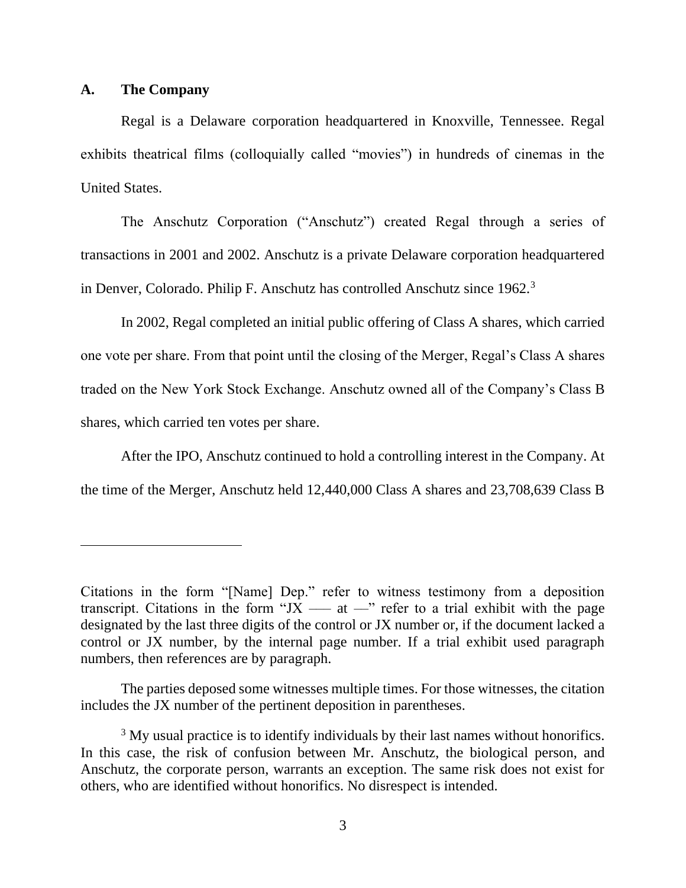### **A. The Company**

Regal is a Delaware corporation headquartered in Knoxville, Tennessee. Regal exhibits theatrical films (colloquially called "movies") in hundreds of cinemas in the United States.

The Anschutz Corporation ("Anschutz") created Regal through a series of transactions in 2001 and 2002. Anschutz is a private Delaware corporation headquartered in Denver, Colorado. Philip F. Anschutz has controlled Anschutz since 1962.<sup>3</sup>

In 2002, Regal completed an initial public offering of Class A shares, which carried one vote per share. From that point until the closing of the Merger, Regal's Class A shares traded on the New York Stock Exchange. Anschutz owned all of the Company's Class B shares, which carried ten votes per share.

After the IPO, Anschutz continued to hold a controlling interest in the Company. At the time of the Merger, Anschutz held 12,440,000 Class A shares and 23,708,639 Class B

Citations in the form "[Name] Dep." refer to witness testimony from a deposition transcript. Citations in the form "JX  $-$  at  $-$ " refer to a trial exhibit with the page designated by the last three digits of the control or JX number or, if the document lacked a control or JX number, by the internal page number. If a trial exhibit used paragraph numbers, then references are by paragraph.

The parties deposed some witnesses multiple times. For those witnesses, the citation includes the JX number of the pertinent deposition in parentheses.

<sup>&</sup>lt;sup>3</sup> My usual practice is to identify individuals by their last names without honorifics. In this case, the risk of confusion between Mr. Anschutz, the biological person, and Anschutz, the corporate person, warrants an exception. The same risk does not exist for others, who are identified without honorifics. No disrespect is intended.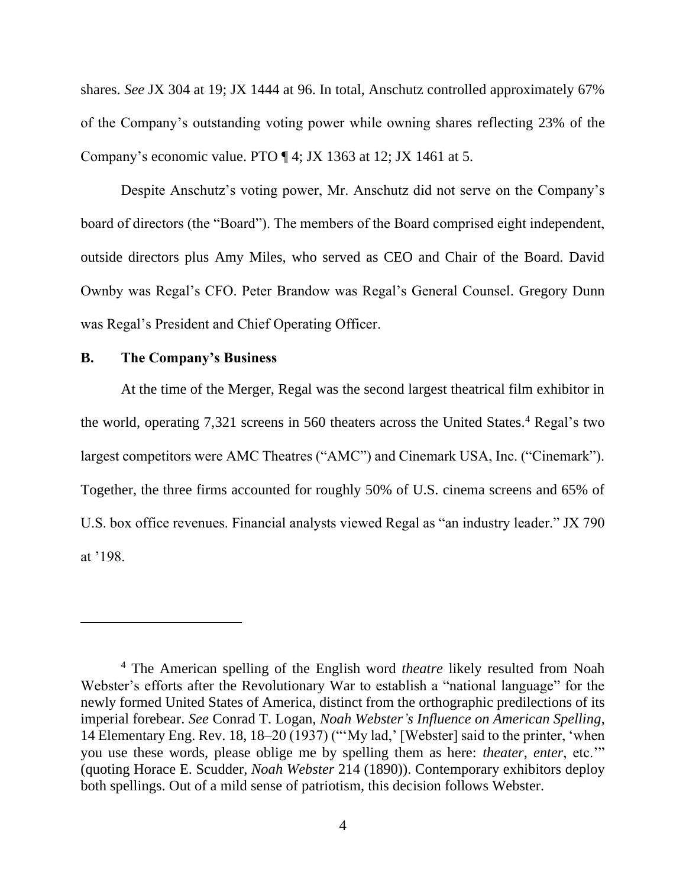shares. *See* JX 304 at 19; JX 1444 at 96. In total, Anschutz controlled approximately 67% of the Company's outstanding voting power while owning shares reflecting 23% of the Company's economic value. PTO ¶ 4; JX 1363 at 12; JX 1461 at 5.

Despite Anschutz's voting power, Mr. Anschutz did not serve on the Company's board of directors (the "Board"). The members of the Board comprised eight independent, outside directors plus Amy Miles, who served as CEO and Chair of the Board. David Ownby was Regal's CFO. Peter Brandow was Regal's General Counsel. Gregory Dunn was Regal's President and Chief Operating Officer.

## **B. The Company's Business**

At the time of the Merger, Regal was the second largest theatrical film exhibitor in the world, operating 7,321 screens in 560 theaters across the United States.<sup>4</sup> Regal's two largest competitors were AMC Theatres ("AMC") and Cinemark USA, Inc. ("Cinemark"). Together, the three firms accounted for roughly 50% of U.S. cinema screens and 65% of U.S. box office revenues. Financial analysts viewed Regal as "an industry leader." JX 790 at '198.

<sup>4</sup> The American spelling of the English word *theatre* likely resulted from Noah Webster's efforts after the Revolutionary War to establish a "national language" for the newly formed United States of America, distinct from the orthographic predilections of its imperial forebear. *See* Conrad T. Logan, *Noah Webster's Influence on American Spelling*, 14 Elementary Eng. Rev. 18, 18–20 (1937) ("'My lad,' [Webster] said to the printer, 'when you use these words, please oblige me by spelling them as here: *theater*, *enter*, etc.'" (quoting Horace E. Scudder, *Noah Webster* 214 (1890)). Contemporary exhibitors deploy both spellings. Out of a mild sense of patriotism, this decision follows Webster.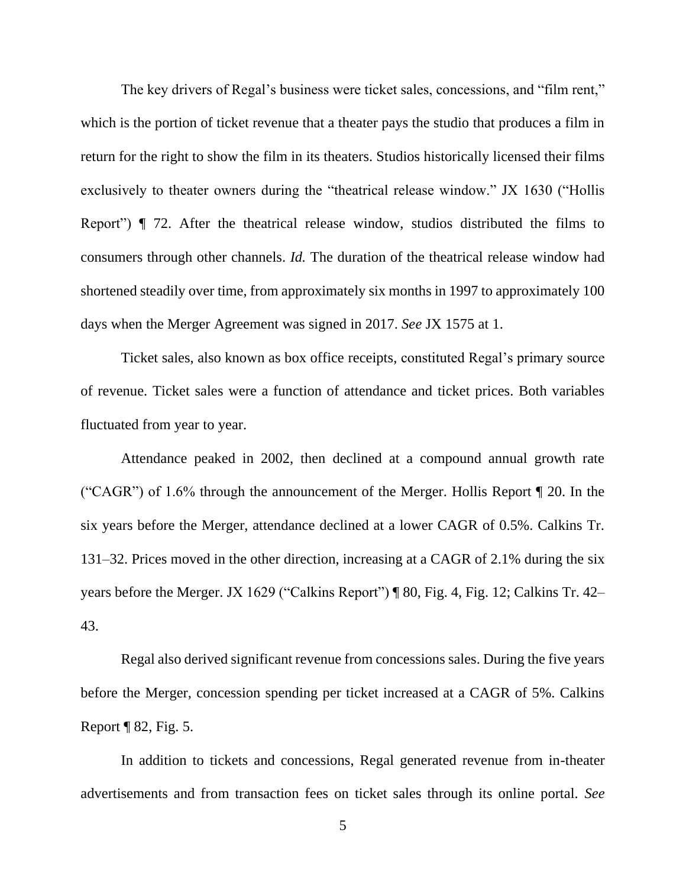The key drivers of Regal's business were ticket sales, concessions, and "film rent," which is the portion of ticket revenue that a theater pays the studio that produces a film in return for the right to show the film in its theaters. Studios historically licensed their films exclusively to theater owners during the "theatrical release window." JX 1630 ("Hollis Report") ¶ 72. After the theatrical release window, studios distributed the films to consumers through other channels. *Id.* The duration of the theatrical release window had shortened steadily over time, from approximately six months in 1997 to approximately 100 days when the Merger Agreement was signed in 2017. *See* JX 1575 at 1.

Ticket sales, also known as box office receipts, constituted Regal's primary source of revenue. Ticket sales were a function of attendance and ticket prices. Both variables fluctuated from year to year.

Attendance peaked in 2002, then declined at a compound annual growth rate ("CAGR") of 1.6% through the announcement of the Merger. Hollis Report ¶ 20. In the six years before the Merger, attendance declined at a lower CAGR of 0.5%. Calkins Tr. 131–32. Prices moved in the other direction, increasing at a CAGR of 2.1% during the six years before the Merger. JX 1629 ("Calkins Report") ¶ 80, Fig. 4, Fig. 12; Calkins Tr. 42– 43.

Regal also derived significant revenue from concessions sales. During the five years before the Merger, concession spending per ticket increased at a CAGR of 5%. Calkins Report ¶ 82, Fig. 5.

In addition to tickets and concessions, Regal generated revenue from in-theater advertisements and from transaction fees on ticket sales through its online portal. *See*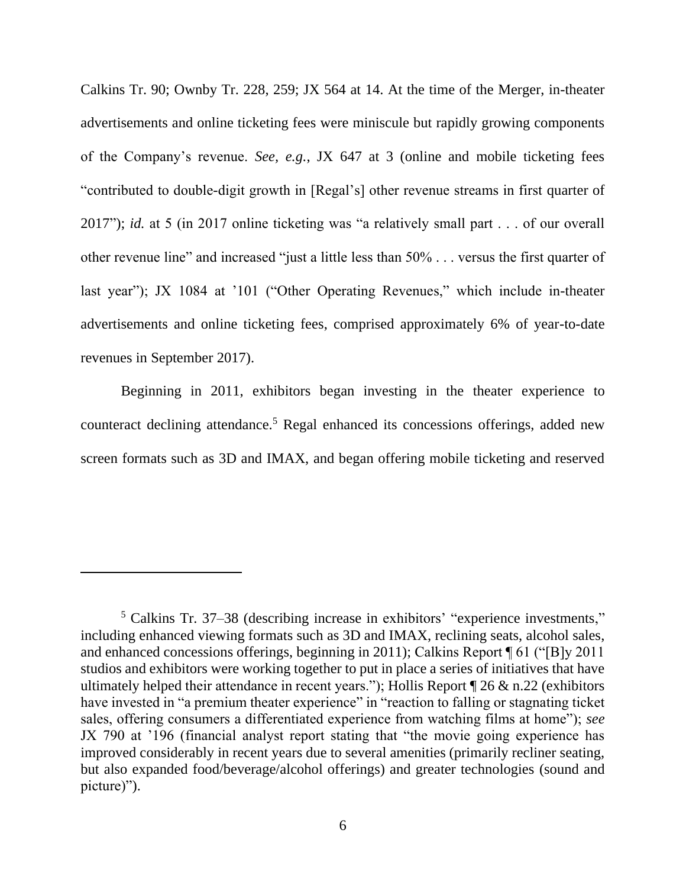Calkins Tr. 90; Ownby Tr. 228, 259; JX 564 at 14. At the time of the Merger, in-theater advertisements and online ticketing fees were miniscule but rapidly growing components of the Company's revenue. *See, e.g.*, JX 647 at 3 (online and mobile ticketing fees "contributed to double-digit growth in [Regal's] other revenue streams in first quarter of 2017"); *id.* at 5 (in 2017 online ticketing was "a relatively small part . . . of our overall other revenue line" and increased "just a little less than 50% . . . versus the first quarter of last year"); JX 1084 at '101 ("Other Operating Revenues," which include in-theater advertisements and online ticketing fees, comprised approximately 6% of year-to-date revenues in September 2017).

Beginning in 2011, exhibitors began investing in the theater experience to counteract declining attendance.<sup>5</sup> Regal enhanced its concessions offerings, added new screen formats such as 3D and IMAX, and began offering mobile ticketing and reserved

<sup>5</sup> Calkins Tr. 37–38 (describing increase in exhibitors' "experience investments," including enhanced viewing formats such as 3D and IMAX, reclining seats, alcohol sales, and enhanced concessions offerings, beginning in 2011); Calkins Report ¶ 61 ("[B]y 2011 studios and exhibitors were working together to put in place a series of initiatives that have ultimately helped their attendance in recent years."); Hollis Report  $\P$  26  $\&$  n.22 (exhibitors have invested in "a premium theater experience" in "reaction to falling or stagnating ticket sales, offering consumers a differentiated experience from watching films at home"); *see* JX 790 at '196 (financial analyst report stating that "the movie going experience has improved considerably in recent years due to several amenities (primarily recliner seating, but also expanded food/beverage/alcohol offerings) and greater technologies (sound and picture)").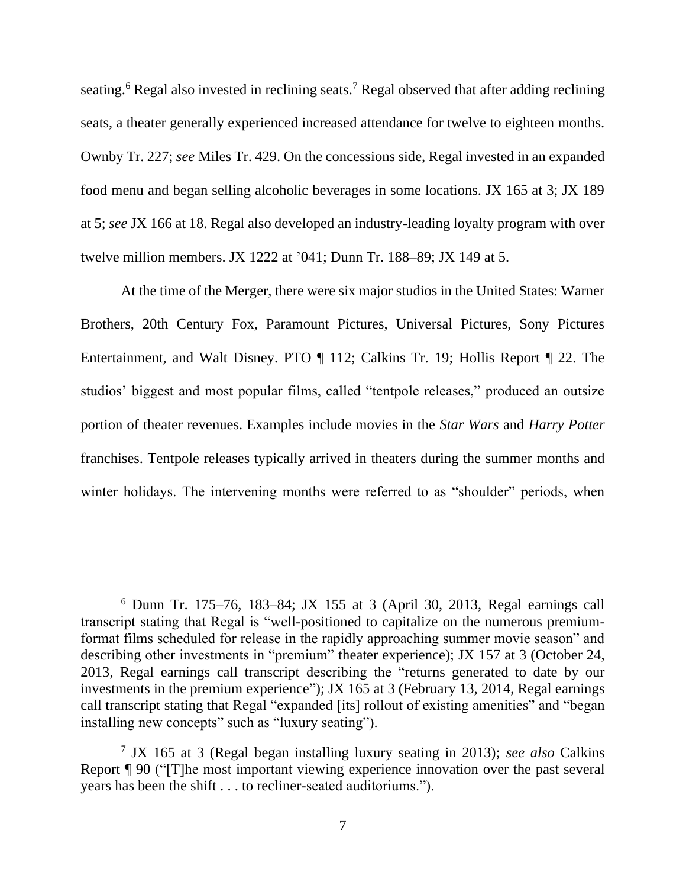seating.<sup>6</sup> Regal also invested in reclining seats.<sup>7</sup> Regal observed that after adding reclining seats, a theater generally experienced increased attendance for twelve to eighteen months. Ownby Tr. 227; *see* Miles Tr. 429. On the concessions side, Regal invested in an expanded food menu and began selling alcoholic beverages in some locations. JX 165 at 3; JX 189 at 5; *see* JX 166 at 18. Regal also developed an industry-leading loyalty program with over twelve million members. JX 1222 at '041; Dunn Tr. 188–89; JX 149 at 5.

At the time of the Merger, there were six major studios in the United States: Warner Brothers, 20th Century Fox, Paramount Pictures, Universal Pictures, Sony Pictures Entertainment, and Walt Disney. PTO ¶ 112; Calkins Tr. 19; Hollis Report ¶ 22. The studios' biggest and most popular films, called "tentpole releases," produced an outsize portion of theater revenues. Examples include movies in the *Star Wars* and *Harry Potter* franchises. Tentpole releases typically arrived in theaters during the summer months and winter holidays. The intervening months were referred to as "shoulder" periods, when

<sup>6</sup> Dunn Tr. 175–76, 183–84; JX 155 at 3 (April 30, 2013, Regal earnings call transcript stating that Regal is "well-positioned to capitalize on the numerous premiumformat films scheduled for release in the rapidly approaching summer movie season" and describing other investments in "premium" theater experience); JX 157 at 3 (October 24, 2013, Regal earnings call transcript describing the "returns generated to date by our investments in the premium experience"); JX 165 at 3 (February 13, 2014, Regal earnings call transcript stating that Regal "expanded [its] rollout of existing amenities" and "began installing new concepts" such as "luxury seating").

<sup>7</sup> JX 165 at 3 (Regal began installing luxury seating in 2013); *see also* Calkins Report ¶ 90 ("[T]he most important viewing experience innovation over the past several years has been the shift . . . to recliner-seated auditoriums.").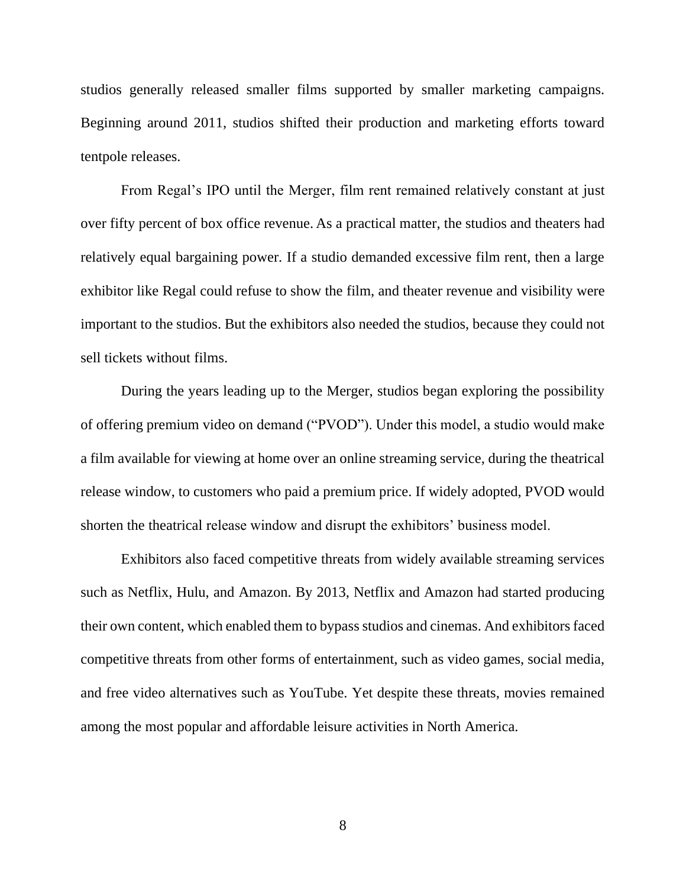studios generally released smaller films supported by smaller marketing campaigns. Beginning around 2011, studios shifted their production and marketing efforts toward tentpole releases.

From Regal's IPO until the Merger, film rent remained relatively constant at just over fifty percent of box office revenue. As a practical matter, the studios and theaters had relatively equal bargaining power. If a studio demanded excessive film rent, then a large exhibitor like Regal could refuse to show the film, and theater revenue and visibility were important to the studios. But the exhibitors also needed the studios, because they could not sell tickets without films.

During the years leading up to the Merger, studios began exploring the possibility of offering premium video on demand ("PVOD"). Under this model, a studio would make a film available for viewing at home over an online streaming service, during the theatrical release window, to customers who paid a premium price. If widely adopted, PVOD would shorten the theatrical release window and disrupt the exhibitors' business model.

Exhibitors also faced competitive threats from widely available streaming services such as Netflix, Hulu, and Amazon. By 2013, Netflix and Amazon had started producing their own content, which enabled them to bypass studios and cinemas. And exhibitors faced competitive threats from other forms of entertainment, such as video games, social media, and free video alternatives such as YouTube. Yet despite these threats, movies remained among the most popular and affordable leisure activities in North America.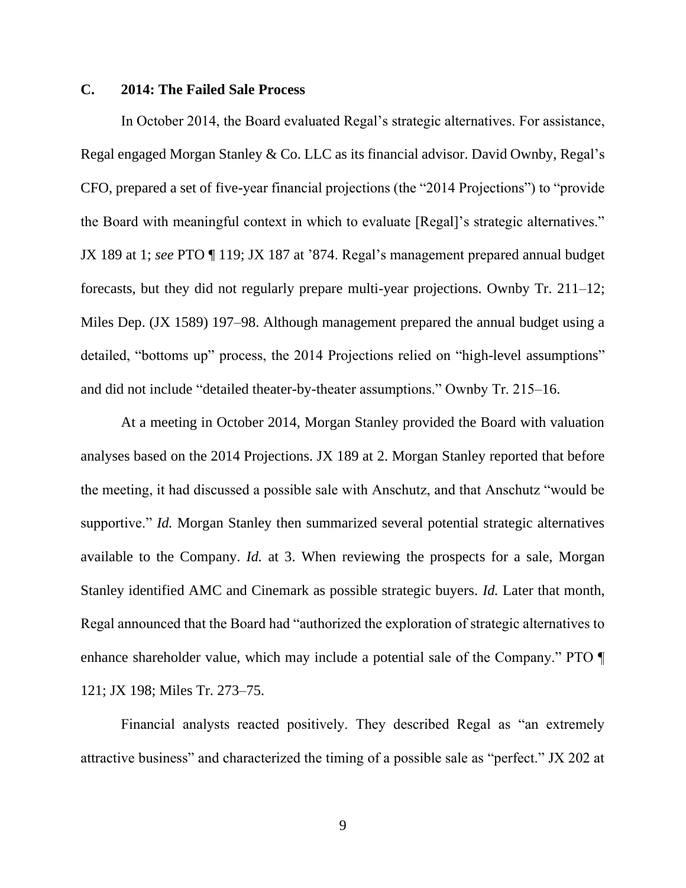## **C. 2014: The Failed Sale Process**

In October 2014, the Board evaluated Regal's strategic alternatives. For assistance, Regal engaged Morgan Stanley & Co. LLC as its financial advisor. David Ownby, Regal's CFO, prepared a set of five-year financial projections (the "2014 Projections") to "provide the Board with meaningful context in which to evaluate [Regal]'s strategic alternatives." JX 189 at 1; *see* PTO ¶ 119; JX 187 at '874. Regal's management prepared annual budget forecasts, but they did not regularly prepare multi-year projections. Ownby Tr. 211–12; Miles Dep. (JX 1589) 197–98. Although management prepared the annual budget using a detailed, "bottoms up" process, the 2014 Projections relied on "high-level assumptions" and did not include "detailed theater-by-theater assumptions." Ownby Tr. 215–16.

At a meeting in October 2014, Morgan Stanley provided the Board with valuation analyses based on the 2014 Projections. JX 189 at 2. Morgan Stanley reported that before the meeting, it had discussed a possible sale with Anschutz, and that Anschutz "would be supportive." *Id.* Morgan Stanley then summarized several potential strategic alternatives available to the Company. *Id.* at 3. When reviewing the prospects for a sale, Morgan Stanley identified AMC and Cinemark as possible strategic buyers. *Id.* Later that month, Regal announced that the Board had "authorized the exploration of strategic alternatives to enhance shareholder value, which may include a potential sale of the Company." PTO ¶ 121; JX 198; Miles Tr. 273–75.

Financial analysts reacted positively. They described Regal as "an extremely attractive business" and characterized the timing of a possible sale as "perfect." JX 202 at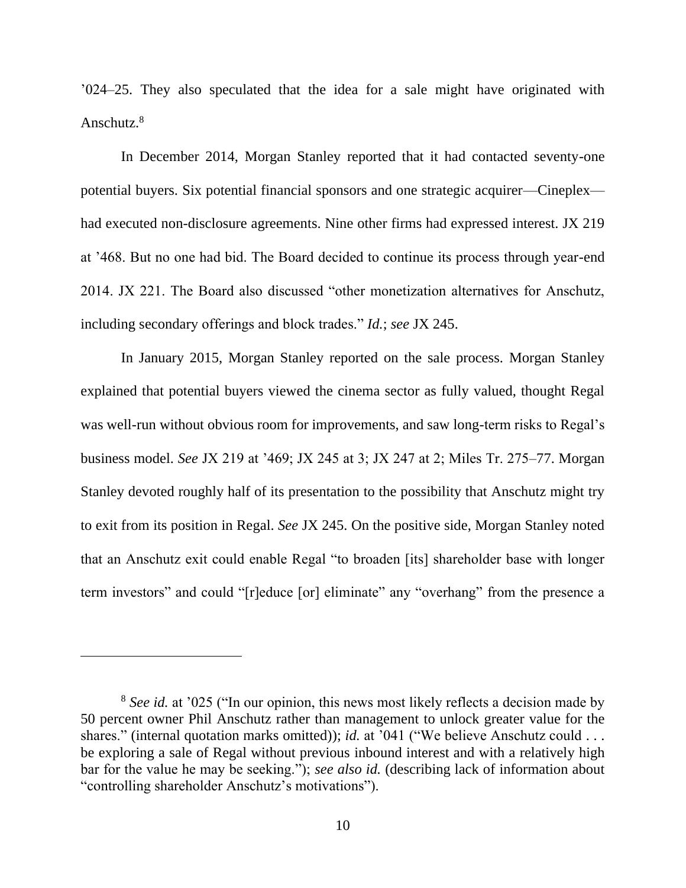'024–25. They also speculated that the idea for a sale might have originated with Anschutz.<sup>8</sup>

In December 2014, Morgan Stanley reported that it had contacted seventy-one potential buyers. Six potential financial sponsors and one strategic acquirer—Cineplex had executed non-disclosure agreements. Nine other firms had expressed interest. JX 219 at '468. But no one had bid. The Board decided to continue its process through year-end 2014. JX 221. The Board also discussed "other monetization alternatives for Anschutz, including secondary offerings and block trades." *Id.*; *see* JX 245.

In January 2015, Morgan Stanley reported on the sale process. Morgan Stanley explained that potential buyers viewed the cinema sector as fully valued, thought Regal was well-run without obvious room for improvements, and saw long-term risks to Regal's business model. *See* JX 219 at '469; JX 245 at 3; JX 247 at 2; Miles Tr. 275–77. Morgan Stanley devoted roughly half of its presentation to the possibility that Anschutz might try to exit from its position in Regal. *See* JX 245. On the positive side, Morgan Stanley noted that an Anschutz exit could enable Regal "to broaden [its] shareholder base with longer term investors" and could "[r]educe [or] eliminate" any "overhang" from the presence a

<sup>8</sup> *See id.* at '025 ("In our opinion, this news most likely reflects a decision made by 50 percent owner Phil Anschutz rather than management to unlock greater value for the shares." (internal quotation marks omitted)); *id.* at '041 ("We believe Anschutz could . . . be exploring a sale of Regal without previous inbound interest and with a relatively high bar for the value he may be seeking."); *see also id.* (describing lack of information about "controlling shareholder Anschutz's motivations").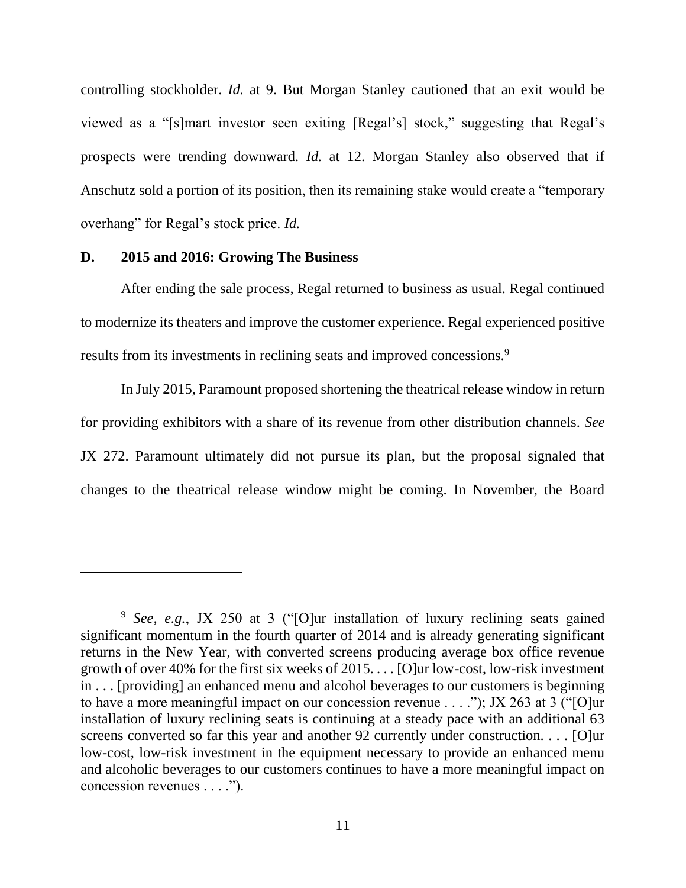controlling stockholder. *Id.* at 9. But Morgan Stanley cautioned that an exit would be viewed as a "[s]mart investor seen exiting [Regal's] stock," suggesting that Regal's prospects were trending downward. *Id.* at 12. Morgan Stanley also observed that if Anschutz sold a portion of its position, then its remaining stake would create a "temporary overhang" for Regal's stock price. *Id.*

### **D. 2015 and 2016: Growing The Business**

After ending the sale process, Regal returned to business as usual. Regal continued to modernize its theaters and improve the customer experience. Regal experienced positive results from its investments in reclining seats and improved concessions.<sup>9</sup>

In July 2015, Paramount proposed shortening the theatrical release window in return for providing exhibitors with a share of its revenue from other distribution channels. *See*  JX 272. Paramount ultimately did not pursue its plan, but the proposal signaled that changes to the theatrical release window might be coming. In November, the Board

<sup>9</sup> *See, e.g.*, JX 250 at 3 ("[O]ur installation of luxury reclining seats gained significant momentum in the fourth quarter of 2014 and is already generating significant returns in the New Year, with converted screens producing average box office revenue growth of over 40% for the first six weeks of 2015. . . . [O]ur low-cost, low-risk investment in . . . [providing] an enhanced menu and alcohol beverages to our customers is beginning to have a more meaningful impact on our concession revenue . . . ."); JX 263 at 3 ("[O]ur installation of luxury reclining seats is continuing at a steady pace with an additional 63 screens converted so far this year and another 92 currently under construction. . . . [O]ur low-cost, low-risk investment in the equipment necessary to provide an enhanced menu and alcoholic beverages to our customers continues to have a more meaningful impact on concession revenues . . . .").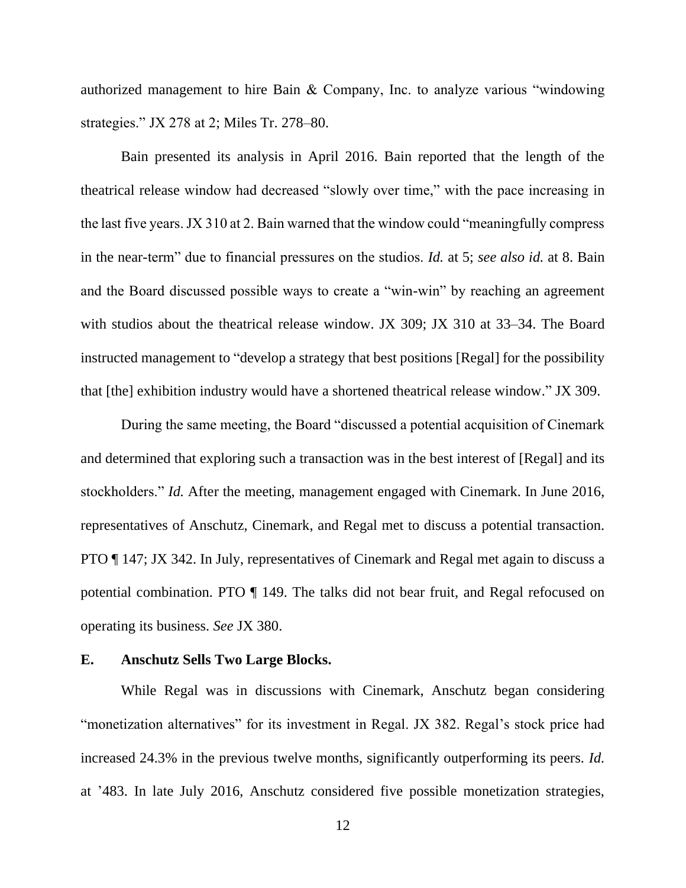authorized management to hire Bain & Company, Inc. to analyze various "windowing strategies." JX 278 at 2; Miles Tr. 278–80.

Bain presented its analysis in April 2016. Bain reported that the length of the theatrical release window had decreased "slowly over time," with the pace increasing in the last five years. JX 310 at 2. Bain warned that the window could "meaningfully compress in the near-term" due to financial pressures on the studios. *Id.* at 5; *see also id.* at 8. Bain and the Board discussed possible ways to create a "win-win" by reaching an agreement with studios about the theatrical release window. JX 309; JX 310 at 33–34. The Board instructed management to "develop a strategy that best positions [Regal] for the possibility that [the] exhibition industry would have a shortened theatrical release window." JX 309.

During the same meeting, the Board "discussed a potential acquisition of Cinemark and determined that exploring such a transaction was in the best interest of [Regal] and its stockholders." *Id.* After the meeting, management engaged with Cinemark. In June 2016, representatives of Anschutz, Cinemark, and Regal met to discuss a potential transaction. PTO ¶ 147; JX 342. In July, representatives of Cinemark and Regal met again to discuss a potential combination. PTO ¶ 149. The talks did not bear fruit, and Regal refocused on operating its business. *See* JX 380.

### **E. Anschutz Sells Two Large Blocks.**

While Regal was in discussions with Cinemark, Anschutz began considering "monetization alternatives" for its investment in Regal. JX 382. Regal's stock price had increased 24.3% in the previous twelve months, significantly outperforming its peers. *Id.* at '483. In late July 2016, Anschutz considered five possible monetization strategies,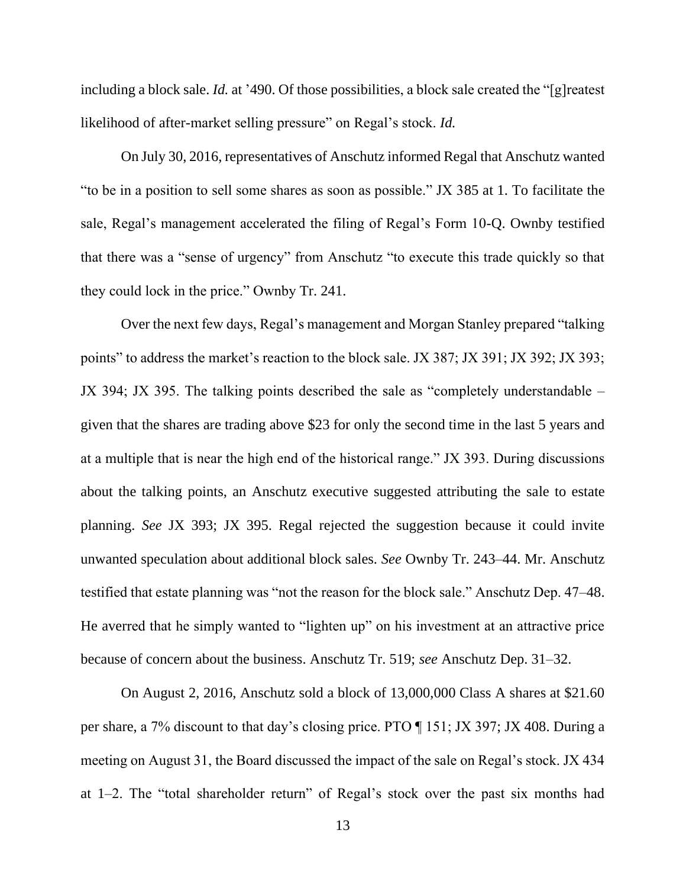including a block sale. *Id.* at '490. Of those possibilities, a block sale created the "[g]reatest likelihood of after-market selling pressure" on Regal's stock. *Id.*

On July 30, 2016, representatives of Anschutz informed Regal that Anschutz wanted "to be in a position to sell some shares as soon as possible." JX 385 at 1. To facilitate the sale, Regal's management accelerated the filing of Regal's Form 10-Q. Ownby testified that there was a "sense of urgency" from Anschutz "to execute this trade quickly so that they could lock in the price." Ownby Tr. 241.

Over the next few days, Regal's management and Morgan Stanley prepared "talking points" to address the market's reaction to the block sale. JX 387; JX 391; JX 392; JX 393; JX 394; JX 395. The talking points described the sale as "completely understandable – given that the shares are trading above \$23 for only the second time in the last 5 years and at a multiple that is near the high end of the historical range." JX 393. During discussions about the talking points, an Anschutz executive suggested attributing the sale to estate planning. *See* JX 393; JX 395. Regal rejected the suggestion because it could invite unwanted speculation about additional block sales. *See* Ownby Tr. 243–44. Mr. Anschutz testified that estate planning was "not the reason for the block sale." Anschutz Dep. 47–48. He averred that he simply wanted to "lighten up" on his investment at an attractive price because of concern about the business. Anschutz Tr. 519; *see* Anschutz Dep. 31–32.

On August 2, 2016, Anschutz sold a block of 13,000,000 Class A shares at \$21.60 per share, a 7% discount to that day's closing price. PTO ¶ 151; JX 397; JX 408. During a meeting on August 31, the Board discussed the impact of the sale on Regal's stock. JX 434 at 1–2. The "total shareholder return" of Regal's stock over the past six months had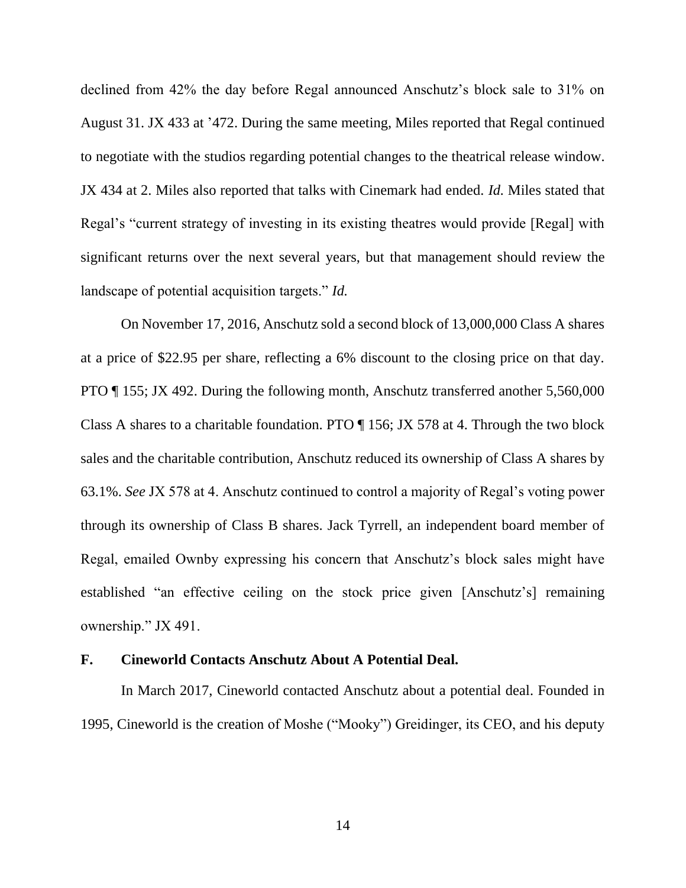declined from 42% the day before Regal announced Anschutz's block sale to 31% on August 31. JX 433 at '472. During the same meeting, Miles reported that Regal continued to negotiate with the studios regarding potential changes to the theatrical release window. JX 434 at 2. Miles also reported that talks with Cinemark had ended. *Id.* Miles stated that Regal's "current strategy of investing in its existing theatres would provide [Regal] with significant returns over the next several years, but that management should review the landscape of potential acquisition targets." *Id.*

On November 17, 2016, Anschutz sold a second block of 13,000,000 Class A shares at a price of \$22.95 per share, reflecting a 6% discount to the closing price on that day. PTO ¶ 155; JX 492. During the following month, Anschutz transferred another 5,560,000 Class A shares to a charitable foundation. PTO ¶ 156; JX 578 at 4. Through the two block sales and the charitable contribution, Anschutz reduced its ownership of Class A shares by 63.1%. *See* JX 578 at 4. Anschutz continued to control a majority of Regal's voting power through its ownership of Class B shares. Jack Tyrrell, an independent board member of Regal, emailed Ownby expressing his concern that Anschutz's block sales might have established "an effective ceiling on the stock price given [Anschutz's] remaining ownership." JX 491.

### **F. Cineworld Contacts Anschutz About A Potential Deal.**

In March 2017, Cineworld contacted Anschutz about a potential deal. Founded in 1995, Cineworld is the creation of Moshe ("Mooky") Greidinger, its CEO, and his deputy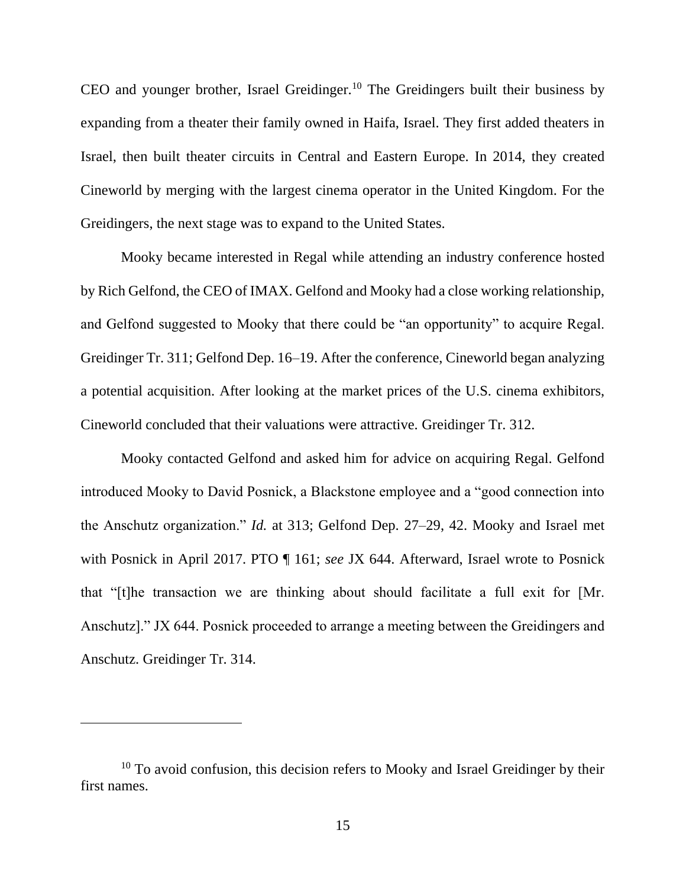CEO and younger brother, Israel Greidinger.<sup>10</sup> The Greidingers built their business by expanding from a theater their family owned in Haifa, Israel. They first added theaters in Israel, then built theater circuits in Central and Eastern Europe. In 2014, they created Cineworld by merging with the largest cinema operator in the United Kingdom. For the Greidingers, the next stage was to expand to the United States.

Mooky became interested in Regal while attending an industry conference hosted by Rich Gelfond, the CEO of IMAX. Gelfond and Mooky had a close working relationship, and Gelfond suggested to Mooky that there could be "an opportunity" to acquire Regal. Greidinger Tr. 311; Gelfond Dep. 16–19. After the conference, Cineworld began analyzing a potential acquisition. After looking at the market prices of the U.S. cinema exhibitors, Cineworld concluded that their valuations were attractive. Greidinger Tr. 312.

Mooky contacted Gelfond and asked him for advice on acquiring Regal. Gelfond introduced Mooky to David Posnick, a Blackstone employee and a "good connection into the Anschutz organization." *Id.* at 313; Gelfond Dep. 27–29, 42. Mooky and Israel met with Posnick in April 2017. PTO ¶ 161; *see* JX 644. Afterward, Israel wrote to Posnick that "[t]he transaction we are thinking about should facilitate a full exit for [Mr. Anschutz]." JX 644. Posnick proceeded to arrange a meeting between the Greidingers and Anschutz. Greidinger Tr. 314.

 $10$  To avoid confusion, this decision refers to Mooky and Israel Greidinger by their first names.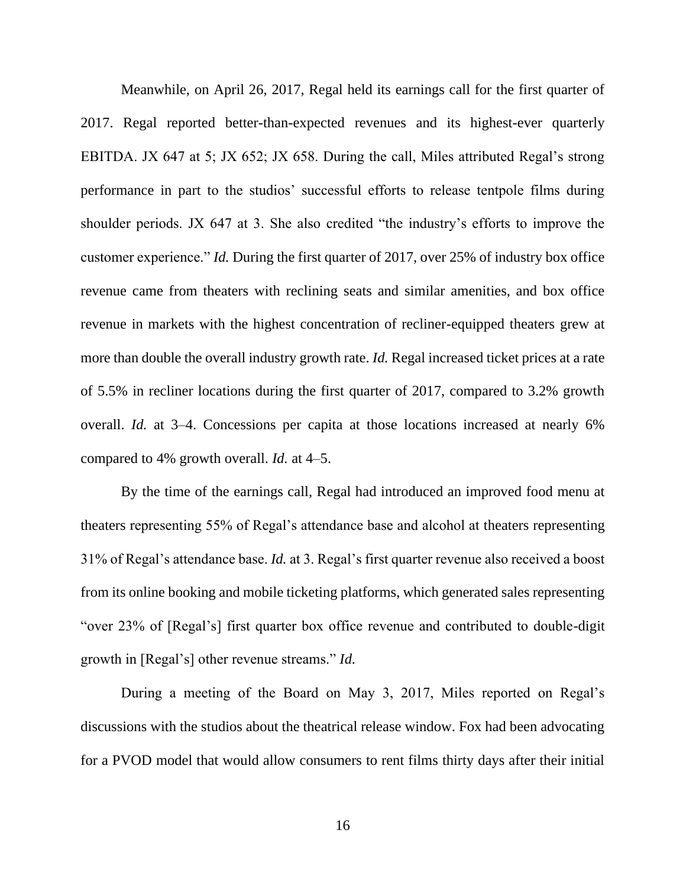Meanwhile, on April 26, 2017, Regal held its earnings call for the first quarter of 2017. Regal reported better-than-expected revenues and its highest-ever quarterly EBITDA. JX 647 at 5; JX 652; JX 658. During the call, Miles attributed Regal's strong performance in part to the studios' successful efforts to release tentpole films during shoulder periods. JX 647 at 3. She also credited "the industry's efforts to improve the customer experience." *Id.* During the first quarter of 2017, over 25% of industry box office revenue came from theaters with reclining seats and similar amenities, and box office revenue in markets with the highest concentration of recliner-equipped theaters grew at more than double the overall industry growth rate. *Id.* Regal increased ticket prices at a rate of 5.5% in recliner locations during the first quarter of 2017, compared to 3.2% growth overall. *Id.* at 3–4. Concessions per capita at those locations increased at nearly 6% compared to 4% growth overall. *Id.* at 4–5.

By the time of the earnings call, Regal had introduced an improved food menu at theaters representing 55% of Regal's attendance base and alcohol at theaters representing 31% of Regal's attendance base. *Id.* at 3. Regal's first quarter revenue also received a boost from its online booking and mobile ticketing platforms, which generated sales representing "over 23% of [Regal's] first quarter box office revenue and contributed to double-digit growth in [Regal's] other revenue streams." *Id.*

During a meeting of the Board on May 3, 2017, Miles reported on Regal's discussions with the studios about the theatrical release window. Fox had been advocating for a PVOD model that would allow consumers to rent films thirty days after their initial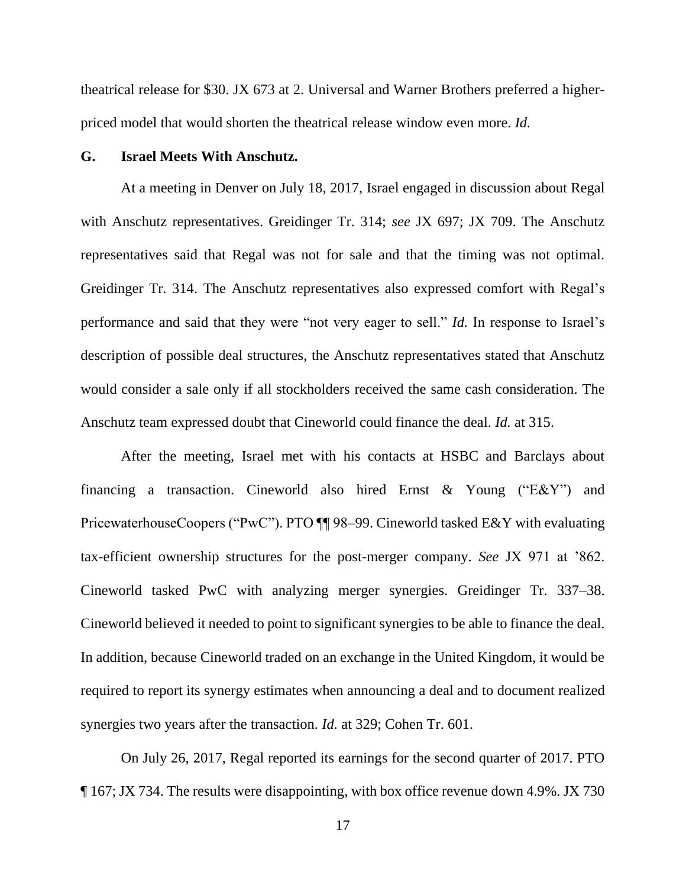theatrical release for \$30. JX 673 at 2. Universal and Warner Brothers preferred a higherpriced model that would shorten the theatrical release window even more. *Id.*

### **G. Israel Meets With Anschutz.**

At a meeting in Denver on July 18, 2017, Israel engaged in discussion about Regal with Anschutz representatives. Greidinger Tr. 314; *see* JX 697; JX 709. The Anschutz representatives said that Regal was not for sale and that the timing was not optimal. Greidinger Tr. 314. The Anschutz representatives also expressed comfort with Regal's performance and said that they were "not very eager to sell." *Id.* In response to Israel's description of possible deal structures, the Anschutz representatives stated that Anschutz would consider a sale only if all stockholders received the same cash consideration. The Anschutz team expressed doubt that Cineworld could finance the deal. *Id.* at 315.

After the meeting, Israel met with his contacts at HSBC and Barclays about financing a transaction. Cineworld also hired Ernst & Young ("E&Y") and PricewaterhouseCoopers ("PwC"). PTO ¶¶ 98–99. Cineworld tasked E&Y with evaluating tax-efficient ownership structures for the post-merger company. *See* JX 971 at '862. Cineworld tasked PwC with analyzing merger synergies. Greidinger Tr. 337–38. Cineworld believed it needed to point to significant synergies to be able to finance the deal. In addition, because Cineworld traded on an exchange in the United Kingdom, it would be required to report its synergy estimates when announcing a deal and to document realized synergies two years after the transaction. *Id.* at 329; Cohen Tr. 601.

On July 26, 2017, Regal reported its earnings for the second quarter of 2017. PTO ¶ 167; JX 734. The results were disappointing, with box office revenue down 4.9%. JX 730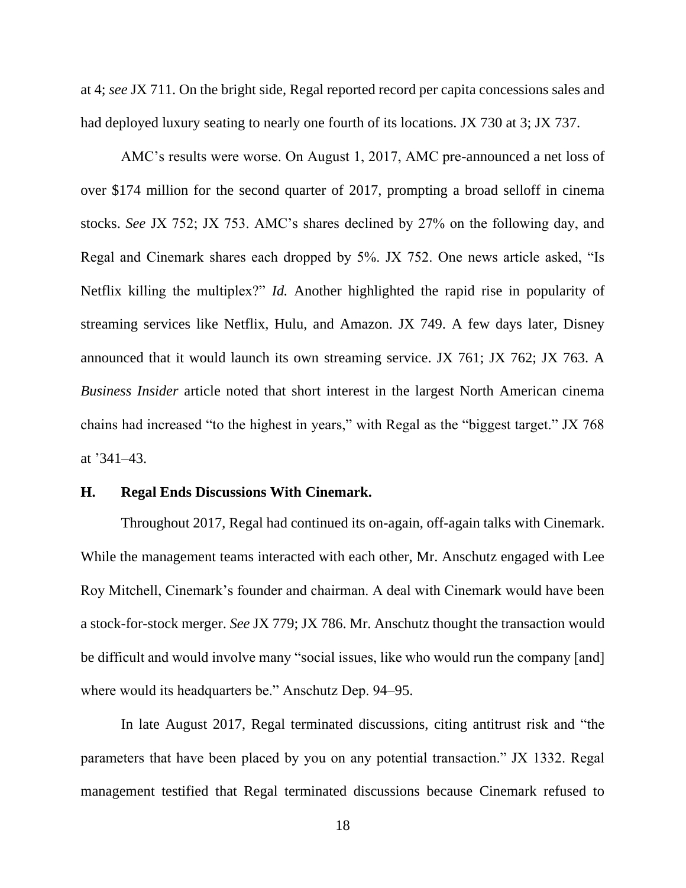at 4; *see* JX 711. On the bright side, Regal reported record per capita concessions sales and had deployed luxury seating to nearly one fourth of its locations. JX 730 at 3; JX 737.

AMC's results were worse. On August 1, 2017, AMC pre-announced a net loss of over \$174 million for the second quarter of 2017, prompting a broad selloff in cinema stocks. *See* JX 752; JX 753. AMC's shares declined by 27% on the following day, and Regal and Cinemark shares each dropped by 5%. JX 752. One news article asked, "Is Netflix killing the multiplex?" *Id.* Another highlighted the rapid rise in popularity of streaming services like Netflix, Hulu, and Amazon. JX 749. A few days later, Disney announced that it would launch its own streaming service. JX 761; JX 762; JX 763. A *Business Insider* article noted that short interest in the largest North American cinema chains had increased "to the highest in years," with Regal as the "biggest target." JX 768 at '341–43.

### **H. Regal Ends Discussions With Cinemark.**

Throughout 2017, Regal had continued its on-again, off-again talks with Cinemark. While the management teams interacted with each other, Mr. Anschutz engaged with Lee Roy Mitchell, Cinemark's founder and chairman. A deal with Cinemark would have been a stock-for-stock merger. *See* JX 779; JX 786. Mr. Anschutz thought the transaction would be difficult and would involve many "social issues, like who would run the company [and] where would its headquarters be." Anschutz Dep. 94–95.

In late August 2017, Regal terminated discussions, citing antitrust risk and "the parameters that have been placed by you on any potential transaction." JX 1332. Regal management testified that Regal terminated discussions because Cinemark refused to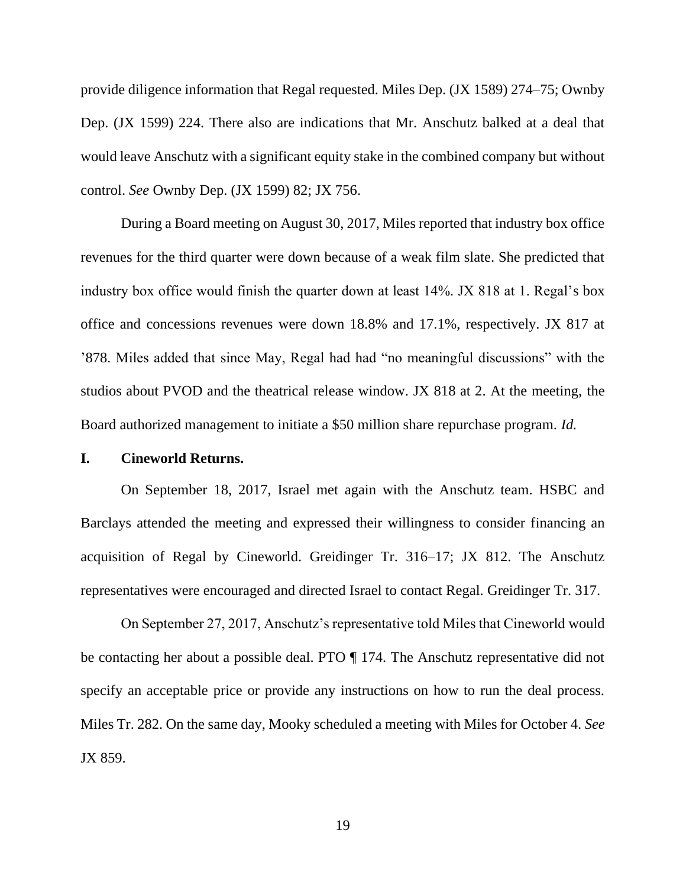provide diligence information that Regal requested. Miles Dep. (JX 1589) 274–75; Ownby Dep. (JX 1599) 224. There also are indications that Mr. Anschutz balked at a deal that would leave Anschutz with a significant equity stake in the combined company but without control. *See* Ownby Dep. (JX 1599) 82; JX 756.

During a Board meeting on August 30, 2017, Miles reported that industry box office revenues for the third quarter were down because of a weak film slate. She predicted that industry box office would finish the quarter down at least 14%. JX 818 at 1. Regal's box office and concessions revenues were down 18.8% and 17.1%, respectively. JX 817 at '878. Miles added that since May, Regal had had "no meaningful discussions" with the studios about PVOD and the theatrical release window. JX 818 at 2. At the meeting, the Board authorized management to initiate a \$50 million share repurchase program. *Id.*

## **I. Cineworld Returns.**

On September 18, 2017, Israel met again with the Anschutz team. HSBC and Barclays attended the meeting and expressed their willingness to consider financing an acquisition of Regal by Cineworld. Greidinger Tr. 316–17; JX 812. The Anschutz representatives were encouraged and directed Israel to contact Regal. Greidinger Tr. 317.

On September 27, 2017, Anschutz's representative told Miles that Cineworld would be contacting her about a possible deal. PTO ¶ 174. The Anschutz representative did not specify an acceptable price or provide any instructions on how to run the deal process. Miles Tr. 282. On the same day, Mooky scheduled a meeting with Miles for October 4. *See* JX 859.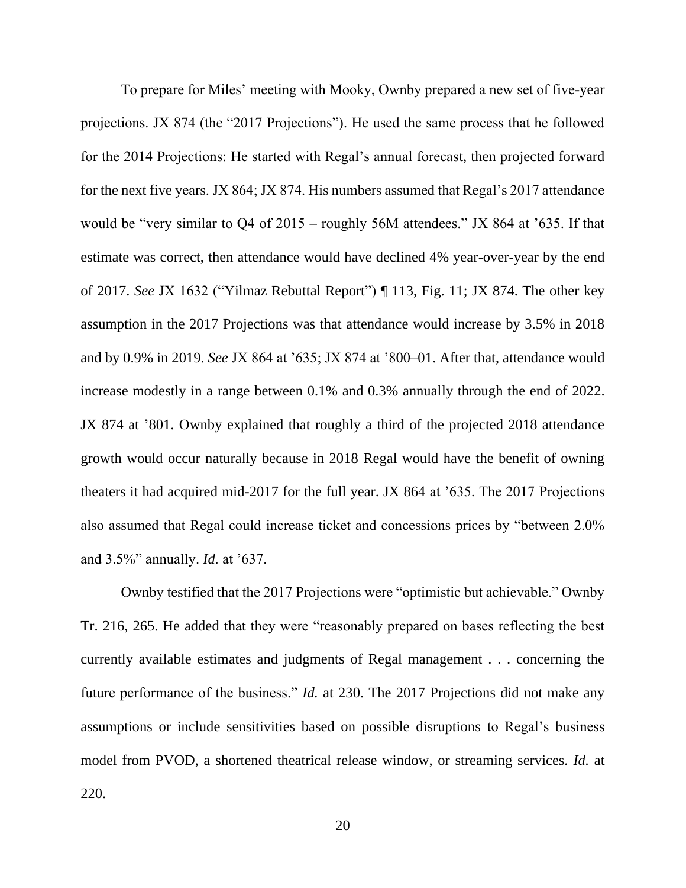To prepare for Miles' meeting with Mooky, Ownby prepared a new set of five-year projections. JX 874 (the "2017 Projections"). He used the same process that he followed for the 2014 Projections: He started with Regal's annual forecast, then projected forward for the next five years. JX 864; JX 874. His numbers assumed that Regal's 2017 attendance would be "very similar to Q4 of 2015 – roughly 56M attendees." JX 864 at '635. If that estimate was correct, then attendance would have declined 4% year-over-year by the end of 2017. *See* JX 1632 ("Yilmaz Rebuttal Report") ¶ 113, Fig. 11; JX 874. The other key assumption in the 2017 Projections was that attendance would increase by 3.5% in 2018 and by 0.9% in 2019. *See* JX 864 at '635; JX 874 at '800–01. After that, attendance would increase modestly in a range between 0.1% and 0.3% annually through the end of 2022. JX 874 at '801. Ownby explained that roughly a third of the projected 2018 attendance growth would occur naturally because in 2018 Regal would have the benefit of owning theaters it had acquired mid-2017 for the full year. JX 864 at '635. The 2017 Projections also assumed that Regal could increase ticket and concessions prices by "between 2.0% and 3.5%" annually. *Id.* at '637.

Ownby testified that the 2017 Projections were "optimistic but achievable." Ownby Tr. 216, 265. He added that they were "reasonably prepared on bases reflecting the best currently available estimates and judgments of Regal management . . . concerning the future performance of the business." *Id.* at 230. The 2017 Projections did not make any assumptions or include sensitivities based on possible disruptions to Regal's business model from PVOD, a shortened theatrical release window, or streaming services. *Id.* at 220.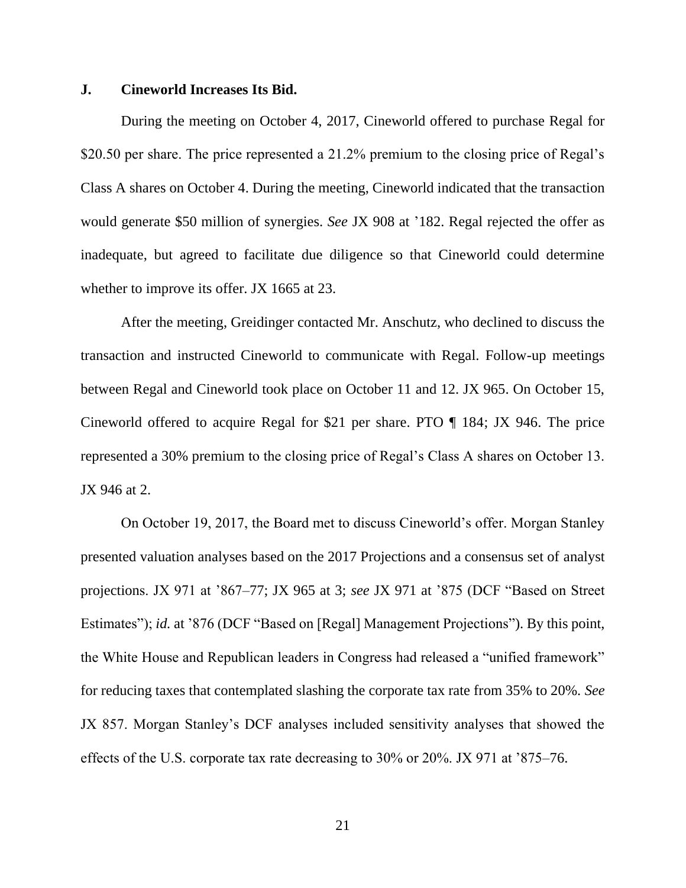### **J. Cineworld Increases Its Bid.**

During the meeting on October 4, 2017, Cineworld offered to purchase Regal for \$20.50 per share. The price represented a 21.2% premium to the closing price of Regal's Class A shares on October 4. During the meeting, Cineworld indicated that the transaction would generate \$50 million of synergies. *See* JX 908 at '182. Regal rejected the offer as inadequate, but agreed to facilitate due diligence so that Cineworld could determine whether to improve its offer. JX 1665 at 23.

After the meeting, Greidinger contacted Mr. Anschutz, who declined to discuss the transaction and instructed Cineworld to communicate with Regal. Follow-up meetings between Regal and Cineworld took place on October 11 and 12. JX 965. On October 15, Cineworld offered to acquire Regal for \$21 per share. PTO ¶ 184; JX 946. The price represented a 30% premium to the closing price of Regal's Class A shares on October 13. JX 946 at 2.

On October 19, 2017, the Board met to discuss Cineworld's offer. Morgan Stanley presented valuation analyses based on the 2017 Projections and a consensus set of analyst projections. JX 971 at '867–77; JX 965 at 3; *see* JX 971 at '875 (DCF "Based on Street Estimates"); *id.* at '876 (DCF "Based on [Regal] Management Projections"). By this point, the White House and Republican leaders in Congress had released a "unified framework" for reducing taxes that contemplated slashing the corporate tax rate from 35% to 20%. *See* JX 857. Morgan Stanley's DCF analyses included sensitivity analyses that showed the effects of the U.S. corporate tax rate decreasing to 30% or 20%. JX 971 at '875–76.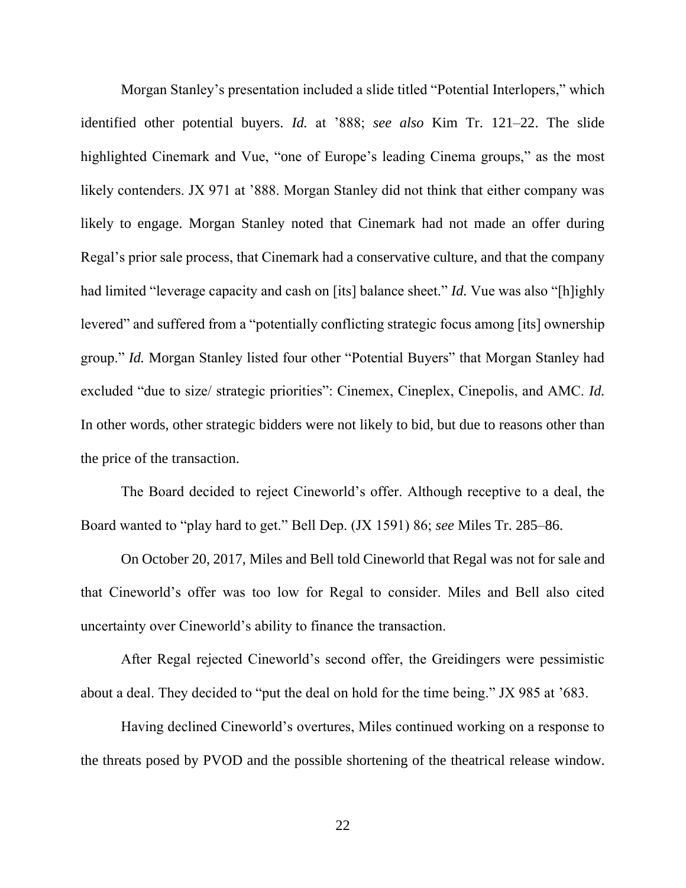Morgan Stanley's presentation included a slide titled "Potential Interlopers," which identified other potential buyers. *Id.* at '888; *see also* Kim Tr. 121–22. The slide highlighted Cinemark and Vue, "one of Europe's leading Cinema groups," as the most likely contenders. JX 971 at '888. Morgan Stanley did not think that either company was likely to engage. Morgan Stanley noted that Cinemark had not made an offer during Regal's prior sale process, that Cinemark had a conservative culture, and that the company had limited "leverage capacity and cash on [its] balance sheet." *Id.* Vue was also "[h]ighly levered" and suffered from a "potentially conflicting strategic focus among [its] ownership group." *Id.* Morgan Stanley listed four other "Potential Buyers" that Morgan Stanley had excluded "due to size/ strategic priorities": Cinemex, Cineplex, Cinepolis, and AMC. *Id.* In other words, other strategic bidders were not likely to bid, but due to reasons other than the price of the transaction.

The Board decided to reject Cineworld's offer. Although receptive to a deal, the Board wanted to "play hard to get." Bell Dep. (JX 1591) 86; *see* Miles Tr. 285–86.

On October 20, 2017, Miles and Bell told Cineworld that Regal was not for sale and that Cineworld's offer was too low for Regal to consider. Miles and Bell also cited uncertainty over Cineworld's ability to finance the transaction.

After Regal rejected Cineworld's second offer, the Greidingers were pessimistic about a deal. They decided to "put the deal on hold for the time being." JX 985 at '683.

Having declined Cineworld's overtures, Miles continued working on a response to the threats posed by PVOD and the possible shortening of the theatrical release window.

22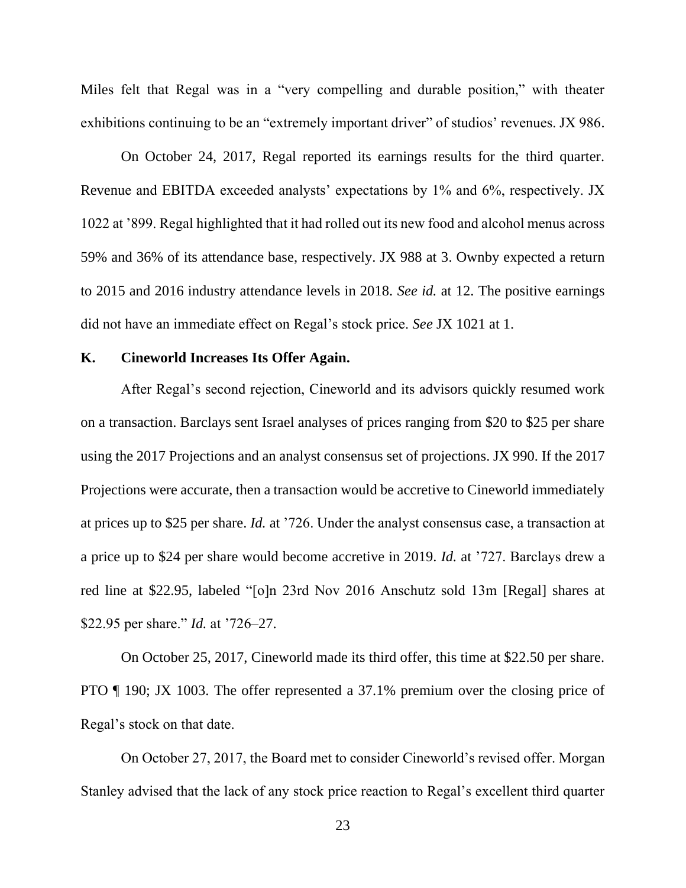Miles felt that Regal was in a "very compelling and durable position," with theater exhibitions continuing to be an "extremely important driver" of studios' revenues. JX 986.

On October 24, 2017, Regal reported its earnings results for the third quarter. Revenue and EBITDA exceeded analysts' expectations by 1% and 6%, respectively. JX 1022 at '899. Regal highlighted that it had rolled out its new food and alcohol menus across 59% and 36% of its attendance base, respectively. JX 988 at 3. Ownby expected a return to 2015 and 2016 industry attendance levels in 2018. *See id.* at 12. The positive earnings did not have an immediate effect on Regal's stock price. *See* JX 1021 at 1.

### **K. Cineworld Increases Its Offer Again.**

After Regal's second rejection, Cineworld and its advisors quickly resumed work on a transaction. Barclays sent Israel analyses of prices ranging from \$20 to \$25 per share using the 2017 Projections and an analyst consensus set of projections. JX 990. If the 2017 Projections were accurate, then a transaction would be accretive to Cineworld immediately at prices up to \$25 per share. *Id.* at '726. Under the analyst consensus case, a transaction at a price up to \$24 per share would become accretive in 2019. *Id.* at '727. Barclays drew a red line at \$22.95, labeled "[o]n 23rd Nov 2016 Anschutz sold 13m [Regal] shares at \$22.95 per share." *Id.* at '726–27.

On October 25, 2017, Cineworld made its third offer, this time at \$22.50 per share. PTO ¶ 190; JX 1003. The offer represented a 37.1% premium over the closing price of Regal's stock on that date.

On October 27, 2017, the Board met to consider Cineworld's revised offer. Morgan Stanley advised that the lack of any stock price reaction to Regal's excellent third quarter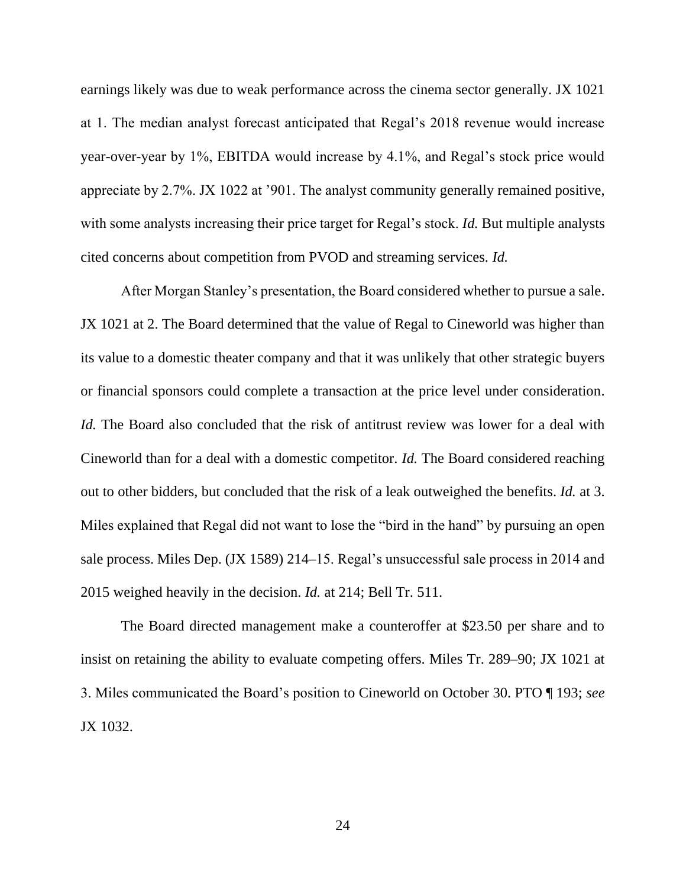earnings likely was due to weak performance across the cinema sector generally. JX 1021 at 1. The median analyst forecast anticipated that Regal's 2018 revenue would increase year-over-year by 1%, EBITDA would increase by 4.1%, and Regal's stock price would appreciate by 2.7%. JX 1022 at '901. The analyst community generally remained positive, with some analysts increasing their price target for Regal's stock. *Id.* But multiple analysts cited concerns about competition from PVOD and streaming services. *Id.*

After Morgan Stanley's presentation, the Board considered whether to pursue a sale. JX 1021 at 2. The Board determined that the value of Regal to Cineworld was higher than its value to a domestic theater company and that it was unlikely that other strategic buyers or financial sponsors could complete a transaction at the price level under consideration. *Id.* The Board also concluded that the risk of antitrust review was lower for a deal with Cineworld than for a deal with a domestic competitor. *Id.* The Board considered reaching out to other bidders, but concluded that the risk of a leak outweighed the benefits. *Id.* at 3. Miles explained that Regal did not want to lose the "bird in the hand" by pursuing an open sale process. Miles Dep. (JX 1589) 214–15. Regal's unsuccessful sale process in 2014 and 2015 weighed heavily in the decision. *Id.* at 214; Bell Tr. 511.

The Board directed management make a counteroffer at \$23.50 per share and to insist on retaining the ability to evaluate competing offers. Miles Tr. 289–90; JX 1021 at 3. Miles communicated the Board's position to Cineworld on October 30. PTO ¶ 193; *see* JX 1032.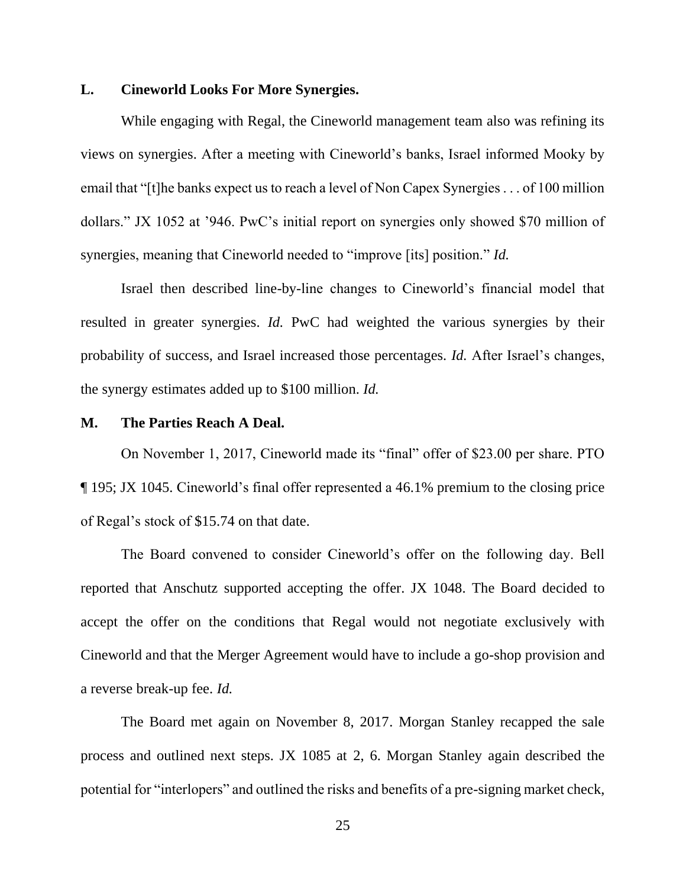## **L. Cineworld Looks For More Synergies.**

While engaging with Regal, the Cineworld management team also was refining its views on synergies. After a meeting with Cineworld's banks, Israel informed Mooky by email that "[t]he banks expect us to reach a level of Non Capex Synergies . . . of 100 million dollars." JX 1052 at '946. PwC's initial report on synergies only showed \$70 million of synergies, meaning that Cineworld needed to "improve [its] position." *Id.*

Israel then described line-by-line changes to Cineworld's financial model that resulted in greater synergies. *Id.* PwC had weighted the various synergies by their probability of success, and Israel increased those percentages. *Id.* After Israel's changes, the synergy estimates added up to \$100 million. *Id.*

#### **M. The Parties Reach A Deal.**

On November 1, 2017, Cineworld made its "final" offer of \$23.00 per share. PTO ¶ 195; JX 1045. Cineworld's final offer represented a 46.1% premium to the closing price of Regal's stock of \$15.74 on that date.

The Board convened to consider Cineworld's offer on the following day. Bell reported that Anschutz supported accepting the offer. JX 1048. The Board decided to accept the offer on the conditions that Regal would not negotiate exclusively with Cineworld and that the Merger Agreement would have to include a go-shop provision and a reverse break-up fee. *Id.*

The Board met again on November 8, 2017. Morgan Stanley recapped the sale process and outlined next steps. JX 1085 at 2, 6. Morgan Stanley again described the potential for "interlopers" and outlined the risks and benefits of a pre-signing market check,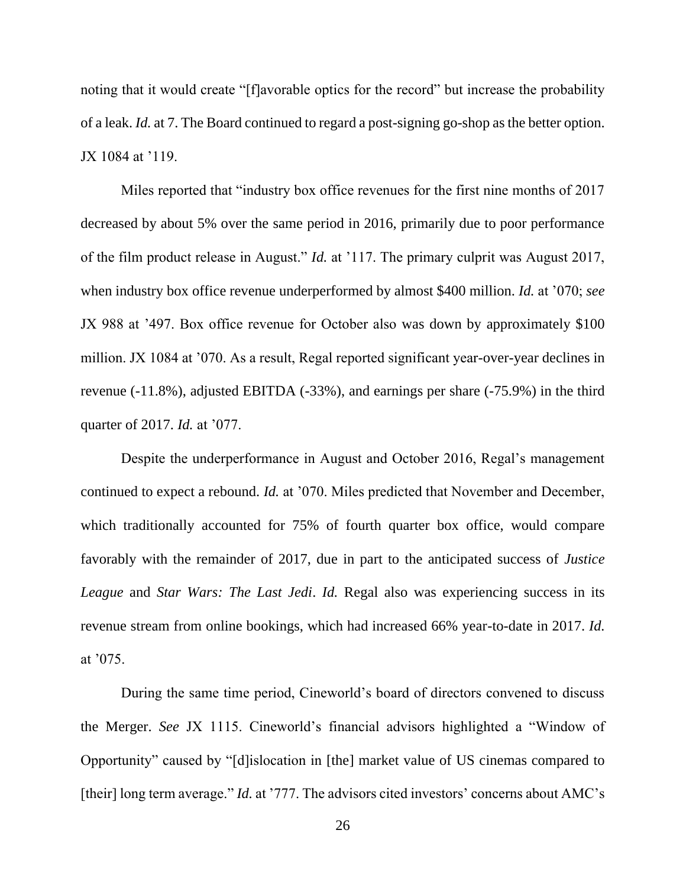noting that it would create "[f]avorable optics for the record" but increase the probability of a leak. *Id.* at 7. The Board continued to regard a post-signing go-shop as the better option. JX 1084 at '119.

Miles reported that "industry box office revenues for the first nine months of 2017 decreased by about 5% over the same period in 2016, primarily due to poor performance of the film product release in August." *Id.* at '117. The primary culprit was August 2017, when industry box office revenue underperformed by almost \$400 million. *Id.* at '070; *see* JX 988 at '497. Box office revenue for October also was down by approximately \$100 million. JX 1084 at '070. As a result, Regal reported significant year-over-year declines in revenue (-11.8%), adjusted EBITDA (-33%), and earnings per share (-75.9%) in the third quarter of 2017. *Id.* at '077.

Despite the underperformance in August and October 2016, Regal's management continued to expect a rebound. *Id.* at '070. Miles predicted that November and December, which traditionally accounted for 75% of fourth quarter box office, would compare favorably with the remainder of 2017, due in part to the anticipated success of *Justice League* and *Star Wars: The Last Jedi*. *Id.* Regal also was experiencing success in its revenue stream from online bookings, which had increased 66% year-to-date in 2017. *Id.* at '075.

During the same time period, Cineworld's board of directors convened to discuss the Merger. *See* JX 1115. Cineworld's financial advisors highlighted a "Window of Opportunity" caused by "[d]islocation in [the] market value of US cinemas compared to [their] long term average." *Id.* at '777. The advisors cited investors' concerns about AMC's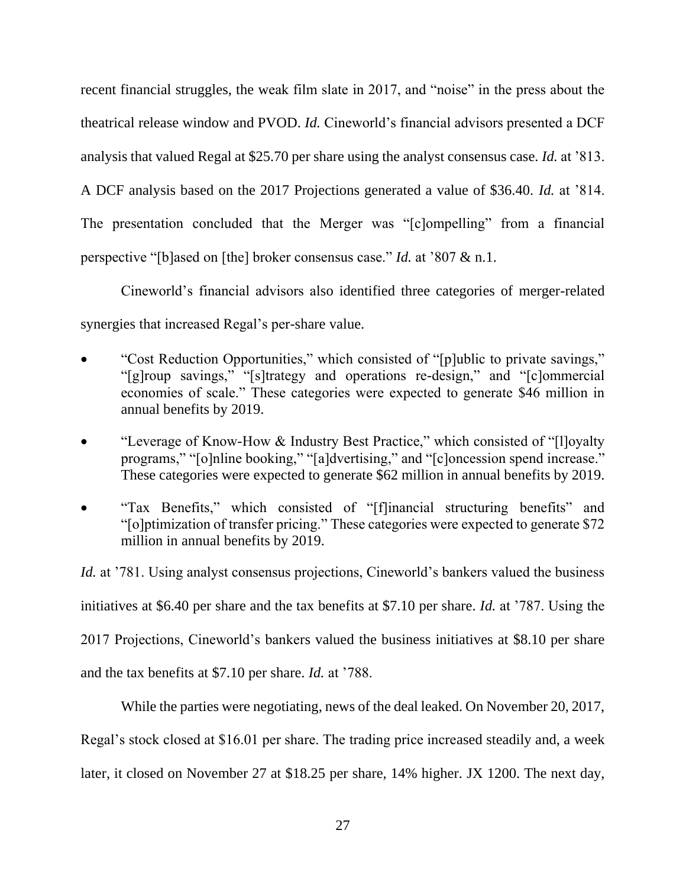recent financial struggles, the weak film slate in 2017, and "noise" in the press about the theatrical release window and PVOD. *Id.* Cineworld's financial advisors presented a DCF analysis that valued Regal at \$25.70 per share using the analyst consensus case. *Id.* at '813. A DCF analysis based on the 2017 Projections generated a value of \$36.40. *Id.* at '814. The presentation concluded that the Merger was "[c]ompelling" from a financial perspective "[b]ased on [the] broker consensus case." *Id.* at '807 & n.1.

Cineworld's financial advisors also identified three categories of merger-related synergies that increased Regal's per-share value.

- "Cost Reduction Opportunities," which consisted of "[p]ublic to private savings," "[g]roup savings," "[s]trategy and operations re-design," and "[c]ommercial economies of scale." These categories were expected to generate \$46 million in annual benefits by 2019.
- "Leverage of Know-How & Industry Best Practice," which consisted of "[l]oyalty programs," "[o]nline booking," "[a]dvertising," and "[c]oncession spend increase." These categories were expected to generate \$62 million in annual benefits by 2019.
- "Tax Benefits," which consisted of "[f]inancial structuring benefits" and "[o]ptimization of transfer pricing." These categories were expected to generate \$72 million in annual benefits by 2019.

*Id.* at '781. Using analyst consensus projections, Cineworld's bankers valued the business initiatives at \$6.40 per share and the tax benefits at \$7.10 per share. *Id.* at '787. Using the 2017 Projections, Cineworld's bankers valued the business initiatives at \$8.10 per share and the tax benefits at \$7.10 per share. *Id.* at '788.

While the parties were negotiating, news of the deal leaked. On November 20, 2017, Regal's stock closed at \$16.01 per share. The trading price increased steadily and, a week later, it closed on November 27 at \$18.25 per share, 14% higher. JX 1200. The next day,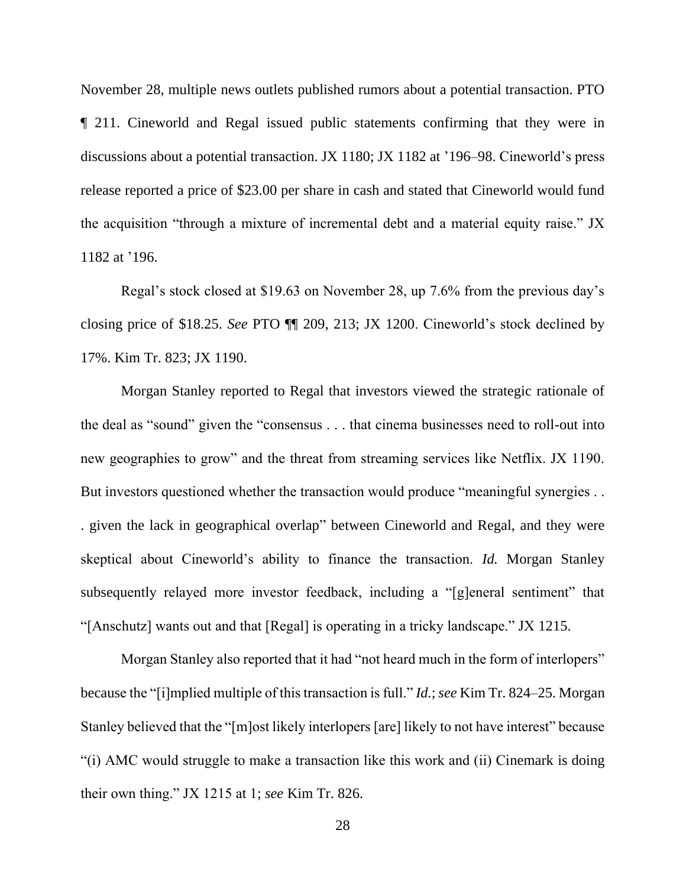November 28, multiple news outlets published rumors about a potential transaction. PTO ¶ 211. Cineworld and Regal issued public statements confirming that they were in discussions about a potential transaction. JX 1180; JX 1182 at '196–98. Cineworld's press release reported a price of \$23.00 per share in cash and stated that Cineworld would fund the acquisition "through a mixture of incremental debt and a material equity raise." JX 1182 at '196.

Regal's stock closed at \$19.63 on November 28, up 7.6% from the previous day's closing price of \$18.25. *See* PTO ¶¶ 209, 213; JX 1200. Cineworld's stock declined by 17%. Kim Tr. 823; JX 1190.

Morgan Stanley reported to Regal that investors viewed the strategic rationale of the deal as "sound" given the "consensus . . . that cinema businesses need to roll-out into new geographies to grow" and the threat from streaming services like Netflix. JX 1190. But investors questioned whether the transaction would produce "meaningful synergies . . . given the lack in geographical overlap" between Cineworld and Regal, and they were skeptical about Cineworld's ability to finance the transaction. *Id.* Morgan Stanley subsequently relayed more investor feedback, including a "[g]eneral sentiment" that "[Anschutz] wants out and that [Regal] is operating in a tricky landscape." JX 1215.

Morgan Stanley also reported that it had "not heard much in the form of interlopers" because the "[i]mplied multiple of this transaction is full." *Id.*; *see* Kim Tr. 824–25. Morgan Stanley believed that the "[m]ost likely interlopers [are] likely to not have interest" because "(i) AMC would struggle to make a transaction like this work and (ii) Cinemark is doing their own thing." JX 1215 at 1; *see* Kim Tr. 826.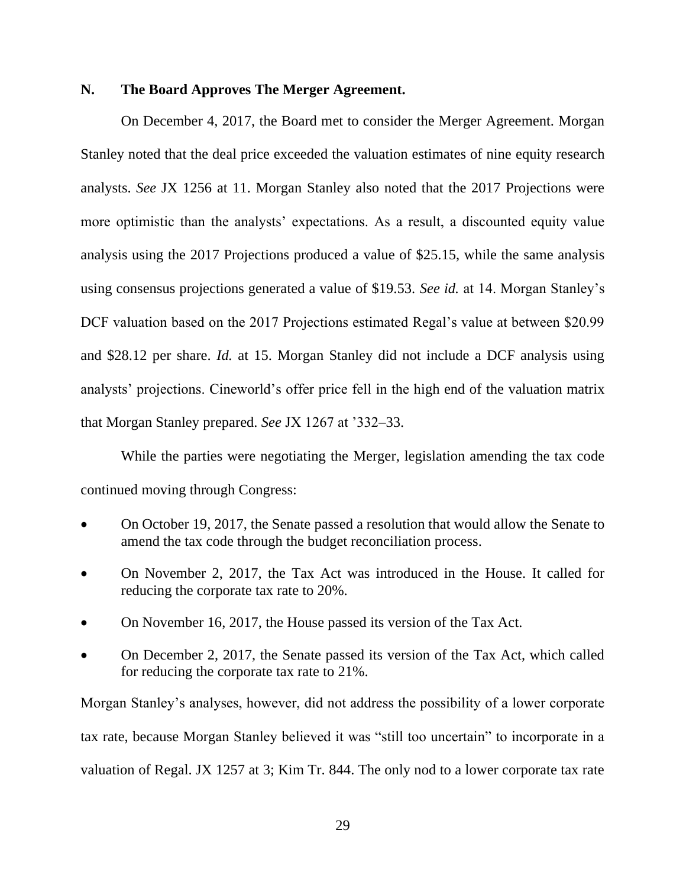### **N. The Board Approves The Merger Agreement.**

On December 4, 2017, the Board met to consider the Merger Agreement. Morgan Stanley noted that the deal price exceeded the valuation estimates of nine equity research analysts. *See* JX 1256 at 11. Morgan Stanley also noted that the 2017 Projections were more optimistic than the analysts' expectations. As a result, a discounted equity value analysis using the 2017 Projections produced a value of \$25.15, while the same analysis using consensus projections generated a value of \$19.53. *See id.* at 14. Morgan Stanley's DCF valuation based on the 2017 Projections estimated Regal's value at between \$20.99 and \$28.12 per share. *Id.* at 15. Morgan Stanley did not include a DCF analysis using analysts' projections. Cineworld's offer price fell in the high end of the valuation matrix that Morgan Stanley prepared. *See* JX 1267 at '332–33.

While the parties were negotiating the Merger, legislation amending the tax code continued moving through Congress:

- On October 19, 2017, the Senate passed a resolution that would allow the Senate to amend the tax code through the budget reconciliation process.
- On November 2, 2017, the Tax Act was introduced in the House. It called for reducing the corporate tax rate to 20%.
- On November 16, 2017, the House passed its version of the Tax Act.
- On December 2, 2017, the Senate passed its version of the Tax Act, which called for reducing the corporate tax rate to 21%.

Morgan Stanley's analyses, however, did not address the possibility of a lower corporate tax rate, because Morgan Stanley believed it was "still too uncertain" to incorporate in a valuation of Regal. JX 1257 at 3; Kim Tr. 844. The only nod to a lower corporate tax rate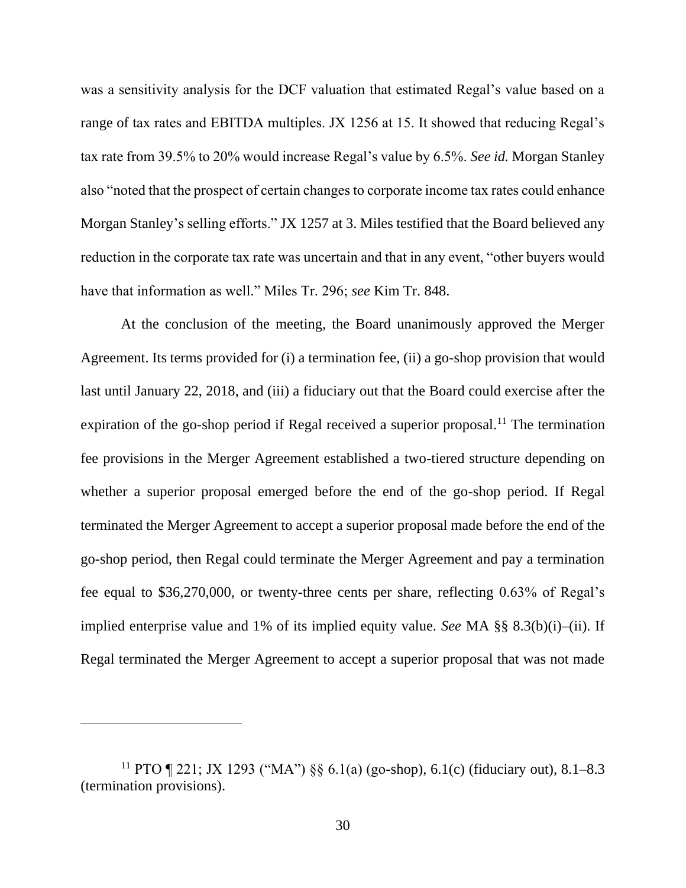was a sensitivity analysis for the DCF valuation that estimated Regal's value based on a range of tax rates and EBITDA multiples. JX 1256 at 15. It showed that reducing Regal's tax rate from 39.5% to 20% would increase Regal's value by 6.5%. *See id.* Morgan Stanley also "noted that the prospect of certain changes to corporate income tax rates could enhance Morgan Stanley's selling efforts." JX 1257 at 3. Miles testified that the Board believed any reduction in the corporate tax rate was uncertain and that in any event, "other buyers would have that information as well." Miles Tr. 296; *see* Kim Tr. 848.

At the conclusion of the meeting, the Board unanimously approved the Merger Agreement. Its terms provided for (i) a termination fee, (ii) a go-shop provision that would last until January 22, 2018, and (iii) a fiduciary out that the Board could exercise after the expiration of the go-shop period if Regal received a superior proposal.<sup>11</sup> The termination fee provisions in the Merger Agreement established a two-tiered structure depending on whether a superior proposal emerged before the end of the go-shop period. If Regal terminated the Merger Agreement to accept a superior proposal made before the end of the go-shop period, then Regal could terminate the Merger Agreement and pay a termination fee equal to \$36,270,000, or twenty-three cents per share, reflecting 0.63% of Regal's implied enterprise value and 1% of its implied equity value. *See* MA §§ 8.3(b)(i)–(ii). If Regal terminated the Merger Agreement to accept a superior proposal that was not made

<sup>&</sup>lt;sup>11</sup> PTO ¶ 221; JX 1293 ("MA") §§ 6.1(a) (go-shop), 6.1(c) (fiduciary out), 8.1–8.3 (termination provisions).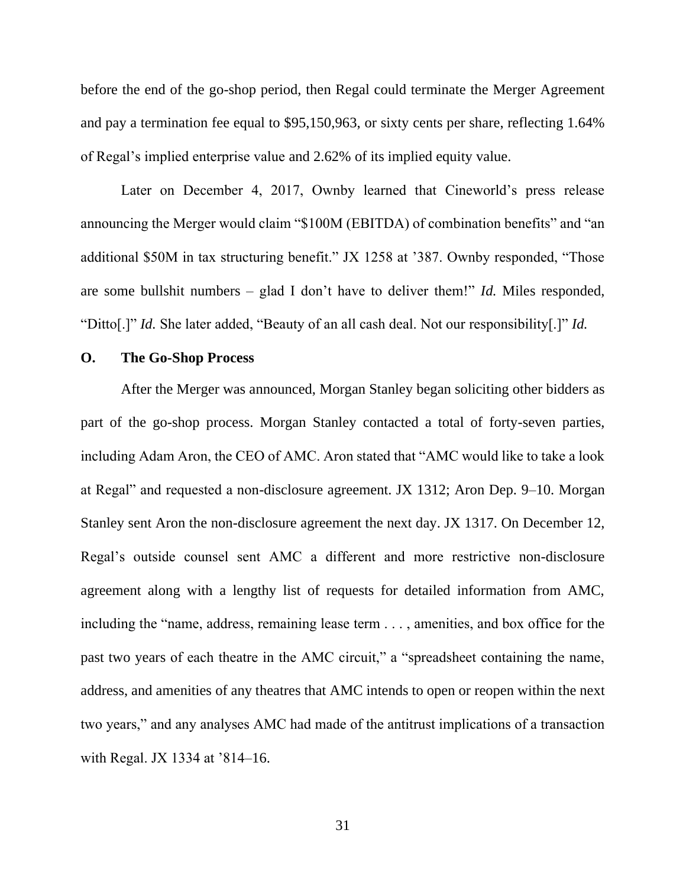before the end of the go-shop period, then Regal could terminate the Merger Agreement and pay a termination fee equal to \$95,150,963, or sixty cents per share, reflecting 1.64% of Regal's implied enterprise value and 2.62% of its implied equity value.

Later on December 4, 2017, Ownby learned that Cineworld's press release announcing the Merger would claim "\$100M (EBITDA) of combination benefits" and "an additional \$50M in tax structuring benefit." JX 1258 at '387. Ownby responded, "Those are some bullshit numbers – glad I don't have to deliver them!" *Id.* Miles responded, "Ditto[.]" *Id.* She later added, "Beauty of an all cash deal. Not our responsibility[.]" *Id.*

### **O. The Go-Shop Process**

After the Merger was announced, Morgan Stanley began soliciting other bidders as part of the go-shop process. Morgan Stanley contacted a total of forty-seven parties, including Adam Aron, the CEO of AMC. Aron stated that "AMC would like to take a look at Regal" and requested a non-disclosure agreement. JX 1312; Aron Dep. 9–10. Morgan Stanley sent Aron the non-disclosure agreement the next day. JX 1317. On December 12, Regal's outside counsel sent AMC a different and more restrictive non-disclosure agreement along with a lengthy list of requests for detailed information from AMC, including the "name, address, remaining lease term . . . , amenities, and box office for the past two years of each theatre in the AMC circuit," a "spreadsheet containing the name, address, and amenities of any theatres that AMC intends to open or reopen within the next two years," and any analyses AMC had made of the antitrust implications of a transaction with Regal. JX 1334 at '814–16.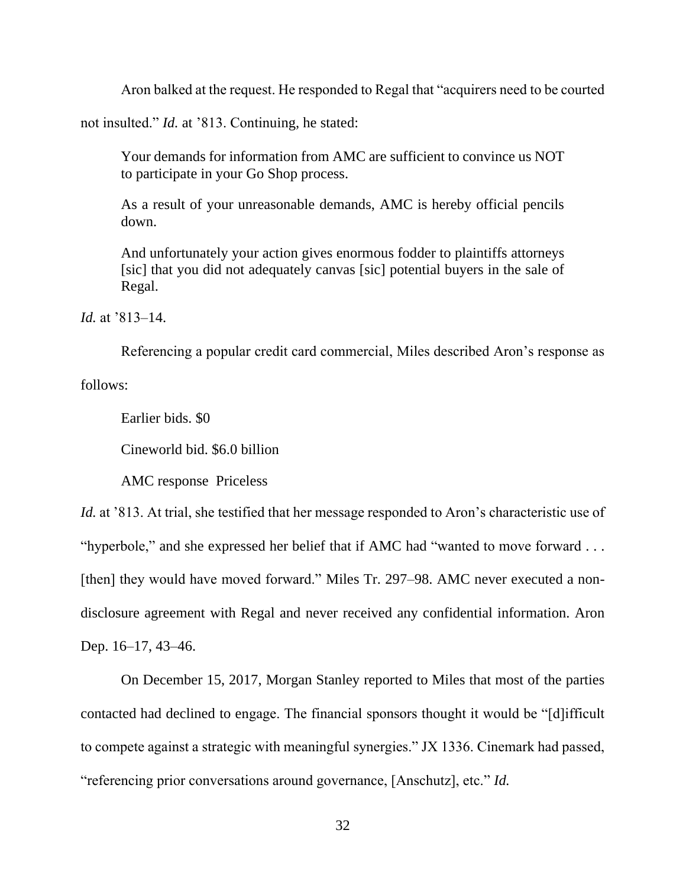Aron balked at the request. He responded to Regal that "acquirers need to be courted

not insulted." *Id.* at '813. Continuing, he stated:

Your demands for information from AMC are sufficient to convince us NOT to participate in your Go Shop process.

As a result of your unreasonable demands, AMC is hereby official pencils down.

And unfortunately your action gives enormous fodder to plaintiffs attorneys [sic] that you did not adequately canvas [sic] potential buyers in the sale of Regal.

*Id.* at '813–14.

Referencing a popular credit card commercial, Miles described Aron's response as

follows:

Earlier bids. \$0

Cineworld bid. \$6.0 billion

AMC response Priceless

*Id.* at '813. At trial, she testified that her message responded to Aron's characteristic use of "hyperbole," and she expressed her belief that if AMC had "wanted to move forward . . . [then] they would have moved forward." Miles Tr. 297–98. AMC never executed a nondisclosure agreement with Regal and never received any confidential information. Aron Dep. 16–17, 43–46.

On December 15, 2017, Morgan Stanley reported to Miles that most of the parties contacted had declined to engage. The financial sponsors thought it would be "[d]ifficult to compete against a strategic with meaningful synergies." JX 1336. Cinemark had passed, "referencing prior conversations around governance, [Anschutz], etc." *Id.*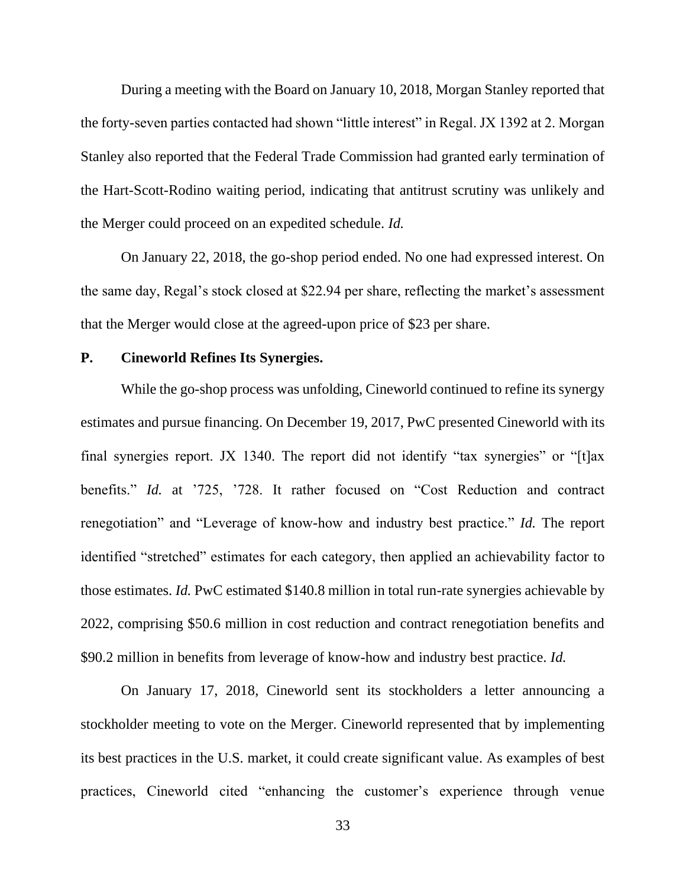During a meeting with the Board on January 10, 2018, Morgan Stanley reported that the forty-seven parties contacted had shown "little interest" in Regal. JX 1392 at 2. Morgan Stanley also reported that the Federal Trade Commission had granted early termination of the Hart-Scott-Rodino waiting period, indicating that antitrust scrutiny was unlikely and the Merger could proceed on an expedited schedule. *Id.*

On January 22, 2018, the go-shop period ended. No one had expressed interest. On the same day, Regal's stock closed at \$22.94 per share, reflecting the market's assessment that the Merger would close at the agreed-upon price of \$23 per share.

### **P. Cineworld Refines Its Synergies.**

While the go-shop process was unfolding, Cineworld continued to refine its synergy estimates and pursue financing. On December 19, 2017, PwC presented Cineworld with its final synergies report. JX 1340. The report did not identify "tax synergies" or "[t]ax benefits." *Id.* at '725, '728. It rather focused on "Cost Reduction and contract renegotiation" and "Leverage of know-how and industry best practice." *Id.* The report identified "stretched" estimates for each category, then applied an achievability factor to those estimates. *Id.* PwC estimated \$140.8 million in total run-rate synergies achievable by 2022, comprising \$50.6 million in cost reduction and contract renegotiation benefits and \$90.2 million in benefits from leverage of know-how and industry best practice. *Id.*

On January 17, 2018, Cineworld sent its stockholders a letter announcing a stockholder meeting to vote on the Merger. Cineworld represented that by implementing its best practices in the U.S. market, it could create significant value. As examples of best practices, Cineworld cited "enhancing the customer's experience through venue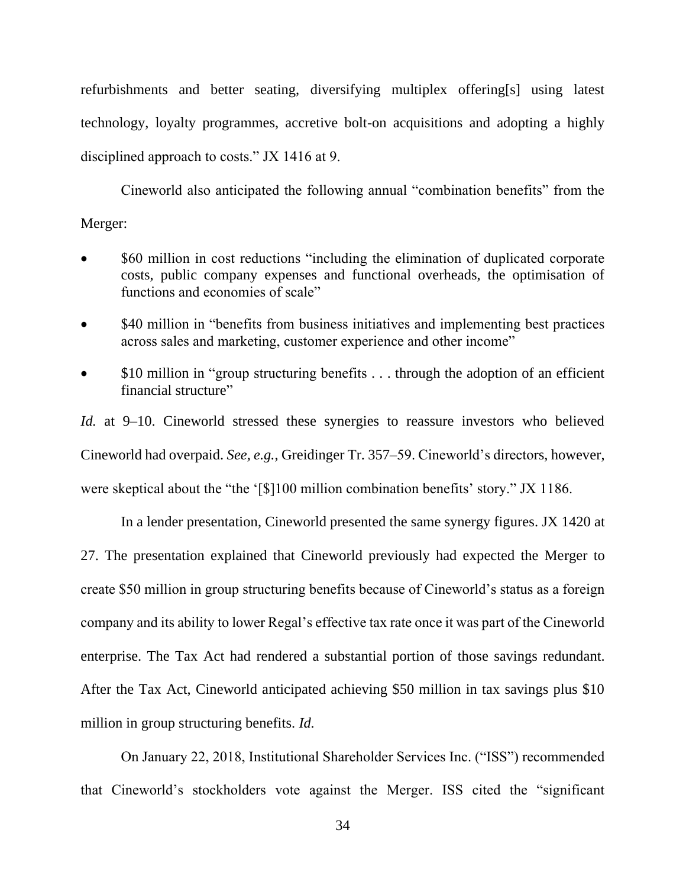refurbishments and better seating, diversifying multiplex offering[s] using latest technology, loyalty programmes, accretive bolt-on acquisitions and adopting a highly disciplined approach to costs." JX 1416 at 9.

Cineworld also anticipated the following annual "combination benefits" from the Merger:

- \$60 million in cost reductions "including the elimination of duplicated corporate costs, public company expenses and functional overheads, the optimisation of functions and economies of scale"
- \$40 million in "benefits from business initiatives and implementing best practices across sales and marketing, customer experience and other income"
- \$10 million in "group structuring benefits . . . through the adoption of an efficient financial structure"

*Id.* at 9–10. Cineworld stressed these synergies to reassure investors who believed Cineworld had overpaid. *See, e.g.*, Greidinger Tr. 357–59. Cineworld's directors, however, were skeptical about the "the '[\$]100 million combination benefits' story." JX 1186.

In a lender presentation, Cineworld presented the same synergy figures. JX 1420 at 27. The presentation explained that Cineworld previously had expected the Merger to create \$50 million in group structuring benefits because of Cineworld's status as a foreign company and its ability to lower Regal's effective tax rate once it was part of the Cineworld enterprise. The Tax Act had rendered a substantial portion of those savings redundant. After the Tax Act, Cineworld anticipated achieving \$50 million in tax savings plus \$10 million in group structuring benefits. *Id.*

On January 22, 2018, Institutional Shareholder Services Inc. ("ISS") recommended that Cineworld's stockholders vote against the Merger. ISS cited the "significant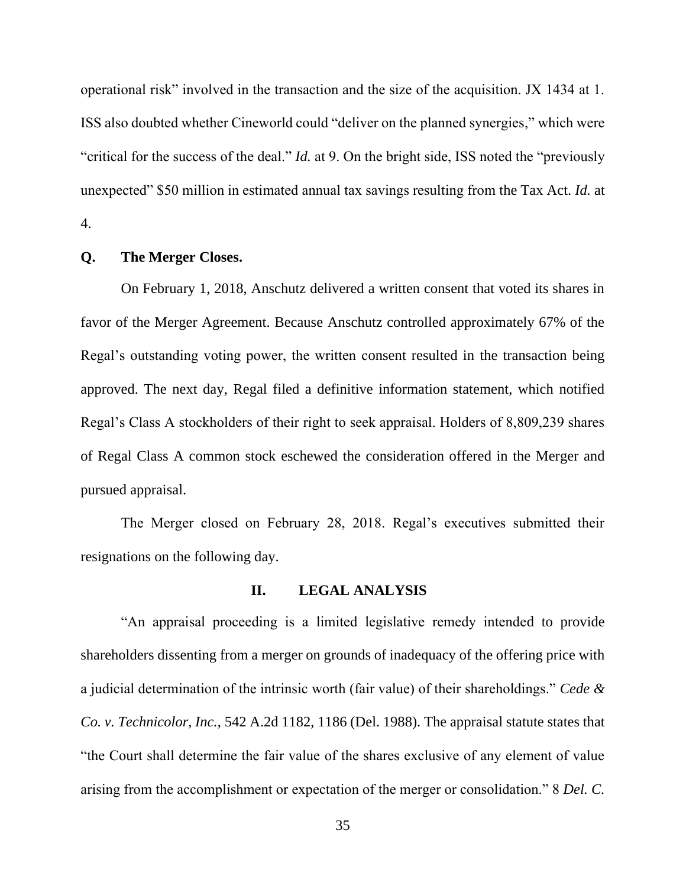operational risk" involved in the transaction and the size of the acquisition. JX 1434 at 1. ISS also doubted whether Cineworld could "deliver on the planned synergies," which were "critical for the success of the deal." *Id.* at 9. On the bright side, ISS noted the "previously unexpected" \$50 million in estimated annual tax savings resulting from the Tax Act. *Id.* at 4.

#### **Q. The Merger Closes.**

On February 1, 2018, Anschutz delivered a written consent that voted its shares in favor of the Merger Agreement. Because Anschutz controlled approximately 67% of the Regal's outstanding voting power, the written consent resulted in the transaction being approved. The next day, Regal filed a definitive information statement, which notified Regal's Class A stockholders of their right to seek appraisal. Holders of 8,809,239 shares of Regal Class A common stock eschewed the consideration offered in the Merger and pursued appraisal.

The Merger closed on February 28, 2018. Regal's executives submitted their resignations on the following day.

### **II. LEGAL ANALYSIS**

"An appraisal proceeding is a limited legislative remedy intended to provide shareholders dissenting from a merger on grounds of inadequacy of the offering price with a judicial determination of the intrinsic worth (fair value) of their shareholdings." *Cede & Co. v. Technicolor, Inc.*, 542 A.2d 1182, 1186 (Del. 1988). The appraisal statute states that "the Court shall determine the fair value of the shares exclusive of any element of value arising from the accomplishment or expectation of the merger or consolidation." 8 *Del. C.*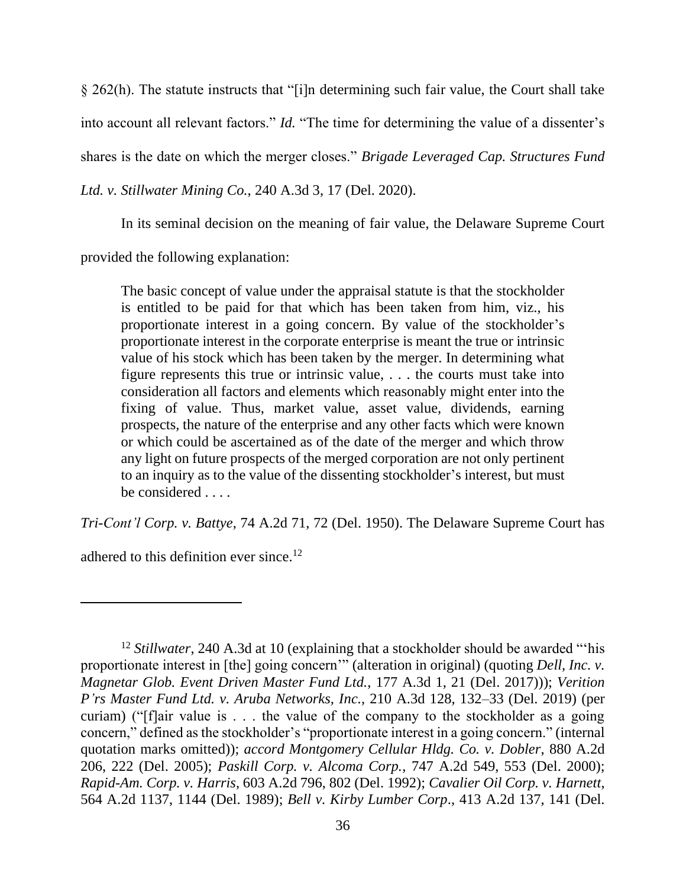§ 262(h). The statute instructs that "[i]n determining such fair value, the Court shall take into account all relevant factors." *Id.* "The time for determining the value of a dissenter's shares is the date on which the merger closes." *Brigade Leveraged Cap. Structures Fund Ltd. v. Stillwater Mining Co.*, 240 A.3d 3, 17 (Del. 2020).

In its seminal decision on the meaning of fair value, the Delaware Supreme Court

provided the following explanation:

The basic concept of value under the appraisal statute is that the stockholder is entitled to be paid for that which has been taken from him, viz., his proportionate interest in a going concern. By value of the stockholder's proportionate interest in the corporate enterprise is meant the true or intrinsic value of his stock which has been taken by the merger. In determining what figure represents this true or intrinsic value, . . . the courts must take into consideration all factors and elements which reasonably might enter into the fixing of value. Thus, market value, asset value, dividends, earning prospects, the nature of the enterprise and any other facts which were known or which could be ascertained as of the date of the merger and which throw any light on future prospects of the merged corporation are not only pertinent to an inquiry as to the value of the dissenting stockholder's interest, but must be considered . . . .

*Tri-Cont'l Corp. v. Battye*, 74 A.2d 71, 72 (Del. 1950). The Delaware Supreme Court has

adhered to this definition ever since.<sup>12</sup>

<sup>&</sup>lt;sup>12</sup> *Stillwater*, 240 A.3d at 10 (explaining that a stockholder should be awarded "'his proportionate interest in [the] going concern'" (alteration in original) (quoting *Dell, Inc. v. Magnetar Glob. Event Driven Master Fund Ltd.*, 177 A.3d 1, 21 (Del. 2017))); *Verition P'rs Master Fund Ltd. v. Aruba Networks, Inc.*, 210 A.3d 128, 132–33 (Del. 2019) (per curiam) ("[f]air value is . . . the value of the company to the stockholder as a going concern," defined as the stockholder's "proportionate interest in a going concern." (internal quotation marks omitted)); *accord Montgomery Cellular Hldg. Co. v. Dobler*, 880 A.2d 206, 222 (Del. 2005); *Paskill Corp. v. Alcoma Corp.*, 747 A.2d 549, 553 (Del. 2000); *Rapid-Am. Corp. v. Harris*, 603 A.2d 796, 802 (Del. 1992); *Cavalier Oil Corp. v. Harnett*, 564 A.2d 1137, 1144 (Del. 1989); *Bell v. Kirby Lumber Corp*., 413 A.2d 137, 141 (Del.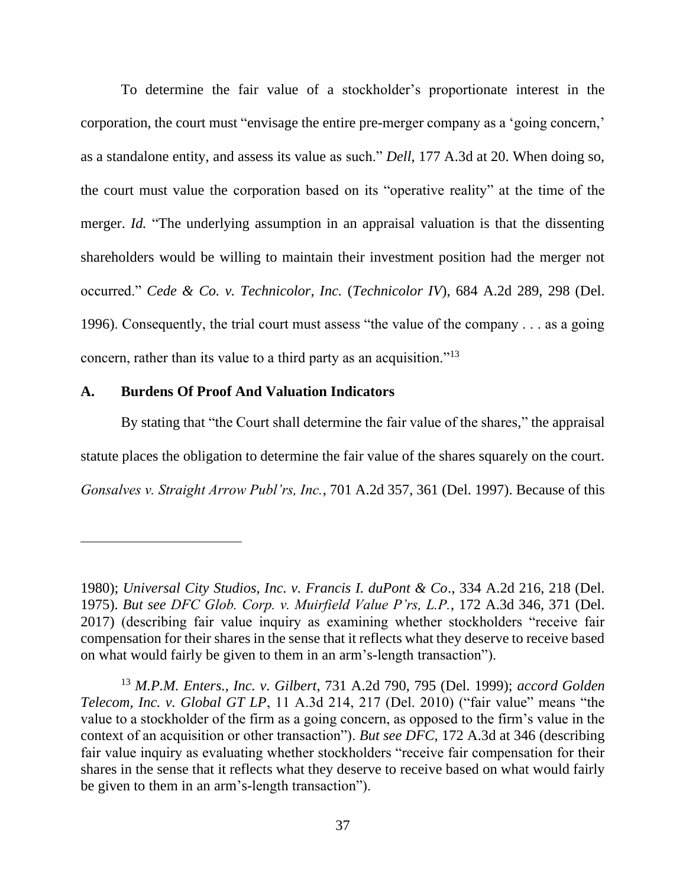To determine the fair value of a stockholder's proportionate interest in the corporation, the court must "envisage the entire pre-merger company as a 'going concern,' as a standalone entity, and assess its value as such." *Dell*, 177 A.3d at 20. When doing so, the court must value the corporation based on its "operative reality" at the time of the merger. *Id.* "The underlying assumption in an appraisal valuation is that the dissenting shareholders would be willing to maintain their investment position had the merger not occurred." *Cede & Co. v. Technicolor, Inc.* (*Technicolor IV*), 684 A.2d 289, 298 (Del. 1996). Consequently, the trial court must assess "the value of the company . . . as a going concern, rather than its value to a third party as an acquisition."<sup>13</sup>

#### **A. Burdens Of Proof And Valuation Indicators**

By stating that "the Court shall determine the fair value of the shares," the appraisal statute places the obligation to determine the fair value of the shares squarely on the court. *Gonsalves v. Straight Arrow Publ'rs, Inc.*, 701 A.2d 357, 361 (Del. 1997). Because of this

<sup>1980);</sup> *Universal City Studios, Inc. v. Francis I. duPont & Co*., 334 A.2d 216, 218 (Del. 1975). *But see DFC Glob. Corp. v. Muirfield Value P'rs, L.P.*, 172 A.3d 346, 371 (Del. 2017) (describing fair value inquiry as examining whether stockholders "receive fair compensation for their shares in the sense that it reflects what they deserve to receive based on what would fairly be given to them in an arm's-length transaction").

<sup>13</sup> *M.P.M. Enters., Inc. v. Gilbert*, 731 A.2d 790, 795 (Del. 1999); *accord Golden Telecom, Inc. v. Global GT LP*, 11 A.3d 214, 217 (Del. 2010) ("fair value" means "the value to a stockholder of the firm as a going concern, as opposed to the firm's value in the context of an acquisition or other transaction"). *But see DFC*, 172 A.3d at 346 (describing fair value inquiry as evaluating whether stockholders "receive fair compensation for their shares in the sense that it reflects what they deserve to receive based on what would fairly be given to them in an arm's-length transaction").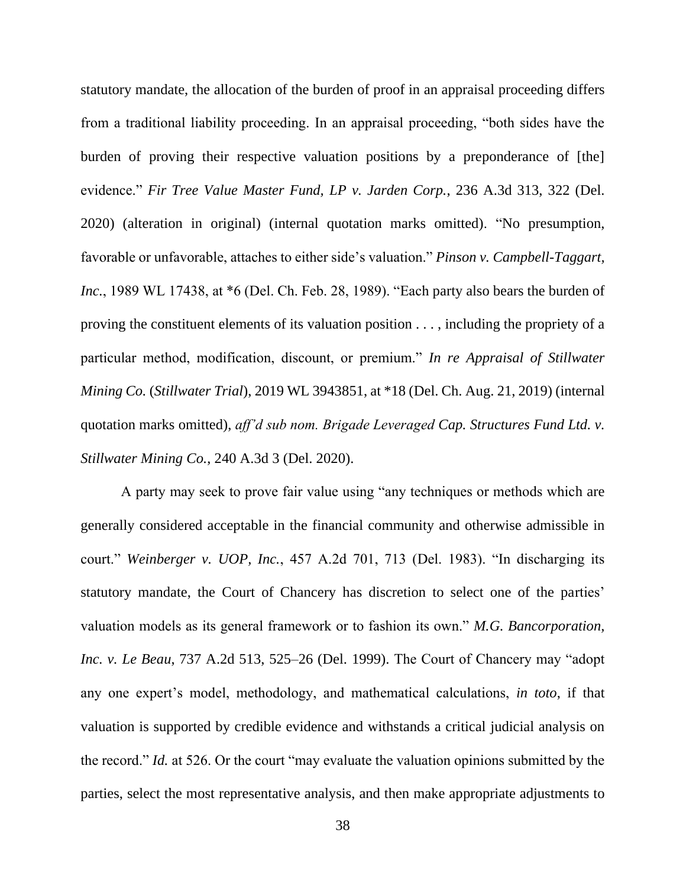statutory mandate, the allocation of the burden of proof in an appraisal proceeding differs from a traditional liability proceeding. In an appraisal proceeding, "both sides have the burden of proving their respective valuation positions by a preponderance of [the] evidence." *Fir Tree Value Master Fund, LP v. Jarden Corp.*, 236 A.3d 313, 322 (Del. 2020) (alteration in original) (internal quotation marks omitted). "No presumption, favorable or unfavorable, attaches to either side's valuation." *Pinson v. Campbell-Taggart, Inc.*, 1989 WL 17438, at \*6 (Del. Ch. Feb. 28, 1989). "Each party also bears the burden of proving the constituent elements of its valuation position . . . , including the propriety of a particular method, modification, discount, or premium." *In re Appraisal of Stillwater Mining Co.* (*Stillwater Trial*), 2019 WL 3943851, at \*18 (Del. Ch. Aug. 21, 2019) (internal quotation marks omitted), *aff'd sub nom. Brigade Leveraged Cap. Structures Fund Ltd. v. Stillwater Mining Co.*, 240 A.3d 3 (Del. 2020).

A party may seek to prove fair value using "any techniques or methods which are generally considered acceptable in the financial community and otherwise admissible in court." *Weinberger v. UOP, Inc.*, 457 A.2d 701, 713 (Del. 1983). "In discharging its statutory mandate, the Court of Chancery has discretion to select one of the parties' valuation models as its general framework or to fashion its own." *M.G. Bancorporation, Inc. v. Le Beau*, 737 A.2d 513, 525–26 (Del. 1999). The Court of Chancery may "adopt any one expert's model, methodology, and mathematical calculations, *in toto*, if that valuation is supported by credible evidence and withstands a critical judicial analysis on the record." *Id.* at 526. Or the court "may evaluate the valuation opinions submitted by the parties, select the most representative analysis, and then make appropriate adjustments to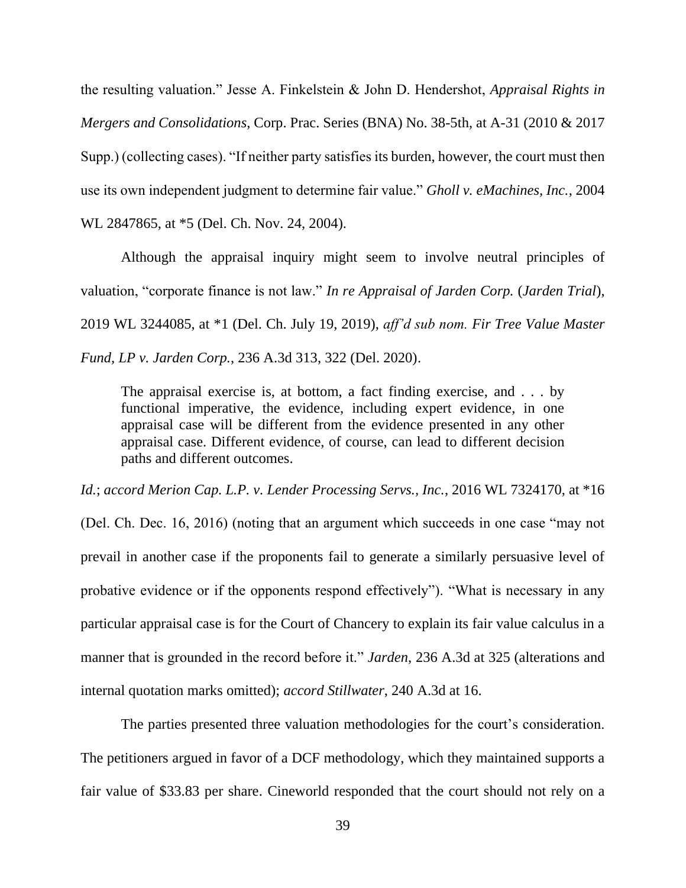the resulting valuation." Jesse A. Finkelstein & John D. Hendershot, *Appraisal Rights in Mergers and Consolidations*, Corp. Prac. Series (BNA) No. 38-5th, at A-31 (2010 & 2017 Supp.) (collecting cases). "If neither party satisfies its burden, however, the court must then use its own independent judgment to determine fair value." *Gholl v. eMachines, Inc.*, 2004 WL 2847865, at \*5 (Del. Ch. Nov. 24, 2004).

Although the appraisal inquiry might seem to involve neutral principles of valuation, "corporate finance is not law." *In re Appraisal of Jarden Corp.* (*Jarden Trial*), 2019 WL 3244085, at \*1 (Del. Ch. July 19, 2019), *aff'd sub nom. Fir Tree Value Master Fund, LP v. Jarden Corp.*, 236 A.3d 313, 322 (Del. 2020).

The appraisal exercise is, at bottom, a fact finding exercise, and . . . by functional imperative, the evidence, including expert evidence, in one appraisal case will be different from the evidence presented in any other appraisal case. Different evidence, of course, can lead to different decision paths and different outcomes.

*Id.*; *accord Merion Cap. L.P. v. Lender Processing Servs., Inc.*, 2016 WL 7324170, at \*16

(Del. Ch. Dec. 16, 2016) (noting that an argument which succeeds in one case "may not prevail in another case if the proponents fail to generate a similarly persuasive level of probative evidence or if the opponents respond effectively"). "What is necessary in any particular appraisal case is for the Court of Chancery to explain its fair value calculus in a manner that is grounded in the record before it." *Jarden*, 236 A.3d at 325 (alterations and internal quotation marks omitted); *accord Stillwater*, 240 A.3d at 16.

The parties presented three valuation methodologies for the court's consideration. The petitioners argued in favor of a DCF methodology, which they maintained supports a fair value of \$33.83 per share. Cineworld responded that the court should not rely on a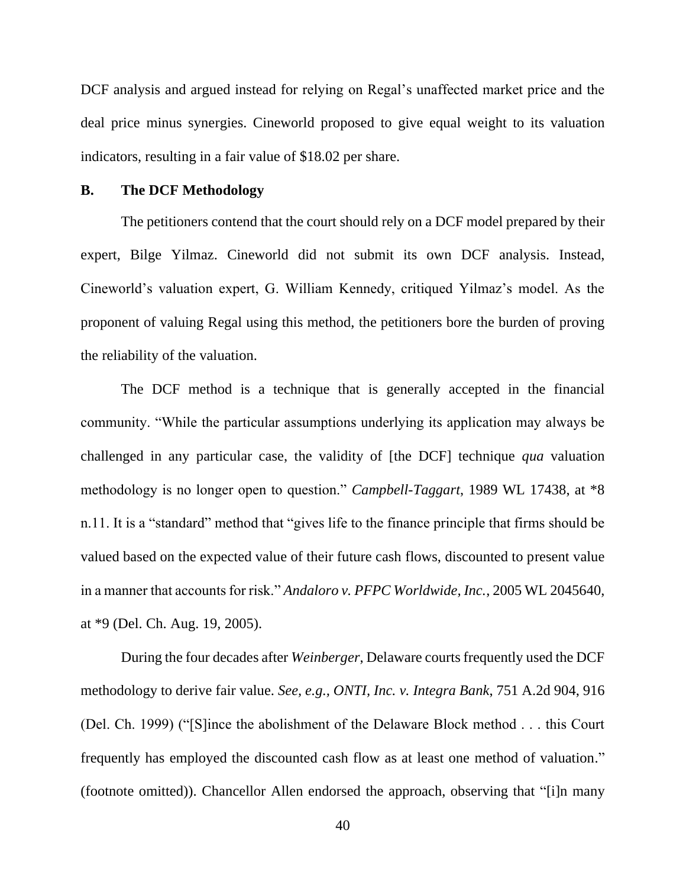DCF analysis and argued instead for relying on Regal's unaffected market price and the deal price minus synergies. Cineworld proposed to give equal weight to its valuation indicators, resulting in a fair value of \$18.02 per share.

#### **B. The DCF Methodology**

The petitioners contend that the court should rely on a DCF model prepared by their expert, Bilge Yilmaz. Cineworld did not submit its own DCF analysis. Instead, Cineworld's valuation expert, G. William Kennedy, critiqued Yilmaz's model. As the proponent of valuing Regal using this method, the petitioners bore the burden of proving the reliability of the valuation.

The DCF method is a technique that is generally accepted in the financial community. "While the particular assumptions underlying its application may always be challenged in any particular case, the validity of [the DCF] technique *qua* valuation methodology is no longer open to question." *Campbell-Taggart*, 1989 WL 17438, at \*8 n.11. It is a "standard" method that "gives life to the finance principle that firms should be valued based on the expected value of their future cash flows, discounted to present value in a manner that accounts for risk." *Andaloro v. PFPC Worldwide, Inc.*, 2005 WL 2045640, at \*9 (Del. Ch. Aug. 19, 2005).

During the four decades after *Weinberger*, Delaware courts frequently used the DCF methodology to derive fair value. *See, e.g., ONTI, Inc. v. Integra Bank*, 751 A.2d 904, 916 (Del. Ch. 1999) ("[S]ince the abolishment of the Delaware Block method . . . this Court frequently has employed the discounted cash flow as at least one method of valuation." (footnote omitted)). Chancellor Allen endorsed the approach, observing that "[i]n many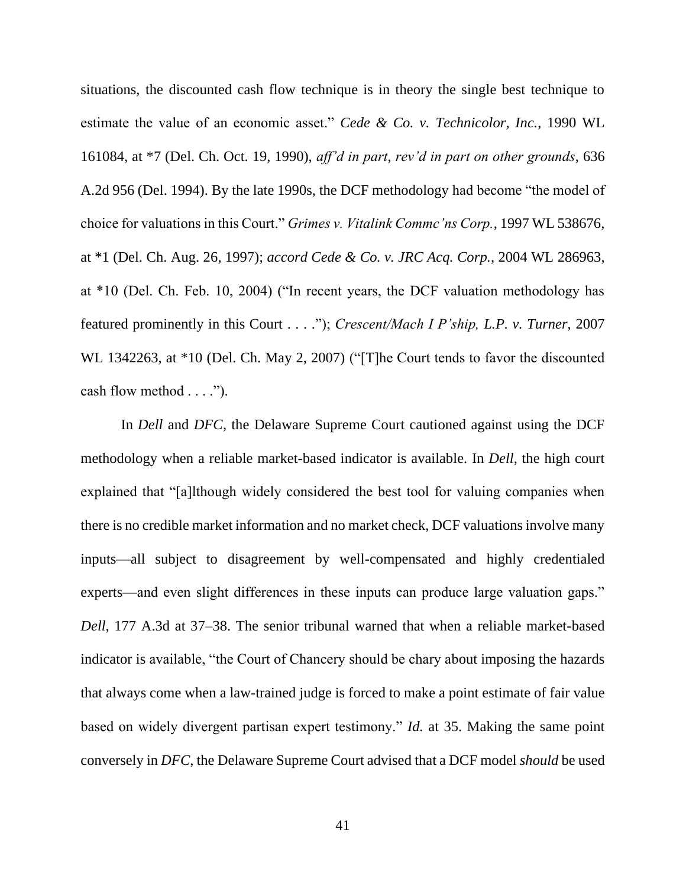situations, the discounted cash flow technique is in theory the single best technique to estimate the value of an economic asset." *Cede & Co. v. Technicolor, Inc.*, 1990 WL 161084, at \*7 (Del. Ch. Oct. 19, 1990), *aff'd in part*, *rev'd in part on other grounds*, 636 A.2d 956 (Del. 1994). By the late 1990s, the DCF methodology had become "the model of choice for valuations in this Court." *Grimes v. Vitalink Commc'ns Corp.*, 1997 WL 538676, at \*1 (Del. Ch. Aug. 26, 1997); *accord Cede & Co. v. JRC Acq. Corp.*, 2004 WL 286963, at \*10 (Del. Ch. Feb. 10, 2004) ("In recent years, the DCF valuation methodology has featured prominently in this Court . . . ."); *Crescent/Mach I P'ship, L.P. v. Turner*, 2007 WL 1342263, at \*10 (Del. Ch. May 2, 2007) ("[T]he Court tends to favor the discounted cash flow method . . . .").

In *Dell* and *DFC*, the Delaware Supreme Court cautioned against using the DCF methodology when a reliable market-based indicator is available. In *Dell*, the high court explained that "[a]lthough widely considered the best tool for valuing companies when there is no credible market information and no market check, DCF valuations involve many inputs—all subject to disagreement by well-compensated and highly credentialed experts—and even slight differences in these inputs can produce large valuation gaps." *Dell*, 177 A.3d at 37–38. The senior tribunal warned that when a reliable market-based indicator is available, "the Court of Chancery should be chary about imposing the hazards that always come when a law-trained judge is forced to make a point estimate of fair value based on widely divergent partisan expert testimony." *Id.* at 35. Making the same point conversely in *DFC*, the Delaware Supreme Court advised that a DCF model *should* be used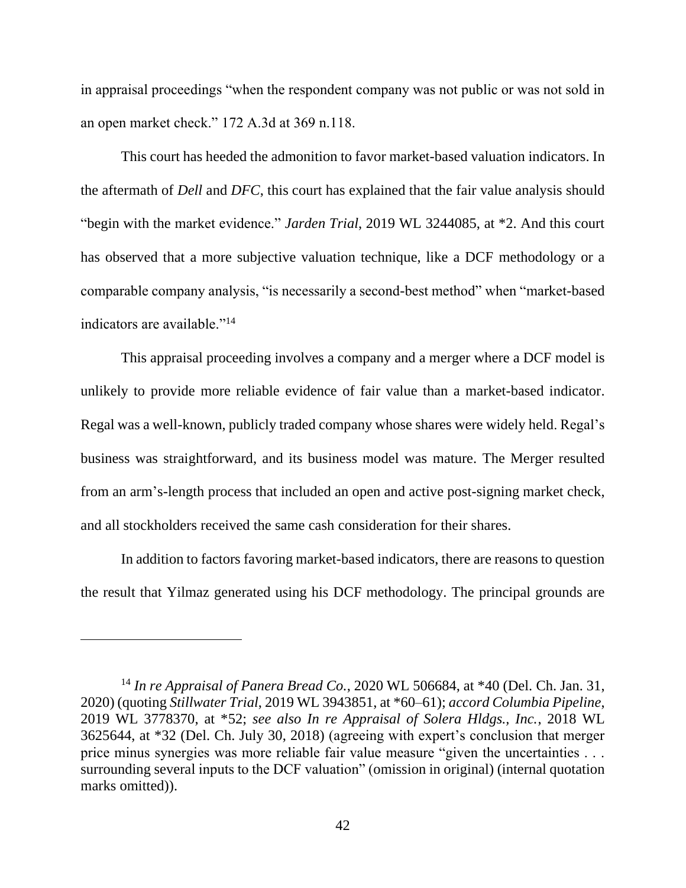in appraisal proceedings "when the respondent company was not public or was not sold in an open market check." 172 A.3d at 369 n.118.

This court has heeded the admonition to favor market-based valuation indicators. In the aftermath of *Dell* and *DFC*, this court has explained that the fair value analysis should "begin with the market evidence." *Jarden Trial*, 2019 WL 3244085, at \*2. And this court has observed that a more subjective valuation technique, like a DCF methodology or a comparable company analysis, "is necessarily a second-best method" when "market-based indicators are available."<sup>14</sup>

This appraisal proceeding involves a company and a merger where a DCF model is unlikely to provide more reliable evidence of fair value than a market-based indicator. Regal was a well-known, publicly traded company whose shares were widely held. Regal's business was straightforward, and its business model was mature. The Merger resulted from an arm's-length process that included an open and active post-signing market check, and all stockholders received the same cash consideration for their shares.

In addition to factors favoring market-based indicators, there are reasons to question the result that Yilmaz generated using his DCF methodology. The principal grounds are

<sup>14</sup> *In re Appraisal of Panera Bread Co.*, 2020 WL 506684, at \*40 (Del. Ch. Jan. 31, 2020) (quoting *Stillwater Trial*, 2019 WL 3943851, at \*60–61); *accord Columbia Pipeline*, 2019 WL 3778370, at \*52; *see also In re Appraisal of Solera Hldgs., Inc.*, 2018 WL 3625644, at \*32 (Del. Ch. July 30, 2018) (agreeing with expert's conclusion that merger price minus synergies was more reliable fair value measure "given the uncertainties . . . surrounding several inputs to the DCF valuation" (omission in original) (internal quotation marks omitted).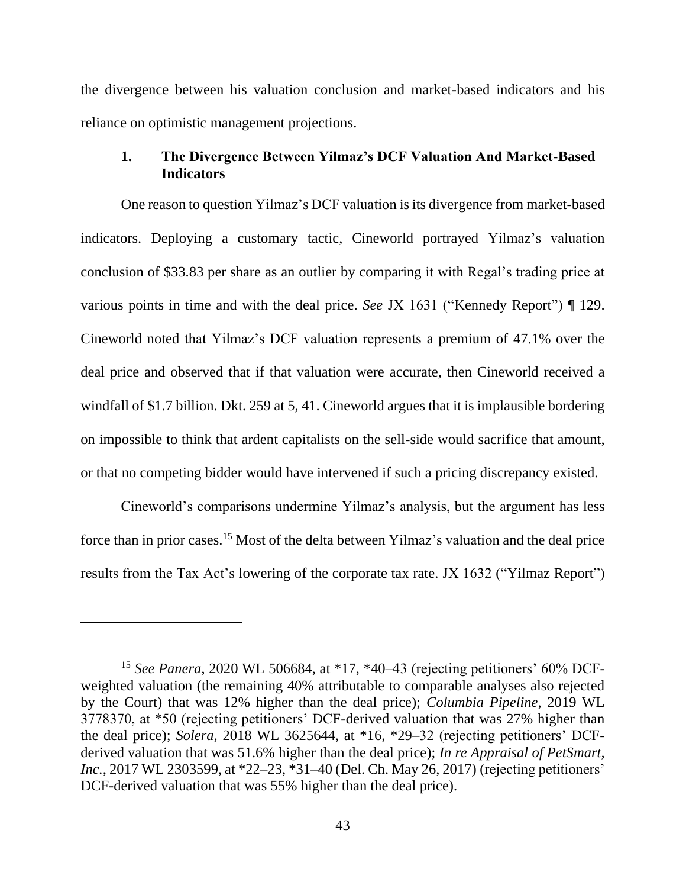the divergence between his valuation conclusion and market-based indicators and his reliance on optimistic management projections.

## **1. The Divergence Between Yilmaz's DCF Valuation And Market-Based Indicators**

One reason to question Yilmaz's DCF valuation is its divergence from market-based indicators. Deploying a customary tactic, Cineworld portrayed Yilmaz's valuation conclusion of \$33.83 per share as an outlier by comparing it with Regal's trading price at various points in time and with the deal price. *See* JX 1631 ("Kennedy Report") ¶ 129. Cineworld noted that Yilmaz's DCF valuation represents a premium of 47.1% over the deal price and observed that if that valuation were accurate, then Cineworld received a windfall of \$1.7 billion. Dkt. 259 at 5, 41. Cineworld argues that it is implausible bordering on impossible to think that ardent capitalists on the sell-side would sacrifice that amount, or that no competing bidder would have intervened if such a pricing discrepancy existed.

Cineworld's comparisons undermine Yilmaz's analysis, but the argument has less force than in prior cases.<sup>15</sup> Most of the delta between Yilmaz's valuation and the deal price results from the Tax Act's lowering of the corporate tax rate. JX 1632 ("Yilmaz Report")

<sup>15</sup> *See Panera*, 2020 WL 506684, at \*17, \*40–43 (rejecting petitioners' 60% DCFweighted valuation (the remaining 40% attributable to comparable analyses also rejected by the Court) that was 12% higher than the deal price); *Columbia Pipeline*, 2019 WL 3778370, at \*50 (rejecting petitioners' DCF-derived valuation that was 27% higher than the deal price); *Solera*, 2018 WL 3625644, at \*16, \*29–32 (rejecting petitioners' DCFderived valuation that was 51.6% higher than the deal price); *In re Appraisal of PetSmart, Inc.*, 2017 WL 2303599, at \*22–23, \*31–40 (Del. Ch. May 26, 2017) (rejecting petitioners' DCF-derived valuation that was 55% higher than the deal price).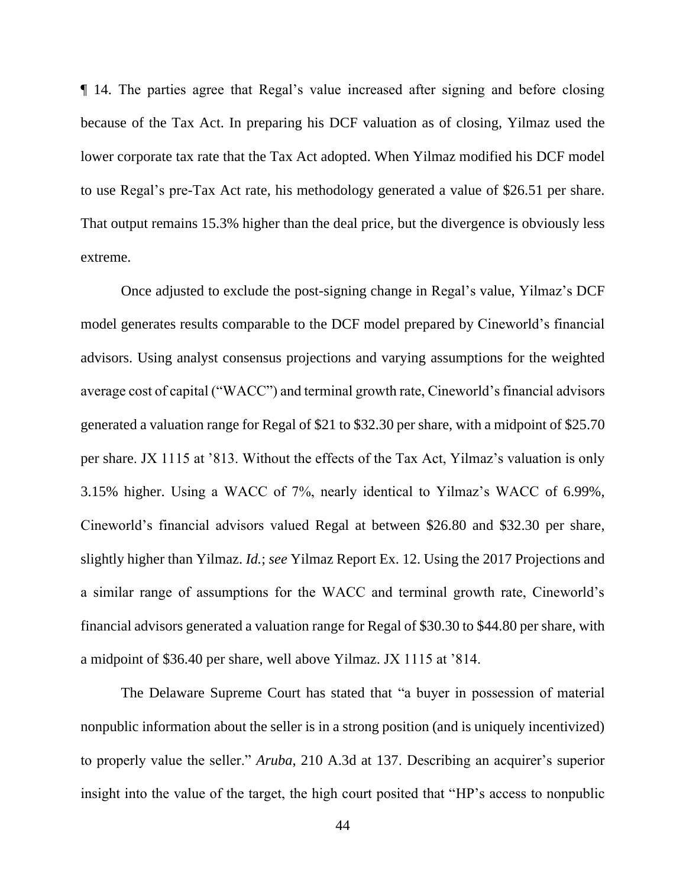¶ 14. The parties agree that Regal's value increased after signing and before closing because of the Tax Act. In preparing his DCF valuation as of closing, Yilmaz used the lower corporate tax rate that the Tax Act adopted. When Yilmaz modified his DCF model to use Regal's pre-Tax Act rate, his methodology generated a value of \$26.51 per share. That output remains 15.3% higher than the deal price, but the divergence is obviously less extreme.

Once adjusted to exclude the post-signing change in Regal's value, Yilmaz's DCF model generates results comparable to the DCF model prepared by Cineworld's financial advisors. Using analyst consensus projections and varying assumptions for the weighted average cost of capital ("WACC") and terminal growth rate, Cineworld's financial advisors generated a valuation range for Regal of \$21 to \$32.30 per share, with a midpoint of \$25.70 per share. JX 1115 at '813. Without the effects of the Tax Act, Yilmaz's valuation is only 3.15% higher. Using a WACC of 7%, nearly identical to Yilmaz's WACC of 6.99%, Cineworld's financial advisors valued Regal at between \$26.80 and \$32.30 per share, slightly higher than Yilmaz. *Id.*; *see* Yilmaz Report Ex. 12. Using the 2017 Projections and a similar range of assumptions for the WACC and terminal growth rate, Cineworld's financial advisors generated a valuation range for Regal of \$30.30 to \$44.80 per share, with a midpoint of \$36.40 per share, well above Yilmaz. JX 1115 at '814.

The Delaware Supreme Court has stated that "a buyer in possession of material nonpublic information about the seller is in a strong position (and is uniquely incentivized) to properly value the seller." *Aruba*, 210 A.3d at 137. Describing an acquirer's superior insight into the value of the target, the high court posited that "HP's access to nonpublic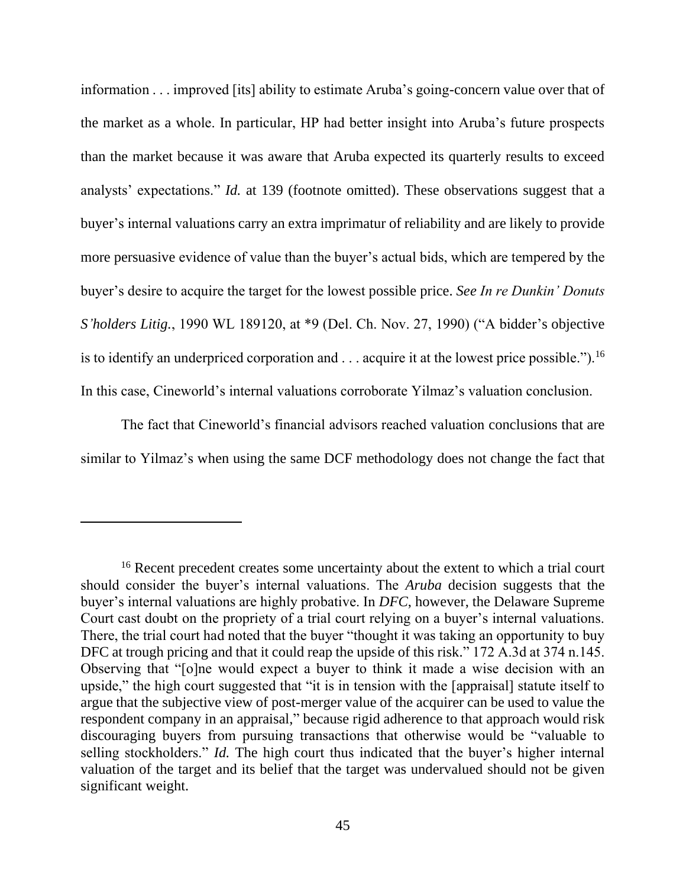information . . . improved [its] ability to estimate Aruba's going-concern value over that of the market as a whole. In particular, HP had better insight into Aruba's future prospects than the market because it was aware that Aruba expected its quarterly results to exceed analysts' expectations." *Id.* at 139 (footnote omitted). These observations suggest that a buyer's internal valuations carry an extra imprimatur of reliability and are likely to provide more persuasive evidence of value than the buyer's actual bids, which are tempered by the buyer's desire to acquire the target for the lowest possible price. *See In re Dunkin' Donuts S'holders Litig.*, 1990 WL 189120, at \*9 (Del. Ch. Nov. 27, 1990) ("A bidder's objective is to identify an underpriced corporation and  $\ldots$  acquire it at the lowest price possible.").<sup>16</sup> In this case, Cineworld's internal valuations corroborate Yilmaz's valuation conclusion.

The fact that Cineworld's financial advisors reached valuation conclusions that are similar to Yilmaz's when using the same DCF methodology does not change the fact that

<sup>&</sup>lt;sup>16</sup> Recent precedent creates some uncertainty about the extent to which a trial court should consider the buyer's internal valuations. The *Aruba* decision suggests that the buyer's internal valuations are highly probative. In *DFC*, however, the Delaware Supreme Court cast doubt on the propriety of a trial court relying on a buyer's internal valuations. There, the trial court had noted that the buyer "thought it was taking an opportunity to buy DFC at trough pricing and that it could reap the upside of this risk." 172 A.3d at 374 n.145. Observing that "[o]ne would expect a buyer to think it made a wise decision with an upside," the high court suggested that "it is in tension with the [appraisal] statute itself to argue that the subjective view of post-merger value of the acquirer can be used to value the respondent company in an appraisal," because rigid adherence to that approach would risk discouraging buyers from pursuing transactions that otherwise would be "valuable to selling stockholders." *Id.* The high court thus indicated that the buyer's higher internal valuation of the target and its belief that the target was undervalued should not be given significant weight.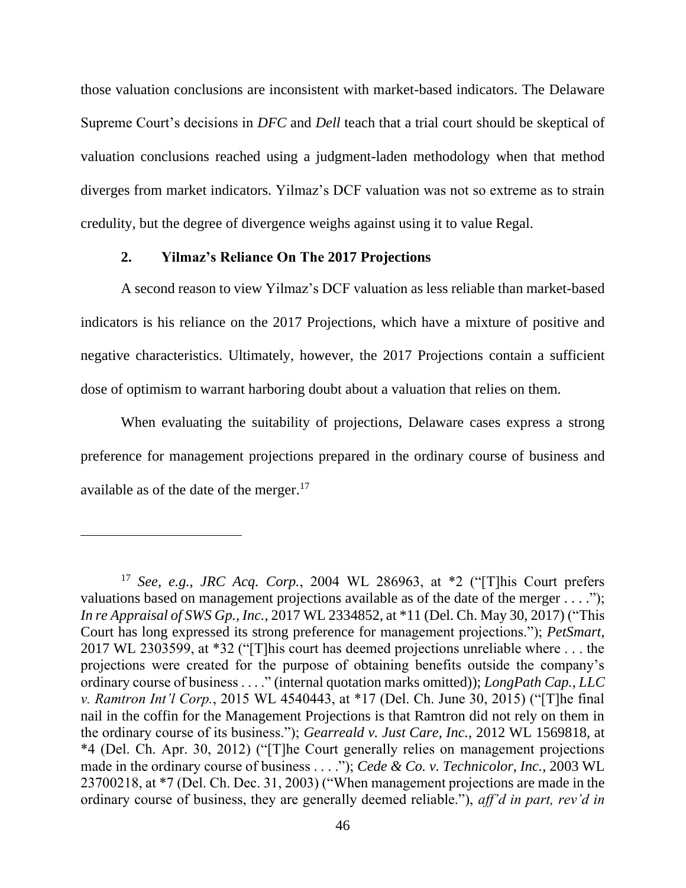those valuation conclusions are inconsistent with market-based indicators. The Delaware Supreme Court's decisions in *DFC* and *Dell* teach that a trial court should be skeptical of valuation conclusions reached using a judgment-laden methodology when that method diverges from market indicators. Yilmaz's DCF valuation was not so extreme as to strain credulity, but the degree of divergence weighs against using it to value Regal.

#### **2. Yilmaz's Reliance On The 2017 Projections**

A second reason to view Yilmaz's DCF valuation as less reliable than market-based indicators is his reliance on the 2017 Projections, which have a mixture of positive and negative characteristics. Ultimately, however, the 2017 Projections contain a sufficient dose of optimism to warrant harboring doubt about a valuation that relies on them.

When evaluating the suitability of projections, Delaware cases express a strong preference for management projections prepared in the ordinary course of business and available as of the date of the merger.<sup>17</sup>

<sup>17</sup> *See, e.g., JRC Acq. Corp.*, 2004 WL 286963, at \*2 ("[T]his Court prefers valuations based on management projections available as of the date of the merger . . . ."); *In re Appraisal of SWS Gp., Inc.,* 2017 WL 2334852, at \*11 (Del. Ch. May 30, 2017) ("This Court has long expressed its strong preference for management projections."); *PetSmart*, 2017 WL 2303599, at \*32 ("[T]his court has deemed projections unreliable where . . . the projections were created for the purpose of obtaining benefits outside the company's ordinary course of business . . . ." (internal quotation marks omitted)); *LongPath Cap., LLC v. Ramtron Int'l Corp.*, 2015 WL 4540443, at \*17 (Del. Ch. June 30, 2015) ("[T]he final nail in the coffin for the Management Projections is that Ramtron did not rely on them in the ordinary course of its business."); *Gearreald v. Just Care, Inc.*, 2012 WL 1569818, at \*4 (Del. Ch. Apr. 30, 2012) ("[T]he Court generally relies on management projections made in the ordinary course of business . . . ."); *Cede & Co. v. Technicolor, Inc.*, 2003 WL 23700218, at \*7 (Del. Ch. Dec. 31, 2003) ("When management projections are made in the ordinary course of business, they are generally deemed reliable."), *aff'd in part, rev'd in*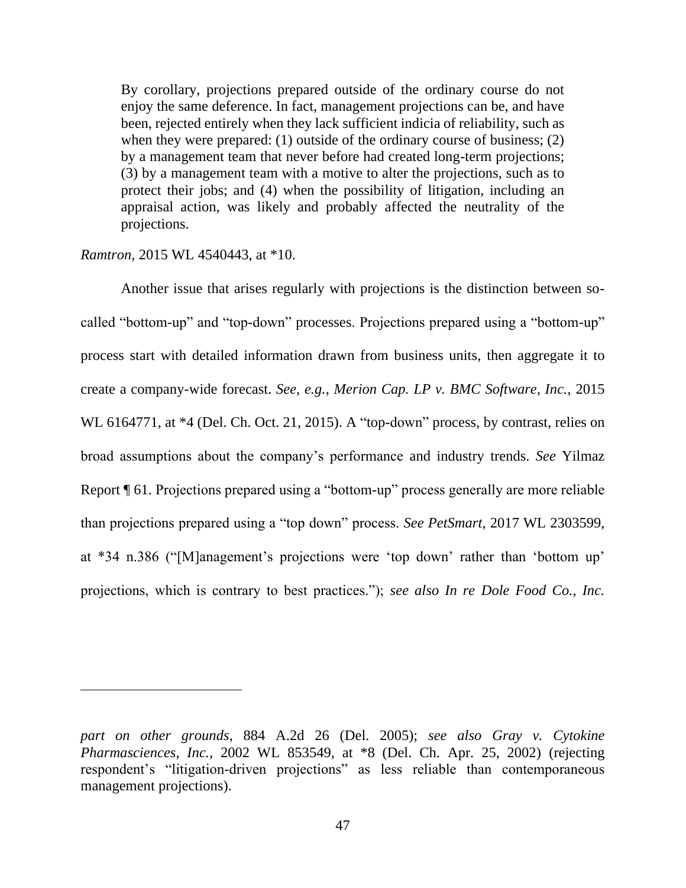By corollary, projections prepared outside of the ordinary course do not enjoy the same deference. In fact, management projections can be, and have been, rejected entirely when they lack sufficient indicia of reliability, such as when they were prepared: (1) outside of the ordinary course of business; (2) by a management team that never before had created long-term projections; (3) by a management team with a motive to alter the projections, such as to protect their jobs; and (4) when the possibility of litigation, including an appraisal action, was likely and probably affected the neutrality of the projections.

*Ramtron*, 2015 WL 4540443, at \*10.

Another issue that arises regularly with projections is the distinction between socalled "bottom-up" and "top-down" processes. Projections prepared using a "bottom-up" process start with detailed information drawn from business units, then aggregate it to create a company-wide forecast. *See, e.g.*, *Merion Cap. LP v. BMC Software, Inc.*, 2015 WL 6164771, at  $*4$  (Del. Ch. Oct. 21, 2015). A "top-down" process, by contrast, relies on broad assumptions about the company's performance and industry trends. *See* Yilmaz Report ¶ 61. Projections prepared using a "bottom-up" process generally are more reliable than projections prepared using a "top down" process. *See PetSmart*, 2017 WL 2303599, at \*34 n.386 ("[M]anagement's projections were 'top down' rather than 'bottom up' projections, which is contrary to best practices."); *see also In re Dole Food Co., Inc.* 

*part on other grounds*, 884 A.2d 26 (Del. 2005); *see also Gray v. Cytokine Pharmasciences, Inc.*, 2002 WL 853549, at \*8 (Del. Ch. Apr. 25, 2002) (rejecting respondent's "litigation-driven projections" as less reliable than contemporaneous management projections).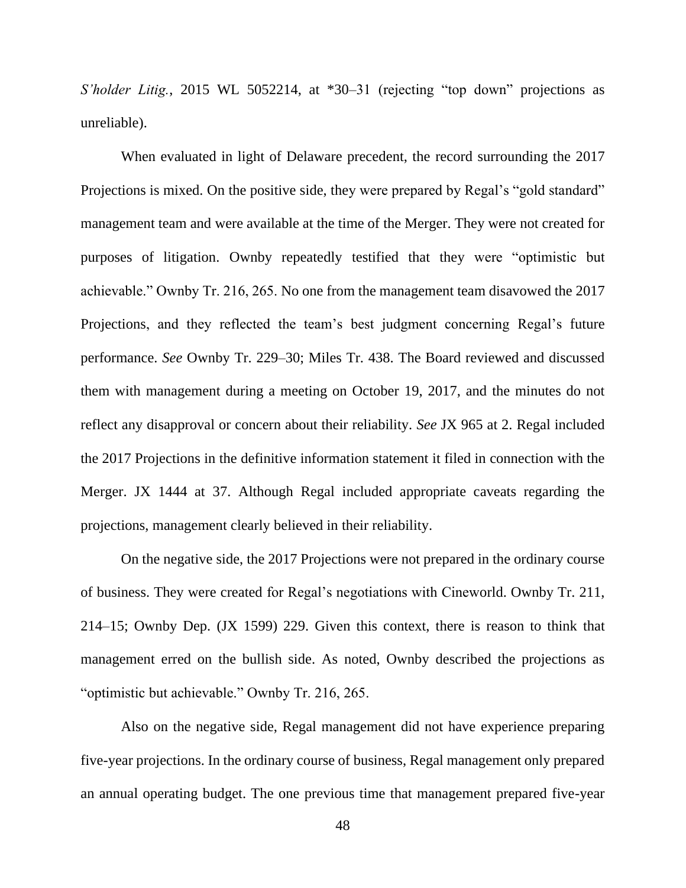*S'holder Litig.*, 2015 WL 5052214, at \*30–31 (rejecting "top down" projections as unreliable).

When evaluated in light of Delaware precedent, the record surrounding the 2017 Projections is mixed. On the positive side, they were prepared by Regal's "gold standard" management team and were available at the time of the Merger. They were not created for purposes of litigation. Ownby repeatedly testified that they were "optimistic but achievable." Ownby Tr. 216, 265. No one from the management team disavowed the 2017 Projections, and they reflected the team's best judgment concerning Regal's future performance. *See* Ownby Tr. 229–30; Miles Tr. 438. The Board reviewed and discussed them with management during a meeting on October 19, 2017, and the minutes do not reflect any disapproval or concern about their reliability. *See* JX 965 at 2. Regal included the 2017 Projections in the definitive information statement it filed in connection with the Merger. JX 1444 at 37. Although Regal included appropriate caveats regarding the projections, management clearly believed in their reliability.

On the negative side, the 2017 Projections were not prepared in the ordinary course of business. They were created for Regal's negotiations with Cineworld. Ownby Tr. 211, 214–15; Ownby Dep. (JX 1599) 229. Given this context, there is reason to think that management erred on the bullish side. As noted, Ownby described the projections as "optimistic but achievable." Ownby Tr. 216, 265.

Also on the negative side, Regal management did not have experience preparing five-year projections. In the ordinary course of business, Regal management only prepared an annual operating budget. The one previous time that management prepared five-year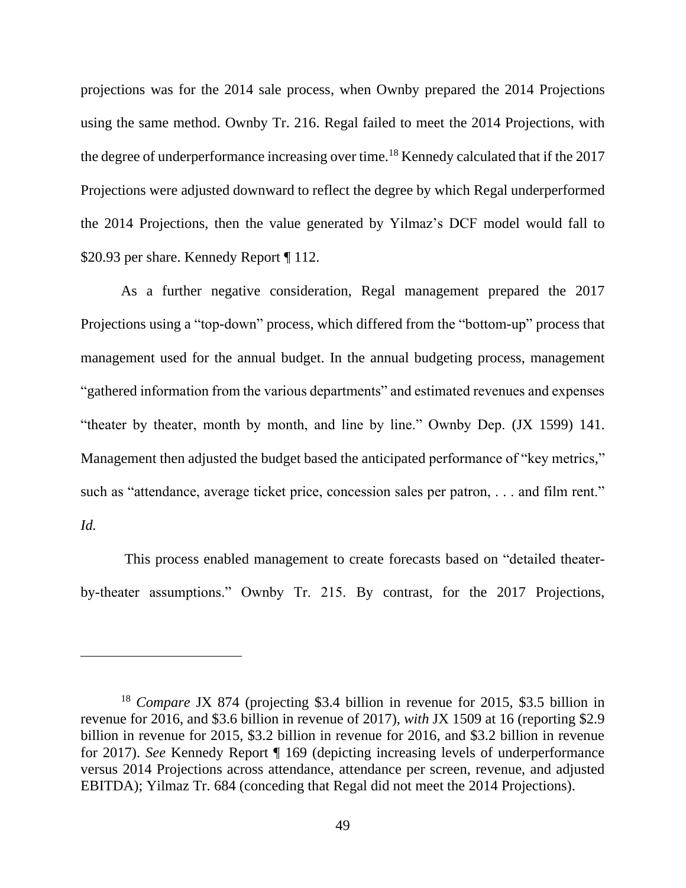projections was for the 2014 sale process, when Ownby prepared the 2014 Projections using the same method. Ownby Tr. 216. Regal failed to meet the 2014 Projections, with the degree of underperformance increasing over time.<sup>18</sup> Kennedy calculated that if the 2017 Projections were adjusted downward to reflect the degree by which Regal underperformed the 2014 Projections, then the value generated by Yilmaz's DCF model would fall to \$20.93 per share. Kennedy Report [112.

As a further negative consideration, Regal management prepared the 2017 Projections using a "top-down" process, which differed from the "bottom-up" process that management used for the annual budget. In the annual budgeting process, management "gathered information from the various departments" and estimated revenues and expenses "theater by theater, month by month, and line by line." Ownby Dep. (JX 1599) 141. Management then adjusted the budget based the anticipated performance of "key metrics," such as "attendance, average ticket price, concession sales per patron, . . . and film rent." *Id.*

This process enabled management to create forecasts based on "detailed theaterby-theater assumptions." Ownby Tr. 215. By contrast, for the 2017 Projections,

<sup>18</sup> *Compare* JX 874 (projecting \$3.4 billion in revenue for 2015, \$3.5 billion in revenue for 2016, and \$3.6 billion in revenue of 2017), *with* JX 1509 at 16 (reporting \$2.9 billion in revenue for 2015, \$3.2 billion in revenue for 2016, and \$3.2 billion in revenue for 2017). *See* Kennedy Report ¶ 169 (depicting increasing levels of underperformance versus 2014 Projections across attendance, attendance per screen, revenue, and adjusted EBITDA); Yilmaz Tr. 684 (conceding that Regal did not meet the 2014 Projections).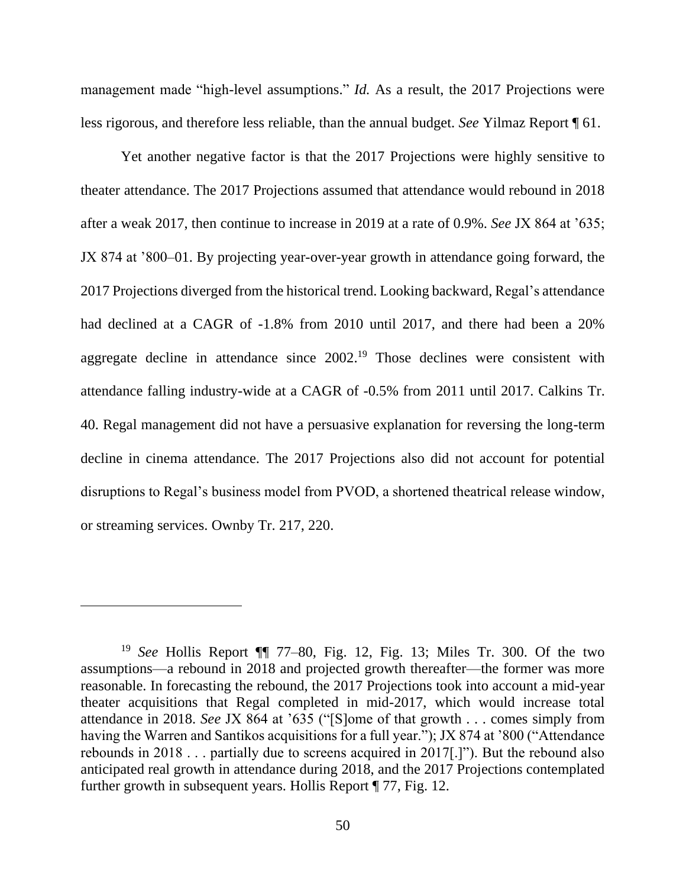management made "high-level assumptions." *Id.* As a result, the 2017 Projections were less rigorous, and therefore less reliable, than the annual budget. *See* Yilmaz Report ¶ 61.

Yet another negative factor is that the 2017 Projections were highly sensitive to theater attendance. The 2017 Projections assumed that attendance would rebound in 2018 after a weak 2017, then continue to increase in 2019 at a rate of 0.9%. *See* JX 864 at '635; JX 874 at '800–01. By projecting year-over-year growth in attendance going forward, the 2017 Projections diverged from the historical trend. Looking backward, Regal's attendance had declined at a CAGR of -1.8% from 2010 until 2017, and there had been a 20% aggregate decline in attendance since 2002.<sup>19</sup> Those declines were consistent with attendance falling industry-wide at a CAGR of -0.5% from 2011 until 2017. Calkins Tr. 40. Regal management did not have a persuasive explanation for reversing the long-term decline in cinema attendance. The 2017 Projections also did not account for potential disruptions to Regal's business model from PVOD, a shortened theatrical release window, or streaming services. Ownby Tr. 217, 220.

<sup>19</sup> *See* Hollis Report ¶¶ 77–80, Fig. 12, Fig. 13; Miles Tr. 300. Of the two assumptions—a rebound in 2018 and projected growth thereafter—the former was more reasonable. In forecasting the rebound, the 2017 Projections took into account a mid-year theater acquisitions that Regal completed in mid-2017, which would increase total attendance in 2018. *See* JX 864 at '635 ("[S]ome of that growth . . . comes simply from having the Warren and Santikos acquisitions for a full year."); JX 874 at '800 ("Attendance rebounds in 2018 . . . partially due to screens acquired in 2017[.]"). But the rebound also anticipated real growth in attendance during 2018, and the 2017 Projections contemplated further growth in subsequent years. Hollis Report ¶ 77, Fig. 12.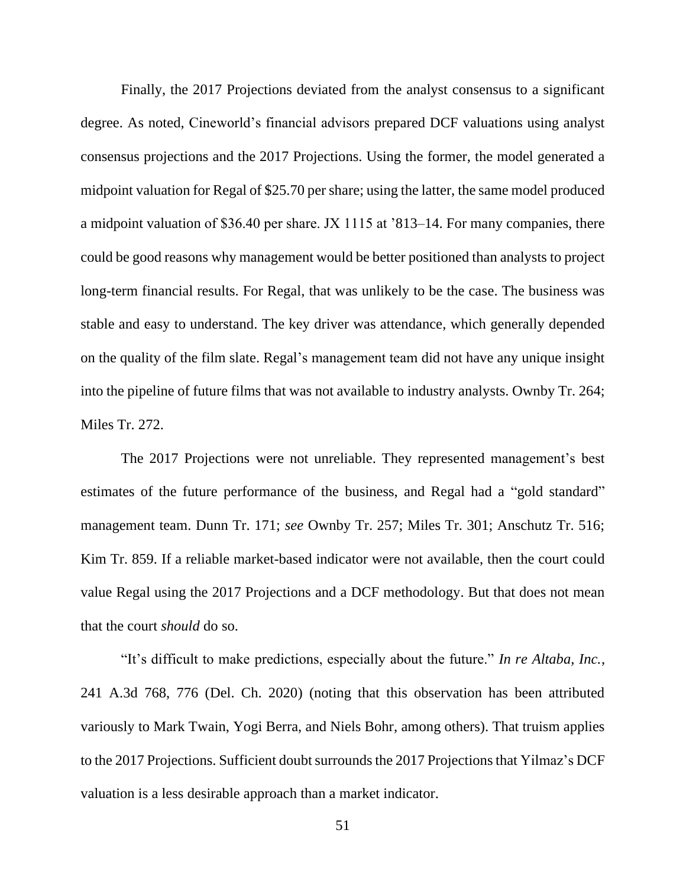Finally, the 2017 Projections deviated from the analyst consensus to a significant degree. As noted, Cineworld's financial advisors prepared DCF valuations using analyst consensus projections and the 2017 Projections. Using the former, the model generated a midpoint valuation for Regal of \$25.70 per share; using the latter, the same model produced a midpoint valuation of \$36.40 per share. JX 1115 at '813–14. For many companies, there could be good reasons why management would be better positioned than analysts to project long-term financial results. For Regal, that was unlikely to be the case. The business was stable and easy to understand. The key driver was attendance, which generally depended on the quality of the film slate. Regal's management team did not have any unique insight into the pipeline of future films that was not available to industry analysts. Ownby Tr. 264; Miles Tr. 272.

The 2017 Projections were not unreliable. They represented management's best estimates of the future performance of the business, and Regal had a "gold standard" management team. Dunn Tr. 171; *see* Ownby Tr. 257; Miles Tr. 301; Anschutz Tr. 516; Kim Tr. 859. If a reliable market-based indicator were not available, then the court could value Regal using the 2017 Projections and a DCF methodology. But that does not mean that the court *should* do so.

"It's difficult to make predictions, especially about the future." *In re Altaba, Inc.*, 241 A.3d 768, 776 (Del. Ch. 2020) (noting that this observation has been attributed variously to Mark Twain, Yogi Berra, and Niels Bohr, among others). That truism applies to the 2017 Projections. Sufficient doubt surrounds the 2017 Projections that Yilmaz's DCF valuation is a less desirable approach than a market indicator.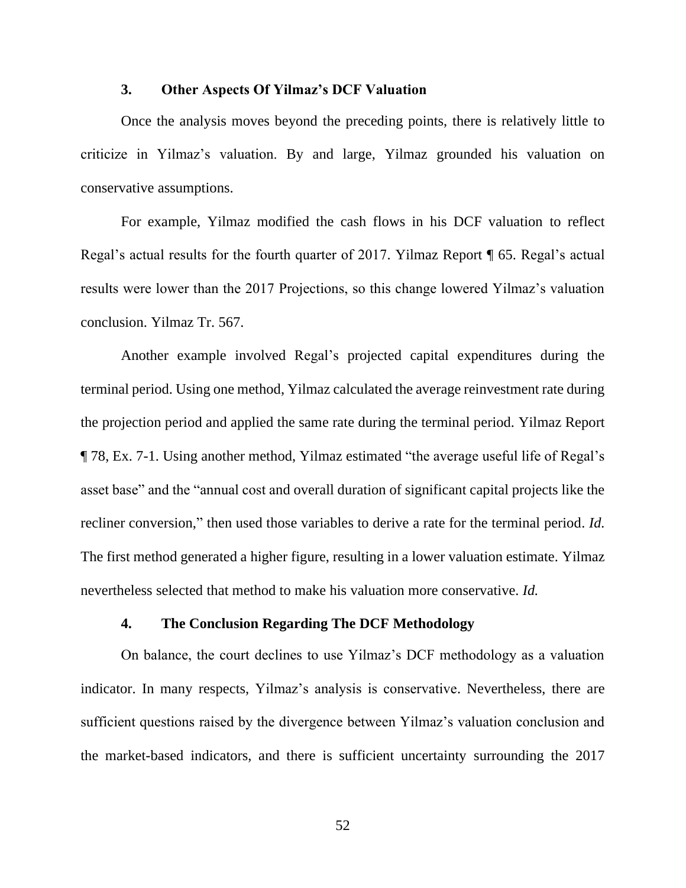### **3. Other Aspects Of Yilmaz's DCF Valuation**

Once the analysis moves beyond the preceding points, there is relatively little to criticize in Yilmaz's valuation. By and large, Yilmaz grounded his valuation on conservative assumptions.

For example, Yilmaz modified the cash flows in his DCF valuation to reflect Regal's actual results for the fourth quarter of 2017. Yilmaz Report ¶ 65. Regal's actual results were lower than the 2017 Projections, so this change lowered Yilmaz's valuation conclusion. Yilmaz Tr. 567.

Another example involved Regal's projected capital expenditures during the terminal period. Using one method, Yilmaz calculated the average reinvestment rate during the projection period and applied the same rate during the terminal period. Yilmaz Report ¶ 78, Ex. 7-1. Using another method, Yilmaz estimated "the average useful life of Regal's asset base" and the "annual cost and overall duration of significant capital projects like the recliner conversion," then used those variables to derive a rate for the terminal period. *Id.* The first method generated a higher figure, resulting in a lower valuation estimate. Yilmaz nevertheless selected that method to make his valuation more conservative. *Id.*

## **4. The Conclusion Regarding The DCF Methodology**

On balance, the court declines to use Yilmaz's DCF methodology as a valuation indicator. In many respects, Yilmaz's analysis is conservative. Nevertheless, there are sufficient questions raised by the divergence between Yilmaz's valuation conclusion and the market-based indicators, and there is sufficient uncertainty surrounding the 2017

52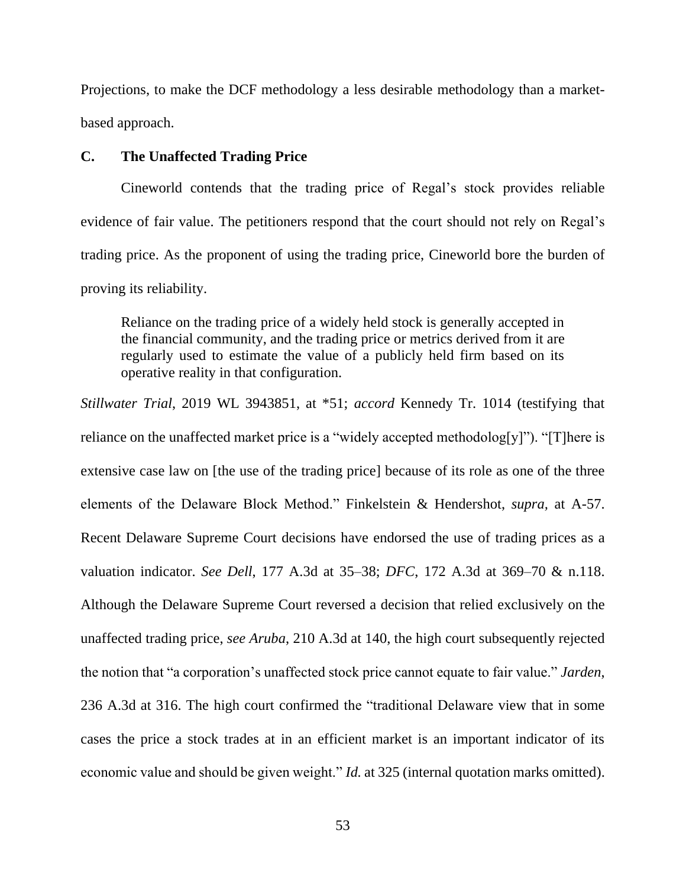Projections, to make the DCF methodology a less desirable methodology than a marketbased approach.

#### **C. The Unaffected Trading Price**

Cineworld contends that the trading price of Regal's stock provides reliable evidence of fair value. The petitioners respond that the court should not rely on Regal's trading price. As the proponent of using the trading price, Cineworld bore the burden of proving its reliability.

Reliance on the trading price of a widely held stock is generally accepted in the financial community, and the trading price or metrics derived from it are regularly used to estimate the value of a publicly held firm based on its operative reality in that configuration.

*Stillwater Trial*, 2019 WL 3943851, at \*51; *accord* Kennedy Tr. 1014 (testifying that reliance on the unaffected market price is a "widely accepted methodolog[y]"). "[T]here is extensive case law on [the use of the trading price] because of its role as one of the three elements of the Delaware Block Method." Finkelstein & Hendershot, *supra,* at A-57. Recent Delaware Supreme Court decisions have endorsed the use of trading prices as a valuation indicator. *See Dell*, 177 A.3d at 35–38; *DFC*, 172 A.3d at 369–70 & n.118. Although the Delaware Supreme Court reversed a decision that relied exclusively on the unaffected trading price, *see Aruba*, 210 A.3d at 140, the high court subsequently rejected the notion that "a corporation's unaffected stock price cannot equate to fair value." *Jarden*, 236 A.3d at 316. The high court confirmed the "traditional Delaware view that in some cases the price a stock trades at in an efficient market is an important indicator of its economic value and should be given weight." *Id.* at 325 (internal quotation marks omitted).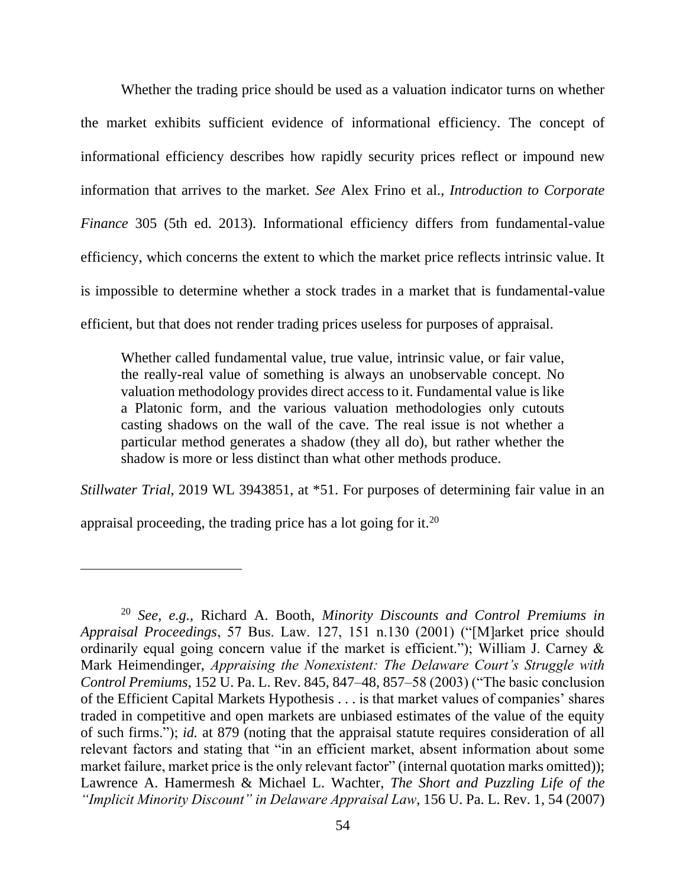Whether the trading price should be used as a valuation indicator turns on whether the market exhibits sufficient evidence of informational efficiency. The concept of informational efficiency describes how rapidly security prices reflect or impound new information that arrives to the market. *See* Alex Frino et al., *Introduction to Corporate Finance* 305 (5th ed. 2013). Informational efficiency differs from fundamental-value efficiency, which concerns the extent to which the market price reflects intrinsic value. It is impossible to determine whether a stock trades in a market that is fundamental-value efficient, but that does not render trading prices useless for purposes of appraisal.

Whether called fundamental value, true value, intrinsic value, or fair value, the really-real value of something is always an unobservable concept. No valuation methodology provides direct access to it. Fundamental value is like a Platonic form, and the various valuation methodologies only cutouts casting shadows on the wall of the cave. The real issue is not whether a particular method generates a shadow (they all do), but rather whether the shadow is more or less distinct than what other methods produce.

*Stillwater Trial*, 2019 WL 3943851, at \*51. For purposes of determining fair value in an

appraisal proceeding, the trading price has a lot going for it.<sup>20</sup>

<sup>20</sup> *See, e.g.*, Richard A. Booth, *Minority Discounts and Control Premiums in Appraisal Proceedings*, 57 Bus. Law. 127, 151 n.130 (2001) ("[M]arket price should ordinarily equal going concern value if the market is efficient."); William J. Carney & Mark Heimendinger, *Appraising the Nonexistent: The Delaware Court's Struggle with Control Premiums*, 152 U. Pa. L. Rev. 845, 847–48, 857–58 (2003) ("The basic conclusion of the Efficient Capital Markets Hypothesis . . . is that market values of companies' shares traded in competitive and open markets are unbiased estimates of the value of the equity of such firms."); *id.* at 879 (noting that the appraisal statute requires consideration of all relevant factors and stating that "in an efficient market, absent information about some market failure, market price is the only relevant factor" (internal quotation marks omitted)); Lawrence A. Hamermesh & Michael L. Wachter, *The Short and Puzzling Life of the "Implicit Minority Discount" in Delaware Appraisal Law*, 156 U. Pa. L. Rev. 1, 54 (2007)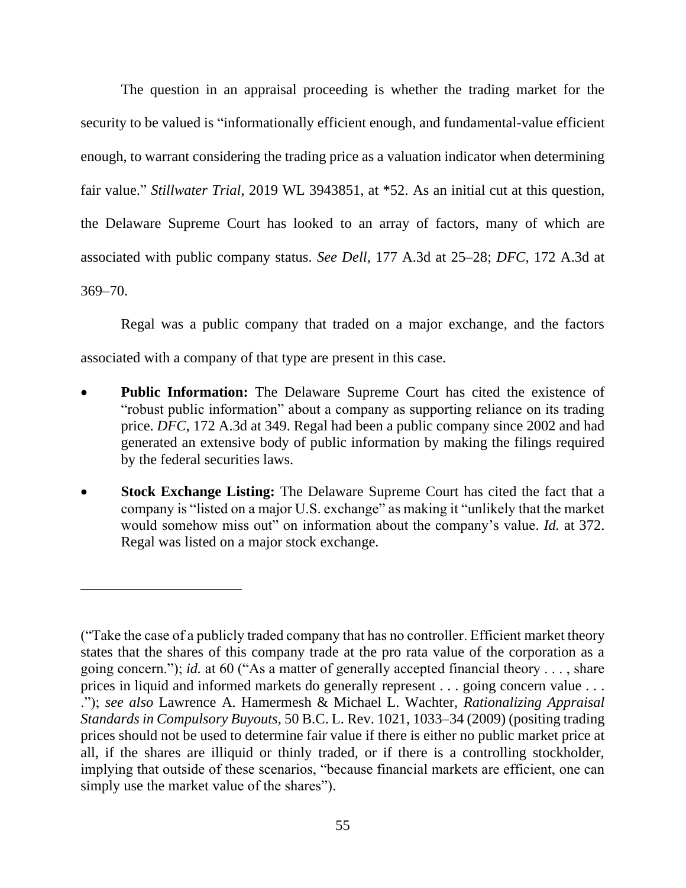The question in an appraisal proceeding is whether the trading market for the security to be valued is "informationally efficient enough, and fundamental-value efficient enough, to warrant considering the trading price as a valuation indicator when determining fair value." *Stillwater Trial*, 2019 WL 3943851, at \*52. As an initial cut at this question, the Delaware Supreme Court has looked to an array of factors, many of which are associated with public company status. *See Dell*, 177 A.3d at 25–28; *DFC*, 172 A.3d at 369–70.

Regal was a public company that traded on a major exchange, and the factors associated with a company of that type are present in this case.

- **Public Information:** The Delaware Supreme Court has cited the existence of "robust public information" about a company as supporting reliance on its trading price. *DFC*, 172 A.3d at 349. Regal had been a public company since 2002 and had generated an extensive body of public information by making the filings required by the federal securities laws.
- **Stock Exchange Listing:** The Delaware Supreme Court has cited the fact that a company is "listed on a major U.S. exchange" as making it "unlikely that the market would somehow miss out" on information about the company's value. *Id.* at 372. Regal was listed on a major stock exchange.

<sup>(&</sup>quot;Take the case of a publicly traded company that has no controller. Efficient market theory states that the shares of this company trade at the pro rata value of the corporation as a going concern."); *id.* at 60 ("As a matter of generally accepted financial theory . . . , share prices in liquid and informed markets do generally represent . . . going concern value . . . ."); *see also* Lawrence A. Hamermesh & Michael L. Wachter, *Rationalizing Appraisal Standards in Compulsory Buyouts*, 50 B.C. L. Rev. 1021, 1033–34 (2009) (positing trading prices should not be used to determine fair value if there is either no public market price at all, if the shares are illiquid or thinly traded, or if there is a controlling stockholder, implying that outside of these scenarios, "because financial markets are efficient, one can simply use the market value of the shares").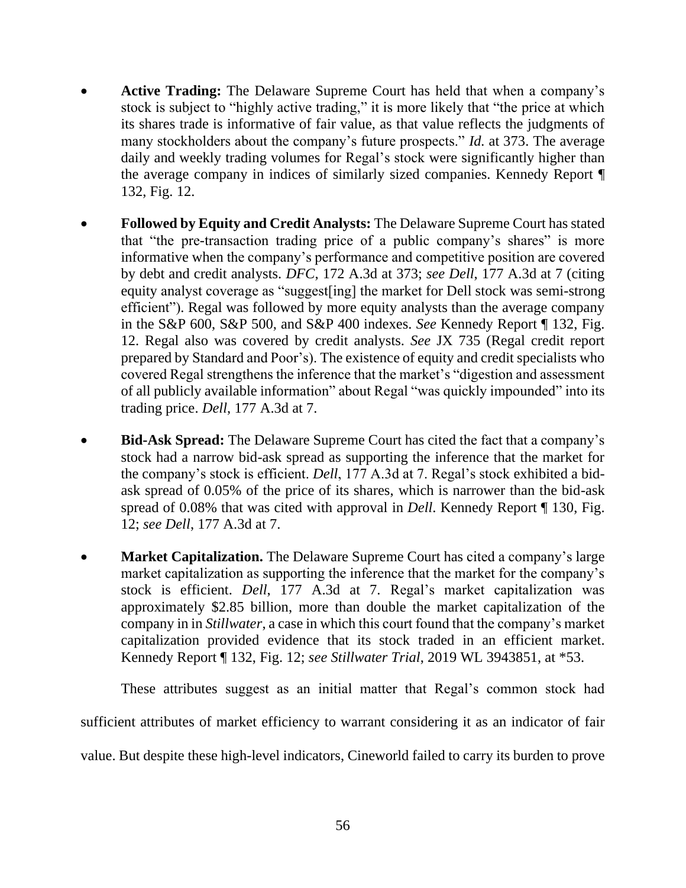- **Active Trading:** The Delaware Supreme Court has held that when a company's stock is subject to "highly active trading," it is more likely that "the price at which its shares trade is informative of fair value, as that value reflects the judgments of many stockholders about the company's future prospects." *Id.* at 373. The average daily and weekly trading volumes for Regal's stock were significantly higher than the average company in indices of similarly sized companies. Kennedy Report ¶ 132, Fig. 12.
- **Followed by Equity and Credit Analysts:** The Delaware Supreme Court has stated that "the pre-transaction trading price of a public company's shares" is more informative when the company's performance and competitive position are covered by debt and credit analysts. *DFC*, 172 A.3d at 373; *see Dell*, 177 A.3d at 7 (citing equity analyst coverage as "suggest[ing] the market for Dell stock was semi-strong efficient"). Regal was followed by more equity analysts than the average company in the S&P 600, S&P 500, and S&P 400 indexes. *See* Kennedy Report ¶ 132, Fig. 12. Regal also was covered by credit analysts. *See* JX 735 (Regal credit report prepared by Standard and Poor's). The existence of equity and credit specialists who covered Regal strengthens the inference that the market's "digestion and assessment of all publicly available information" about Regal "was quickly impounded" into its trading price. *Dell*, 177 A.3d at 7.
- **Bid-Ask Spread:** The Delaware Supreme Court has cited the fact that a company's stock had a narrow bid-ask spread as supporting the inference that the market for the company's stock is efficient. *Dell*, 177 A.3d at 7. Regal's stock exhibited a bidask spread of 0.05% of the price of its shares, which is narrower than the bid-ask spread of 0.08% that was cited with approval in *Dell*. Kennedy Report ¶ 130, Fig. 12; *see Dell*, 177 A.3d at 7.
- **Market Capitalization.** The Delaware Supreme Court has cited a company's large market capitalization as supporting the inference that the market for the company's stock is efficient. *Dell*, 177 A.3d at 7. Regal's market capitalization was approximately \$2.85 billion, more than double the market capitalization of the company in in *Stillwater*, a case in which this court found that the company's market capitalization provided evidence that its stock traded in an efficient market. Kennedy Report ¶ 132, Fig. 12; *see Stillwater Trial*, 2019 WL 3943851, at \*53.

These attributes suggest as an initial matter that Regal's common stock had

sufficient attributes of market efficiency to warrant considering it as an indicator of fair

value. But despite these high-level indicators, Cineworld failed to carry its burden to prove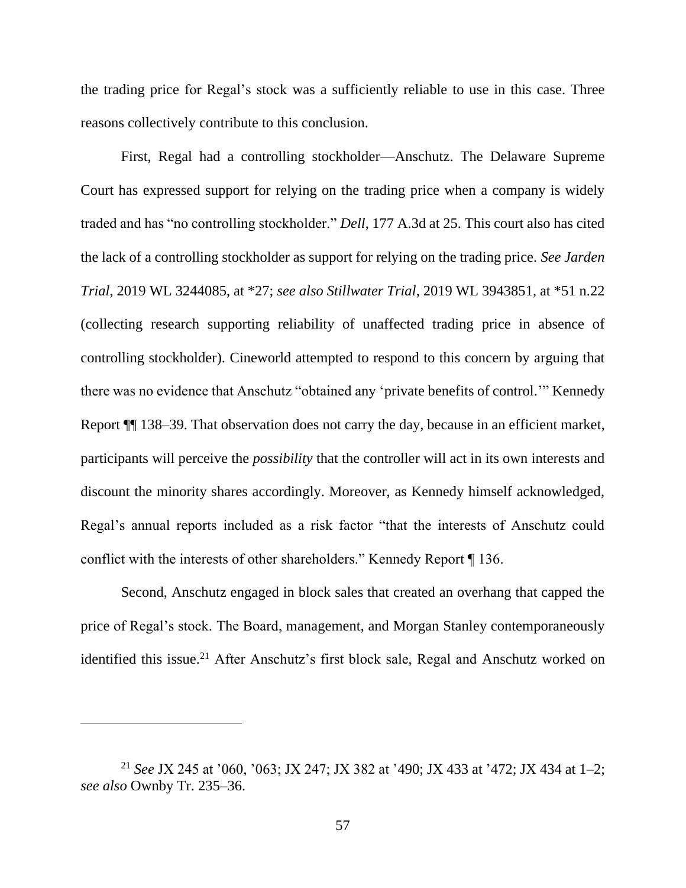the trading price for Regal's stock was a sufficiently reliable to use in this case. Three reasons collectively contribute to this conclusion.

First, Regal had a controlling stockholder—Anschutz. The Delaware Supreme Court has expressed support for relying on the trading price when a company is widely traded and has "no controlling stockholder." *Dell*, 177 A.3d at 25. This court also has cited the lack of a controlling stockholder as support for relying on the trading price. *See Jarden Trial*, 2019 WL 3244085, at \*27; *see also Stillwater Trial*, 2019 WL 3943851, at \*51 n.22 (collecting research supporting reliability of unaffected trading price in absence of controlling stockholder). Cineworld attempted to respond to this concern by arguing that there was no evidence that Anschutz "obtained any 'private benefits of control.'" Kennedy Report ¶¶ 138–39. That observation does not carry the day, because in an efficient market, participants will perceive the *possibility* that the controller will act in its own interests and discount the minority shares accordingly. Moreover, as Kennedy himself acknowledged, Regal's annual reports included as a risk factor "that the interests of Anschutz could conflict with the interests of other shareholders." Kennedy Report ¶ 136.

Second, Anschutz engaged in block sales that created an overhang that capped the price of Regal's stock. The Board, management, and Morgan Stanley contemporaneously identified this issue.<sup>21</sup> After Anschutz's first block sale, Regal and Anschutz worked on

<sup>21</sup> *See* JX 245 at '060, '063; JX 247; JX 382 at '490; JX 433 at '472; JX 434 at 1–2; *see also* Ownby Tr. 235–36.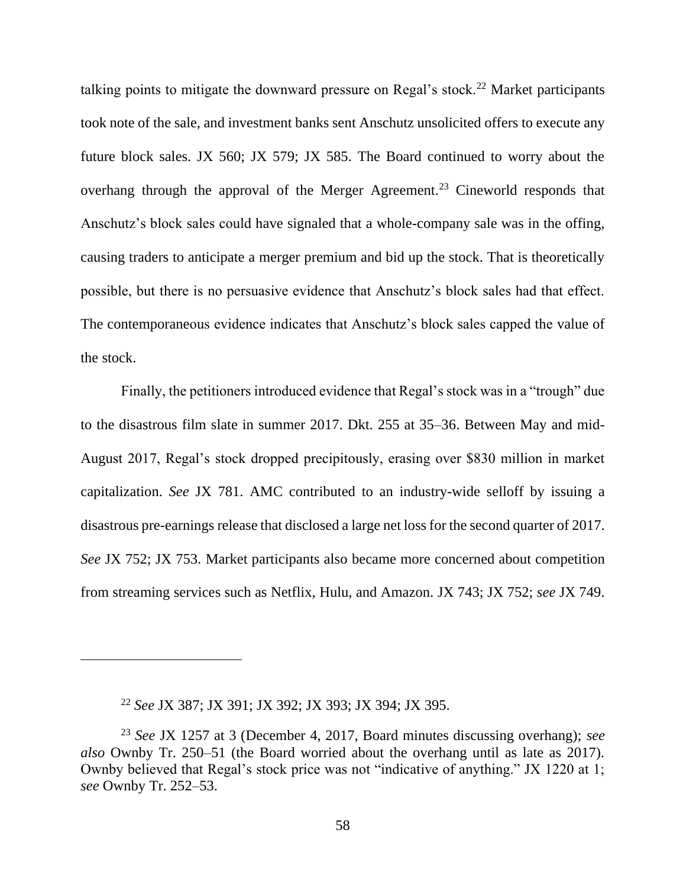talking points to mitigate the downward pressure on Regal's stock.<sup>22</sup> Market participants took note of the sale, and investment banks sent Anschutz unsolicited offers to execute any future block sales. JX 560; JX 579; JX 585. The Board continued to worry about the overhang through the approval of the Merger Agreement.<sup>23</sup> Cineworld responds that Anschutz's block sales could have signaled that a whole-company sale was in the offing, causing traders to anticipate a merger premium and bid up the stock. That is theoretically possible, but there is no persuasive evidence that Anschutz's block sales had that effect. The contemporaneous evidence indicates that Anschutz's block sales capped the value of the stock.

Finally, the petitioners introduced evidence that Regal's stock was in a "trough" due to the disastrous film slate in summer 2017. Dkt. 255 at 35–36. Between May and mid-August 2017, Regal's stock dropped precipitously, erasing over \$830 million in market capitalization. *See* JX 781. AMC contributed to an industry-wide selloff by issuing a disastrous pre-earnings release that disclosed a large net loss for the second quarter of 2017. *See* JX 752; JX 753. Market participants also became more concerned about competition from streaming services such as Netflix, Hulu, and Amazon. JX 743; JX 752; *see* JX 749.

<sup>22</sup> *See* JX 387; JX 391; JX 392; JX 393; JX 394; JX 395.

<sup>23</sup> *See* JX 1257 at 3 (December 4, 2017, Board minutes discussing overhang); *see also* Ownby Tr. 250–51 (the Board worried about the overhang until as late as 2017). Ownby believed that Regal's stock price was not "indicative of anything." JX 1220 at 1; *see* Ownby Tr. 252–53.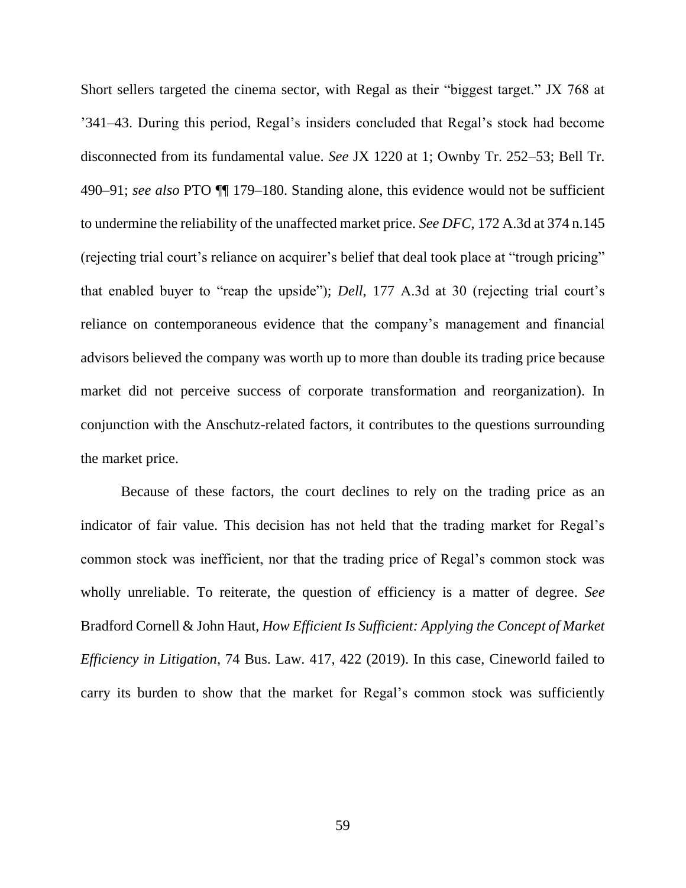Short sellers targeted the cinema sector, with Regal as their "biggest target." JX 768 at '341–43. During this period, Regal's insiders concluded that Regal's stock had become disconnected from its fundamental value. *See* JX 1220 at 1; Ownby Tr. 252–53; Bell Tr. 490–91; *see also* PTO ¶¶ 179–180. Standing alone, this evidence would not be sufficient to undermine the reliability of the unaffected market price. *See DFC*, 172 A.3d at 374 n.145 (rejecting trial court's reliance on acquirer's belief that deal took place at "trough pricing" that enabled buyer to "reap the upside"); *Dell*, 177 A.3d at 30 (rejecting trial court's reliance on contemporaneous evidence that the company's management and financial advisors believed the company was worth up to more than double its trading price because market did not perceive success of corporate transformation and reorganization). In conjunction with the Anschutz-related factors, it contributes to the questions surrounding the market price.

Because of these factors, the court declines to rely on the trading price as an indicator of fair value. This decision has not held that the trading market for Regal's common stock was inefficient, nor that the trading price of Regal's common stock was wholly unreliable. To reiterate, the question of efficiency is a matter of degree. *See*  Bradford Cornell & John Haut, *How Efficient Is Sufficient: Applying the Concept of Market Efficiency in Litigation*, 74 Bus. Law. 417, 422 (2019). In this case, Cineworld failed to carry its burden to show that the market for Regal's common stock was sufficiently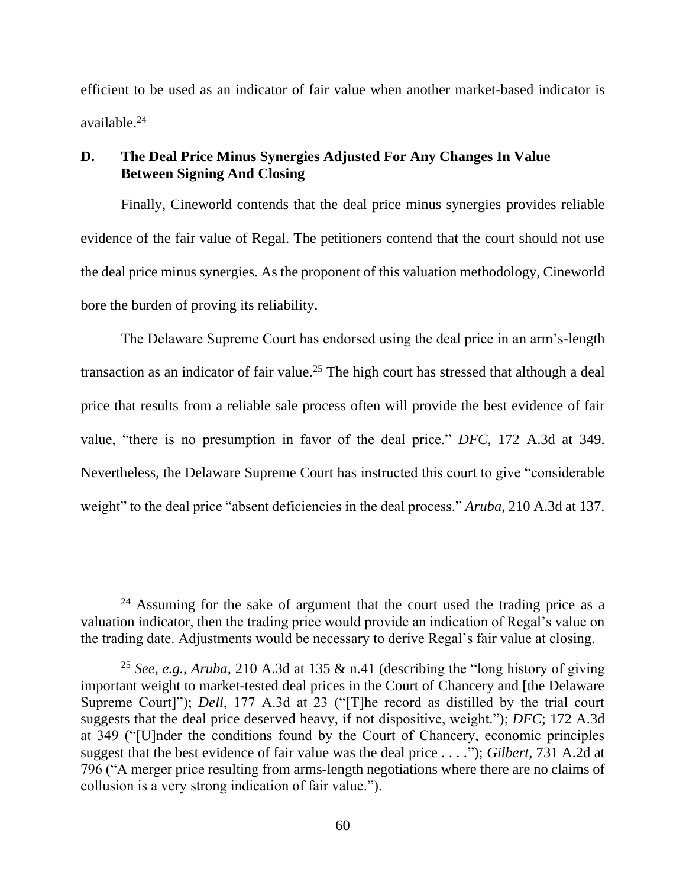efficient to be used as an indicator of fair value when another market-based indicator is available.<sup>24</sup>

# **D. The Deal Price Minus Synergies Adjusted For Any Changes In Value Between Signing And Closing**

Finally, Cineworld contends that the deal price minus synergies provides reliable evidence of the fair value of Regal. The petitioners contend that the court should not use the deal price minus synergies. As the proponent of this valuation methodology, Cineworld bore the burden of proving its reliability.

The Delaware Supreme Court has endorsed using the deal price in an arm's-length transaction as an indicator of fair value.<sup>25</sup> The high court has stressed that although a deal price that results from a reliable sale process often will provide the best evidence of fair value, "there is no presumption in favor of the deal price." *DFC*, 172 A.3d at 349. Nevertheless, the Delaware Supreme Court has instructed this court to give "considerable weight" to the deal price "absent deficiencies in the deal process." *Aruba*, 210 A.3d at 137.

 $24$  Assuming for the sake of argument that the court used the trading price as a valuation indicator, then the trading price would provide an indication of Regal's value on the trading date. Adjustments would be necessary to derive Regal's fair value at closing.

<sup>&</sup>lt;sup>25</sup> *See, e.g., Aruba,* 210 A.3d at 135  $\&$  n.41 (describing the "long history of giving important weight to market-tested deal prices in the Court of Chancery and [the Delaware Supreme Court]"); *Dell*, 177 A.3d at 23 ("[T]he record as distilled by the trial court suggests that the deal price deserved heavy, if not dispositive, weight."); *DFC*; 172 A.3d at 349 ("[U]nder the conditions found by the Court of Chancery, economic principles suggest that the best evidence of fair value was the deal price . . . ."); *Gilbert*, 731 A.2d at 796 ("A merger price resulting from arms-length negotiations where there are no claims of collusion is a very strong indication of fair value.").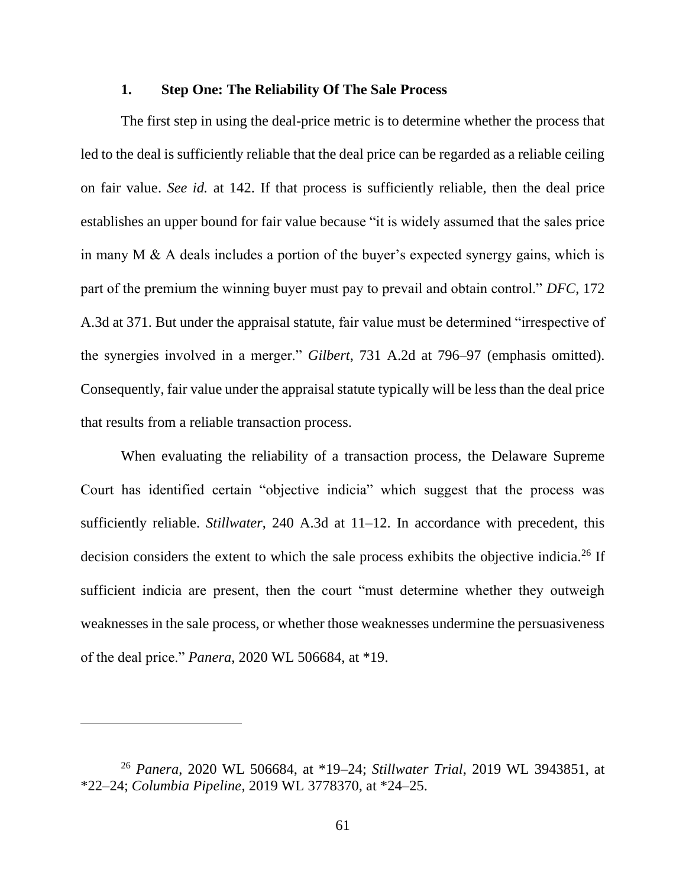### **1. Step One: The Reliability Of The Sale Process**

The first step in using the deal-price metric is to determine whether the process that led to the deal is sufficiently reliable that the deal price can be regarded as a reliable ceiling on fair value. *See id.* at 142. If that process is sufficiently reliable, then the deal price establishes an upper bound for fair value because "it is widely assumed that the sales price in many M & A deals includes a portion of the buyer's expected synergy gains, which is part of the premium the winning buyer must pay to prevail and obtain control." *DFC*, 172 A.3d at 371. But under the appraisal statute, fair value must be determined "irrespective of the synergies involved in a merger." *Gilbert*, 731 A.2d at 796–97 (emphasis omitted). Consequently, fair value under the appraisal statute typically will be less than the deal price that results from a reliable transaction process.

When evaluating the reliability of a transaction process, the Delaware Supreme Court has identified certain "objective indicia" which suggest that the process was sufficiently reliable. *Stillwater*, 240 A.3d at 11–12. In accordance with precedent, this decision considers the extent to which the sale process exhibits the objective indicia.<sup>26</sup> If sufficient indicia are present, then the court "must determine whether they outweigh weaknesses in the sale process, or whether those weaknesses undermine the persuasiveness of the deal price." *Panera*, 2020 WL 506684, at \*19.

<sup>26</sup> *Panera*, 2020 WL 506684, at \*19–24; *Stillwater Trial*, 2019 WL 3943851, at \*22–24; *Columbia Pipeline*, 2019 WL 3778370, at \*24–25.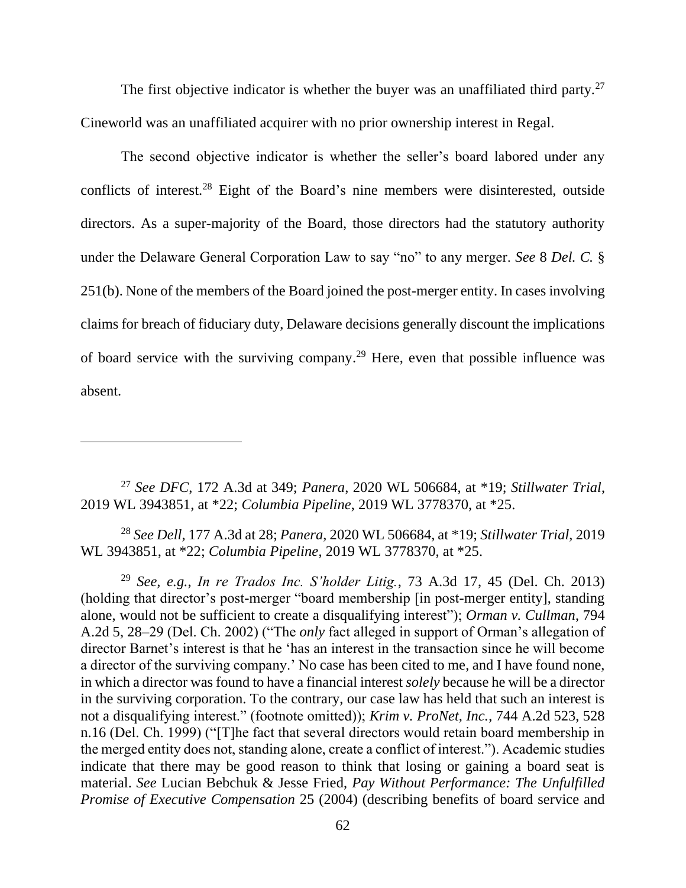The first objective indicator is whether the buyer was an unaffiliated third party. $27$ Cineworld was an unaffiliated acquirer with no prior ownership interest in Regal.

The second objective indicator is whether the seller's board labored under any conflicts of interest.<sup>28</sup> Eight of the Board's nine members were disinterested, outside directors. As a super-majority of the Board, those directors had the statutory authority under the Delaware General Corporation Law to say "no" to any merger. *See* 8 *Del. C.* § 251(b). None of the members of the Board joined the post-merger entity. In cases involving claims for breach of fiduciary duty, Delaware decisions generally discount the implications of board service with the surviving company.<sup>29</sup> Here, even that possible influence was absent.

<sup>27</sup> *See DFC*, 172 A.3d at 349; *Panera*, 2020 WL 506684, at \*19; *Stillwater Trial*, 2019 WL 3943851, at \*22; *Columbia Pipeline*, 2019 WL 3778370, at \*25.

<sup>28</sup> *See Dell*, 177 A.3d at 28; *Panera*, 2020 WL 506684, at \*19; *Stillwater Trial*, 2019 WL 3943851, at \*22; *Columbia Pipeline*, 2019 WL 3778370, at \*25.

<sup>29</sup> *See, e.g.*, *In re Trados Inc. S'holder Litig.*, 73 A.3d 17, 45 (Del. Ch. 2013) (holding that director's post-merger "board membership [in post-merger entity], standing alone, would not be sufficient to create a disqualifying interest"); *Orman v. Cullman*, 794 A.2d 5, 28–29 (Del. Ch. 2002) ("The *only* fact alleged in support of Orman's allegation of director Barnet's interest is that he 'has an interest in the transaction since he will become a director of the surviving company.' No case has been cited to me, and I have found none, in which a director was found to have a financial interest *solely* because he will be a director in the surviving corporation. To the contrary, our case law has held that such an interest is not a disqualifying interest." (footnote omitted)); *Krim v. ProNet, Inc.*, 744 A.2d 523, 528 n.16 (Del. Ch. 1999) ("[T]he fact that several directors would retain board membership in the merged entity does not, standing alone, create a conflict of interest."). Academic studies indicate that there may be good reason to think that losing or gaining a board seat is material. *See* Lucian Bebchuk & Jesse Fried, *Pay Without Performance: The Unfulfilled Promise of Executive Compensation* 25 (2004) (describing benefits of board service and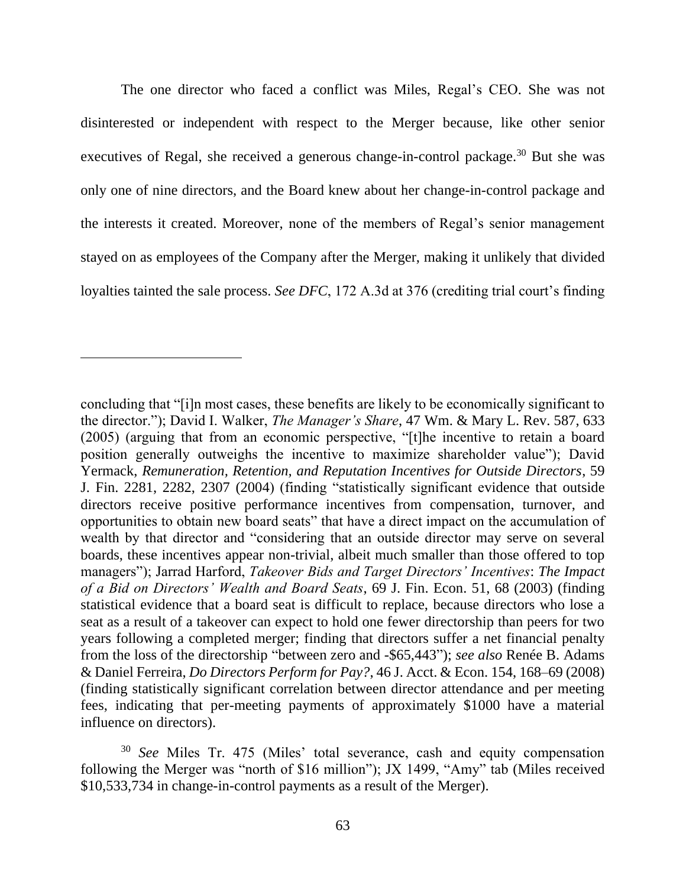The one director who faced a conflict was Miles, Regal's CEO. She was not disinterested or independent with respect to the Merger because, like other senior executives of Regal, she received a generous change-in-control package.<sup>30</sup> But she was only one of nine directors, and the Board knew about her change-in-control package and the interests it created. Moreover, none of the members of Regal's senior management stayed on as employees of the Company after the Merger, making it unlikely that divided loyalties tainted the sale process. *See DFC*, 172 A.3d at 376 (crediting trial court's finding

concluding that "[i]n most cases, these benefits are likely to be economically significant to the director."); David I. Walker, *The Manager's Share*, 47 Wm. & Mary L. Rev. 587, 633 (2005) (arguing that from an economic perspective, "[t]he incentive to retain a board position generally outweighs the incentive to maximize shareholder value"); David Yermack, *Remuneration, Retention, and Reputation Incentives for Outside Directors*, 59 J. Fin. 2281, 2282, 2307 (2004) (finding "statistically significant evidence that outside directors receive positive performance incentives from compensation, turnover, and opportunities to obtain new board seats" that have a direct impact on the accumulation of wealth by that director and "considering that an outside director may serve on several boards, these incentives appear non-trivial, albeit much smaller than those offered to top managers"); Jarrad Harford, *Takeover Bids and Target Directors' Incentives*: *The Impact of a Bid on Directors' Wealth and Board Seats*, 69 J. Fin. Econ. 51, 68 (2003) (finding statistical evidence that a board seat is difficult to replace, because directors who lose a seat as a result of a takeover can expect to hold one fewer directorship than peers for two years following a completed merger; finding that directors suffer a net financial penalty from the loss of the directorship "between zero and -\$65,443"); *see also* Renée B. Adams & Daniel Ferreira, *Do Directors Perform for Pay?*, 46 J. Acct. & Econ. 154, 168–69 (2008) (finding statistically significant correlation between director attendance and per meeting fees, indicating that per-meeting payments of approximately \$1000 have a material influence on directors).

<sup>30</sup> *See* Miles Tr. 475 (Miles' total severance, cash and equity compensation following the Merger was "north of \$16 million"); JX 1499, "Amy" tab (Miles received \$10,533,734 in change-in-control payments as a result of the Merger).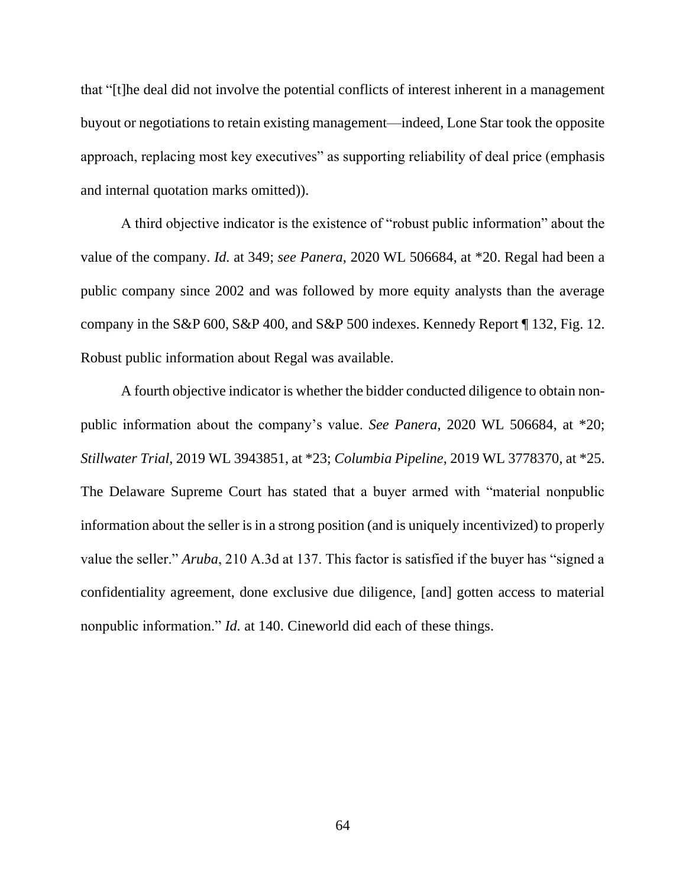that "[t]he deal did not involve the potential conflicts of interest inherent in a management buyout or negotiations to retain existing management—indeed, Lone Star took the opposite approach, replacing most key executives" as supporting reliability of deal price (emphasis and internal quotation marks omitted)).

A third objective indicator is the existence of "robust public information" about the value of the company. *Id.* at 349; *see Panera*, 2020 WL 506684, at \*20. Regal had been a public company since 2002 and was followed by more equity analysts than the average company in the S&P 600, S&P 400, and S&P 500 indexes. Kennedy Report ¶ 132, Fig. 12. Robust public information about Regal was available.

A fourth objective indicator is whether the bidder conducted diligence to obtain nonpublic information about the company's value. *See Panera*, 2020 WL 506684, at \*20; *Stillwater Trial*, 2019 WL 3943851, at \*23; *Columbia Pipeline*, 2019 WL 3778370, at \*25. The Delaware Supreme Court has stated that a buyer armed with "material nonpublic information about the seller is in a strong position (and is uniquely incentivized) to properly value the seller." *Aruba*, 210 A.3d at 137. This factor is satisfied if the buyer has "signed a confidentiality agreement, done exclusive due diligence, [and] gotten access to material nonpublic information." *Id.* at 140. Cineworld did each of these things.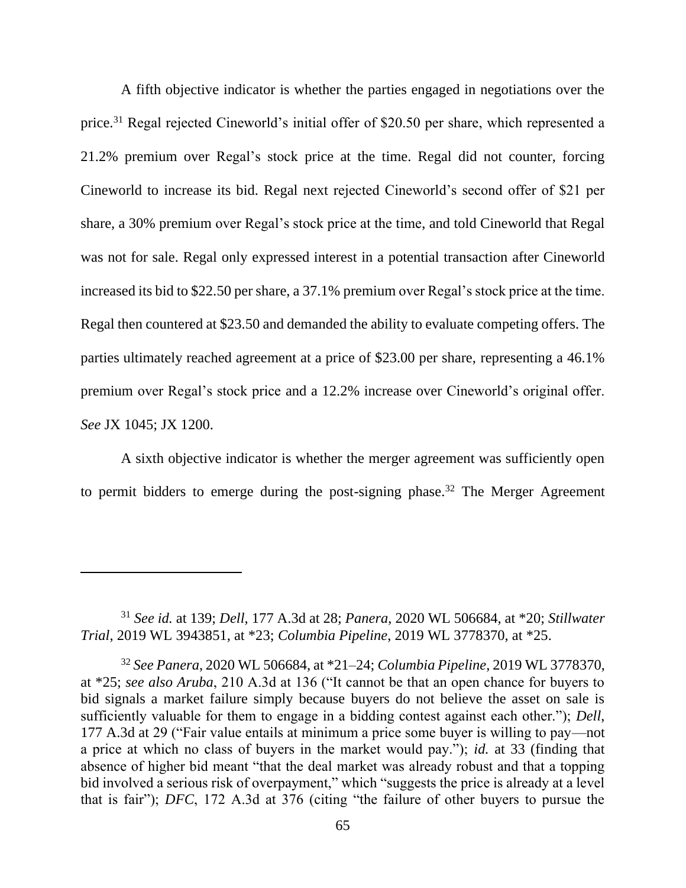A fifth objective indicator is whether the parties engaged in negotiations over the price.<sup>31</sup> Regal rejected Cineworld's initial offer of \$20.50 per share, which represented a 21.2% premium over Regal's stock price at the time. Regal did not counter, forcing Cineworld to increase its bid. Regal next rejected Cineworld's second offer of \$21 per share, a 30% premium over Regal's stock price at the time, and told Cineworld that Regal was not for sale. Regal only expressed interest in a potential transaction after Cineworld increased its bid to \$22.50 per share, a 37.1% premium over Regal's stock price at the time. Regal then countered at \$23.50 and demanded the ability to evaluate competing offers. The parties ultimately reached agreement at a price of \$23.00 per share, representing a 46.1% premium over Regal's stock price and a 12.2% increase over Cineworld's original offer. *See* JX 1045; JX 1200.

A sixth objective indicator is whether the merger agreement was sufficiently open to permit bidders to emerge during the post-signing phase.<sup>32</sup> The Merger Agreement

<sup>31</sup> *See id.* at 139; *Dell*, 177 A.3d at 28; *Panera*, 2020 WL 506684, at \*20; *Stillwater Trial*, 2019 WL 3943851, at \*23; *Columbia Pipeline*, 2019 WL 3778370, at \*25.

<sup>32</sup> *See Panera*, 2020 WL 506684, at \*21–24; *Columbia Pipeline*, 2019 WL 3778370, at \*25; *see also Aruba*, 210 A.3d at 136 ("It cannot be that an open chance for buyers to bid signals a market failure simply because buyers do not believe the asset on sale is sufficiently valuable for them to engage in a bidding contest against each other."); *Dell*, 177 A.3d at 29 ("Fair value entails at minimum a price some buyer is willing to pay—not a price at which no class of buyers in the market would pay."); *id.* at 33 (finding that absence of higher bid meant "that the deal market was already robust and that a topping bid involved a serious risk of overpayment," which "suggests the price is already at a level that is fair"); *DFC*, 172 A.3d at 376 (citing "the failure of other buyers to pursue the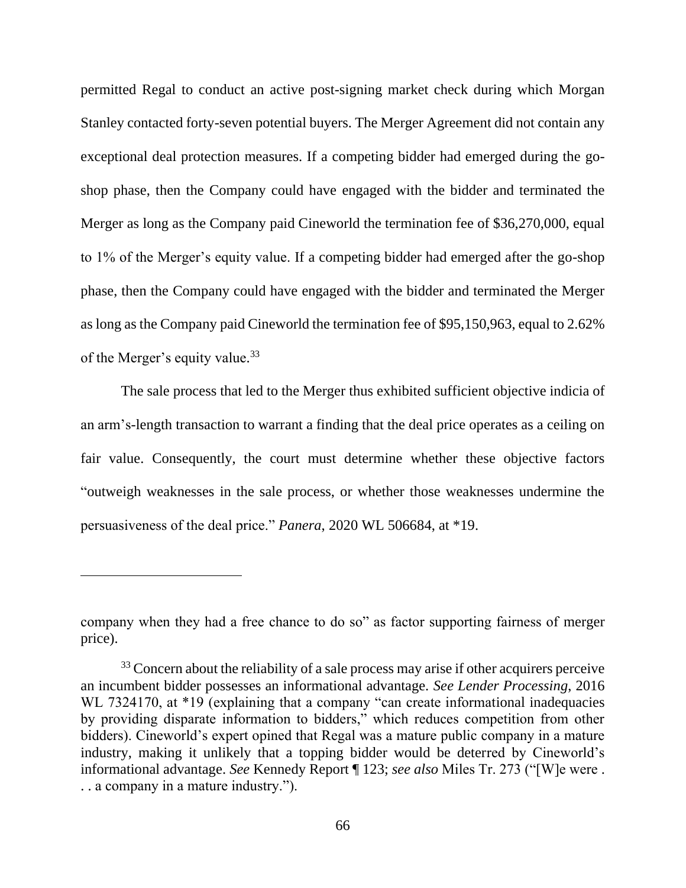permitted Regal to conduct an active post-signing market check during which Morgan Stanley contacted forty-seven potential buyers. The Merger Agreement did not contain any exceptional deal protection measures. If a competing bidder had emerged during the goshop phase, then the Company could have engaged with the bidder and terminated the Merger as long as the Company paid Cineworld the termination fee of \$36,270,000, equal to 1% of the Merger's equity value. If a competing bidder had emerged after the go-shop phase, then the Company could have engaged with the bidder and terminated the Merger as long as the Company paid Cineworld the termination fee of \$95,150,963, equal to 2.62% of the Merger's equity value.<sup>33</sup>

The sale process that led to the Merger thus exhibited sufficient objective indicia of an arm's-length transaction to warrant a finding that the deal price operates as a ceiling on fair value. Consequently, the court must determine whether these objective factors "outweigh weaknesses in the sale process, or whether those weaknesses undermine the persuasiveness of the deal price." *Panera*, 2020 WL 506684, at \*19.

company when they had a free chance to do so" as factor supporting fairness of merger price).

<sup>&</sup>lt;sup>33</sup> Concern about the reliability of a sale process may arise if other acquirers perceive an incumbent bidder possesses an informational advantage. *See Lender Processing*, 2016 WL 7324170, at \*19 (explaining that a company "can create informational inadequacies by providing disparate information to bidders," which reduces competition from other bidders). Cineworld's expert opined that Regal was a mature public company in a mature industry, making it unlikely that a topping bidder would be deterred by Cineworld's informational advantage. *See* Kennedy Report ¶ 123; *see also* Miles Tr. 273 ("[W]e were . . . a company in a mature industry.").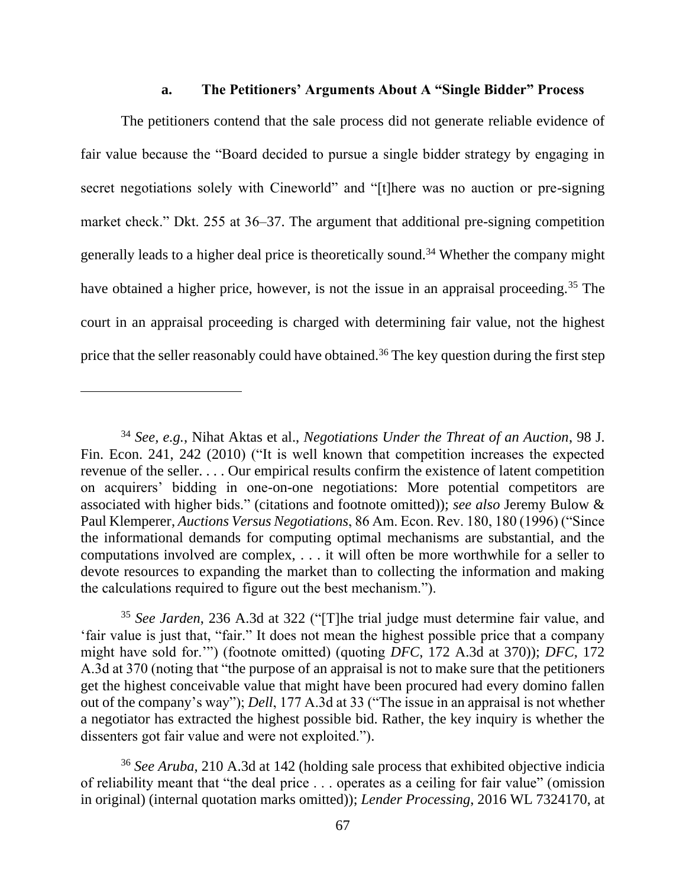#### **a. The Petitioners' Arguments About A "Single Bidder" Process**

The petitioners contend that the sale process did not generate reliable evidence of fair value because the "Board decided to pursue a single bidder strategy by engaging in secret negotiations solely with Cineworld" and "[t]here was no auction or pre-signing market check." Dkt. 255 at 36–37. The argument that additional pre-signing competition generally leads to a higher deal price is theoretically sound.<sup>34</sup> Whether the company might have obtained a higher price, however, is not the issue in an appraisal proceeding.<sup>35</sup> The court in an appraisal proceeding is charged with determining fair value, not the highest price that the seller reasonably could have obtained.<sup>36</sup> The key question during the first step

<sup>34</sup> *See, e.g.*, Nihat Aktas et al., *Negotiations Under the Threat of an Auction*, 98 J. Fin. Econ. 241, 242 (2010) ("It is well known that competition increases the expected revenue of the seller. . . . Our empirical results confirm the existence of latent competition on acquirers' bidding in one-on-one negotiations: More potential competitors are associated with higher bids." (citations and footnote omitted)); *see also* Jeremy Bulow & Paul Klemperer, *Auctions Versus Negotiations*, 86 Am. Econ. Rev. 180, 180 (1996) ("Since the informational demands for computing optimal mechanisms are substantial, and the computations involved are complex, . . . it will often be more worthwhile for a seller to devote resources to expanding the market than to collecting the information and making the calculations required to figure out the best mechanism.").

<sup>35</sup> *See Jarden*, 236 A.3d at 322 ("[T]he trial judge must determine fair value, and 'fair value is just that, "fair." It does not mean the highest possible price that a company might have sold for.'") (footnote omitted) (quoting *DFC*, 172 A.3d at 370)); *DFC*, 172 A.3d at 370 (noting that "the purpose of an appraisal is not to make sure that the petitioners get the highest conceivable value that might have been procured had every domino fallen out of the company's way"); *Dell*, 177 A.3d at 33 ("The issue in an appraisal is not whether a negotiator has extracted the highest possible bid. Rather, the key inquiry is whether the dissenters got fair value and were not exploited.").

<sup>36</sup> *See Aruba*, 210 A.3d at 142 (holding sale process that exhibited objective indicia of reliability meant that "the deal price . . . operates as a ceiling for fair value" (omission in original) (internal quotation marks omitted)); *Lender Processing*, 2016 WL 7324170, at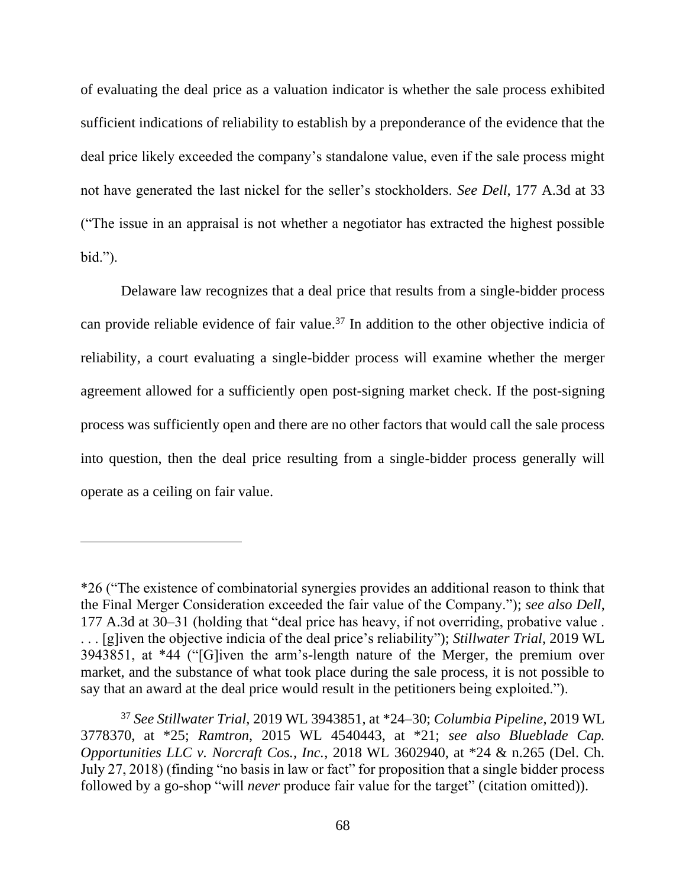of evaluating the deal price as a valuation indicator is whether the sale process exhibited sufficient indications of reliability to establish by a preponderance of the evidence that the deal price likely exceeded the company's standalone value, even if the sale process might not have generated the last nickel for the seller's stockholders. *See Dell*, 177 A.3d at 33 ("The issue in an appraisal is not whether a negotiator has extracted the highest possible bid.").

Delaware law recognizes that a deal price that results from a single-bidder process can provide reliable evidence of fair value.<sup>37</sup> In addition to the other objective indicia of reliability, a court evaluating a single-bidder process will examine whether the merger agreement allowed for a sufficiently open post-signing market check. If the post-signing process was sufficiently open and there are no other factors that would call the sale process into question, then the deal price resulting from a single-bidder process generally will operate as a ceiling on fair value.

<sup>\*26 (&</sup>quot;The existence of combinatorial synergies provides an additional reason to think that the Final Merger Consideration exceeded the fair value of the Company."); *see also Dell*, 177 A.3d at 30–31 (holding that "deal price has heavy, if not overriding, probative value . . . . [g]iven the objective indicia of the deal price's reliability"); *Stillwater Trial*, 2019 WL 3943851, at \*44 ("[G]iven the arm's-length nature of the Merger, the premium over market, and the substance of what took place during the sale process, it is not possible to say that an award at the deal price would result in the petitioners being exploited.").

<sup>37</sup> *See Stillwater Trial*, 2019 WL 3943851, at \*24–30; *Columbia Pipeline*, 2019 WL 3778370, at \*25; *Ramtron*, 2015 WL 4540443, at \*21; *see also Blueblade Cap. Opportunities LLC v. Norcraft Cos., Inc.*, 2018 WL 3602940, at \*24 & n.265 (Del. Ch. July 27, 2018) (finding "no basis in law or fact" for proposition that a single bidder process followed by a go-shop "will *never* produce fair value for the target" (citation omitted)).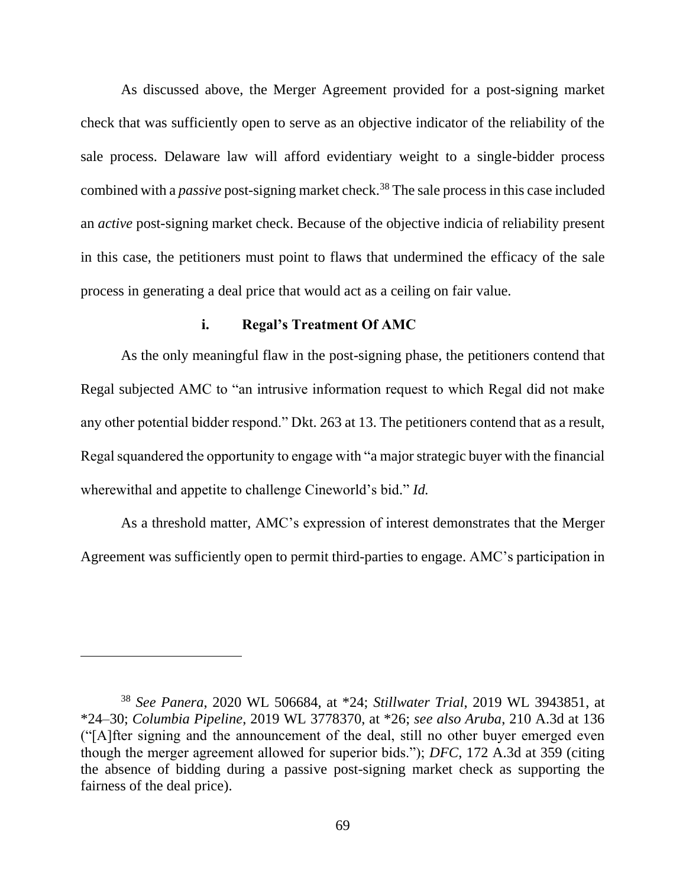As discussed above, the Merger Agreement provided for a post-signing market check that was sufficiently open to serve as an objective indicator of the reliability of the sale process. Delaware law will afford evidentiary weight to a single-bidder process combined with a *passive* post-signing market check.<sup>38</sup> The sale process in this case included an *active* post-signing market check. Because of the objective indicia of reliability present in this case, the petitioners must point to flaws that undermined the efficacy of the sale process in generating a deal price that would act as a ceiling on fair value.

#### **i. Regal's Treatment Of AMC**

As the only meaningful flaw in the post-signing phase, the petitioners contend that Regal subjected AMC to "an intrusive information request to which Regal did not make any other potential bidder respond." Dkt. 263 at 13. The petitioners contend that as a result, Regal squandered the opportunity to engage with "a major strategic buyer with the financial wherewithal and appetite to challenge Cineworld's bid." *Id.*

As a threshold matter, AMC's expression of interest demonstrates that the Merger Agreement was sufficiently open to permit third-parties to engage. AMC's participation in

<sup>38</sup> *See Panera*, 2020 WL 506684, at \*24; *Stillwater Trial*, 2019 WL 3943851, at \*24–30; *Columbia Pipeline*, 2019 WL 3778370, at \*26; *see also Aruba*, 210 A.3d at 136 ("[A]fter signing and the announcement of the deal, still no other buyer emerged even though the merger agreement allowed for superior bids."); *DFC*, 172 A.3d at 359 (citing the absence of bidding during a passive post-signing market check as supporting the fairness of the deal price).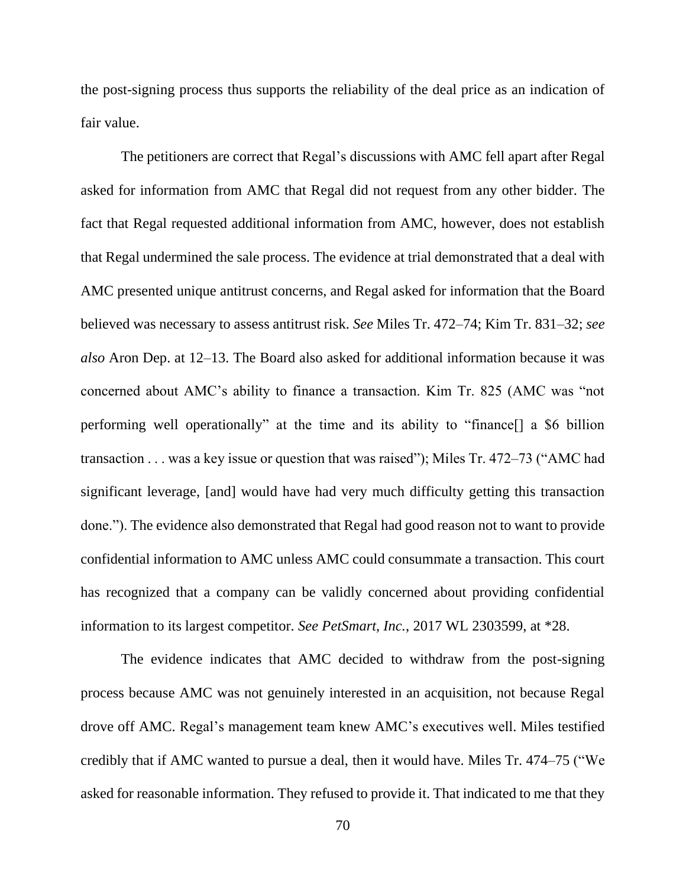the post-signing process thus supports the reliability of the deal price as an indication of fair value.

The petitioners are correct that Regal's discussions with AMC fell apart after Regal asked for information from AMC that Regal did not request from any other bidder. The fact that Regal requested additional information from AMC, however, does not establish that Regal undermined the sale process. The evidence at trial demonstrated that a deal with AMC presented unique antitrust concerns, and Regal asked for information that the Board believed was necessary to assess antitrust risk. *See* Miles Tr. 472–74; Kim Tr. 831–32; *see also* Aron Dep. at 12–13. The Board also asked for additional information because it was concerned about AMC's ability to finance a transaction. Kim Tr. 825 (AMC was "not performing well operationally" at the time and its ability to "finance[] a \$6 billion transaction . . . was a key issue or question that was raised"); Miles Tr. 472–73 ("AMC had significant leverage, [and] would have had very much difficulty getting this transaction done."). The evidence also demonstrated that Regal had good reason not to want to provide confidential information to AMC unless AMC could consummate a transaction. This court has recognized that a company can be validly concerned about providing confidential information to its largest competitor. *See PetSmart, Inc.*, 2017 WL 2303599, at \*28.

The evidence indicates that AMC decided to withdraw from the post-signing process because AMC was not genuinely interested in an acquisition, not because Regal drove off AMC. Regal's management team knew AMC's executives well. Miles testified credibly that if AMC wanted to pursue a deal, then it would have. Miles Tr. 474–75 ("We asked for reasonable information. They refused to provide it. That indicated to me that they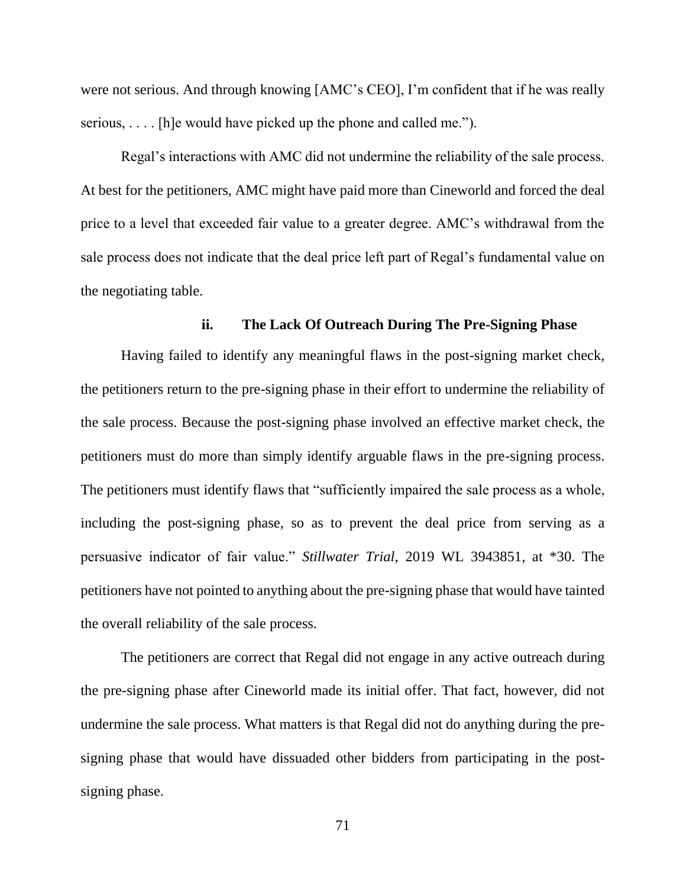were not serious. And through knowing [AMC's CEO], I'm confident that if he was really serious, . . . . [h]e would have picked up the phone and called me.").

Regal's interactions with AMC did not undermine the reliability of the sale process. At best for the petitioners, AMC might have paid more than Cineworld and forced the deal price to a level that exceeded fair value to a greater degree. AMC's withdrawal from the sale process does not indicate that the deal price left part of Regal's fundamental value on the negotiating table.

#### **ii. The Lack Of Outreach During The Pre-Signing Phase**

Having failed to identify any meaningful flaws in the post-signing market check, the petitioners return to the pre-signing phase in their effort to undermine the reliability of the sale process. Because the post-signing phase involved an effective market check, the petitioners must do more than simply identify arguable flaws in the pre-signing process. The petitioners must identify flaws that "sufficiently impaired the sale process as a whole, including the post-signing phase, so as to prevent the deal price from serving as a persuasive indicator of fair value." *Stillwater Trial*, 2019 WL 3943851, at \*30. The petitioners have not pointed to anything about the pre-signing phase that would have tainted the overall reliability of the sale process.

The petitioners are correct that Regal did not engage in any active outreach during the pre-signing phase after Cineworld made its initial offer. That fact, however, did not undermine the sale process. What matters is that Regal did not do anything during the presigning phase that would have dissuaded other bidders from participating in the postsigning phase.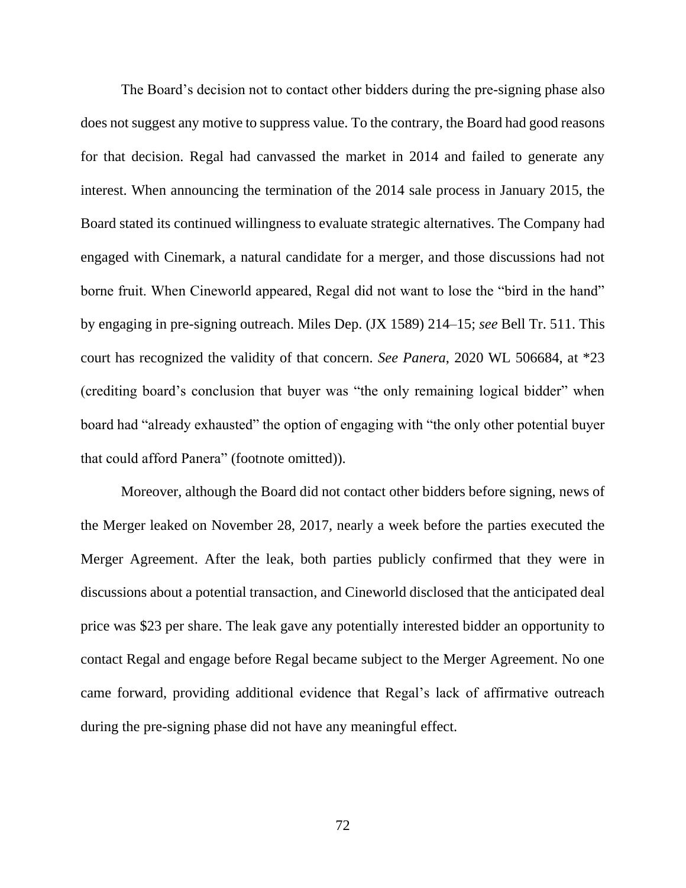The Board's decision not to contact other bidders during the pre-signing phase also does not suggest any motive to suppress value. To the contrary, the Board had good reasons for that decision. Regal had canvassed the market in 2014 and failed to generate any interest. When announcing the termination of the 2014 sale process in January 2015, the Board stated its continued willingness to evaluate strategic alternatives. The Company had engaged with Cinemark, a natural candidate for a merger, and those discussions had not borne fruit. When Cineworld appeared, Regal did not want to lose the "bird in the hand" by engaging in pre-signing outreach. Miles Dep. (JX 1589) 214–15; *see* Bell Tr. 511. This court has recognized the validity of that concern. *See Panera*, 2020 WL 506684, at \*23 (crediting board's conclusion that buyer was "the only remaining logical bidder" when board had "already exhausted" the option of engaging with "the only other potential buyer that could afford Panera" (footnote omitted)).

Moreover, although the Board did not contact other bidders before signing, news of the Merger leaked on November 28, 2017, nearly a week before the parties executed the Merger Agreement. After the leak, both parties publicly confirmed that they were in discussions about a potential transaction, and Cineworld disclosed that the anticipated deal price was \$23 per share. The leak gave any potentially interested bidder an opportunity to contact Regal and engage before Regal became subject to the Merger Agreement. No one came forward, providing additional evidence that Regal's lack of affirmative outreach during the pre-signing phase did not have any meaningful effect.

72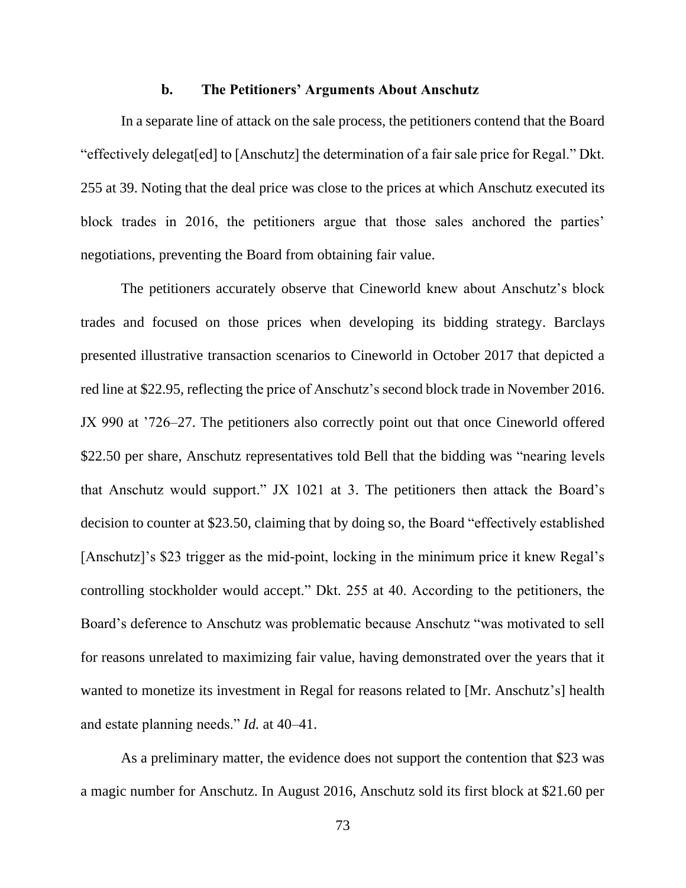#### **b. The Petitioners' Arguments About Anschutz**

In a separate line of attack on the sale process, the petitioners contend that the Board "effectively delegat[ed] to [Anschutz] the determination of a fair sale price for Regal." Dkt. 255 at 39. Noting that the deal price was close to the prices at which Anschutz executed its block trades in 2016, the petitioners argue that those sales anchored the parties' negotiations, preventing the Board from obtaining fair value.

The petitioners accurately observe that Cineworld knew about Anschutz's block trades and focused on those prices when developing its bidding strategy. Barclays presented illustrative transaction scenarios to Cineworld in October 2017 that depicted a red line at \$22.95, reflecting the price of Anschutz's second block trade in November 2016. JX 990 at '726–27. The petitioners also correctly point out that once Cineworld offered \$22.50 per share, Anschutz representatives told Bell that the bidding was "nearing levels that Anschutz would support." JX 1021 at 3. The petitioners then attack the Board's decision to counter at \$23.50, claiming that by doing so, the Board "effectively established [Anschutz]'s \$23 trigger as the mid-point, locking in the minimum price it knew Regal's controlling stockholder would accept." Dkt. 255 at 40. According to the petitioners, the Board's deference to Anschutz was problematic because Anschutz "was motivated to sell for reasons unrelated to maximizing fair value, having demonstrated over the years that it wanted to monetize its investment in Regal for reasons related to [Mr. Anschutz's] health and estate planning needs." *Id.* at 40–41.

As a preliminary matter, the evidence does not support the contention that \$23 was a magic number for Anschutz. In August 2016, Anschutz sold its first block at \$21.60 per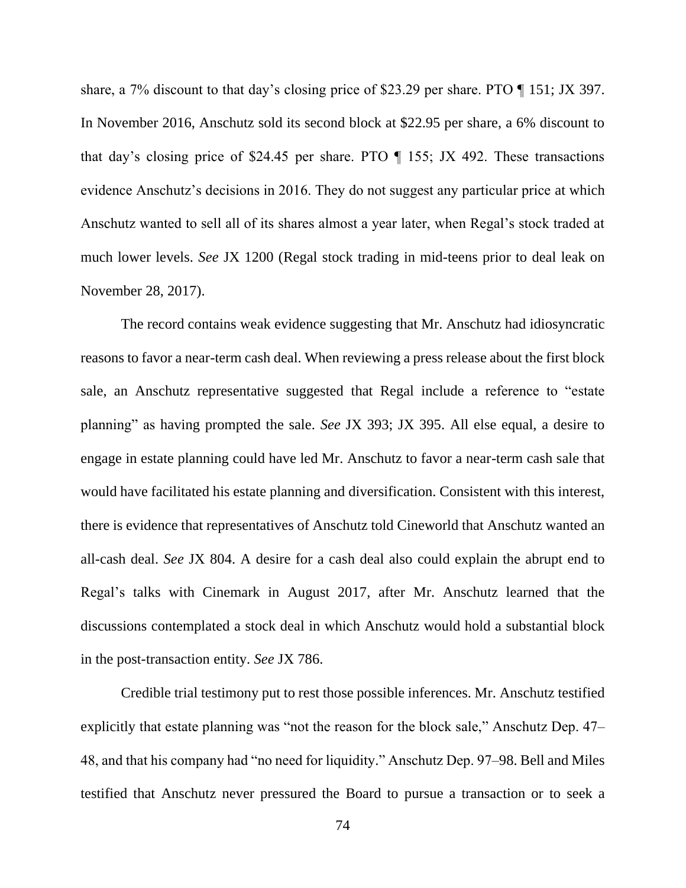share, a 7% discount to that day's closing price of \$23.29 per share. PTO ¶ 151; JX 397. In November 2016, Anschutz sold its second block at \$22.95 per share, a 6% discount to that day's closing price of \$24.45 per share. PTO ¶ 155; JX 492. These transactions evidence Anschutz's decisions in 2016. They do not suggest any particular price at which Anschutz wanted to sell all of its shares almost a year later, when Regal's stock traded at much lower levels. *See* JX 1200 (Regal stock trading in mid-teens prior to deal leak on November 28, 2017).

The record contains weak evidence suggesting that Mr. Anschutz had idiosyncratic reasons to favor a near-term cash deal. When reviewing a press release about the first block sale, an Anschutz representative suggested that Regal include a reference to "estate planning" as having prompted the sale. *See* JX 393; JX 395. All else equal, a desire to engage in estate planning could have led Mr. Anschutz to favor a near-term cash sale that would have facilitated his estate planning and diversification. Consistent with this interest, there is evidence that representatives of Anschutz told Cineworld that Anschutz wanted an all-cash deal. *See* JX 804. A desire for a cash deal also could explain the abrupt end to Regal's talks with Cinemark in August 2017, after Mr. Anschutz learned that the discussions contemplated a stock deal in which Anschutz would hold a substantial block in the post-transaction entity. *See* JX 786.

Credible trial testimony put to rest those possible inferences. Mr. Anschutz testified explicitly that estate planning was "not the reason for the block sale," Anschutz Dep. 47– 48, and that his company had "no need for liquidity." Anschutz Dep. 97–98. Bell and Miles testified that Anschutz never pressured the Board to pursue a transaction or to seek a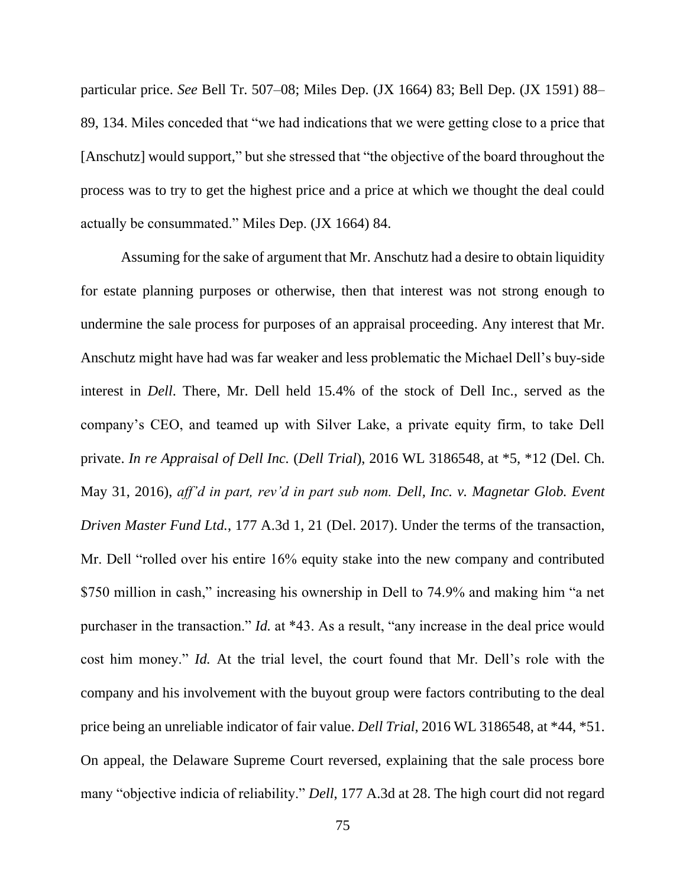particular price. *See* Bell Tr. 507–08; Miles Dep. (JX 1664) 83; Bell Dep. (JX 1591) 88– 89, 134. Miles conceded that "we had indications that we were getting close to a price that [Anschutz] would support," but she stressed that "the objective of the board throughout the process was to try to get the highest price and a price at which we thought the deal could actually be consummated." Miles Dep. (JX 1664) 84.

Assuming for the sake of argument that Mr. Anschutz had a desire to obtain liquidity for estate planning purposes or otherwise, then that interest was not strong enough to undermine the sale process for purposes of an appraisal proceeding. Any interest that Mr. Anschutz might have had was far weaker and less problematic the Michael Dell's buy-side interest in *Dell*. There, Mr. Dell held 15.4% of the stock of Dell Inc., served as the company's CEO, and teamed up with Silver Lake, a private equity firm, to take Dell private. *In re Appraisal of Dell Inc.* (*Dell Trial*), 2016 WL 3186548, at \*5, \*12 (Del. Ch. May 31, 2016), *aff'd in part, rev'd in part sub nom. Dell, Inc. v. Magnetar Glob. Event Driven Master Fund Ltd.*, 177 A.3d 1, 21 (Del. 2017). Under the terms of the transaction, Mr. Dell "rolled over his entire 16% equity stake into the new company and contributed \$750 million in cash," increasing his ownership in Dell to 74.9% and making him "a net purchaser in the transaction." *Id.* at \*43. As a result, "any increase in the deal price would cost him money." *Id.* At the trial level, the court found that Mr. Dell's role with the company and his involvement with the buyout group were factors contributing to the deal price being an unreliable indicator of fair value. *Dell Trial*, 2016 WL 3186548, at \*44, \*51. On appeal, the Delaware Supreme Court reversed, explaining that the sale process bore many "objective indicia of reliability." *Dell*, 177 A.3d at 28. The high court did not regard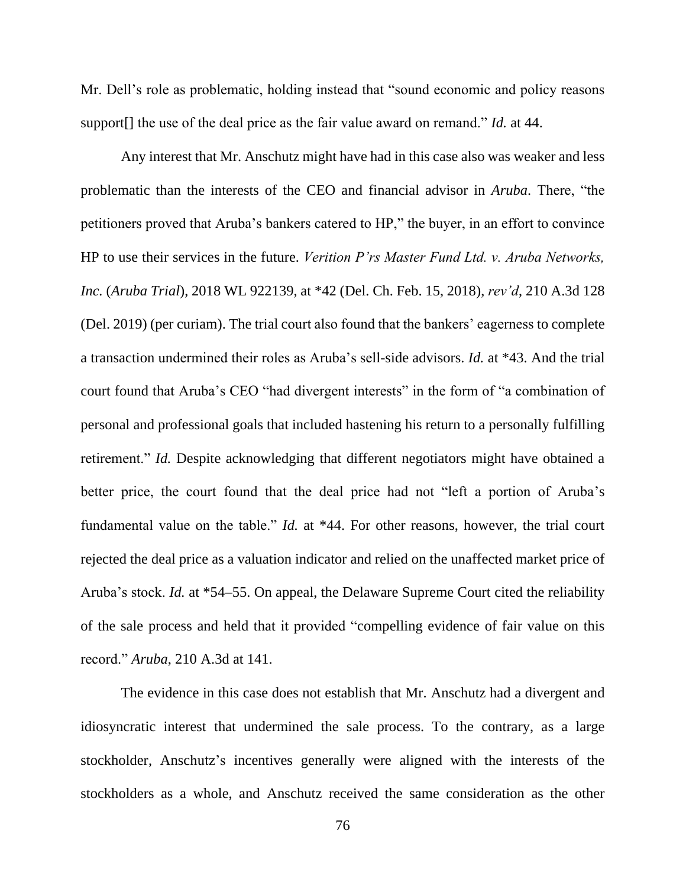Mr. Dell's role as problematic, holding instead that "sound economic and policy reasons support[] the use of the deal price as the fair value award on remand." *Id.* at 44.

Any interest that Mr. Anschutz might have had in this case also was weaker and less problematic than the interests of the CEO and financial advisor in *Aruba*. There, "the petitioners proved that Aruba's bankers catered to HP," the buyer, in an effort to convince HP to use their services in the future. *Verition P'rs Master Fund Ltd. v. Aruba Networks, Inc.* (*Aruba Trial*), 2018 WL 922139, at \*42 (Del. Ch. Feb. 15, 2018), *rev'd*, 210 A.3d 128 (Del. 2019) (per curiam). The trial court also found that the bankers' eagerness to complete a transaction undermined their roles as Aruba's sell-side advisors. *Id.* at \*43. And the trial court found that Aruba's CEO "had divergent interests" in the form of "a combination of personal and professional goals that included hastening his return to a personally fulfilling retirement." *Id.* Despite acknowledging that different negotiators might have obtained a better price, the court found that the deal price had not "left a portion of Aruba's fundamental value on the table." *Id.* at \*44. For other reasons, however, the trial court rejected the deal price as a valuation indicator and relied on the unaffected market price of Aruba's stock. *Id.* at \*54–55. On appeal, the Delaware Supreme Court cited the reliability of the sale process and held that it provided "compelling evidence of fair value on this record." *Aruba*, 210 A.3d at 141.

The evidence in this case does not establish that Mr. Anschutz had a divergent and idiosyncratic interest that undermined the sale process. To the contrary, as a large stockholder, Anschutz's incentives generally were aligned with the interests of the stockholders as a whole, and Anschutz received the same consideration as the other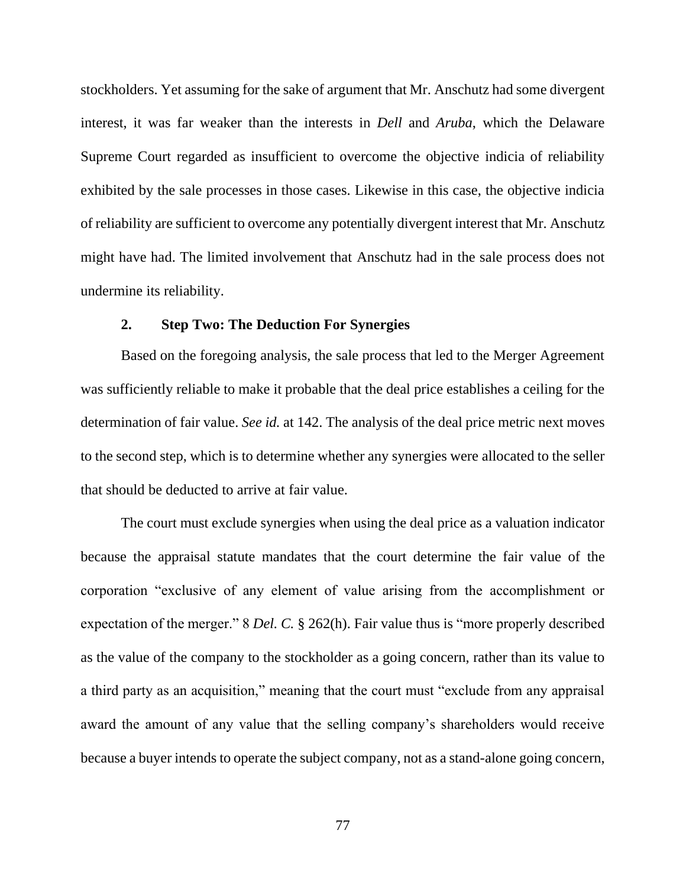stockholders. Yet assuming for the sake of argument that Mr. Anschutz had some divergent interest, it was far weaker than the interests in *Dell* and *Aruba*, which the Delaware Supreme Court regarded as insufficient to overcome the objective indicia of reliability exhibited by the sale processes in those cases. Likewise in this case, the objective indicia of reliability are sufficient to overcome any potentially divergent interest that Mr. Anschutz might have had. The limited involvement that Anschutz had in the sale process does not undermine its reliability.

### **2. Step Two: The Deduction For Synergies**

Based on the foregoing analysis, the sale process that led to the Merger Agreement was sufficiently reliable to make it probable that the deal price establishes a ceiling for the determination of fair value. *See id.* at 142. The analysis of the deal price metric next moves to the second step, which is to determine whether any synergies were allocated to the seller that should be deducted to arrive at fair value.

The court must exclude synergies when using the deal price as a valuation indicator because the appraisal statute mandates that the court determine the fair value of the corporation "exclusive of any element of value arising from the accomplishment or expectation of the merger." 8 *Del. C.* § 262(h). Fair value thus is "more properly described as the value of the company to the stockholder as a going concern, rather than its value to a third party as an acquisition," meaning that the court must "exclude from any appraisal award the amount of any value that the selling company's shareholders would receive because a buyer intends to operate the subject company, not as a stand-alone going concern,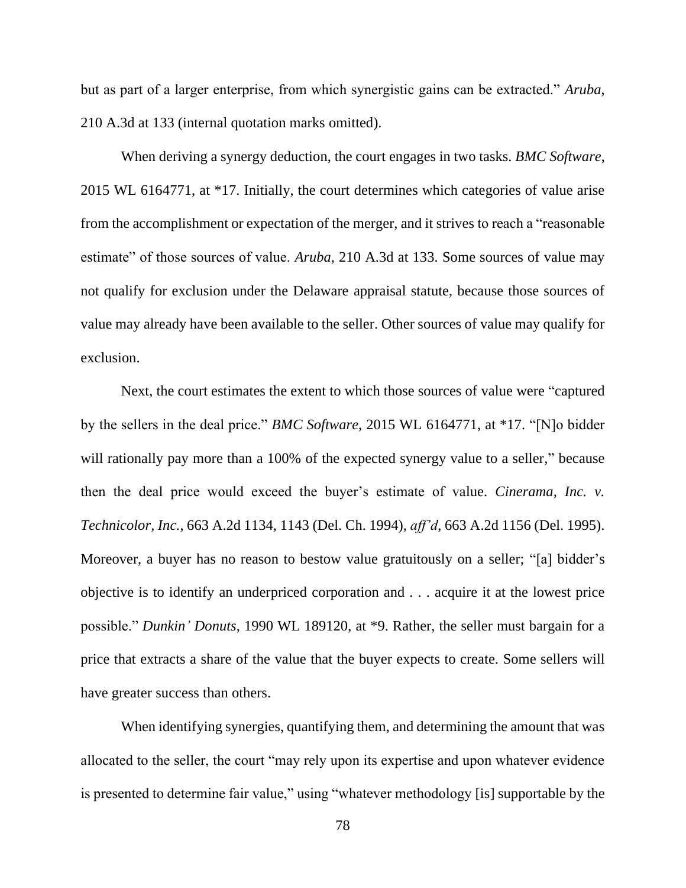but as part of a larger enterprise, from which synergistic gains can be extracted." *Aruba*, 210 A.3d at 133 (internal quotation marks omitted).

When deriving a synergy deduction, the court engages in two tasks. *BMC Software*, 2015 WL 6164771, at \*17. Initially, the court determines which categories of value arise from the accomplishment or expectation of the merger, and it strives to reach a "reasonable estimate" of those sources of value. *Aruba*, 210 A.3d at 133. Some sources of value may not qualify for exclusion under the Delaware appraisal statute, because those sources of value may already have been available to the seller. Other sources of value may qualify for exclusion.

Next, the court estimates the extent to which those sources of value were "captured by the sellers in the deal price." *BMC Software*, 2015 WL 6164771, at \*17. "[N]o bidder will rationally pay more than a 100% of the expected synergy value to a seller," because then the deal price would exceed the buyer's estimate of value. *Cinerama, Inc. v. Technicolor, Inc.*, 663 A.2d 1134, 1143 (Del. Ch. 1994), *aff'd*, 663 A.2d 1156 (Del. 1995). Moreover, a buyer has no reason to bestow value gratuitously on a seller; "[a] bidder's objective is to identify an underpriced corporation and . . . acquire it at the lowest price possible." *Dunkin' Donuts*, 1990 WL 189120, at \*9. Rather, the seller must bargain for a price that extracts a share of the value that the buyer expects to create. Some sellers will have greater success than others.

When identifying synergies, quantifying them, and determining the amount that was allocated to the seller, the court "may rely upon its expertise and upon whatever evidence is presented to determine fair value," using "whatever methodology [is] supportable by the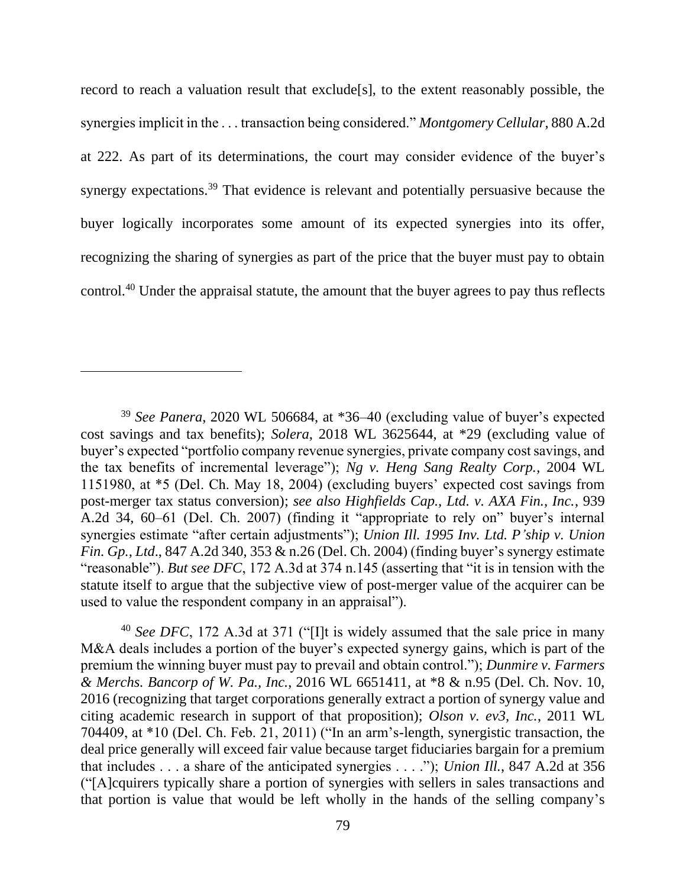record to reach a valuation result that exclude[s], to the extent reasonably possible, the synergies implicit in the . . . transaction being considered." *Montgomery Cellular*, 880 A.2d at 222. As part of its determinations, the court may consider evidence of the buyer's synergy expectations.<sup>39</sup> That evidence is relevant and potentially persuasive because the buyer logically incorporates some amount of its expected synergies into its offer, recognizing the sharing of synergies as part of the price that the buyer must pay to obtain control. <sup>40</sup> Under the appraisal statute, the amount that the buyer agrees to pay thus reflects

<sup>40</sup> *See DFC*, 172 A.3d at 371 ("[I]t is widely assumed that the sale price in many M&A deals includes a portion of the buyer's expected synergy gains, which is part of the premium the winning buyer must pay to prevail and obtain control."); *Dunmire v. Farmers & Merchs. Bancorp of W. Pa., Inc.*, 2016 WL 6651411, at \*8 & n.95 (Del. Ch. Nov. 10, 2016 (recognizing that target corporations generally extract a portion of synergy value and citing academic research in support of that proposition); *Olson v. ev3, Inc.*, 2011 WL 704409, at \*10 (Del. Ch. Feb. 21, 2011) ("In an arm's-length, synergistic transaction, the deal price generally will exceed fair value because target fiduciaries bargain for a premium that includes . . . a share of the anticipated synergies . . . ."); *Union Ill.*, 847 A.2d at 356 ("[A]cquirers typically share a portion of synergies with sellers in sales transactions and that portion is value that would be left wholly in the hands of the selling company's

<sup>39</sup> *See Panera*, 2020 WL 506684, at \*36–40 (excluding value of buyer's expected cost savings and tax benefits); *Solera*, 2018 WL 3625644, at \*29 (excluding value of buyer's expected "portfolio company revenue synergies, private company cost savings, and the tax benefits of incremental leverage"); *Ng v. Heng Sang Realty Corp.*, 2004 WL 1151980, at \*5 (Del. Ch. May 18, 2004) (excluding buyers' expected cost savings from post-merger tax status conversion); *see also Highfields Cap., Ltd. v. AXA Fin., Inc.*, 939 A.2d 34, 60–61 (Del. Ch. 2007) (finding it "appropriate to rely on" buyer's internal synergies estimate "after certain adjustments"); *Union Ill. 1995 Inv. Ltd. P'ship v. Union Fin. Gp., Ltd*., 847 A.2d 340, 353 & n.26 (Del. Ch. 2004) (finding buyer's synergy estimate "reasonable"). *But see DFC*, 172 A.3d at 374 n.145 (asserting that "it is in tension with the statute itself to argue that the subjective view of post-merger value of the acquirer can be used to value the respondent company in an appraisal").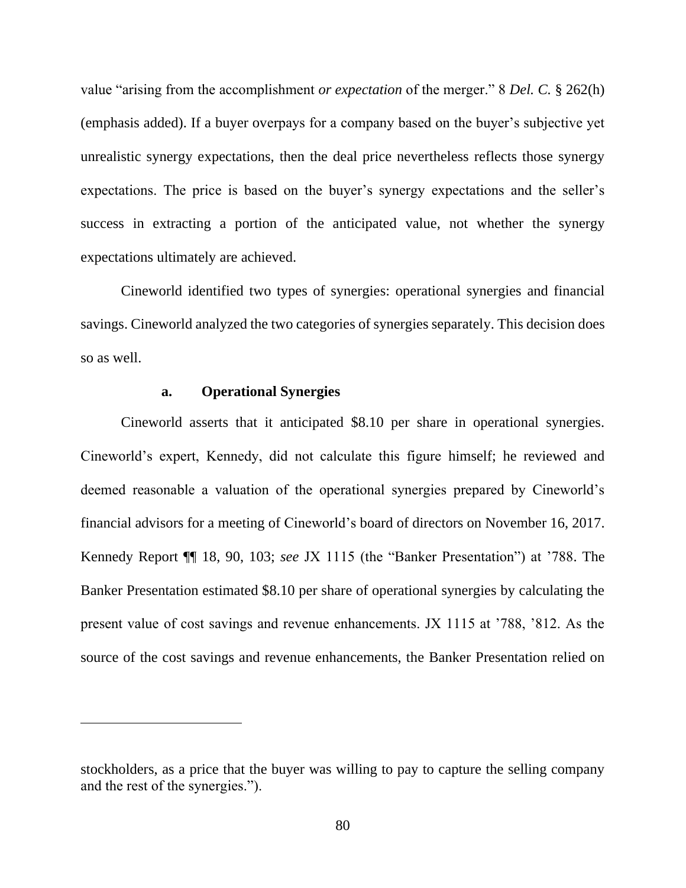value "arising from the accomplishment *or expectation* of the merger." 8 *Del. C.* § 262(h) (emphasis added). If a buyer overpays for a company based on the buyer's subjective yet unrealistic synergy expectations, then the deal price nevertheless reflects those synergy expectations. The price is based on the buyer's synergy expectations and the seller's success in extracting a portion of the anticipated value, not whether the synergy expectations ultimately are achieved.

Cineworld identified two types of synergies: operational synergies and financial savings. Cineworld analyzed the two categories of synergies separately. This decision does so as well.

## **a. Operational Synergies**

Cineworld asserts that it anticipated \$8.10 per share in operational synergies. Cineworld's expert, Kennedy, did not calculate this figure himself; he reviewed and deemed reasonable a valuation of the operational synergies prepared by Cineworld's financial advisors for a meeting of Cineworld's board of directors on November 16, 2017. Kennedy Report ¶¶ 18, 90, 103; *see* JX 1115 (the "Banker Presentation") at '788. The Banker Presentation estimated \$8.10 per share of operational synergies by calculating the present value of cost savings and revenue enhancements. JX 1115 at '788, '812. As the source of the cost savings and revenue enhancements, the Banker Presentation relied on

stockholders, as a price that the buyer was willing to pay to capture the selling company and the rest of the synergies.").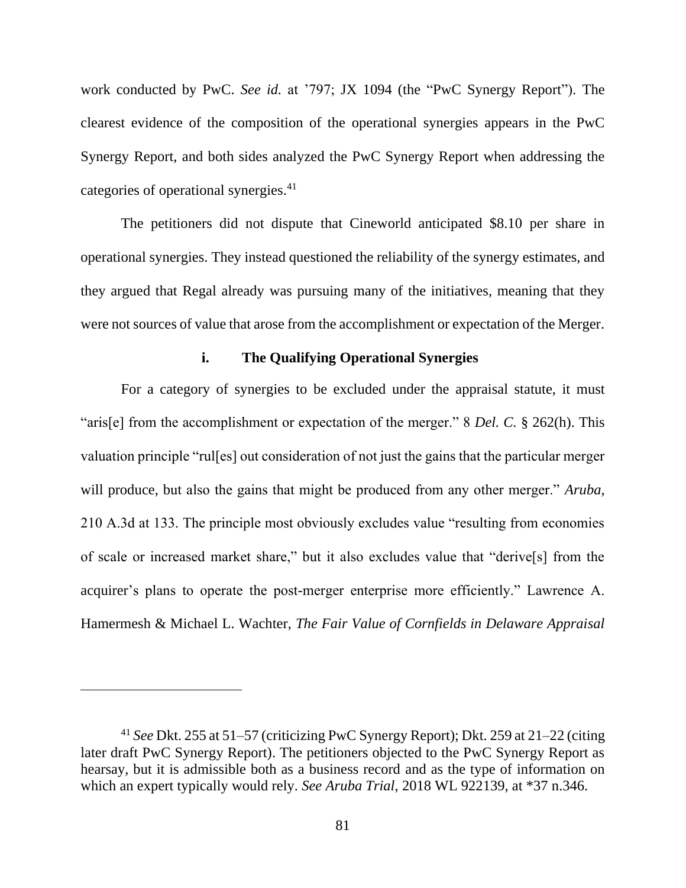work conducted by PwC. *See id.* at '797; JX 1094 (the "PwC Synergy Report"). The clearest evidence of the composition of the operational synergies appears in the PwC Synergy Report, and both sides analyzed the PwC Synergy Report when addressing the categories of operational synergies.<sup>41</sup>

The petitioners did not dispute that Cineworld anticipated \$8.10 per share in operational synergies. They instead questioned the reliability of the synergy estimates, and they argued that Regal already was pursuing many of the initiatives, meaning that they were not sources of value that arose from the accomplishment or expectation of the Merger.

## **i. The Qualifying Operational Synergies**

For a category of synergies to be excluded under the appraisal statute, it must "aris[e] from the accomplishment or expectation of the merger." 8 *Del. C.* § 262(h). This valuation principle "rul[es] out consideration of not just the gains that the particular merger will produce, but also the gains that might be produced from any other merger." *Aruba*, 210 A.3d at 133. The principle most obviously excludes value "resulting from economies of scale or increased market share," but it also excludes value that "derive[s] from the acquirer's plans to operate the post-merger enterprise more efficiently." Lawrence A. Hamermesh & Michael L. Wachter, *The Fair Value of Cornfields in Delaware Appraisal* 

<sup>41</sup> *See* Dkt. 255 at 51–57 (criticizing PwC Synergy Report); Dkt. 259 at 21–22 (citing later draft PwC Synergy Report). The petitioners objected to the PwC Synergy Report as hearsay, but it is admissible both as a business record and as the type of information on which an expert typically would rely. *See Aruba Trial*, 2018 WL 922139, at \*37 n.346.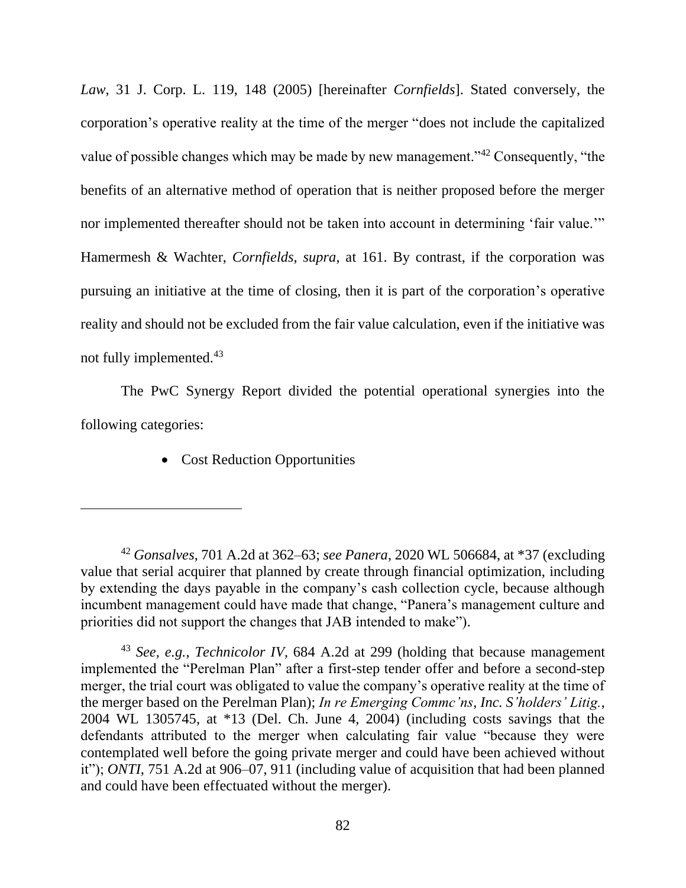*Law*, 31 J. Corp. L. 119, 148 (2005) [hereinafter *Cornfields*]. Stated conversely, the corporation's operative reality at the time of the merger "does not include the capitalized value of possible changes which may be made by new management."<sup>42</sup> Consequently, "the benefits of an alternative method of operation that is neither proposed before the merger nor implemented thereafter should not be taken into account in determining 'fair value.'" Hamermesh & Wachter, *Cornfields*, *supra*, at 161. By contrast, if the corporation was pursuing an initiative at the time of closing, then it is part of the corporation's operative reality and should not be excluded from the fair value calculation, even if the initiative was not fully implemented.<sup>43</sup>

The PwC Synergy Report divided the potential operational synergies into the following categories:

• Cost Reduction Opportunities

<sup>42</sup> *Gonsalves*, 701 A.2d at 362–63; *see Panera*, 2020 WL 506684, at \*37 (excluding value that serial acquirer that planned by create through financial optimization, including by extending the days payable in the company's cash collection cycle, because although incumbent management could have made that change, "Panera's management culture and priorities did not support the changes that JAB intended to make").

<sup>43</sup> *See, e.g.*, *Technicolor IV*, 684 A.2d at 299 (holding that because management implemented the "Perelman Plan" after a first-step tender offer and before a second-step merger, the trial court was obligated to value the company's operative reality at the time of the merger based on the Perelman Plan); *In re Emerging Commc'ns, Inc. S'holders' Litig.*, 2004 WL 1305745, at \*13 (Del. Ch. June 4, 2004) (including costs savings that the defendants attributed to the merger when calculating fair value "because they were contemplated well before the going private merger and could have been achieved without it"); *ONTI*, 751 A.2d at 906–07, 911 (including value of acquisition that had been planned and could have been effectuated without the merger).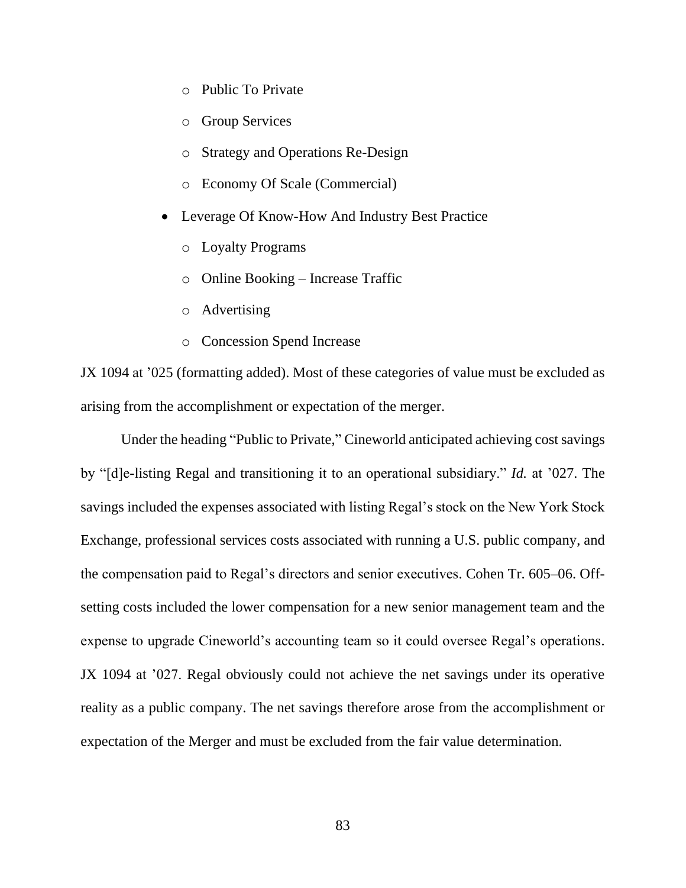- o Public To Private
- o Group Services
- o Strategy and Operations Re-Design
- o Economy Of Scale (Commercial)
- Leverage Of Know-How And Industry Best Practice
	- o Loyalty Programs
	- o Online Booking Increase Traffic
	- o Advertising
	- o Concession Spend Increase

JX 1094 at '025 (formatting added). Most of these categories of value must be excluded as arising from the accomplishment or expectation of the merger.

Under the heading "Public to Private," Cineworld anticipated achieving cost savings by "[d]e-listing Regal and transitioning it to an operational subsidiary." *Id.* at '027. The savings included the expenses associated with listing Regal's stock on the New York Stock Exchange, professional services costs associated with running a U.S. public company, and the compensation paid to Regal's directors and senior executives. Cohen Tr. 605–06. Offsetting costs included the lower compensation for a new senior management team and the expense to upgrade Cineworld's accounting team so it could oversee Regal's operations. JX 1094 at '027. Regal obviously could not achieve the net savings under its operative reality as a public company. The net savings therefore arose from the accomplishment or expectation of the Merger and must be excluded from the fair value determination.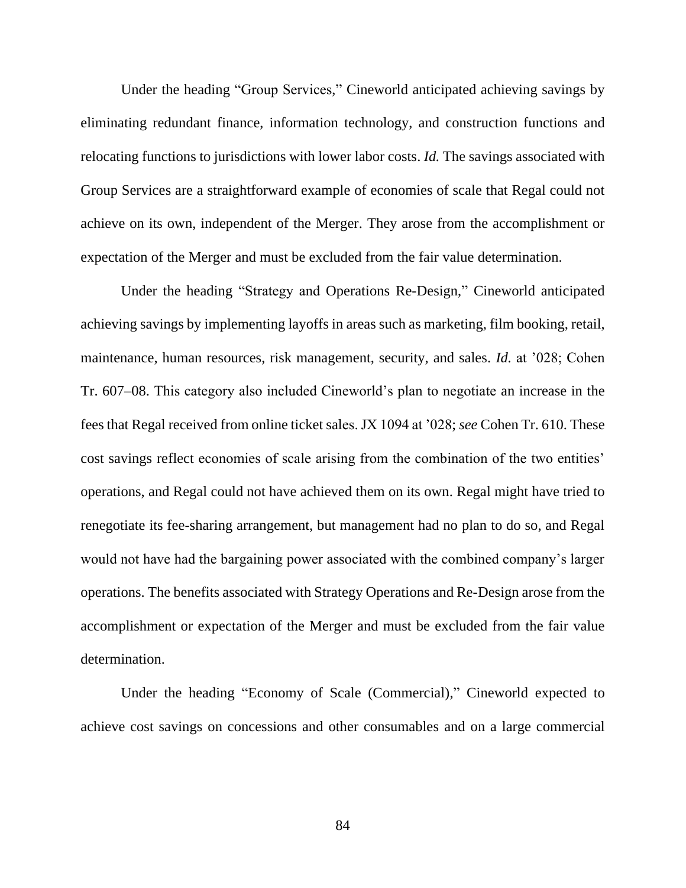Under the heading "Group Services," Cineworld anticipated achieving savings by eliminating redundant finance, information technology, and construction functions and relocating functions to jurisdictions with lower labor costs. *Id.* The savings associated with Group Services are a straightforward example of economies of scale that Regal could not achieve on its own, independent of the Merger. They arose from the accomplishment or expectation of the Merger and must be excluded from the fair value determination.

Under the heading "Strategy and Operations Re-Design," Cineworld anticipated achieving savings by implementing layoffs in areas such as marketing, film booking, retail, maintenance, human resources, risk management, security, and sales. *Id.* at '028; Cohen Tr. 607–08. This category also included Cineworld's plan to negotiate an increase in the fees that Regal received from online ticket sales. JX 1094 at '028; *see* Cohen Tr. 610. These cost savings reflect economies of scale arising from the combination of the two entities' operations, and Regal could not have achieved them on its own. Regal might have tried to renegotiate its fee-sharing arrangement, but management had no plan to do so, and Regal would not have had the bargaining power associated with the combined company's larger operations. The benefits associated with Strategy Operations and Re-Design arose from the accomplishment or expectation of the Merger and must be excluded from the fair value determination.

Under the heading "Economy of Scale (Commercial)," Cineworld expected to achieve cost savings on concessions and other consumables and on a large commercial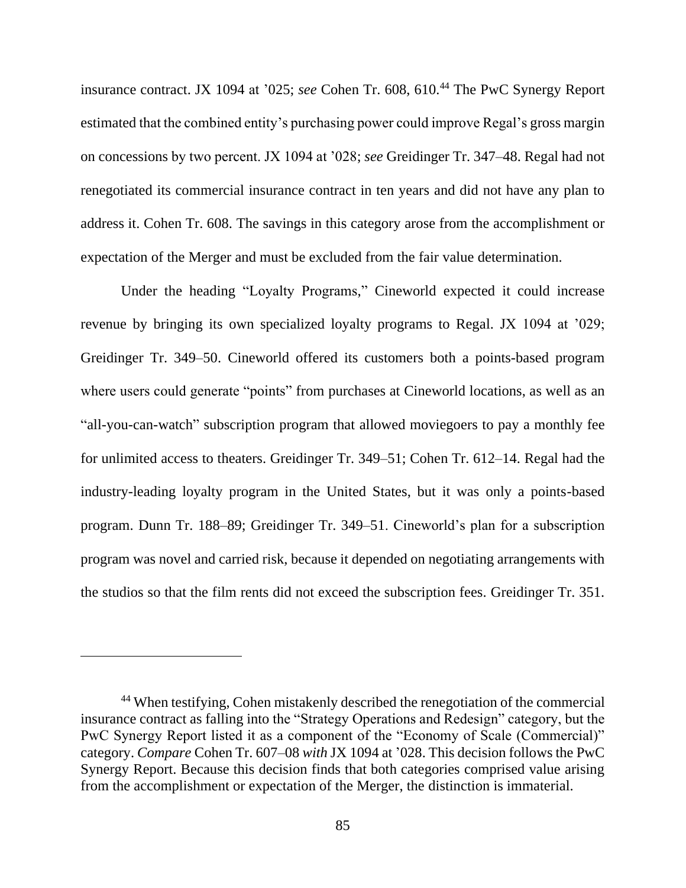insurance contract. JX 1094 at '025; *see* Cohen Tr. 608, 610. <sup>44</sup> The PwC Synergy Report estimated that the combined entity's purchasing power could improve Regal's gross margin on concessions by two percent. JX 1094 at '028; *see* Greidinger Tr. 347–48. Regal had not renegotiated its commercial insurance contract in ten years and did not have any plan to address it. Cohen Tr. 608. The savings in this category arose from the accomplishment or expectation of the Merger and must be excluded from the fair value determination.

Under the heading "Loyalty Programs," Cineworld expected it could increase revenue by bringing its own specialized loyalty programs to Regal. JX 1094 at '029; Greidinger Tr. 349–50. Cineworld offered its customers both a points-based program where users could generate "points" from purchases at Cineworld locations, as well as an "all-you-can-watch" subscription program that allowed moviegoers to pay a monthly fee for unlimited access to theaters. Greidinger Tr. 349–51; Cohen Tr. 612–14. Regal had the industry-leading loyalty program in the United States, but it was only a points-based program. Dunn Tr. 188–89; Greidinger Tr. 349–51. Cineworld's plan for a subscription program was novel and carried risk, because it depended on negotiating arrangements with the studios so that the film rents did not exceed the subscription fees. Greidinger Tr. 351.

<sup>44</sup> When testifying, Cohen mistakenly described the renegotiation of the commercial insurance contract as falling into the "Strategy Operations and Redesign" category, but the PwC Synergy Report listed it as a component of the "Economy of Scale (Commercial)" category. *Compare* Cohen Tr. 607–08 *with* JX 1094 at '028. This decision follows the PwC Synergy Report. Because this decision finds that both categories comprised value arising from the accomplishment or expectation of the Merger, the distinction is immaterial.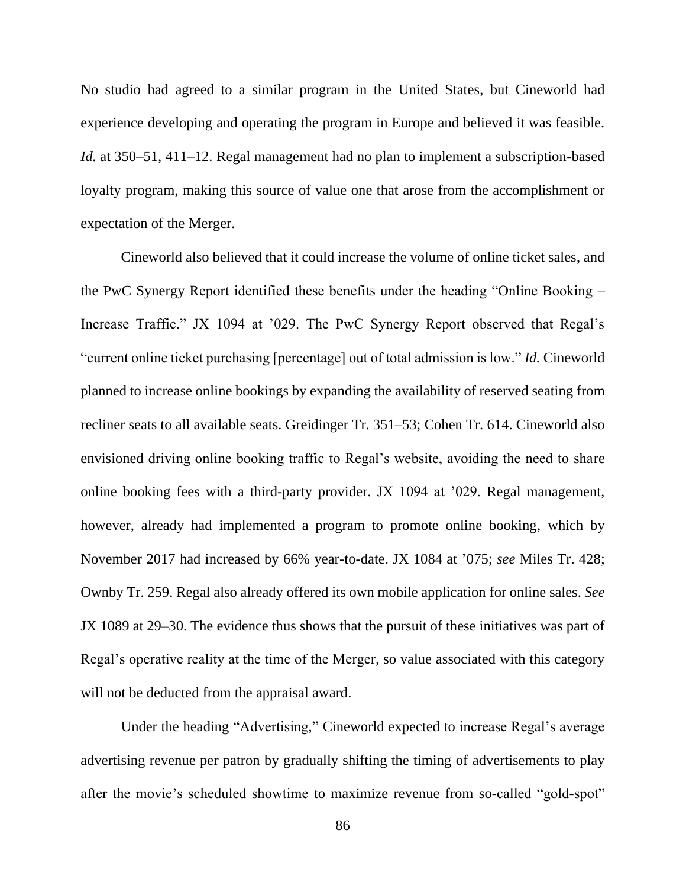No studio had agreed to a similar program in the United States, but Cineworld had experience developing and operating the program in Europe and believed it was feasible. *Id.* at 350–51, 411–12. Regal management had no plan to implement a subscription-based loyalty program, making this source of value one that arose from the accomplishment or expectation of the Merger.

Cineworld also believed that it could increase the volume of online ticket sales, and the PwC Synergy Report identified these benefits under the heading "Online Booking – Increase Traffic." JX 1094 at '029. The PwC Synergy Report observed that Regal's "current online ticket purchasing [percentage] out of total admission is low." *Id.* Cineworld planned to increase online bookings by expanding the availability of reserved seating from recliner seats to all available seats. Greidinger Tr. 351–53; Cohen Tr. 614. Cineworld also envisioned driving online booking traffic to Regal's website, avoiding the need to share online booking fees with a third-party provider. JX 1094 at '029. Regal management, however, already had implemented a program to promote online booking, which by November 2017 had increased by 66% year-to-date. JX 1084 at '075; *see* Miles Tr. 428; Ownby Tr. 259. Regal also already offered its own mobile application for online sales. *See* JX 1089 at 29–30. The evidence thus shows that the pursuit of these initiatives was part of Regal's operative reality at the time of the Merger, so value associated with this category will not be deducted from the appraisal award.

Under the heading "Advertising," Cineworld expected to increase Regal's average advertising revenue per patron by gradually shifting the timing of advertisements to play after the movie's scheduled showtime to maximize revenue from so-called "gold-spot"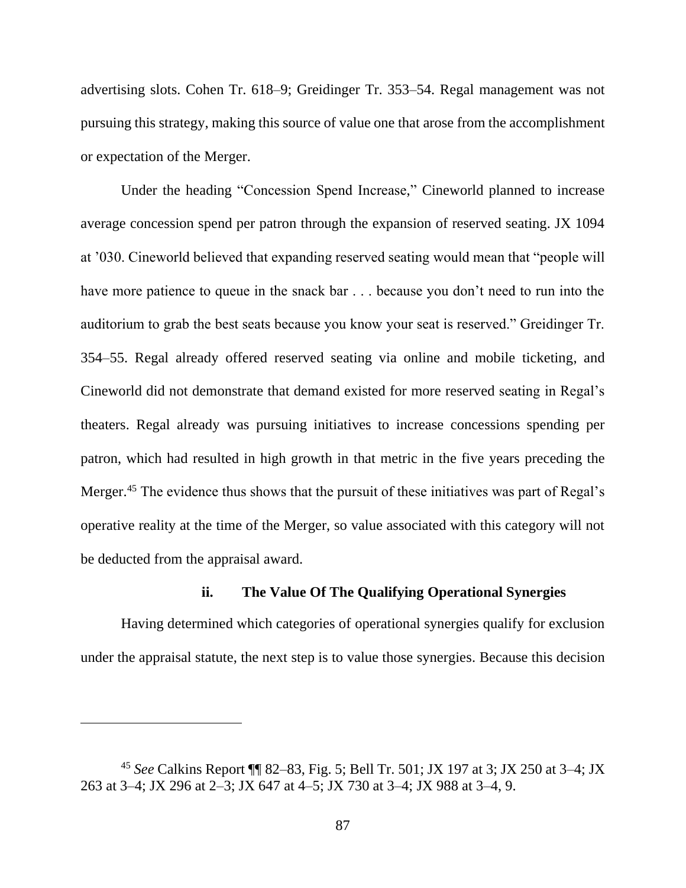advertising slots. Cohen Tr. 618–9; Greidinger Tr. 353–54. Regal management was not pursuing this strategy, making this source of value one that arose from the accomplishment or expectation of the Merger.

Under the heading "Concession Spend Increase," Cineworld planned to increase average concession spend per patron through the expansion of reserved seating. JX 1094 at '030. Cineworld believed that expanding reserved seating would mean that "people will have more patience to queue in the snack bar . . . because you don't need to run into the auditorium to grab the best seats because you know your seat is reserved." Greidinger Tr. 354–55. Regal already offered reserved seating via online and mobile ticketing, and Cineworld did not demonstrate that demand existed for more reserved seating in Regal's theaters. Regal already was pursuing initiatives to increase concessions spending per patron, which had resulted in high growth in that metric in the five years preceding the Merger.<sup>45</sup> The evidence thus shows that the pursuit of these initiatives was part of Regal's operative reality at the time of the Merger, so value associated with this category will not be deducted from the appraisal award.

# **ii. The Value Of The Qualifying Operational Synergies**

Having determined which categories of operational synergies qualify for exclusion under the appraisal statute, the next step is to value those synergies. Because this decision

<sup>45</sup> *See* Calkins Report ¶¶ 82–83, Fig. 5; Bell Tr. 501; JX 197 at 3; JX 250 at 3–4; JX 263 at 3–4; JX 296 at 2–3; JX 647 at 4–5; JX 730 at 3–4; JX 988 at 3–4, 9.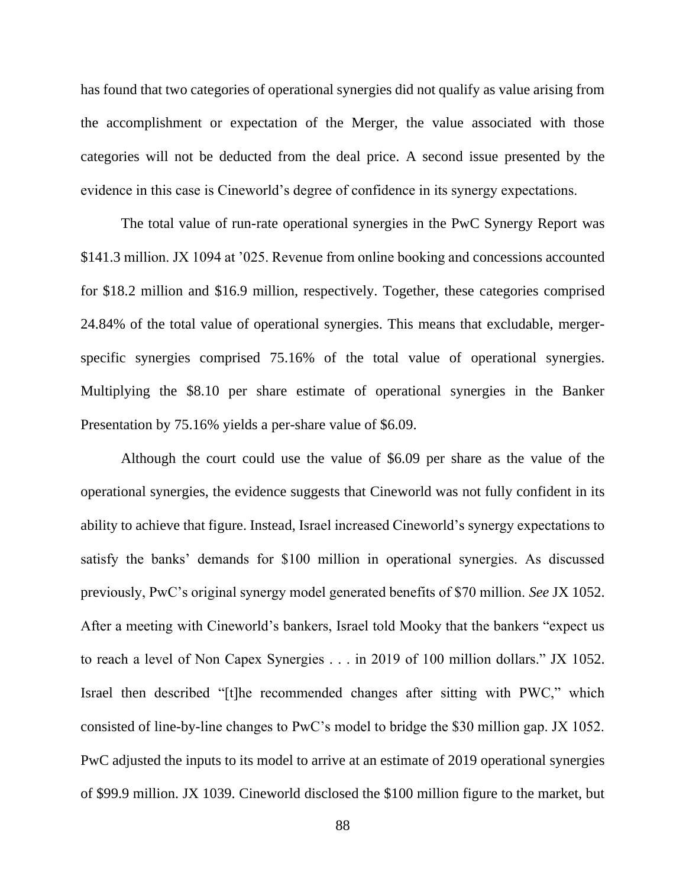has found that two categories of operational synergies did not qualify as value arising from the accomplishment or expectation of the Merger, the value associated with those categories will not be deducted from the deal price. A second issue presented by the evidence in this case is Cineworld's degree of confidence in its synergy expectations.

The total value of run-rate operational synergies in the PwC Synergy Report was \$141.3 million. JX 1094 at '025. Revenue from online booking and concessions accounted for \$18.2 million and \$16.9 million, respectively. Together, these categories comprised 24.84% of the total value of operational synergies. This means that excludable, mergerspecific synergies comprised 75.16% of the total value of operational synergies. Multiplying the \$8.10 per share estimate of operational synergies in the Banker Presentation by 75.16% yields a per-share value of \$6.09.

Although the court could use the value of \$6.09 per share as the value of the operational synergies, the evidence suggests that Cineworld was not fully confident in its ability to achieve that figure. Instead, Israel increased Cineworld's synergy expectations to satisfy the banks' demands for \$100 million in operational synergies. As discussed previously, PwC's original synergy model generated benefits of \$70 million. *See* JX 1052. After a meeting with Cineworld's bankers, Israel told Mooky that the bankers "expect us to reach a level of Non Capex Synergies . . . in 2019 of 100 million dollars." JX 1052. Israel then described "[t]he recommended changes after sitting with PWC," which consisted of line-by-line changes to PwC's model to bridge the \$30 million gap. JX 1052. PwC adjusted the inputs to its model to arrive at an estimate of 2019 operational synergies of \$99.9 million. JX 1039. Cineworld disclosed the \$100 million figure to the market, but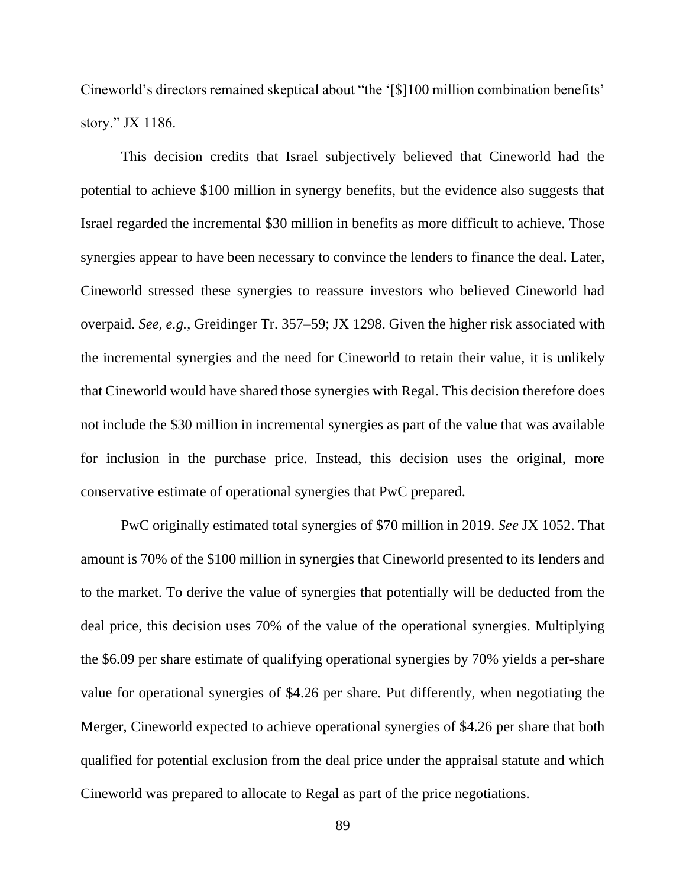Cineworld's directors remained skeptical about "the '[\$]100 million combination benefits' story." JX 1186.

This decision credits that Israel subjectively believed that Cineworld had the potential to achieve \$100 million in synergy benefits, but the evidence also suggests that Israel regarded the incremental \$30 million in benefits as more difficult to achieve. Those synergies appear to have been necessary to convince the lenders to finance the deal. Later, Cineworld stressed these synergies to reassure investors who believed Cineworld had overpaid. *See, e.g.*, Greidinger Tr. 357–59; JX 1298. Given the higher risk associated with the incremental synergies and the need for Cineworld to retain their value, it is unlikely that Cineworld would have shared those synergies with Regal. This decision therefore does not include the \$30 million in incremental synergies as part of the value that was available for inclusion in the purchase price. Instead, this decision uses the original, more conservative estimate of operational synergies that PwC prepared.

PwC originally estimated total synergies of \$70 million in 2019. *See* JX 1052. That amount is 70% of the \$100 million in synergies that Cineworld presented to its lenders and to the market. To derive the value of synergies that potentially will be deducted from the deal price, this decision uses 70% of the value of the operational synergies. Multiplying the \$6.09 per share estimate of qualifying operational synergies by 70% yields a per-share value for operational synergies of \$4.26 per share. Put differently, when negotiating the Merger, Cineworld expected to achieve operational synergies of \$4.26 per share that both qualified for potential exclusion from the deal price under the appraisal statute and which Cineworld was prepared to allocate to Regal as part of the price negotiations.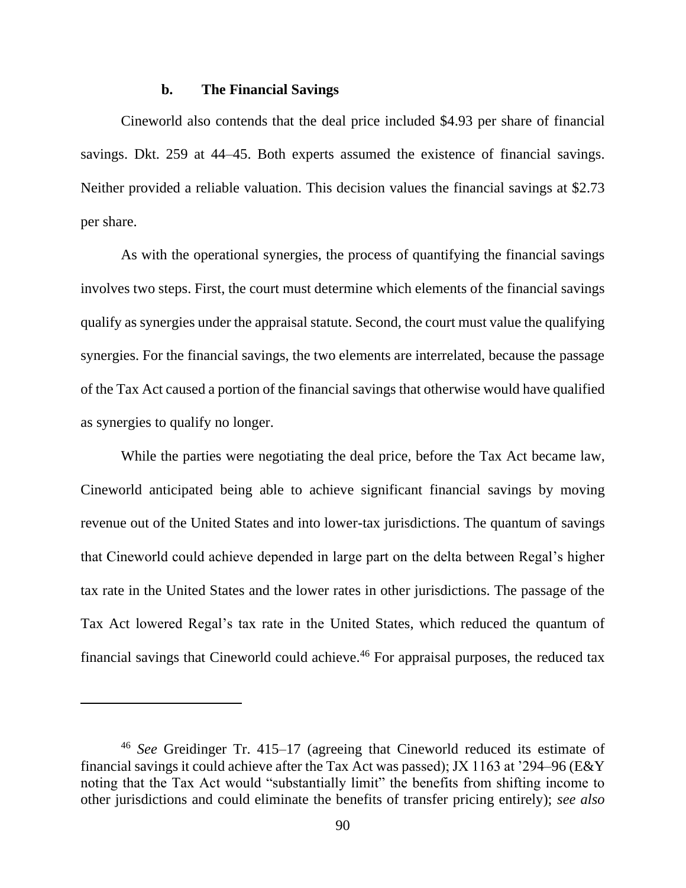### **b. The Financial Savings**

Cineworld also contends that the deal price included \$4.93 per share of financial savings. Dkt. 259 at 44–45. Both experts assumed the existence of financial savings. Neither provided a reliable valuation. This decision values the financial savings at \$2.73 per share.

As with the operational synergies, the process of quantifying the financial savings involves two steps. First, the court must determine which elements of the financial savings qualify as synergies under the appraisal statute. Second, the court must value the qualifying synergies. For the financial savings, the two elements are interrelated, because the passage of the Tax Act caused a portion of the financial savings that otherwise would have qualified as synergies to qualify no longer.

While the parties were negotiating the deal price, before the Tax Act became law, Cineworld anticipated being able to achieve significant financial savings by moving revenue out of the United States and into lower-tax jurisdictions. The quantum of savings that Cineworld could achieve depended in large part on the delta between Regal's higher tax rate in the United States and the lower rates in other jurisdictions. The passage of the Tax Act lowered Regal's tax rate in the United States, which reduced the quantum of financial savings that Cineworld could achieve.<sup>46</sup> For appraisal purposes, the reduced tax

<sup>46</sup> *See* Greidinger Tr. 415–17 (agreeing that Cineworld reduced its estimate of financial savings it could achieve after the Tax Act was passed); JX 1163 at '294–96 (E&Y noting that the Tax Act would "substantially limit" the benefits from shifting income to other jurisdictions and could eliminate the benefits of transfer pricing entirely); *see also*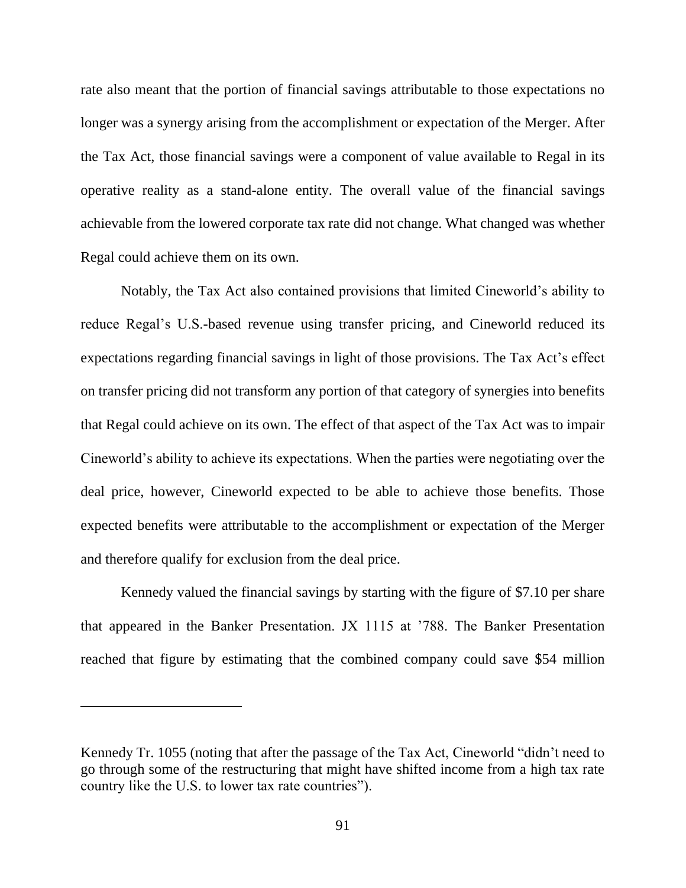rate also meant that the portion of financial savings attributable to those expectations no longer was a synergy arising from the accomplishment or expectation of the Merger. After the Tax Act, those financial savings were a component of value available to Regal in its operative reality as a stand-alone entity. The overall value of the financial savings achievable from the lowered corporate tax rate did not change. What changed was whether Regal could achieve them on its own.

Notably, the Tax Act also contained provisions that limited Cineworld's ability to reduce Regal's U.S.-based revenue using transfer pricing, and Cineworld reduced its expectations regarding financial savings in light of those provisions. The Tax Act's effect on transfer pricing did not transform any portion of that category of synergies into benefits that Regal could achieve on its own. The effect of that aspect of the Tax Act was to impair Cineworld's ability to achieve its expectations. When the parties were negotiating over the deal price, however, Cineworld expected to be able to achieve those benefits. Those expected benefits were attributable to the accomplishment or expectation of the Merger and therefore qualify for exclusion from the deal price.

Kennedy valued the financial savings by starting with the figure of \$7.10 per share that appeared in the Banker Presentation. JX 1115 at '788. The Banker Presentation reached that figure by estimating that the combined company could save \$54 million

Kennedy Tr. 1055 (noting that after the passage of the Tax Act, Cineworld "didn't need to go through some of the restructuring that might have shifted income from a high tax rate country like the U.S. to lower tax rate countries").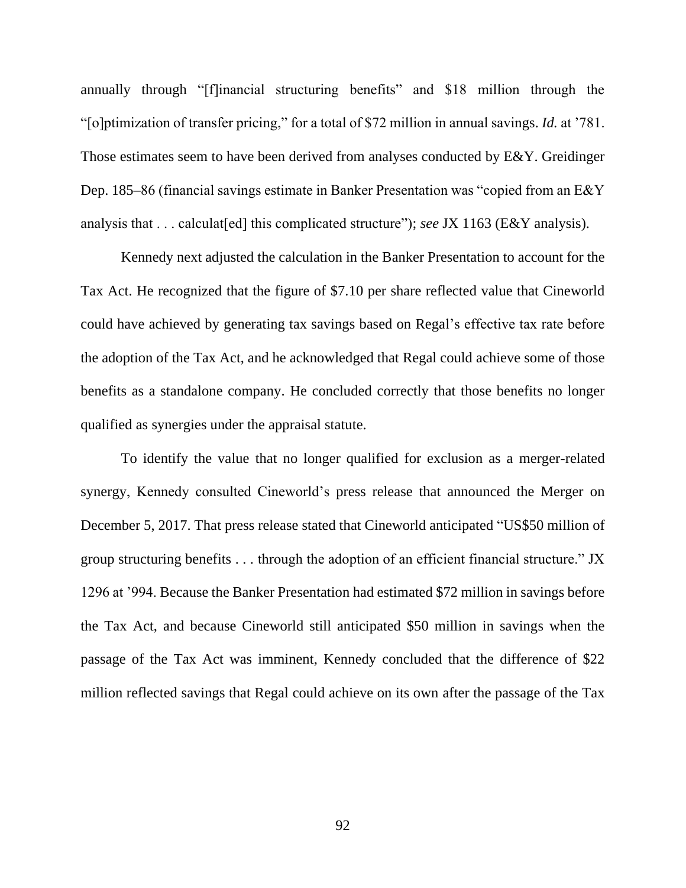annually through "[f]inancial structuring benefits" and \$18 million through the "[o]ptimization of transfer pricing," for a total of \$72 million in annual savings. *Id.* at '781. Those estimates seem to have been derived from analyses conducted by E&Y. Greidinger Dep. 185–86 (financial savings estimate in Banker Presentation was "copied from an E&Y analysis that . . . calculat[ed] this complicated structure"); *see* JX 1163 (E&Y analysis).

Kennedy next adjusted the calculation in the Banker Presentation to account for the Tax Act. He recognized that the figure of \$7.10 per share reflected value that Cineworld could have achieved by generating tax savings based on Regal's effective tax rate before the adoption of the Tax Act, and he acknowledged that Regal could achieve some of those benefits as a standalone company. He concluded correctly that those benefits no longer qualified as synergies under the appraisal statute.

To identify the value that no longer qualified for exclusion as a merger-related synergy, Kennedy consulted Cineworld's press release that announced the Merger on December 5, 2017. That press release stated that Cineworld anticipated "US\$50 million of group structuring benefits . . . through the adoption of an efficient financial structure." JX 1296 at '994. Because the Banker Presentation had estimated \$72 million in savings before the Tax Act, and because Cineworld still anticipated \$50 million in savings when the passage of the Tax Act was imminent, Kennedy concluded that the difference of \$22 million reflected savings that Regal could achieve on its own after the passage of the Tax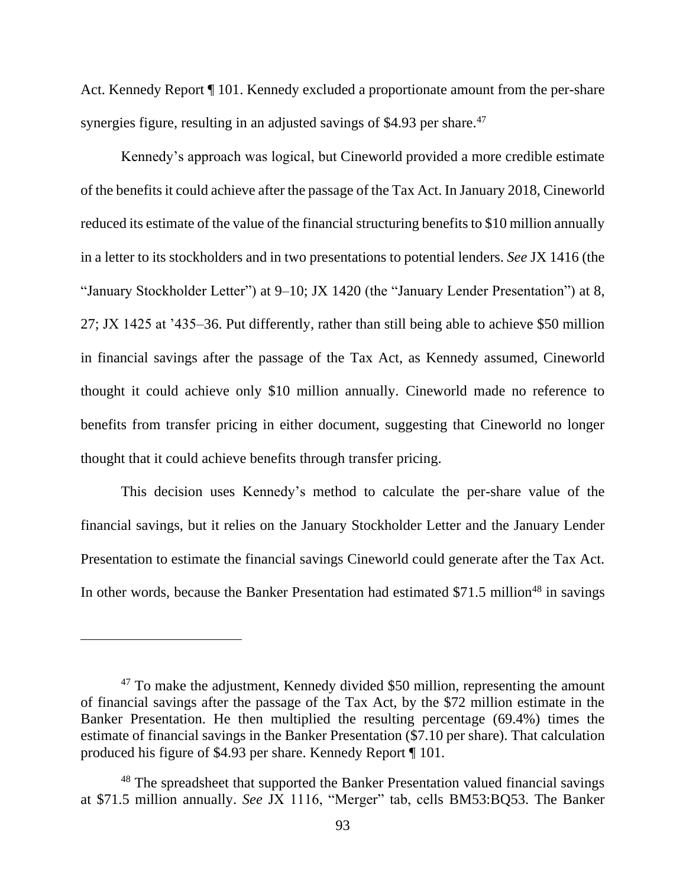Act. Kennedy Report ¶ 101. Kennedy excluded a proportionate amount from the per-share synergies figure, resulting in an adjusted savings of \$4.93 per share.<sup>47</sup>

Kennedy's approach was logical, but Cineworld provided a more credible estimate of the benefits it could achieve after the passage of the Tax Act. In January 2018, Cineworld reduced its estimate of the value of the financial structuring benefits to \$10 million annually in a letter to its stockholders and in two presentations to potential lenders. *See* JX 1416 (the "January Stockholder Letter") at 9–10; JX 1420 (the "January Lender Presentation") at 8, 27; JX 1425 at '435–36. Put differently, rather than still being able to achieve \$50 million in financial savings after the passage of the Tax Act, as Kennedy assumed, Cineworld thought it could achieve only \$10 million annually. Cineworld made no reference to benefits from transfer pricing in either document, suggesting that Cineworld no longer thought that it could achieve benefits through transfer pricing.

This decision uses Kennedy's method to calculate the per-share value of the financial savings, but it relies on the January Stockholder Letter and the January Lender Presentation to estimate the financial savings Cineworld could generate after the Tax Act. In other words, because the Banker Presentation had estimated  $$71.5$  million<sup>48</sup> in savings

<sup>&</sup>lt;sup>47</sup> To make the adjustment, Kennedy divided \$50 million, representing the amount of financial savings after the passage of the Tax Act, by the \$72 million estimate in the Banker Presentation. He then multiplied the resulting percentage (69.4%) times the estimate of financial savings in the Banker Presentation (\$7.10 per share). That calculation produced his figure of \$4.93 per share. Kennedy Report ¶ 101.

<sup>&</sup>lt;sup>48</sup> The spreadsheet that supported the Banker Presentation valued financial savings at \$71.5 million annually. *See* JX 1116, "Merger" tab, cells BM53:BQ53. The Banker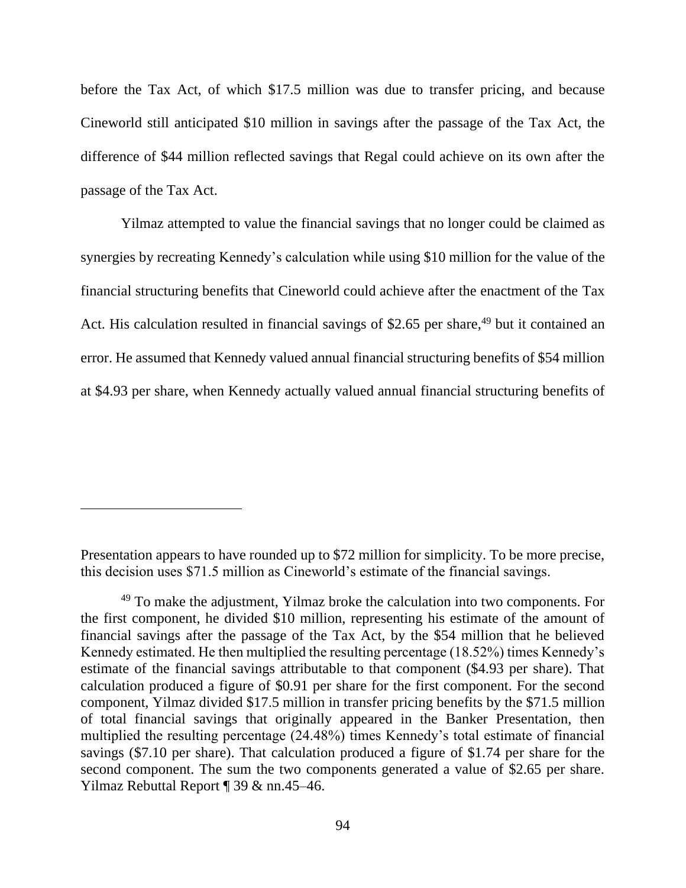before the Tax Act, of which \$17.5 million was due to transfer pricing, and because Cineworld still anticipated \$10 million in savings after the passage of the Tax Act, the difference of \$44 million reflected savings that Regal could achieve on its own after the passage of the Tax Act.

Yilmaz attempted to value the financial savings that no longer could be claimed as synergies by recreating Kennedy's calculation while using \$10 million for the value of the financial structuring benefits that Cineworld could achieve after the enactment of the Tax Act. His calculation resulted in financial savings of \$2.65 per share,<sup>49</sup> but it contained an error. He assumed that Kennedy valued annual financial structuring benefits of \$54 million at \$4.93 per share, when Kennedy actually valued annual financial structuring benefits of

Presentation appears to have rounded up to \$72 million for simplicity. To be more precise, this decision uses \$71.5 million as Cineworld's estimate of the financial savings.

<sup>&</sup>lt;sup>49</sup> To make the adjustment, Yilmaz broke the calculation into two components. For the first component, he divided \$10 million, representing his estimate of the amount of financial savings after the passage of the Tax Act, by the \$54 million that he believed Kennedy estimated. He then multiplied the resulting percentage (18.52%) times Kennedy's estimate of the financial savings attributable to that component (\$4.93 per share). That calculation produced a figure of \$0.91 per share for the first component. For the second component, Yilmaz divided \$17.5 million in transfer pricing benefits by the \$71.5 million of total financial savings that originally appeared in the Banker Presentation, then multiplied the resulting percentage (24.48%) times Kennedy's total estimate of financial savings (\$7.10 per share). That calculation produced a figure of \$1.74 per share for the second component. The sum the two components generated a value of \$2.65 per share. Yilmaz Rebuttal Report ¶ 39 & nn.45–46.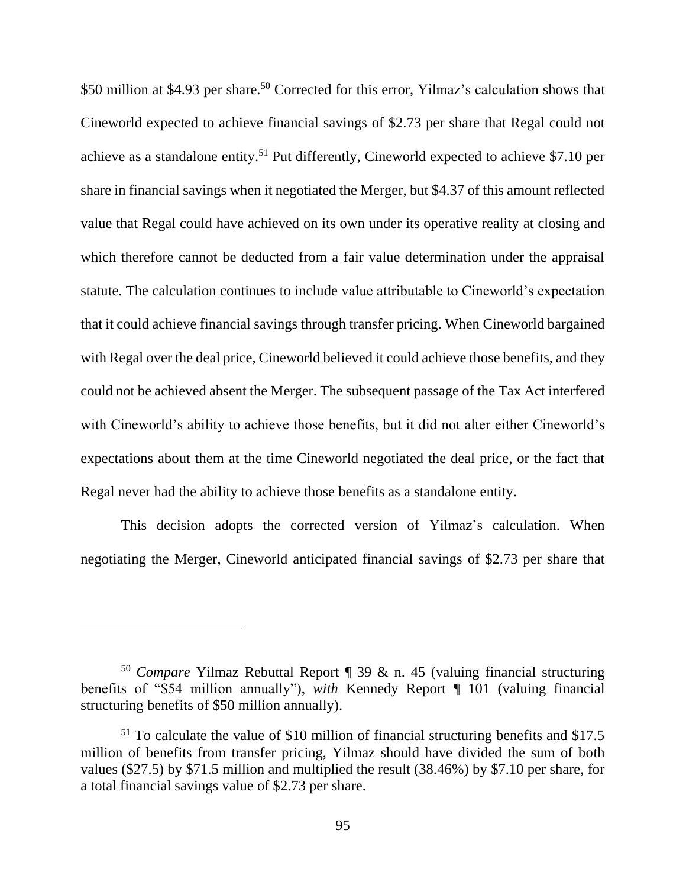\$50 million at \$4.93 per share.<sup>50</sup> Corrected for this error, Yilmaz's calculation shows that Cineworld expected to achieve financial savings of \$2.73 per share that Regal could not achieve as a standalone entity. <sup>51</sup> Put differently, Cineworld expected to achieve \$7.10 per share in financial savings when it negotiated the Merger, but \$4.37 of this amount reflected value that Regal could have achieved on its own under its operative reality at closing and which therefore cannot be deducted from a fair value determination under the appraisal statute. The calculation continues to include value attributable to Cineworld's expectation that it could achieve financial savings through transfer pricing. When Cineworld bargained with Regal over the deal price, Cineworld believed it could achieve those benefits, and they could not be achieved absent the Merger. The subsequent passage of the Tax Act interfered with Cineworld's ability to achieve those benefits, but it did not alter either Cineworld's expectations about them at the time Cineworld negotiated the deal price, or the fact that Regal never had the ability to achieve those benefits as a standalone entity.

This decision adopts the corrected version of Yilmaz's calculation. When negotiating the Merger, Cineworld anticipated financial savings of \$2.73 per share that

<sup>50</sup> *Compare* Yilmaz Rebuttal Report ¶ 39 & n. 45 (valuing financial structuring benefits of "\$54 million annually"), *with* Kennedy Report ¶ 101 (valuing financial structuring benefits of \$50 million annually).

<sup>51</sup> To calculate the value of \$10 million of financial structuring benefits and \$17.5 million of benefits from transfer pricing, Yilmaz should have divided the sum of both values (\$27.5) by \$71.5 million and multiplied the result (38.46%) by \$7.10 per share, for a total financial savings value of \$2.73 per share.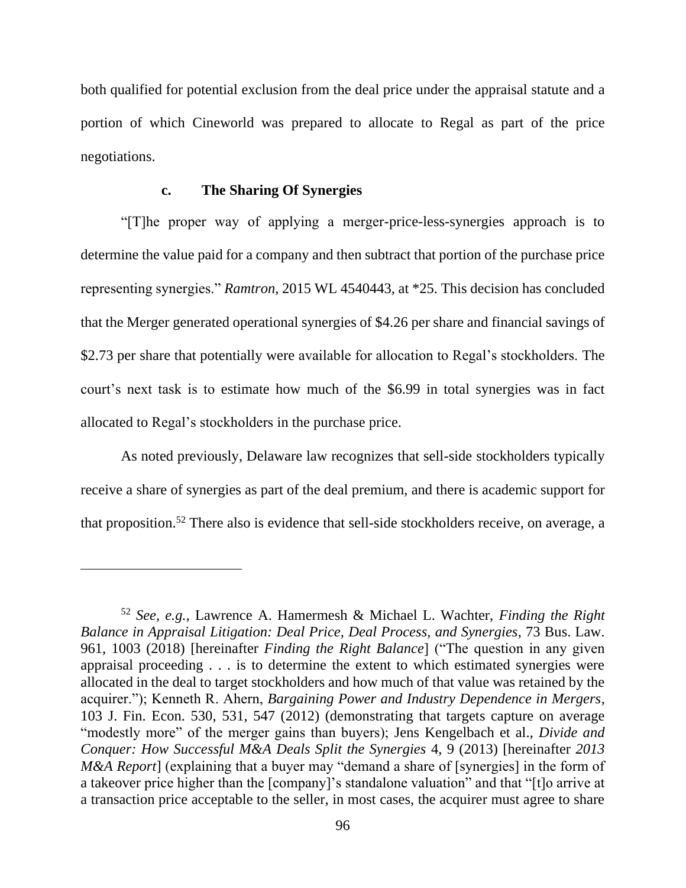both qualified for potential exclusion from the deal price under the appraisal statute and a portion of which Cineworld was prepared to allocate to Regal as part of the price negotiations.

## **c. The Sharing Of Synergies**

"[T]he proper way of applying a merger-price-less-synergies approach is to determine the value paid for a company and then subtract that portion of the purchase price representing synergies." *Ramtron*, 2015 WL 4540443, at \*25. This decision has concluded that the Merger generated operational synergies of \$4.26 per share and financial savings of \$2.73 per share that potentially were available for allocation to Regal's stockholders. The court's next task is to estimate how much of the \$6.99 in total synergies was in fact allocated to Regal's stockholders in the purchase price.

As noted previously, Delaware law recognizes that sell-side stockholders typically receive a share of synergies as part of the deal premium, and there is academic support for that proposition.<sup>52</sup> There also is evidence that sell-side stockholders receive, on average, a

<sup>52</sup> *See, e.g.*, Lawrence A. Hamermesh & Michael L. Wachter, *Finding the Right Balance in Appraisal Litigation: Deal Price, Deal Process, and Synergies*, 73 Bus. Law. 961, 1003 (2018) [hereinafter *Finding the Right Balance*] ("The question in any given appraisal proceeding . . . is to determine the extent to which estimated synergies were allocated in the deal to target stockholders and how much of that value was retained by the acquirer."); Kenneth R. Ahern, *Bargaining Power and Industry Dependence in Mergers*, 103 J. Fin. Econ. 530, 531, 547 (2012) (demonstrating that targets capture on average "modestly more" of the merger gains than buyers); Jens Kengelbach et al., *Divide and Conquer: How Successful M&A Deals Split the Synergies* 4, 9 (2013) [hereinafter *2013 M&A Report*] (explaining that a buyer may "demand a share of [synergies] in the form of a takeover price higher than the [company]'s standalone valuation" and that "[t]o arrive at a transaction price acceptable to the seller, in most cases, the acquirer must agree to share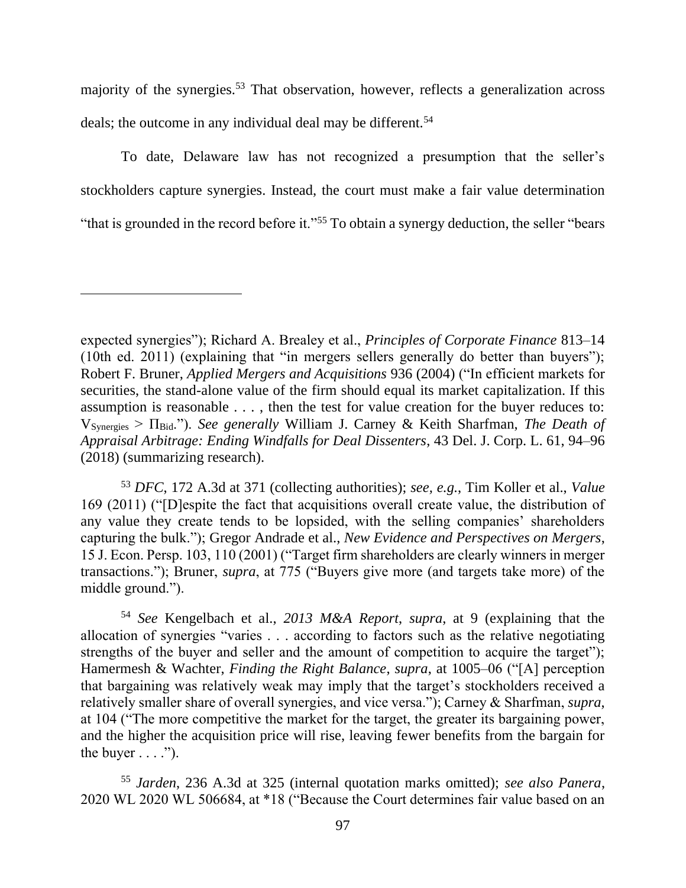majority of the synergies.<sup>53</sup> That observation, however, reflects a generalization across deals; the outcome in any individual deal may be different.<sup>54</sup>

To date, Delaware law has not recognized a presumption that the seller's stockholders capture synergies. Instead, the court must make a fair value determination "that is grounded in the record before it."<sup>55</sup> To obtain a synergy deduction, the seller "bears"

<sup>53</sup> *DFC*, 172 A.3d at 371 (collecting authorities); *see, e.g.*, Tim Koller et al., *Value* 169 (2011) ("[D]espite the fact that acquisitions overall create value, the distribution of any value they create tends to be lopsided, with the selling companies' shareholders capturing the bulk."); Gregor Andrade et al., *New Evidence and Perspectives on Mergers*, 15 J. Econ. Persp. 103, 110 (2001) ("Target firm shareholders are clearly winners in merger transactions."); Bruner, *supra*, at 775 ("Buyers give more (and targets take more) of the middle ground.").

<sup>54</sup> *See* Kengelbach et al., *2013 M&A Report*, *supra*, at 9 (explaining that the allocation of synergies "varies . . . according to factors such as the relative negotiating strengths of the buyer and seller and the amount of competition to acquire the target"); Hamermesh & Wachter, *Finding the Right Balance*, *supra*, at 1005–06 ("[A] perception that bargaining was relatively weak may imply that the target's stockholders received a relatively smaller share of overall synergies, and vice versa."); Carney & Sharfman, *supra*, at 104 ("The more competitive the market for the target, the greater its bargaining power, and the higher the acquisition price will rise, leaving fewer benefits from the bargain for the buyer  $\dots$ .").

<sup>55</sup> *Jarden*, 236 A.3d at 325 (internal quotation marks omitted); *see also Panera*, 2020 WL 2020 WL 506684, at \*18 ("Because the Court determines fair value based on an

expected synergies"); Richard A. Brealey et al., *Principles of Corporate Finance* 813–14 (10th ed. 2011) (explaining that "in mergers sellers generally do better than buyers"); Robert F. Bruner, *Applied Mergers and Acquisitions* 936 (2004) ("In efficient markets for securities, the stand-alone value of the firm should equal its market capitalization. If this assumption is reasonable . . . , then the test for value creation for the buyer reduces to: VSynergies > ΠBid."). *See generally* William J. Carney & Keith Sharfman, *The Death of Appraisal Arbitrage: Ending Windfalls for Deal Dissenters*, 43 Del. J. Corp. L. 61, 94–96 (2018) (summarizing research).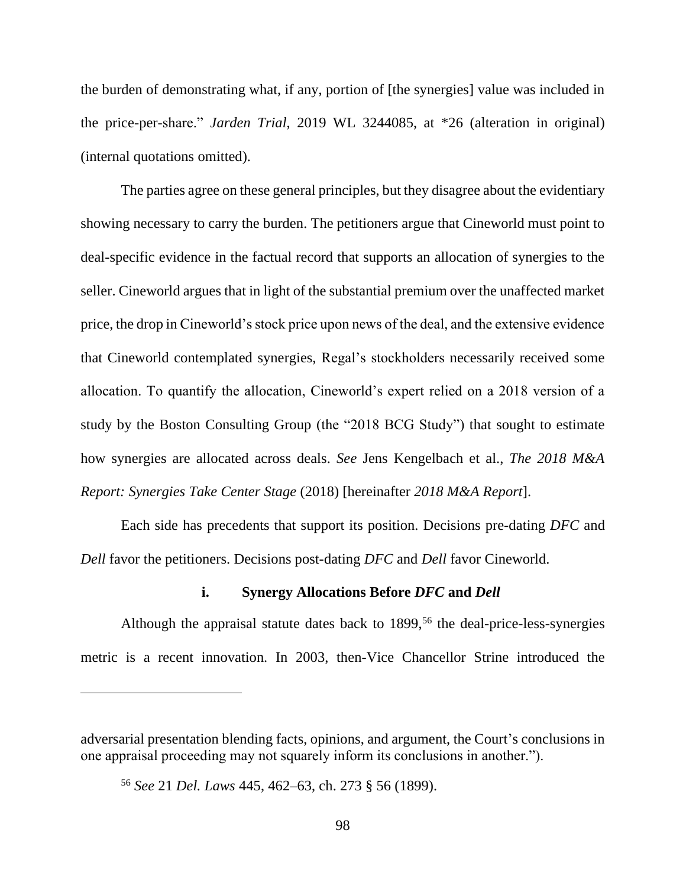the burden of demonstrating what, if any, portion of [the synergies] value was included in the price-per-share." *Jarden Trial*, 2019 WL 3244085, at \*26 (alteration in original) (internal quotations omitted).

The parties agree on these general principles, but they disagree about the evidentiary showing necessary to carry the burden. The petitioners argue that Cineworld must point to deal-specific evidence in the factual record that supports an allocation of synergies to the seller. Cineworld argues that in light of the substantial premium over the unaffected market price, the drop in Cineworld's stock price upon news of the deal, and the extensive evidence that Cineworld contemplated synergies, Regal's stockholders necessarily received some allocation. To quantify the allocation, Cineworld's expert relied on a 2018 version of a study by the Boston Consulting Group (the "2018 BCG Study") that sought to estimate how synergies are allocated across deals. *See* Jens Kengelbach et al., *The 2018 M&A Report: Synergies Take Center Stage* (2018) [hereinafter *2018 M&A Report*].

Each side has precedents that support its position. Decisions pre-dating *DFC* and *Dell* favor the petitioners. Decisions post-dating *DFC* and *Dell* favor Cineworld.

## **i. Synergy Allocations Before** *DFC* **and** *Dell*

Although the appraisal statute dates back to  $1899$ ,<sup>56</sup> the deal-price-less-synergies metric is a recent innovation. In 2003, then-Vice Chancellor Strine introduced the

adversarial presentation blending facts, opinions, and argument, the Court's conclusions in one appraisal proceeding may not squarely inform its conclusions in another.").

<sup>56</sup> *See* 21 *Del. Laws* 445, 462–63, ch. 273 § 56 (1899).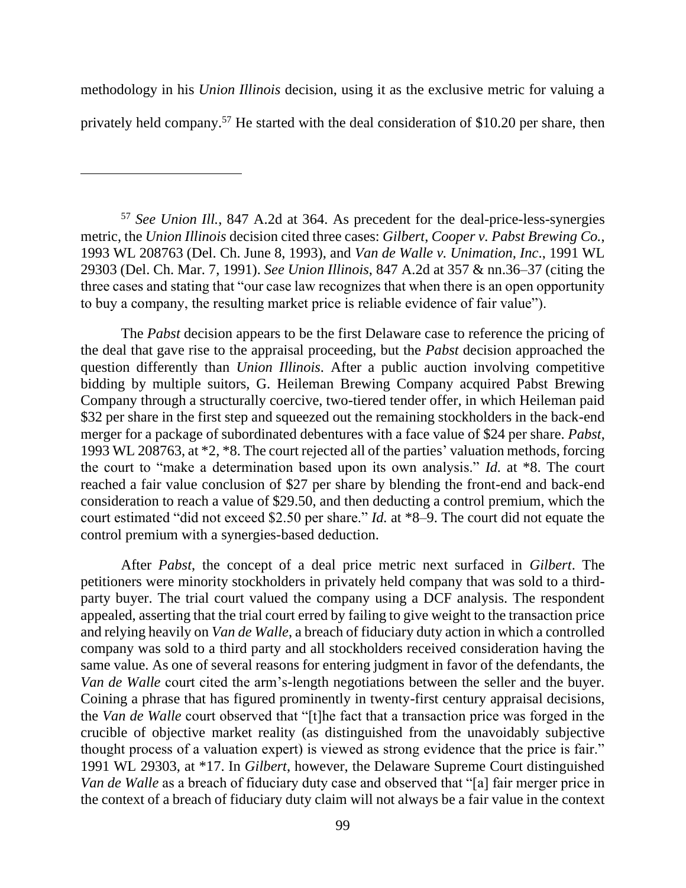methodology in his *Union Illinois* decision, using it as the exclusive metric for valuing a privately held company.<sup>57</sup> He started with the deal consideration of \$10.20 per share, then

<sup>57</sup> *See Union Ill.*, 847 A.2d at 364. As precedent for the deal-price-less-synergies metric, the *Union Illinois* decision cited three cases: *Gilbert*, *Cooper v. Pabst Brewing Co.*, 1993 WL 208763 (Del. Ch. June 8, 1993), and *Van de Walle v. Unimation, Inc*., 1991 WL 29303 (Del. Ch. Mar. 7, 1991). *See Union Illinois*, 847 A.2d at 357 & nn.36–37 (citing the three cases and stating that "our case law recognizes that when there is an open opportunity to buy a company, the resulting market price is reliable evidence of fair value").

The *Pabst* decision appears to be the first Delaware case to reference the pricing of the deal that gave rise to the appraisal proceeding, but the *Pabst* decision approached the question differently than *Union Illinois*. After a public auction involving competitive bidding by multiple suitors, G. Heileman Brewing Company acquired Pabst Brewing Company through a structurally coercive, two-tiered tender offer, in which Heileman paid \$32 per share in the first step and squeezed out the remaining stockholders in the back-end merger for a package of subordinated debentures with a face value of \$24 per share. *Pabst*, 1993 WL 208763, at \*2, \*8. The court rejected all of the parties' valuation methods, forcing the court to "make a determination based upon its own analysis." *Id.* at \*8. The court reached a fair value conclusion of \$27 per share by blending the front-end and back-end consideration to reach a value of \$29.50, and then deducting a control premium, which the court estimated "did not exceed \$2.50 per share." *Id.* at \*8–9. The court did not equate the control premium with a synergies-based deduction.

After *Pabst*, the concept of a deal price metric next surfaced in *Gilbert*. The petitioners were minority stockholders in privately held company that was sold to a thirdparty buyer. The trial court valued the company using a DCF analysis. The respondent appealed, asserting that the trial court erred by failing to give weight to the transaction price and relying heavily on *Van de Walle*, a breach of fiduciary duty action in which a controlled company was sold to a third party and all stockholders received consideration having the same value. As one of several reasons for entering judgment in favor of the defendants, the *Van de Walle* court cited the arm's-length negotiations between the seller and the buyer. Coining a phrase that has figured prominently in twenty-first century appraisal decisions, the *Van de Walle* court observed that "[t]he fact that a transaction price was forged in the crucible of objective market reality (as distinguished from the unavoidably subjective thought process of a valuation expert) is viewed as strong evidence that the price is fair." 1991 WL 29303, at \*17. In *Gilbert*, however, the Delaware Supreme Court distinguished *Van de Walle* as a breach of fiduciary duty case and observed that "[a] fair merger price in the context of a breach of fiduciary duty claim will not always be a fair value in the context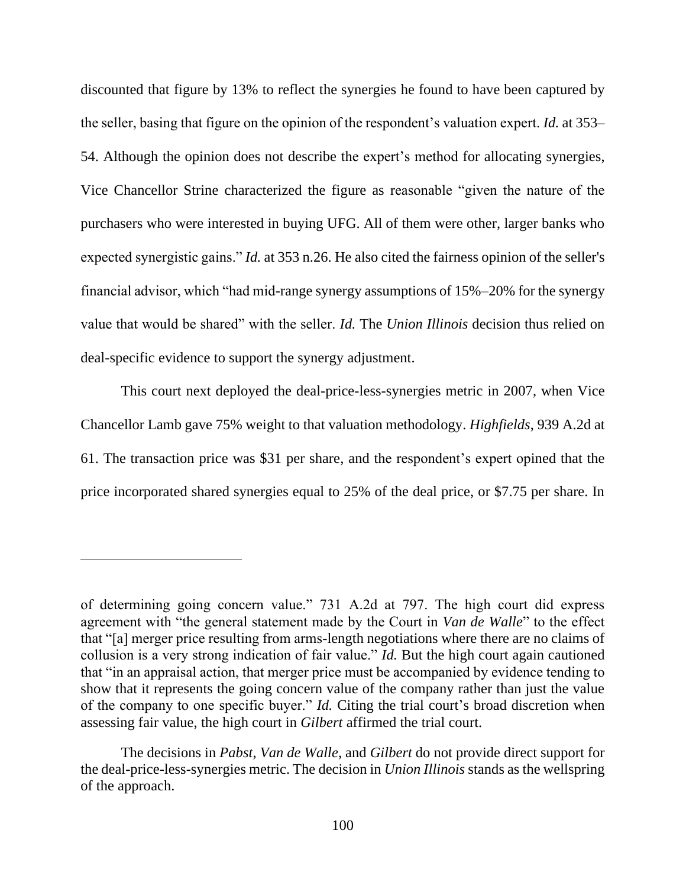discounted that figure by 13% to reflect the synergies he found to have been captured by the seller, basing that figure on the opinion of the respondent's valuation expert. *Id.* at 353– 54. Although the opinion does not describe the expert's method for allocating synergies, Vice Chancellor Strine characterized the figure as reasonable "given the nature of the purchasers who were interested in buying UFG. All of them were other, larger banks who expected synergistic gains." *Id.* at 353 n.26. He also cited the fairness opinion of the seller's financial advisor, which "had mid-range synergy assumptions of 15%–20% for the synergy value that would be shared" with the seller. *Id.* The *Union Illinois* decision thus relied on deal-specific evidence to support the synergy adjustment.

This court next deployed the deal-price-less-synergies metric in 2007, when Vice Chancellor Lamb gave 75% weight to that valuation methodology. *Highfields*, 939 A.2d at 61. The transaction price was \$31 per share, and the respondent's expert opined that the price incorporated shared synergies equal to 25% of the deal price, or \$7.75 per share. In

of determining going concern value." 731 A.2d at 797. The high court did express agreement with "the general statement made by the Court in *Van de Walle*" to the effect that "[a] merger price resulting from arms-length negotiations where there are no claims of collusion is a very strong indication of fair value." *Id.* But the high court again cautioned that "in an appraisal action, that merger price must be accompanied by evidence tending to show that it represents the going concern value of the company rather than just the value of the company to one specific buyer." *Id.* Citing the trial court's broad discretion when assessing fair value, the high court in *Gilbert* affirmed the trial court.

The decisions in *Pabst*, *Van de Walle*, and *Gilbert* do not provide direct support for the deal-price-less-synergies metric. The decision in *Union Illinois* stands as the wellspring of the approach.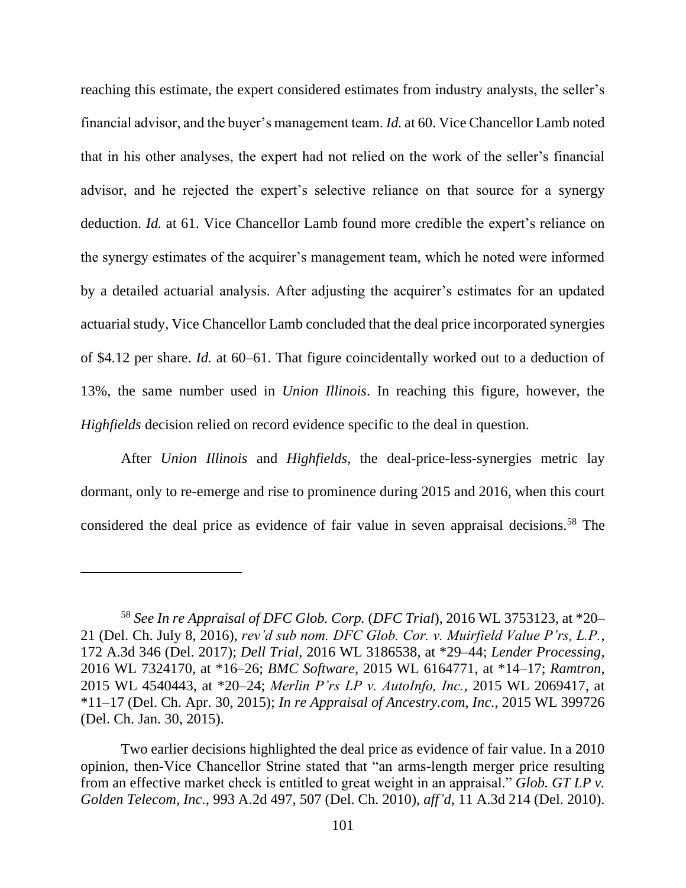reaching this estimate, the expert considered estimates from industry analysts, the seller's financial advisor, and the buyer's management team. *Id.* at 60. Vice Chancellor Lamb noted that in his other analyses, the expert had not relied on the work of the seller's financial advisor, and he rejected the expert's selective reliance on that source for a synergy deduction. *Id.* at 61. Vice Chancellor Lamb found more credible the expert's reliance on the synergy estimates of the acquirer's management team, which he noted were informed by a detailed actuarial analysis. After adjusting the acquirer's estimates for an updated actuarial study, Vice Chancellor Lamb concluded that the deal price incorporated synergies of \$4.12 per share. *Id.* at 60–61. That figure coincidentally worked out to a deduction of 13%, the same number used in *Union Illinois*. In reaching this figure, however, the *Highfields* decision relied on record evidence specific to the deal in question.

After *Union Illinois* and *Highfields*, the deal-price-less-synergies metric lay dormant, only to re-emerge and rise to prominence during 2015 and 2016, when this court considered the deal price as evidence of fair value in seven appraisal decisions. <sup>58</sup> The

<sup>58</sup> *See In re Appraisal of DFC Glob. Corp.* (*DFC Trial*), 2016 WL 3753123, at \*20– 21 (Del. Ch. July 8, 2016), *rev'd sub nom. DFC Glob. Cor. v. Muirfield Value P'rs, L.P.*, 172 A.3d 346 (Del. 2017); *Dell Trial*, 2016 WL 3186538, at \*29–44; *Lender Processing*, 2016 WL 7324170, at \*16–26; *BMC Software*, 2015 WL 6164771, at \*14–17; *Ramtron*, 2015 WL 4540443, at \*20–24; *Merlin P'rs LP v. AutoInfo, Inc.*, 2015 WL 2069417, at \*11–17 (Del. Ch. Apr. 30, 2015); *In re Appraisal of Ancestry.com, Inc.*, 2015 WL 399726 (Del. Ch. Jan. 30, 2015).

Two earlier decisions highlighted the deal price as evidence of fair value. In a 2010 opinion, then-Vice Chancellor Strine stated that "an arms-length merger price resulting from an effective market check is entitled to great weight in an appraisal." *Glob. GT LP v. Golden Telecom, Inc.*, 993 A.2d 497, 507 (Del. Ch. 2010), *aff'd*, 11 A.3d 214 (Del. 2010).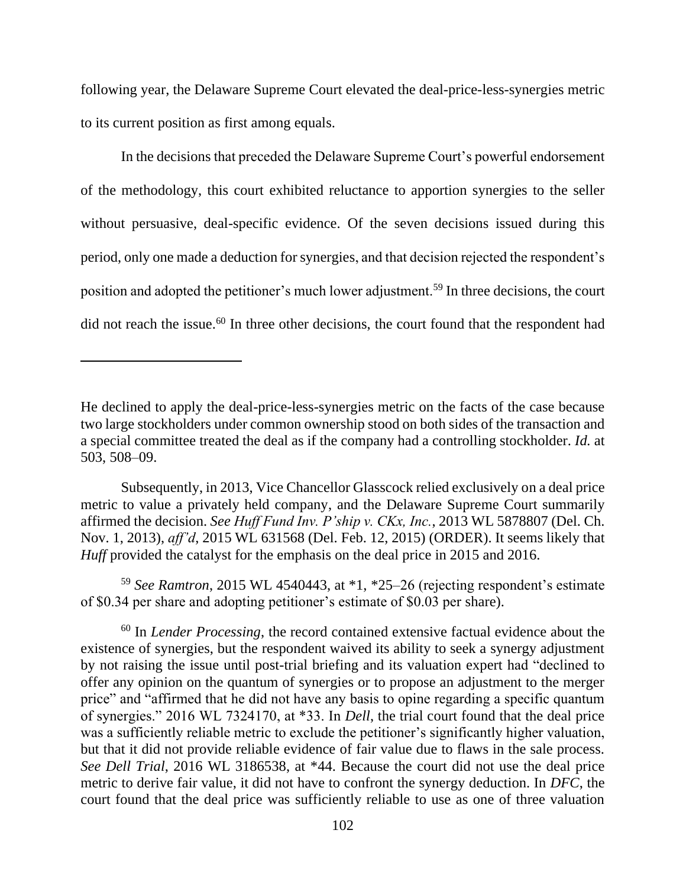following year, the Delaware Supreme Court elevated the deal-price-less-synergies metric to its current position as first among equals.

In the decisions that preceded the Delaware Supreme Court's powerful endorsement of the methodology, this court exhibited reluctance to apportion synergies to the seller without persuasive, deal-specific evidence. Of the seven decisions issued during this period, only one made a deduction for synergies, and that decision rejected the respondent's position and adopted the petitioner's much lower adjustment.<sup>59</sup> In three decisions, the court did not reach the issue.<sup>60</sup> In three other decisions, the court found that the respondent had

<sup>59</sup> *See Ramtron*, 2015 WL 4540443, at \*1, \*25–26 (rejecting respondent's estimate of \$0.34 per share and adopting petitioner's estimate of \$0.03 per share).

<sup>60</sup> In *Lender Processing*, the record contained extensive factual evidence about the existence of synergies, but the respondent waived its ability to seek a synergy adjustment by not raising the issue until post-trial briefing and its valuation expert had "declined to offer any opinion on the quantum of synergies or to propose an adjustment to the merger price" and "affirmed that he did not have any basis to opine regarding a specific quantum of synergies." 2016 WL 7324170, at \*33. In *Dell*, the trial court found that the deal price was a sufficiently reliable metric to exclude the petitioner's significantly higher valuation, but that it did not provide reliable evidence of fair value due to flaws in the sale process. *See Dell Trial*, 2016 WL 3186538, at \*44. Because the court did not use the deal price metric to derive fair value, it did not have to confront the synergy deduction. In *DFC*, the court found that the deal price was sufficiently reliable to use as one of three valuation

He declined to apply the deal-price-less-synergies metric on the facts of the case because two large stockholders under common ownership stood on both sides of the transaction and a special committee treated the deal as if the company had a controlling stockholder. *Id.* at 503, 508–09.

Subsequently, in 2013, Vice Chancellor Glasscock relied exclusively on a deal price metric to value a privately held company, and the Delaware Supreme Court summarily affirmed the decision. *See Huff Fund Inv. P'ship v. CKx, Inc.*, 2013 WL 5878807 (Del. Ch. Nov. 1, 2013), *aff'd*, 2015 WL 631568 (Del. Feb. 12, 2015) (ORDER). It seems likely that *Huff* provided the catalyst for the emphasis on the deal price in 2015 and 2016.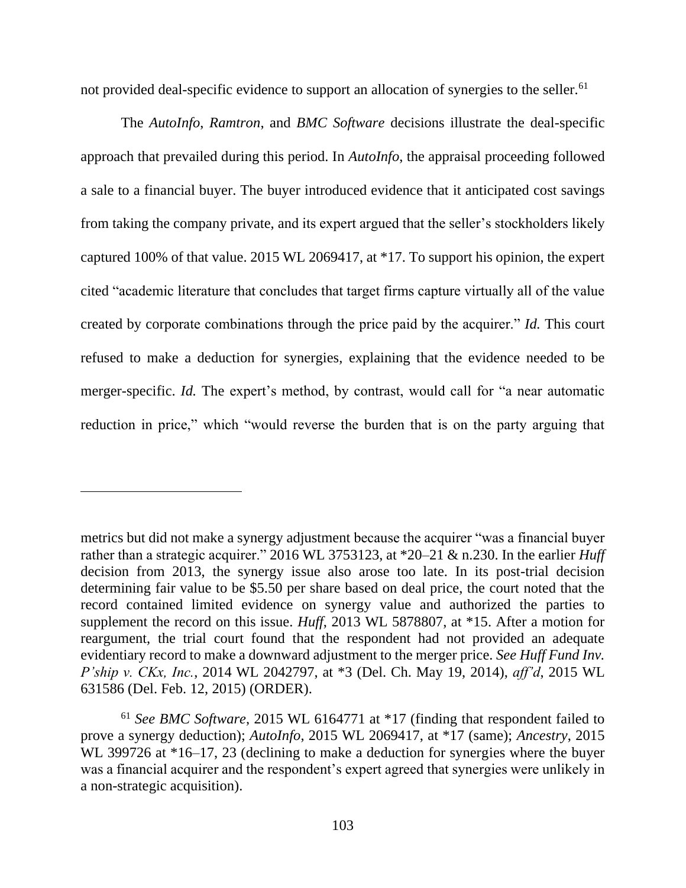not provided deal-specific evidence to support an allocation of synergies to the seller.<sup>61</sup>

The *AutoInfo*, *Ramtron*, and *BMC Software* decisions illustrate the deal-specific approach that prevailed during this period. In *AutoInfo*, the appraisal proceeding followed a sale to a financial buyer. The buyer introduced evidence that it anticipated cost savings from taking the company private, and its expert argued that the seller's stockholders likely captured 100% of that value. 2015 WL 2069417, at \*17. To support his opinion, the expert cited "academic literature that concludes that target firms capture virtually all of the value created by corporate combinations through the price paid by the acquirer." *Id.* This court refused to make a deduction for synergies, explaining that the evidence needed to be merger-specific. *Id.* The expert's method, by contrast, would call for "a near automatic reduction in price," which "would reverse the burden that is on the party arguing that

metrics but did not make a synergy adjustment because the acquirer "was a financial buyer rather than a strategic acquirer." 2016 WL 3753123, at \*20–21 & n.230. In the earlier *Huff*  decision from 2013, the synergy issue also arose too late. In its post-trial decision determining fair value to be \$5.50 per share based on deal price, the court noted that the record contained limited evidence on synergy value and authorized the parties to supplement the record on this issue. *Huff*, 2013 WL 5878807, at \*15. After a motion for reargument, the trial court found that the respondent had not provided an adequate evidentiary record to make a downward adjustment to the merger price. *See Huff Fund Inv. P'ship v. CKx, Inc.*, 2014 WL 2042797, at \*3 (Del. Ch. May 19, 2014), *aff'd*, 2015 WL 631586 (Del. Feb. 12, 2015) (ORDER).

<sup>61</sup> *See BMC Software*, 2015 WL 6164771 at \*17 (finding that respondent failed to prove a synergy deduction); *AutoInfo*, 2015 WL 2069417, at \*17 (same); *Ancestry*, 2015 WL 399726 at  $*16-17$ , 23 (declining to make a deduction for synergies where the buyer was a financial acquirer and the respondent's expert agreed that synergies were unlikely in a non-strategic acquisition).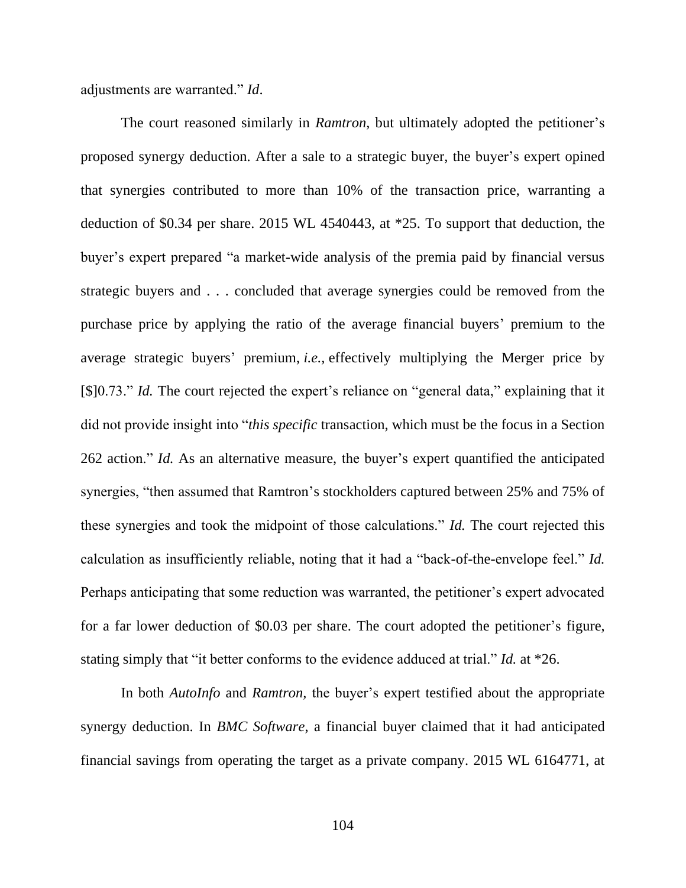adjustments are warranted." *Id*.

The court reasoned similarly in *Ramtron*, but ultimately adopted the petitioner's proposed synergy deduction. After a sale to a strategic buyer, the buyer's expert opined that synergies contributed to more than 10% of the transaction price, warranting a deduction of \$0.34 per share. 2015 WL 4540443, at \*25. To support that deduction, the buyer's expert prepared "a market-wide analysis of the premia paid by financial versus strategic buyers and . . . concluded that average synergies could be removed from the purchase price by applying the ratio of the average financial buyers' premium to the average strategic buyers' premium, *i.e.,* effectively multiplying the Merger price by [\$]0.73." *Id.* The court rejected the expert's reliance on "general data," explaining that it did not provide insight into "*this specific* transaction, which must be the focus in a Section 262 action." *Id.* As an alternative measure, the buyer's expert quantified the anticipated synergies, "then assumed that Ramtron's stockholders captured between 25% and 75% of these synergies and took the midpoint of those calculations." *Id.* The court rejected this calculation as insufficiently reliable, noting that it had a "back-of-the-envelope feel." *Id.*  Perhaps anticipating that some reduction was warranted, the petitioner's expert advocated for a far lower deduction of \$0.03 per share. The court adopted the petitioner's figure, stating simply that "it better conforms to the evidence adduced at trial." *Id.* at \*26.

In both *AutoInfo* and *Ramtron,* the buyer's expert testified about the appropriate synergy deduction. In *BMC Software*, a financial buyer claimed that it had anticipated financial savings from operating the target as a private company. 2015 WL 6164771, at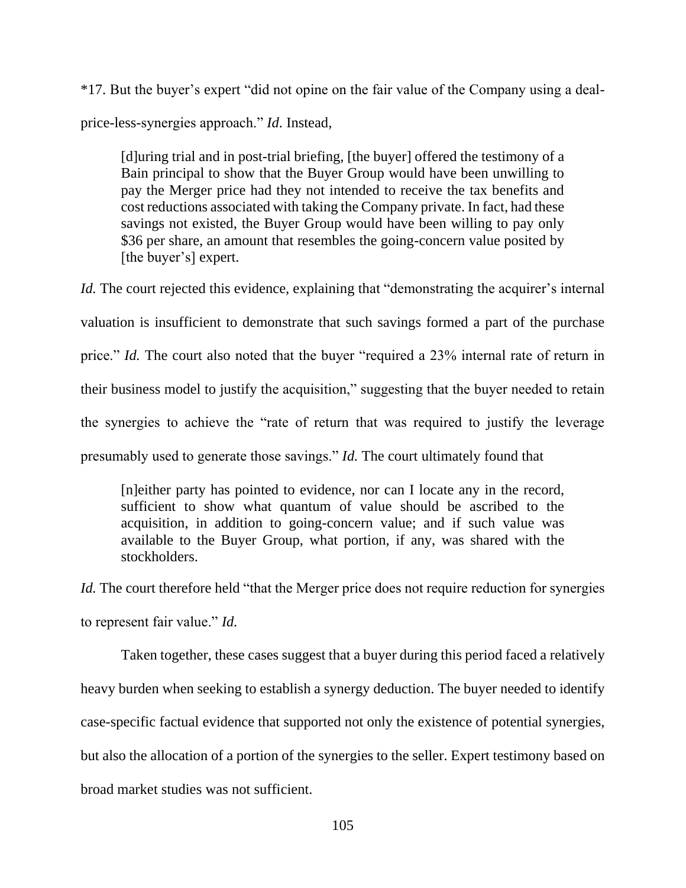\*17. But the buyer's expert "did not opine on the fair value of the Company using a dealprice-less-synergies approach." *Id*. Instead,

[d]uring trial and in post-trial briefing, [the buyer] offered the testimony of a Bain principal to show that the Buyer Group would have been unwilling to pay the Merger price had they not intended to receive the tax benefits and cost reductions associated with taking the Company private. In fact, had these savings not existed, the Buyer Group would have been willing to pay only \$36 per share, an amount that resembles the going-concern value posited by [the buyer's] expert.

*Id.* The court rejected this evidence, explaining that "demonstrating the acquirer's internal valuation is insufficient to demonstrate that such savings formed a part of the purchase price." *Id.* The court also noted that the buyer "required a 23% internal rate of return in their business model to justify the acquisition," suggesting that the buyer needed to retain the synergies to achieve the "rate of return that was required to justify the leverage presumably used to generate those savings." *Id.* The court ultimately found that

[n]either party has pointed to evidence, nor can I locate any in the record, sufficient to show what quantum of value should be ascribed to the acquisition, in addition to going-concern value; and if such value was available to the Buyer Group, what portion, if any, was shared with the stockholders.

*Id.* The court therefore held "that the Merger price does not require reduction for synergies to represent fair value." *Id.*

Taken together, these cases suggest that a buyer during this period faced a relatively heavy burden when seeking to establish a synergy deduction. The buyer needed to identify case-specific factual evidence that supported not only the existence of potential synergies, but also the allocation of a portion of the synergies to the seller. Expert testimony based on broad market studies was not sufficient.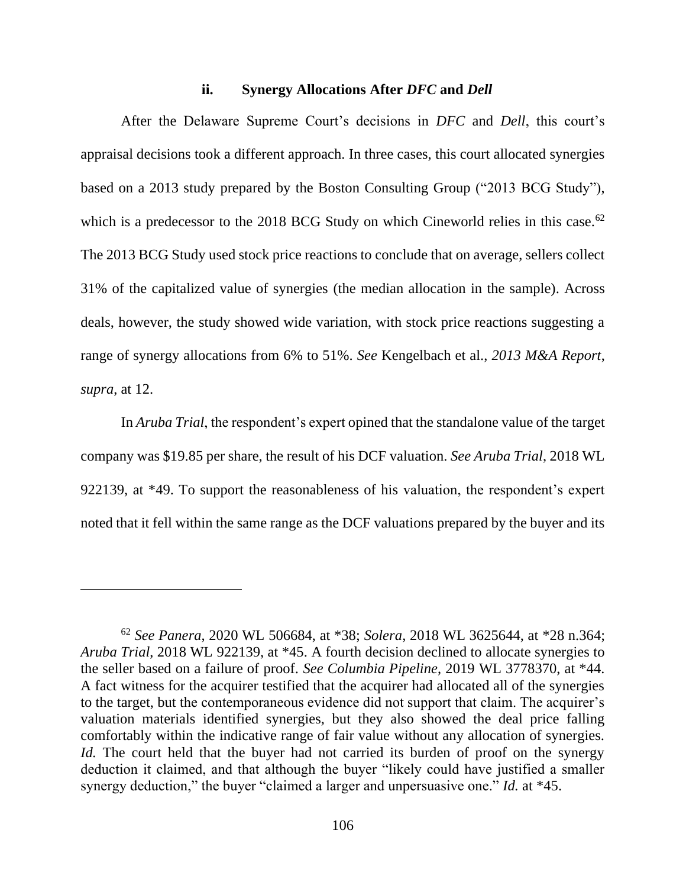### **ii. Synergy Allocations After** *DFC* **and** *Dell*

After the Delaware Supreme Court's decisions in *DFC* and *Dell*, this court's appraisal decisions took a different approach. In three cases, this court allocated synergies based on a 2013 study prepared by the Boston Consulting Group ("2013 BCG Study"), which is a predecessor to the 2018 BCG Study on which Cineworld relies in this case.<sup>62</sup> The 2013 BCG Study used stock price reactions to conclude that on average, sellers collect 31% of the capitalized value of synergies (the median allocation in the sample). Across deals, however, the study showed wide variation, with stock price reactions suggesting a range of synergy allocations from 6% to 51%. *See* Kengelbach et al., *2013 M&A Report*, *supra*, at 12.

In *Aruba Trial*, the respondent's expert opined that the standalone value of the target company was \$19.85 per share, the result of his DCF valuation. *See Aruba Trial*, 2018 WL 922139, at \*49. To support the reasonableness of his valuation, the respondent's expert noted that it fell within the same range as the DCF valuations prepared by the buyer and its

<sup>62</sup> *See Panera*, 2020 WL 506684, at \*38; *Solera*, 2018 WL 3625644, at \*28 n.364; *Aruba Trial*, 2018 WL 922139, at \*45. A fourth decision declined to allocate synergies to the seller based on a failure of proof. *See Columbia Pipeline*, 2019 WL 3778370, at \*44. A fact witness for the acquirer testified that the acquirer had allocated all of the synergies to the target, but the contemporaneous evidence did not support that claim. The acquirer's valuation materials identified synergies, but they also showed the deal price falling comfortably within the indicative range of fair value without any allocation of synergies. *Id.* The court held that the buyer had not carried its burden of proof on the synergy deduction it claimed, and that although the buyer "likely could have justified a smaller synergy deduction," the buyer "claimed a larger and unpersuasive one." *Id.* at \*45.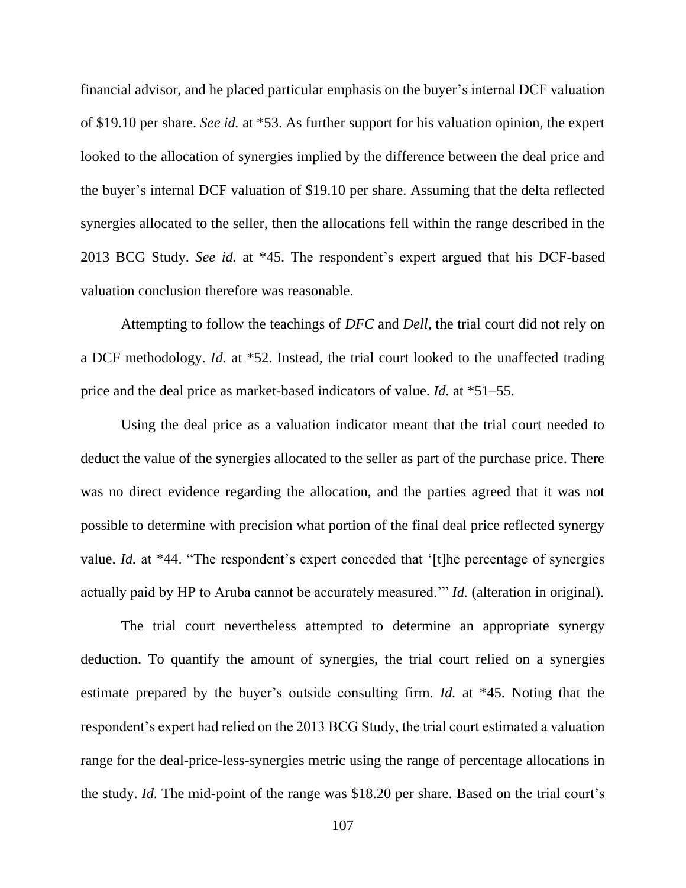financial advisor, and he placed particular emphasis on the buyer's internal DCF valuation of \$19.10 per share. *See id.* at \*53. As further support for his valuation opinion, the expert looked to the allocation of synergies implied by the difference between the deal price and the buyer's internal DCF valuation of \$19.10 per share. Assuming that the delta reflected synergies allocated to the seller, then the allocations fell within the range described in the 2013 BCG Study. *See id.* at \*45. The respondent's expert argued that his DCF-based valuation conclusion therefore was reasonable.

Attempting to follow the teachings of *DFC* and *Dell*, the trial court did not rely on a DCF methodology. *Id.* at \*52. Instead, the trial court looked to the unaffected trading price and the deal price as market-based indicators of value. *Id.* at \*51–55.

Using the deal price as a valuation indicator meant that the trial court needed to deduct the value of the synergies allocated to the seller as part of the purchase price. There was no direct evidence regarding the allocation, and the parties agreed that it was not possible to determine with precision what portion of the final deal price reflected synergy value. *Id.* at \*44. "The respondent's expert conceded that '[t]he percentage of synergies actually paid by HP to Aruba cannot be accurately measured.'" *Id.* (alteration in original).

The trial court nevertheless attempted to determine an appropriate synergy deduction. To quantify the amount of synergies, the trial court relied on a synergies estimate prepared by the buyer's outside consulting firm. *Id.* at \*45. Noting that the respondent's expert had relied on the 2013 BCG Study, the trial court estimated a valuation range for the deal-price-less-synergies metric using the range of percentage allocations in the study. *Id.* The mid-point of the range was \$18.20 per share. Based on the trial court's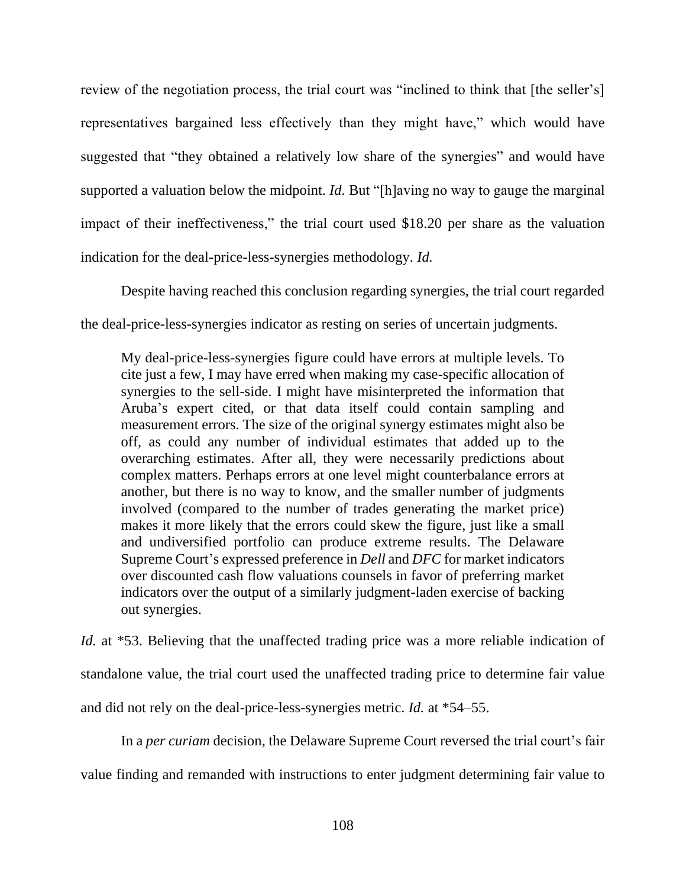review of the negotiation process, the trial court was "inclined to think that [the seller's] representatives bargained less effectively than they might have," which would have suggested that "they obtained a relatively low share of the synergies" and would have supported a valuation below the midpoint. *Id.* But "[h]aving no way to gauge the marginal impact of their ineffectiveness," the trial court used \$18.20 per share as the valuation indication for the deal-price-less-synergies methodology. *Id.*

Despite having reached this conclusion regarding synergies, the trial court regarded the deal-price-less-synergies indicator as resting on series of uncertain judgments.

My deal-price-less-synergies figure could have errors at multiple levels. To cite just a few, I may have erred when making my case-specific allocation of synergies to the sell-side. I might have misinterpreted the information that Aruba's expert cited, or that data itself could contain sampling and measurement errors. The size of the original synergy estimates might also be off, as could any number of individual estimates that added up to the overarching estimates. After all, they were necessarily predictions about complex matters. Perhaps errors at one level might counterbalance errors at another, but there is no way to know, and the smaller number of judgments involved (compared to the number of trades generating the market price) makes it more likely that the errors could skew the figure, just like a small and undiversified portfolio can produce extreme results. The Delaware Supreme Court's expressed preference in *Dell* and *DFC* for market indicators over discounted cash flow valuations counsels in favor of preferring market indicators over the output of a similarly judgment-laden exercise of backing out synergies.

*Id.* at \*53. Believing that the unaffected trading price was a more reliable indication of standalone value, the trial court used the unaffected trading price to determine fair value and did not rely on the deal-price-less-synergies metric. *Id.* at \*54–55.

In a *per curiam* decision, the Delaware Supreme Court reversed the trial court's fair value finding and remanded with instructions to enter judgment determining fair value to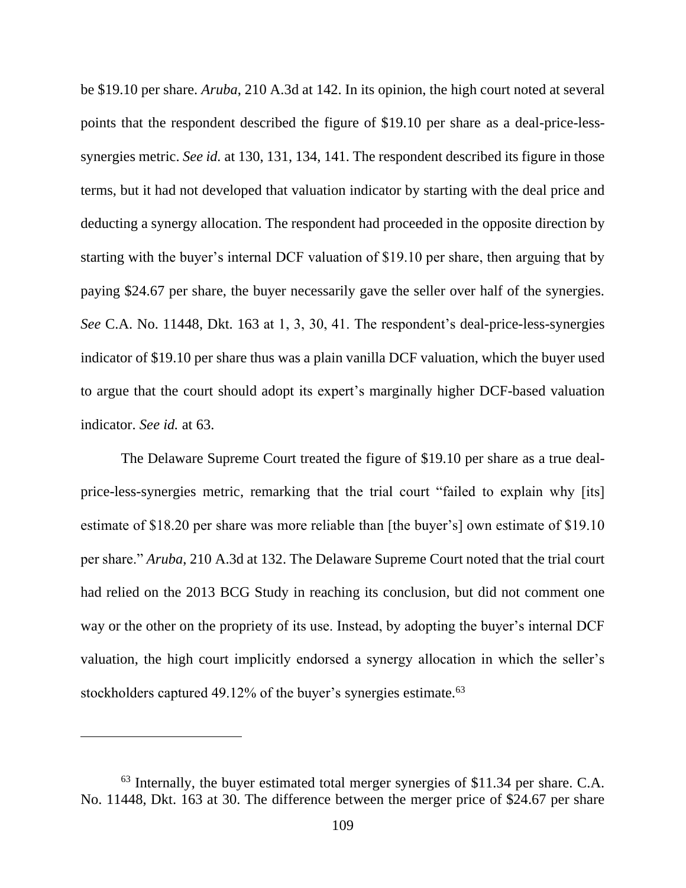be \$19.10 per share. *Aruba*, 210 A.3d at 142. In its opinion, the high court noted at several points that the respondent described the figure of \$19.10 per share as a deal-price-lesssynergies metric. *See id.* at 130, 131, 134, 141. The respondent described its figure in those terms, but it had not developed that valuation indicator by starting with the deal price and deducting a synergy allocation. The respondent had proceeded in the opposite direction by starting with the buyer's internal DCF valuation of \$19.10 per share, then arguing that by paying \$24.67 per share, the buyer necessarily gave the seller over half of the synergies. *See* C.A. No. 11448, Dkt. 163 at 1, 3, 30, 41. The respondent's deal-price-less-synergies indicator of \$19.10 per share thus was a plain vanilla DCF valuation, which the buyer used to argue that the court should adopt its expert's marginally higher DCF-based valuation indicator. *See id.* at 63.

The Delaware Supreme Court treated the figure of \$19.10 per share as a true dealprice-less-synergies metric, remarking that the trial court "failed to explain why [its] estimate of \$18.20 per share was more reliable than [the buyer's] own estimate of \$19.10 per share." *Aruba*, 210 A.3d at 132. The Delaware Supreme Court noted that the trial court had relied on the 2013 BCG Study in reaching its conclusion, but did not comment one way or the other on the propriety of its use. Instead, by adopting the buyer's internal DCF valuation, the high court implicitly endorsed a synergy allocation in which the seller's stockholders captured 49.12% of the buyer's synergies estimate.<sup>63</sup>

<sup>63</sup> Internally, the buyer estimated total merger synergies of \$11.34 per share. C.A. No. 11448, Dkt. 163 at 30. The difference between the merger price of \$24.67 per share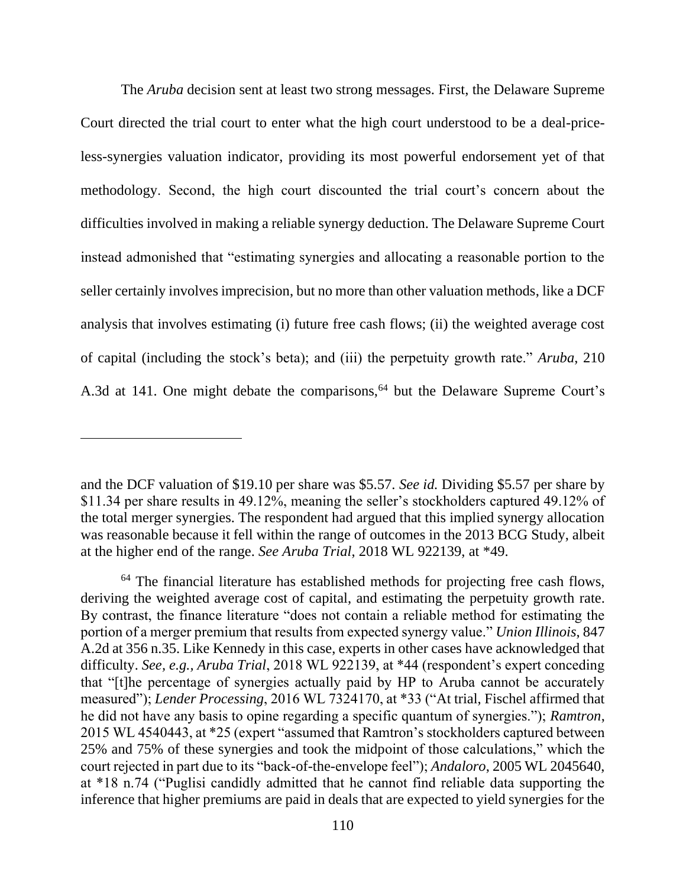The *Aruba* decision sent at least two strong messages. First, the Delaware Supreme Court directed the trial court to enter what the high court understood to be a deal-priceless-synergies valuation indicator, providing its most powerful endorsement yet of that methodology. Second, the high court discounted the trial court's concern about the difficulties involved in making a reliable synergy deduction. The Delaware Supreme Court instead admonished that "estimating synergies and allocating a reasonable portion to the seller certainly involves imprecision, but no more than other valuation methods, like a DCF analysis that involves estimating (i) future free cash flows; (ii) the weighted average cost of capital (including the stock's beta); and (iii) the perpetuity growth rate." *Aruba*, 210 A.3d at 141. One might debate the comparisons,<sup>64</sup> but the Delaware Supreme Court's

and the DCF valuation of \$19.10 per share was \$5.57. *See id.* Dividing \$5.57 per share by \$11.34 per share results in 49.12%, meaning the seller's stockholders captured 49.12% of the total merger synergies. The respondent had argued that this implied synergy allocation was reasonable because it fell within the range of outcomes in the 2013 BCG Study, albeit at the higher end of the range. *See Aruba Trial*, 2018 WL 922139, at \*49.

 $64$  The financial literature has established methods for projecting free cash flows, deriving the weighted average cost of capital, and estimating the perpetuity growth rate. By contrast, the finance literature "does not contain a reliable method for estimating the portion of a merger premium that results from expected synergy value." *Union Illinois*, 847 A.2d at 356 n.35. Like Kennedy in this case, experts in other cases have acknowledged that difficulty. *See, e.g., Aruba Trial*, 2018 WL 922139, at \*44 (respondent's expert conceding that "[t]he percentage of synergies actually paid by HP to Aruba cannot be accurately measured"); *Lender Processing*, 2016 WL 7324170, at \*33 ("At trial, Fischel affirmed that he did not have any basis to opine regarding a specific quantum of synergies."); *Ramtron*, 2015 WL 4540443, at \*25 (expert "assumed that Ramtron's stockholders captured between 25% and 75% of these synergies and took the midpoint of those calculations," which the court rejected in part due to its "back-of-the-envelope feel"); *Andaloro*, 2005 WL 2045640, at \*18 n.74 ("Puglisi candidly admitted that he cannot find reliable data supporting the inference that higher premiums are paid in deals that are expected to yield synergies for the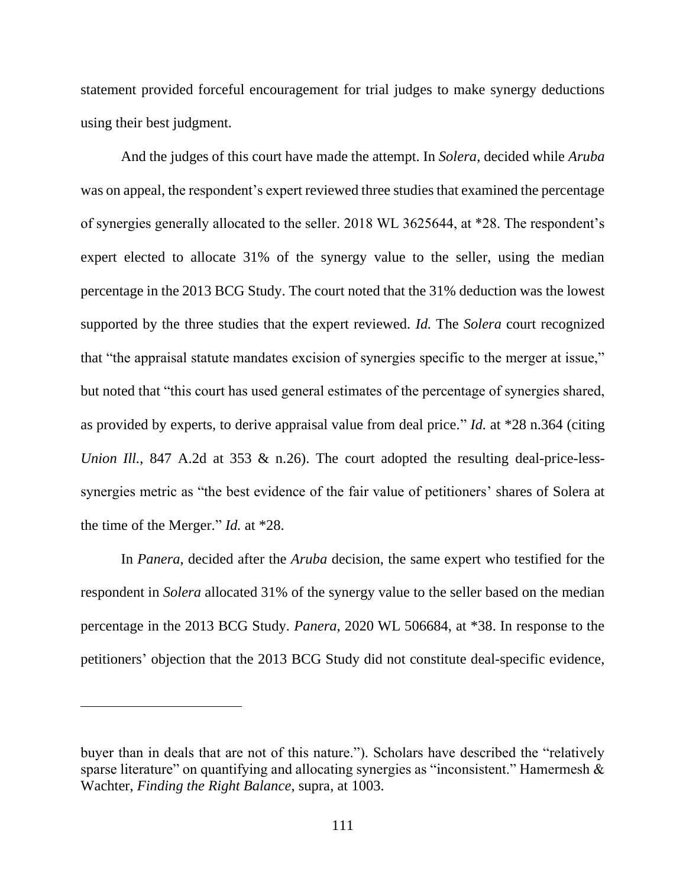statement provided forceful encouragement for trial judges to make synergy deductions using their best judgment.

And the judges of this court have made the attempt. In *Solera*, decided while *Aruba*  was on appeal, the respondent's expert reviewed three studies that examined the percentage of synergies generally allocated to the seller. 2018 WL 3625644, at \*28. The respondent's expert elected to allocate 31% of the synergy value to the seller, using the median percentage in the 2013 BCG Study. The court noted that the 31% deduction was the lowest supported by the three studies that the expert reviewed. *Id.* The *Solera* court recognized that "the appraisal statute mandates excision of synergies specific to the merger at issue," but noted that "this court has used general estimates of the percentage of synergies shared, as provided by experts, to derive appraisal value from deal price." *Id.* at \*28 n.364 (citing *Union Ill.*, 847 A.2d at 353 & n.26). The court adopted the resulting deal-price-lesssynergies metric as "the best evidence of the fair value of petitioners' shares of Solera at the time of the Merger." *Id.* at \*28.

In *Panera*, decided after the *Aruba* decision, the same expert who testified for the respondent in *Solera* allocated 31% of the synergy value to the seller based on the median percentage in the 2013 BCG Study. *Panera*, 2020 WL 506684, at \*38. In response to the petitioners' objection that the 2013 BCG Study did not constitute deal-specific evidence,

buyer than in deals that are not of this nature."). Scholars have described the "relatively sparse literature" on quantifying and allocating synergies as "inconsistent." Hamermesh & Wachter, *Finding the Right Balance*, supra, at 1003.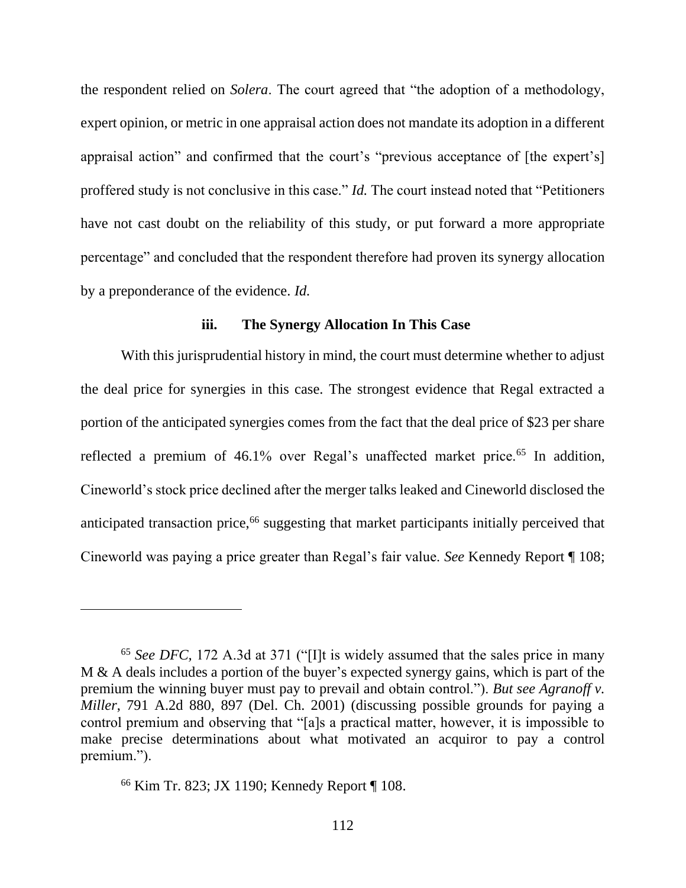the respondent relied on *Solera*. The court agreed that "the adoption of a methodology, expert opinion, or metric in one appraisal action does not mandate its adoption in a different appraisal action" and confirmed that the court's "previous acceptance of [the expert's] proffered study is not conclusive in this case." *Id.* The court instead noted that "Petitioners have not cast doubt on the reliability of this study, or put forward a more appropriate percentage" and concluded that the respondent therefore had proven its synergy allocation by a preponderance of the evidence. *Id.*

#### **iii. The Synergy Allocation In This Case**

With this jurisprudential history in mind, the court must determine whether to adjust the deal price for synergies in this case. The strongest evidence that Regal extracted a portion of the anticipated synergies comes from the fact that the deal price of \$23 per share reflected a premium of 46.1% over Regal's unaffected market price.<sup>65</sup> In addition, Cineworld's stock price declined after the merger talks leaked and Cineworld disclosed the anticipated transaction price,<sup>66</sup> suggesting that market participants initially perceived that Cineworld was paying a price greater than Regal's fair value. *See* Kennedy Report ¶ 108;

<sup>65</sup> *See DFC,* 172 A.3d at 371 ("[I]t is widely assumed that the sales price in many M & A deals includes a portion of the buyer's expected synergy gains, which is part of the premium the winning buyer must pay to prevail and obtain control."). *But see Agranoff v. Miller*, 791 A.2d 880, 897 (Del. Ch. 2001) (discussing possible grounds for paying a control premium and observing that "[a]s a practical matter, however, it is impossible to make precise determinations about what motivated an acquiror to pay a control premium.").

<sup>66</sup> Kim Tr. 823; JX 1190; Kennedy Report ¶ 108.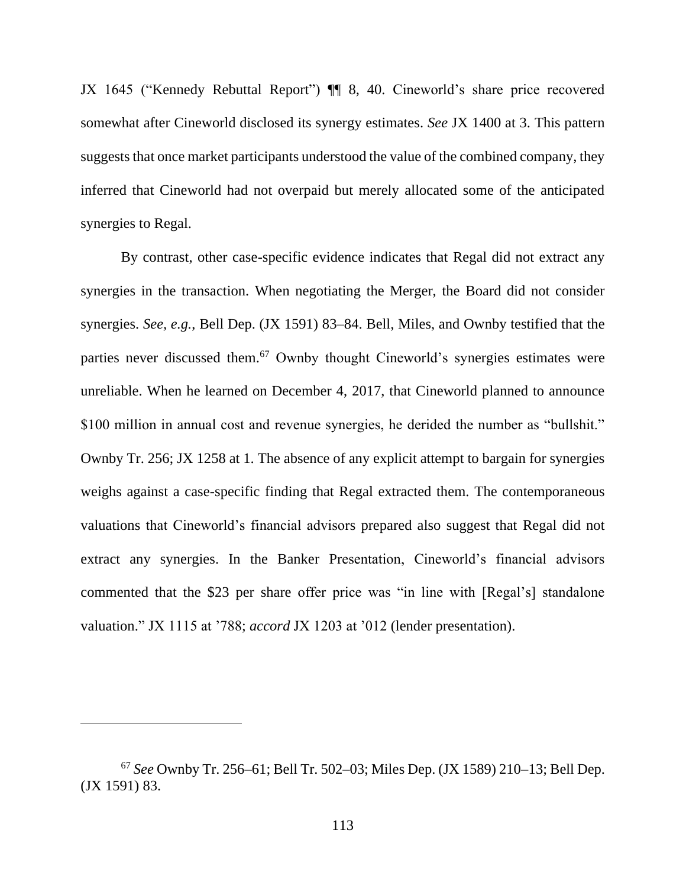JX 1645 ("Kennedy Rebuttal Report") ¶¶ 8, 40. Cineworld's share price recovered somewhat after Cineworld disclosed its synergy estimates. *See* JX 1400 at 3. This pattern suggests that once market participants understood the value of the combined company, they inferred that Cineworld had not overpaid but merely allocated some of the anticipated synergies to Regal.

By contrast, other case-specific evidence indicates that Regal did not extract any synergies in the transaction. When negotiating the Merger, the Board did not consider synergies. *See, e.g.*, Bell Dep. (JX 1591) 83–84. Bell, Miles, and Ownby testified that the parties never discussed them.<sup>67</sup> Ownby thought Cineworld's synergies estimates were unreliable. When he learned on December 4, 2017, that Cineworld planned to announce \$100 million in annual cost and revenue synergies, he derided the number as "bullshit." Ownby Tr. 256; JX 1258 at 1. The absence of any explicit attempt to bargain for synergies weighs against a case-specific finding that Regal extracted them. The contemporaneous valuations that Cineworld's financial advisors prepared also suggest that Regal did not extract any synergies. In the Banker Presentation, Cineworld's financial advisors commented that the \$23 per share offer price was "in line with [Regal's] standalone valuation." JX 1115 at '788; *accord* JX 1203 at '012 (lender presentation).

<sup>67</sup> *See* Ownby Tr. 256–61; Bell Tr. 502–03; Miles Dep. (JX 1589) 210–13; Bell Dep. (JX 1591) 83.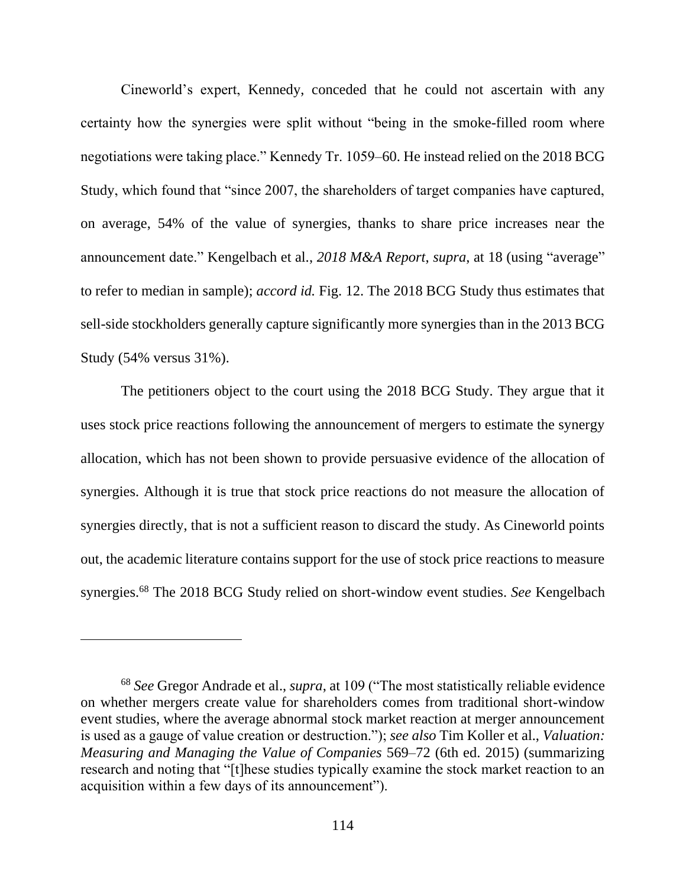Cineworld's expert, Kennedy, conceded that he could not ascertain with any certainty how the synergies were split without "being in the smoke-filled room where negotiations were taking place." Kennedy Tr. 1059–60. He instead relied on the 2018 BCG Study, which found that "since 2007, the shareholders of target companies have captured, on average, 54% of the value of synergies, thanks to share price increases near the announcement date." Kengelbach et al., *2018 M&A Report*, *supra*, at 18 (using "average" to refer to median in sample); *accord id.* Fig. 12. The 2018 BCG Study thus estimates that sell-side stockholders generally capture significantly more synergies than in the 2013 BCG Study (54% versus 31%).

The petitioners object to the court using the 2018 BCG Study. They argue that it uses stock price reactions following the announcement of mergers to estimate the synergy allocation, which has not been shown to provide persuasive evidence of the allocation of synergies. Although it is true that stock price reactions do not measure the allocation of synergies directly, that is not a sufficient reason to discard the study. As Cineworld points out, the academic literature contains support for the use of stock price reactions to measure synergies. <sup>68</sup> The 2018 BCG Study relied on short-window event studies. *See* Kengelbach

<sup>68</sup> *See* Gregor Andrade et al., *supra*, at 109 ("The most statistically reliable evidence on whether mergers create value for shareholders comes from traditional short-window event studies, where the average abnormal stock market reaction at merger announcement is used as a gauge of value creation or destruction."); *see also* Tim Koller et al., *Valuation: Measuring and Managing the Value of Companies* 569–72 (6th ed. 2015) (summarizing research and noting that "[t]hese studies typically examine the stock market reaction to an acquisition within a few days of its announcement").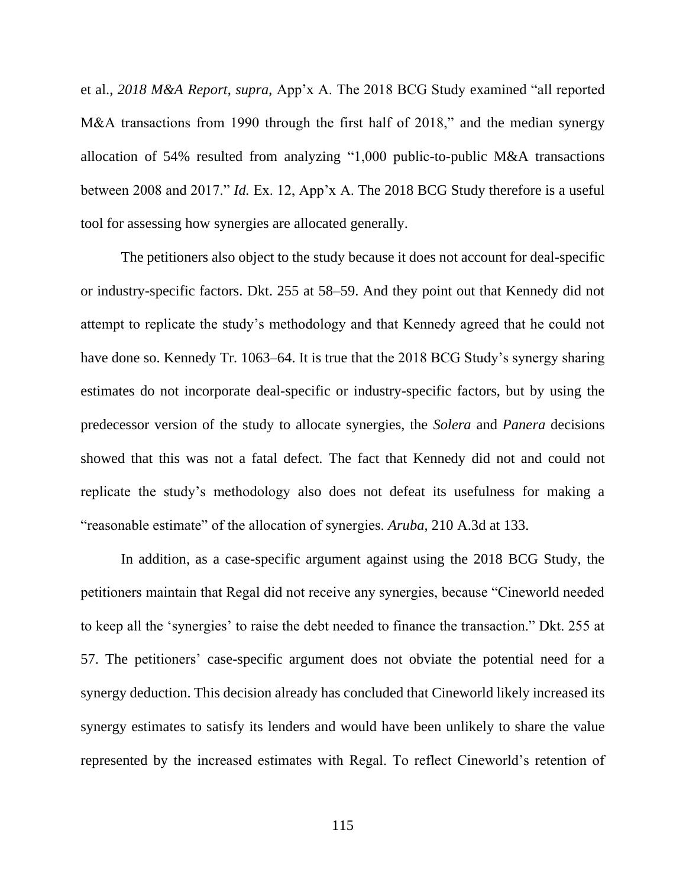et al., *2018 M&A Report*, *supra*, App'x A. The 2018 BCG Study examined "all reported M&A transactions from 1990 through the first half of 2018," and the median synergy allocation of 54% resulted from analyzing "1,000 public-to-public M&A transactions between 2008 and 2017." *Id.* Ex. 12, App'x A. The 2018 BCG Study therefore is a useful tool for assessing how synergies are allocated generally.

The petitioners also object to the study because it does not account for deal-specific or industry-specific factors. Dkt. 255 at 58–59. And they point out that Kennedy did not attempt to replicate the study's methodology and that Kennedy agreed that he could not have done so. Kennedy Tr. 1063–64. It is true that the 2018 BCG Study's synergy sharing estimates do not incorporate deal-specific or industry-specific factors, but by using the predecessor version of the study to allocate synergies, the *Solera* and *Panera* decisions showed that this was not a fatal defect. The fact that Kennedy did not and could not replicate the study's methodology also does not defeat its usefulness for making a "reasonable estimate" of the allocation of synergies. *Aruba*, 210 A.3d at 133.

In addition, as a case-specific argument against using the 2018 BCG Study, the petitioners maintain that Regal did not receive any synergies, because "Cineworld needed to keep all the 'synergies' to raise the debt needed to finance the transaction." Dkt. 255 at 57. The petitioners' case-specific argument does not obviate the potential need for a synergy deduction. This decision already has concluded that Cineworld likely increased its synergy estimates to satisfy its lenders and would have been unlikely to share the value represented by the increased estimates with Regal. To reflect Cineworld's retention of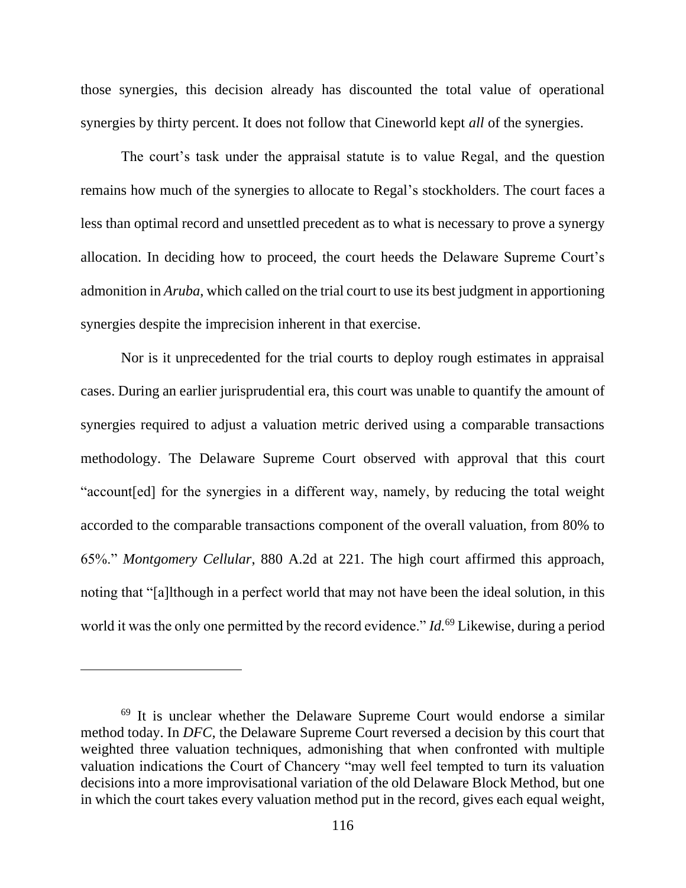those synergies, this decision already has discounted the total value of operational synergies by thirty percent. It does not follow that Cineworld kept *all* of the synergies.

The court's task under the appraisal statute is to value Regal, and the question remains how much of the synergies to allocate to Regal's stockholders. The court faces a less than optimal record and unsettled precedent as to what is necessary to prove a synergy allocation. In deciding how to proceed, the court heeds the Delaware Supreme Court's admonition in *Aruba*, which called on the trial court to use its best judgment in apportioning synergies despite the imprecision inherent in that exercise.

Nor is it unprecedented for the trial courts to deploy rough estimates in appraisal cases. During an earlier jurisprudential era, this court was unable to quantify the amount of synergies required to adjust a valuation metric derived using a comparable transactions methodology. The Delaware Supreme Court observed with approval that this court "account[ed] for the synergies in a different way, namely, by reducing the total weight accorded to the comparable transactions component of the overall valuation, from 80% to 65%." *Montgomery Cellular*, 880 A.2d at 221. The high court affirmed this approach, noting that "[a]lthough in a perfect world that may not have been the ideal solution, in this world it was the only one permitted by the record evidence." *Id.*<sup>69</sup> Likewise, during a period

<sup>&</sup>lt;sup>69</sup> It is unclear whether the Delaware Supreme Court would endorse a similar method today. In *DFC,* the Delaware Supreme Court reversed a decision by this court that weighted three valuation techniques, admonishing that when confronted with multiple valuation indications the Court of Chancery "may well feel tempted to turn its valuation decisions into a more improvisational variation of the old Delaware Block Method, but one in which the court takes every valuation method put in the record, gives each equal weight,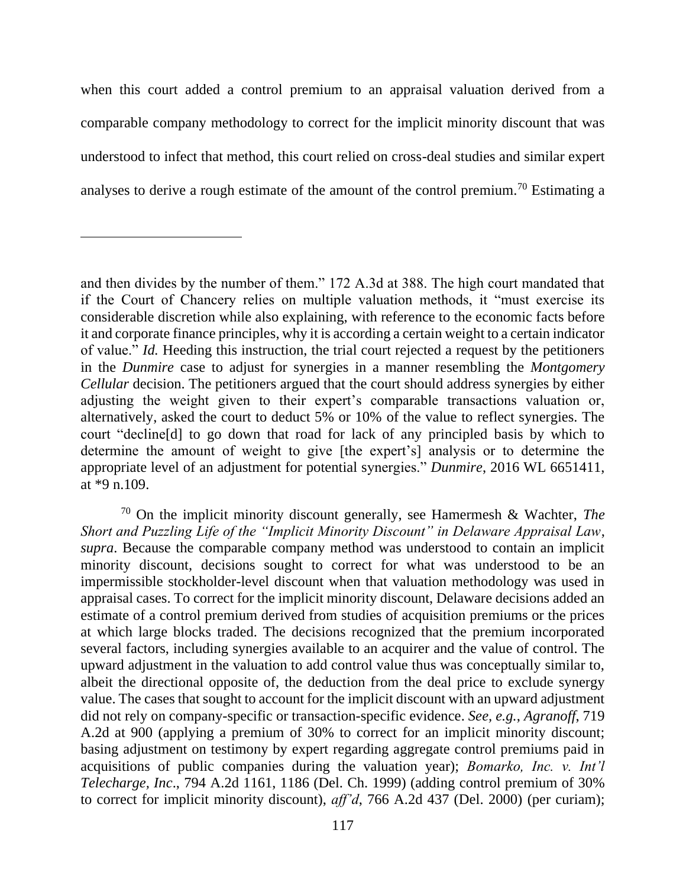when this court added a control premium to an appraisal valuation derived from a comparable company methodology to correct for the implicit minority discount that was understood to infect that method, this court relied on cross-deal studies and similar expert analyses to derive a rough estimate of the amount of the control premium.<sup>70</sup> Estimating a

<sup>70</sup> On the implicit minority discount generally, see Hamermesh & Wachter, *The Short and Puzzling Life of the "Implicit Minority Discount" in Delaware Appraisal Law*, *supra*. Because the comparable company method was understood to contain an implicit minority discount, decisions sought to correct for what was understood to be an impermissible stockholder-level discount when that valuation methodology was used in appraisal cases. To correct for the implicit minority discount, Delaware decisions added an estimate of a control premium derived from studies of acquisition premiums or the prices at which large blocks traded. The decisions recognized that the premium incorporated several factors, including synergies available to an acquirer and the value of control. The upward adjustment in the valuation to add control value thus was conceptually similar to, albeit the directional opposite of, the deduction from the deal price to exclude synergy value. The cases that sought to account for the implicit discount with an upward adjustment did not rely on company-specific or transaction-specific evidence. *See, e.g.*, *Agranoff*, 719 A.2d at 900 (applying a premium of 30% to correct for an implicit minority discount; basing adjustment on testimony by expert regarding aggregate control premiums paid in acquisitions of public companies during the valuation year); *Bomarko, Inc. v. Int'l Telecharge, Inc*., 794 A.2d 1161, 1186 (Del. Ch. 1999) (adding control premium of 30% to correct for implicit minority discount), *aff'd*, 766 A.2d 437 (Del. 2000) (per curiam);

and then divides by the number of them." 172 A.3d at 388. The high court mandated that if the Court of Chancery relies on multiple valuation methods, it "must exercise its considerable discretion while also explaining, with reference to the economic facts before it and corporate finance principles, why it is according a certain weight to a certain indicator of value." *Id.* Heeding this instruction, the trial court rejected a request by the petitioners in the *Dunmire* case to adjust for synergies in a manner resembling the *Montgomery Cellular* decision. The petitioners argued that the court should address synergies by either adjusting the weight given to their expert's comparable transactions valuation or, alternatively, asked the court to deduct 5% or 10% of the value to reflect synergies. The court "decline[d] to go down that road for lack of any principled basis by which to determine the amount of weight to give [the expert's] analysis or to determine the appropriate level of an adjustment for potential synergies." *Dunmire*, 2016 WL 6651411, at \*9 n.109.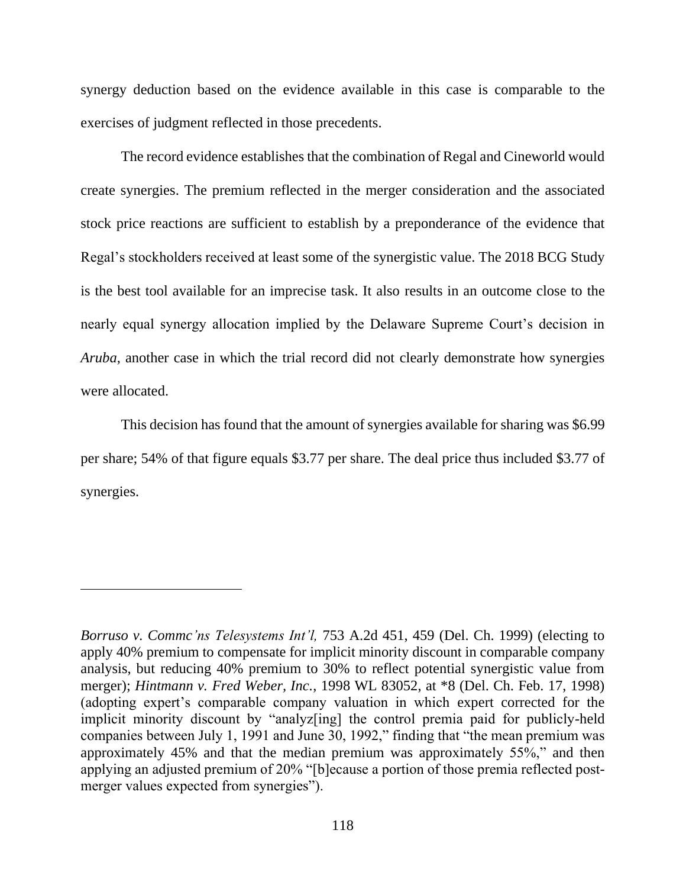synergy deduction based on the evidence available in this case is comparable to the exercises of judgment reflected in those precedents.

The record evidence establishes that the combination of Regal and Cineworld would create synergies. The premium reflected in the merger consideration and the associated stock price reactions are sufficient to establish by a preponderance of the evidence that Regal's stockholders received at least some of the synergistic value. The 2018 BCG Study is the best tool available for an imprecise task. It also results in an outcome close to the nearly equal synergy allocation implied by the Delaware Supreme Court's decision in *Aruba*, another case in which the trial record did not clearly demonstrate how synergies were allocated.

This decision has found that the amount of synergies available for sharing was \$6.99 per share; 54% of that figure equals \$3.77 per share. The deal price thus included \$3.77 of synergies.

*Borruso v. Commc'ns Telesystems Int'l,* 753 A.2d 451, 459 (Del. Ch. 1999) (electing to apply 40% premium to compensate for implicit minority discount in comparable company analysis, but reducing 40% premium to 30% to reflect potential synergistic value from merger); *Hintmann v. Fred Weber, Inc.*, 1998 WL 83052, at \*8 (Del. Ch. Feb. 17, 1998) (adopting expert's comparable company valuation in which expert corrected for the implicit minority discount by "analyz[ing] the control premia paid for publicly-held companies between July 1, 1991 and June 30, 1992," finding that "the mean premium was approximately 45% and that the median premium was approximately 55%," and then applying an adjusted premium of 20% "[b]ecause a portion of those premia reflected postmerger values expected from synergies").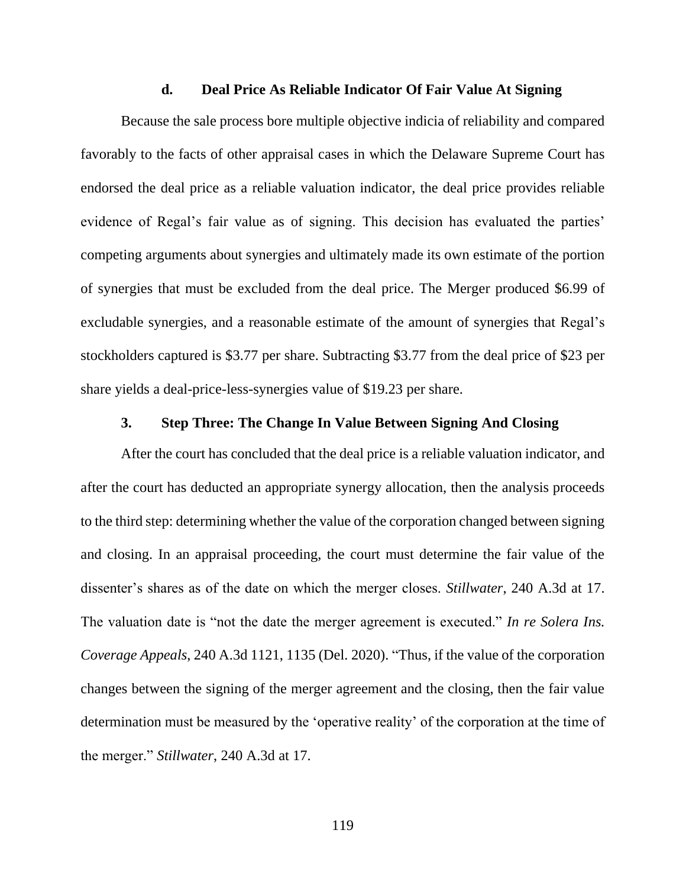### **d. Deal Price As Reliable Indicator Of Fair Value At Signing**

Because the sale process bore multiple objective indicia of reliability and compared favorably to the facts of other appraisal cases in which the Delaware Supreme Court has endorsed the deal price as a reliable valuation indicator, the deal price provides reliable evidence of Regal's fair value as of signing. This decision has evaluated the parties' competing arguments about synergies and ultimately made its own estimate of the portion of synergies that must be excluded from the deal price. The Merger produced \$6.99 of excludable synergies, and a reasonable estimate of the amount of synergies that Regal's stockholders captured is \$3.77 per share. Subtracting \$3.77 from the deal price of \$23 per share yields a deal-price-less-synergies value of \$19.23 per share.

### **3. Step Three: The Change In Value Between Signing And Closing**

After the court has concluded that the deal price is a reliable valuation indicator, and after the court has deducted an appropriate synergy allocation, then the analysis proceeds to the third step: determining whether the value of the corporation changed between signing and closing. In an appraisal proceeding, the court must determine the fair value of the dissenter's shares as of the date on which the merger closes. *Stillwater*, 240 A.3d at 17. The valuation date is "not the date the merger agreement is executed." *In re Solera Ins. Coverage Appeals*, 240 A.3d 1121, 1135 (Del. 2020). "Thus, if the value of the corporation changes between the signing of the merger agreement and the closing, then the fair value determination must be measured by the 'operative reality' of the corporation at the time of the merger." *Stillwater*, 240 A.3d at 17.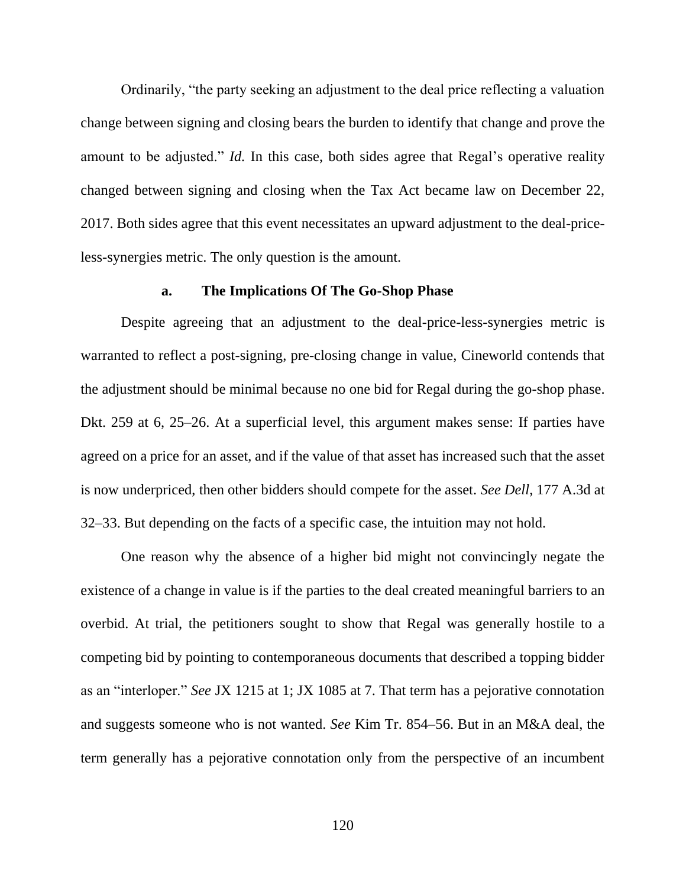Ordinarily, "the party seeking an adjustment to the deal price reflecting a valuation change between signing and closing bears the burden to identify that change and prove the amount to be adjusted." *Id.* In this case, both sides agree that Regal's operative reality changed between signing and closing when the Tax Act became law on December 22, 2017. Both sides agree that this event necessitates an upward adjustment to the deal-priceless-synergies metric. The only question is the amount.

#### **a. The Implications Of The Go-Shop Phase**

Despite agreeing that an adjustment to the deal-price-less-synergies metric is warranted to reflect a post-signing, pre-closing change in value, Cineworld contends that the adjustment should be minimal because no one bid for Regal during the go-shop phase. Dkt. 259 at 6, 25–26. At a superficial level, this argument makes sense: If parties have agreed on a price for an asset, and if the value of that asset has increased such that the asset is now underpriced, then other bidders should compete for the asset. *See Dell*, 177 A.3d at 32–33. But depending on the facts of a specific case, the intuition may not hold.

One reason why the absence of a higher bid might not convincingly negate the existence of a change in value is if the parties to the deal created meaningful barriers to an overbid. At trial, the petitioners sought to show that Regal was generally hostile to a competing bid by pointing to contemporaneous documents that described a topping bidder as an "interloper." *See* JX 1215 at 1; JX 1085 at 7. That term has a pejorative connotation and suggests someone who is not wanted. *See* Kim Tr. 854–56. But in an M&A deal, the term generally has a pejorative connotation only from the perspective of an incumbent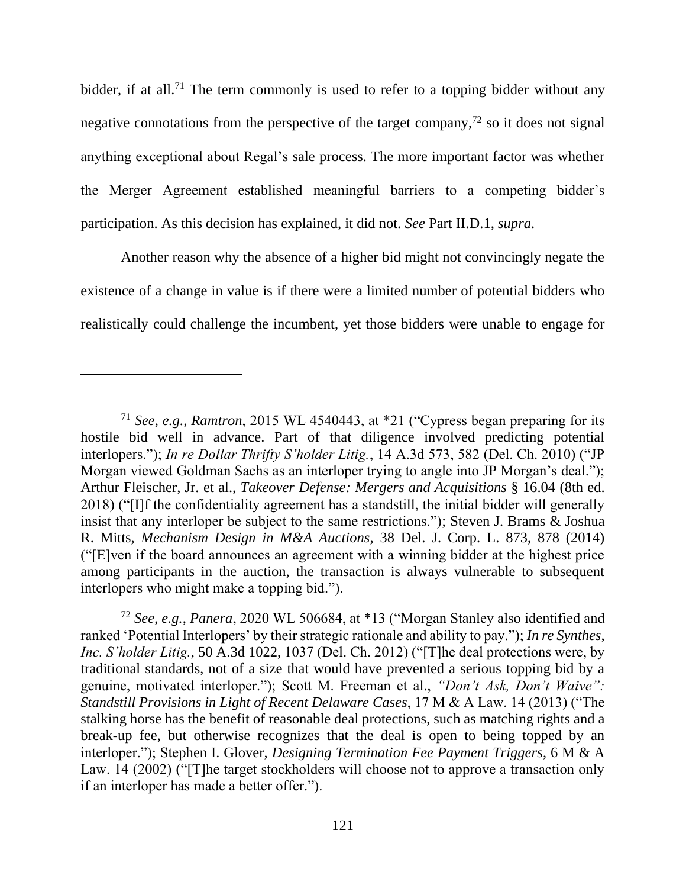bidder, if at all.<sup>71</sup> The term commonly is used to refer to a topping bidder without any negative connotations from the perspective of the target company, $^{72}$  so it does not signal anything exceptional about Regal's sale process. The more important factor was whether the Merger Agreement established meaningful barriers to a competing bidder's participation. As this decision has explained, it did not. *See* Part II.D.1, *supra*.

Another reason why the absence of a higher bid might not convincingly negate the existence of a change in value is if there were a limited number of potential bidders who realistically could challenge the incumbent, yet those bidders were unable to engage for

<sup>72</sup> *See, e.g.*, *Panera*, 2020 WL 506684, at \*13 ("Morgan Stanley also identified and ranked 'Potential Interlopers' by their strategic rationale and ability to pay."); *In re Synthes*, *Inc. S'holder Litig.*, 50 A.3d 1022, 1037 (Del. Ch. 2012) ("[T]he deal protections were, by traditional standards, not of a size that would have prevented a serious topping bid by a genuine, motivated interloper."); Scott M. Freeman et al., *"Don't Ask, Don't Waive": Standstill Provisions in Light of Recent Delaware Cases*, 17 M & A Law. 14 (2013) ("The stalking horse has the benefit of reasonable deal protections, such as matching rights and a break-up fee, but otherwise recognizes that the deal is open to being topped by an interloper."); Stephen I. Glover, *Designing Termination Fee Payment Triggers*, 6 M & A Law. 14 (2002) ("[T]he target stockholders will choose not to approve a transaction only if an interloper has made a better offer.").

<sup>71</sup> *See, e.g.*, *Ramtron*, 2015 WL 4540443, at \*21 ("Cypress began preparing for its hostile bid well in advance. Part of that diligence involved predicting potential interlopers."); *In re Dollar Thrifty S'holder Litig.*, 14 A.3d 573, 582 (Del. Ch. 2010) ("JP Morgan viewed Goldman Sachs as an interloper trying to angle into JP Morgan's deal."); Arthur Fleischer, Jr. et al., *Takeover Defense: Mergers and Acquisitions* § 16.04 (8th ed. 2018) ("[I]f the confidentiality agreement has a standstill, the initial bidder will generally insist that any interloper be subject to the same restrictions."); Steven J. Brams & Joshua R. Mitts, *Mechanism Design in M&A Auctions*, 38 Del. J. Corp. L. 873, 878 (2014) ("[E]ven if the board announces an agreement with a winning bidder at the highest price among participants in the auction, the transaction is always vulnerable to subsequent interlopers who might make a topping bid.").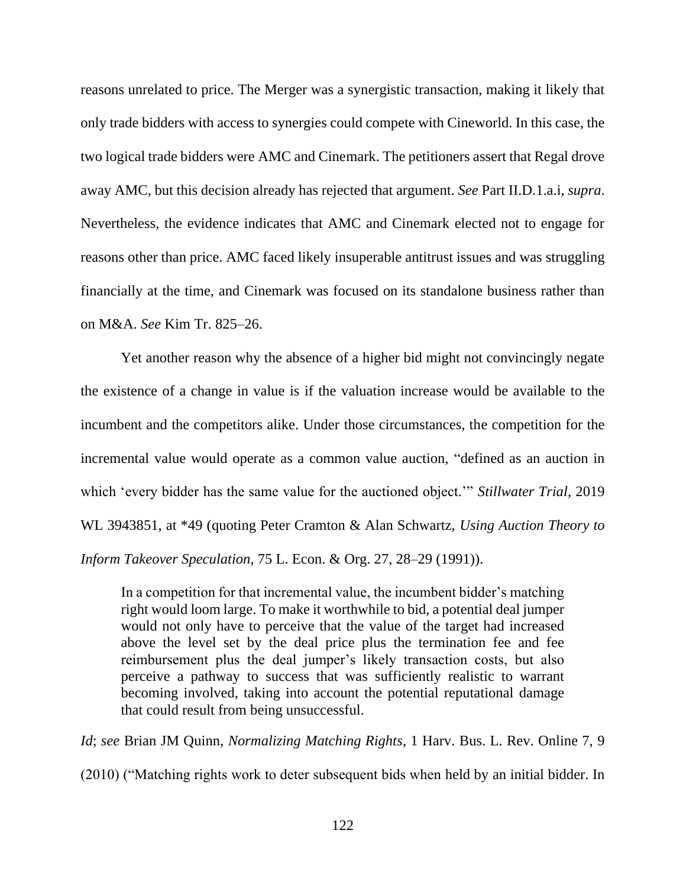reasons unrelated to price. The Merger was a synergistic transaction, making it likely that only trade bidders with access to synergies could compete with Cineworld. In this case, the two logical trade bidders were AMC and Cinemark. The petitioners assert that Regal drove away AMC, but this decision already has rejected that argument. *See* Part II.D.1.a.i, *supra*. Nevertheless, the evidence indicates that AMC and Cinemark elected not to engage for reasons other than price. AMC faced likely insuperable antitrust issues and was struggling financially at the time, and Cinemark was focused on its standalone business rather than on M&A. *See* Kim Tr. 825–26.

Yet another reason why the absence of a higher bid might not convincingly negate the existence of a change in value is if the valuation increase would be available to the incumbent and the competitors alike. Under those circumstances, the competition for the incremental value would operate as a common value auction, "defined as an auction in which 'every bidder has the same value for the auctioned object.'" *Stillwater Trial*, 2019 WL 3943851, at \*49 (quoting Peter Cramton & Alan Schwartz, *Using Auction Theory to Inform Takeover Speculation*, 75 L. Econ. & Org. 27, 28–29 (1991)).

In a competition for that incremental value, the incumbent bidder's matching right would loom large. To make it worthwhile to bid, a potential deal jumper would not only have to perceive that the value of the target had increased above the level set by the deal price plus the termination fee and fee reimbursement plus the deal jumper's likely transaction costs, but also perceive a pathway to success that was sufficiently realistic to warrant becoming involved, taking into account the potential reputational damage that could result from being unsuccessful.

*Id*; *see* Brian JM Quinn, *Normalizing Matching Rights*, 1 Harv. Bus. L. Rev. Online 7, 9 (2010) ("Matching rights work to deter subsequent bids when held by an initial bidder. In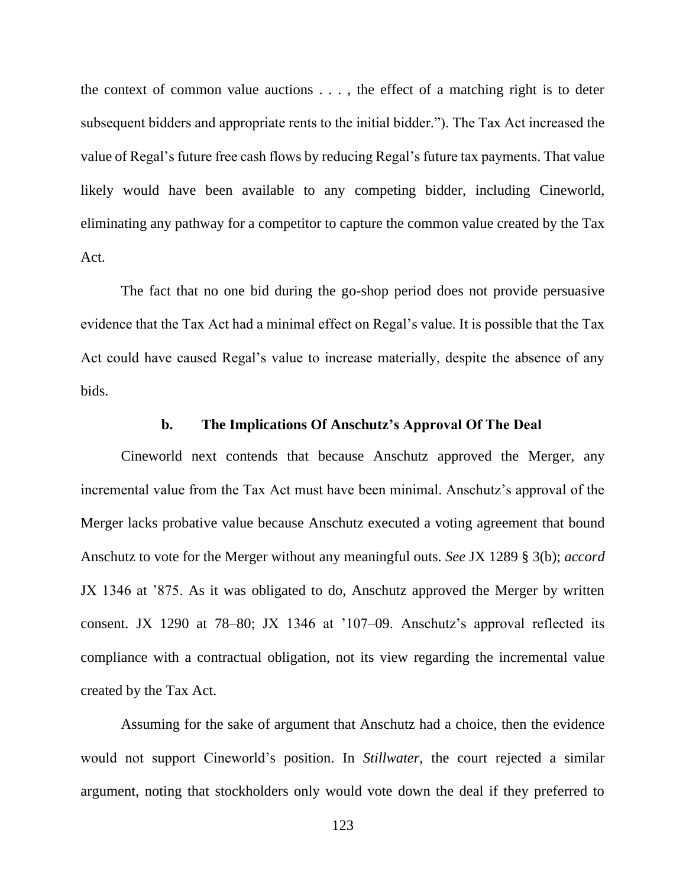the context of common value auctions  $\dots$ , the effect of a matching right is to deter subsequent bidders and appropriate rents to the initial bidder."). The Tax Act increased the value of Regal's future free cash flows by reducing Regal's future tax payments. That value likely would have been available to any competing bidder, including Cineworld, eliminating any pathway for a competitor to capture the common value created by the Tax Act.

The fact that no one bid during the go-shop period does not provide persuasive evidence that the Tax Act had a minimal effect on Regal's value. It is possible that the Tax Act could have caused Regal's value to increase materially, despite the absence of any bids.

#### **b. The Implications Of Anschutz's Approval Of The Deal**

Cineworld next contends that because Anschutz approved the Merger, any incremental value from the Tax Act must have been minimal. Anschutz's approval of the Merger lacks probative value because Anschutz executed a voting agreement that bound Anschutz to vote for the Merger without any meaningful outs. *See* JX 1289 § 3(b); *accord* JX 1346 at '875. As it was obligated to do, Anschutz approved the Merger by written consent. JX 1290 at 78–80; JX 1346 at '107–09. Anschutz's approval reflected its compliance with a contractual obligation, not its view regarding the incremental value created by the Tax Act.

Assuming for the sake of argument that Anschutz had a choice, then the evidence would not support Cineworld's position. In *Stillwater*, the court rejected a similar argument, noting that stockholders only would vote down the deal if they preferred to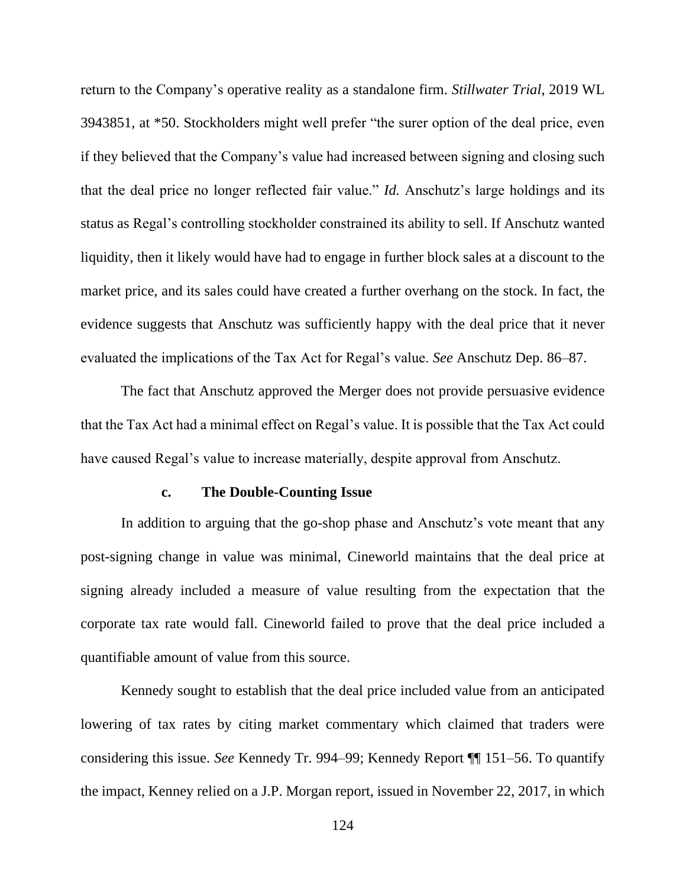return to the Company's operative reality as a standalone firm. *Stillwater Trial*, 2019 WL 3943851, at \*50. Stockholders might well prefer "the surer option of the deal price, even if they believed that the Company's value had increased between signing and closing such that the deal price no longer reflected fair value." *Id.* Anschutz's large holdings and its status as Regal's controlling stockholder constrained its ability to sell. If Anschutz wanted liquidity, then it likely would have had to engage in further block sales at a discount to the market price, and its sales could have created a further overhang on the stock. In fact, the evidence suggests that Anschutz was sufficiently happy with the deal price that it never evaluated the implications of the Tax Act for Regal's value. *See* Anschutz Dep. 86–87.

The fact that Anschutz approved the Merger does not provide persuasive evidence that the Tax Act had a minimal effect on Regal's value. It is possible that the Tax Act could have caused Regal's value to increase materially, despite approval from Anschutz.

#### **c. The Double-Counting Issue**

In addition to arguing that the go-shop phase and Anschutz's vote meant that any post-signing change in value was minimal, Cineworld maintains that the deal price at signing already included a measure of value resulting from the expectation that the corporate tax rate would fall. Cineworld failed to prove that the deal price included a quantifiable amount of value from this source.

Kennedy sought to establish that the deal price included value from an anticipated lowering of tax rates by citing market commentary which claimed that traders were considering this issue. *See* Kennedy Tr. 994–99; Kennedy Report ¶¶ 151–56. To quantify the impact, Kenney relied on a J.P. Morgan report, issued in November 22, 2017, in which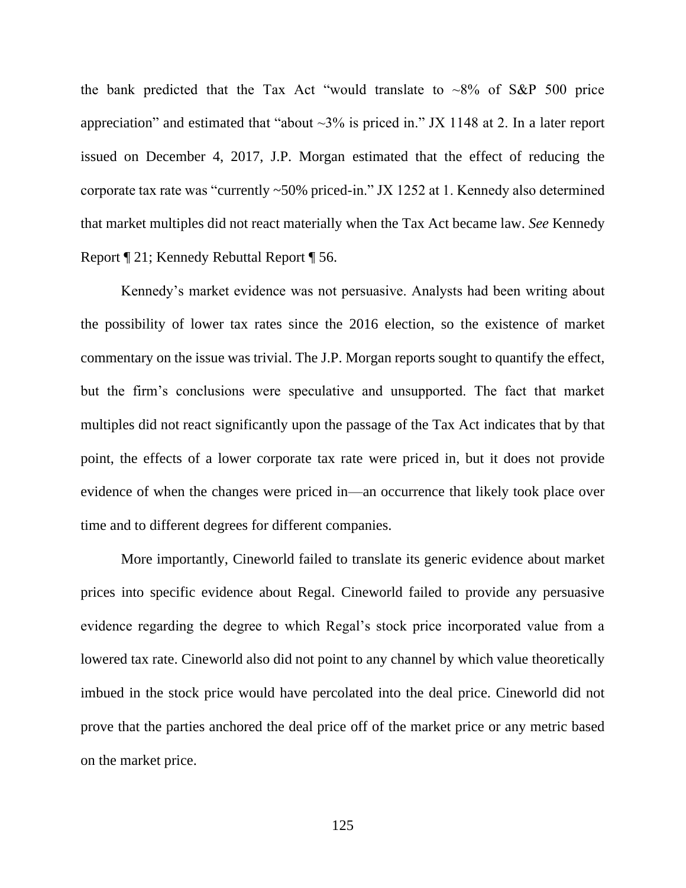the bank predicted that the Tax Act "would translate to  $\sim 8\%$  of S&P 500 price appreciation" and estimated that "about  $\sim$ 3% is priced in." JX 1148 at 2. In a later report issued on December 4, 2017, J.P. Morgan estimated that the effect of reducing the corporate tax rate was "currently ~50% priced-in." JX 1252 at 1. Kennedy also determined that market multiples did not react materially when the Tax Act became law. *See* Kennedy Report ¶ 21; Kennedy Rebuttal Report ¶ 56.

Kennedy's market evidence was not persuasive. Analysts had been writing about the possibility of lower tax rates since the 2016 election, so the existence of market commentary on the issue was trivial. The J.P. Morgan reports sought to quantify the effect, but the firm's conclusions were speculative and unsupported. The fact that market multiples did not react significantly upon the passage of the Tax Act indicates that by that point, the effects of a lower corporate tax rate were priced in, but it does not provide evidence of when the changes were priced in—an occurrence that likely took place over time and to different degrees for different companies.

More importantly, Cineworld failed to translate its generic evidence about market prices into specific evidence about Regal. Cineworld failed to provide any persuasive evidence regarding the degree to which Regal's stock price incorporated value from a lowered tax rate. Cineworld also did not point to any channel by which value theoretically imbued in the stock price would have percolated into the deal price. Cineworld did not prove that the parties anchored the deal price off of the market price or any metric based on the market price.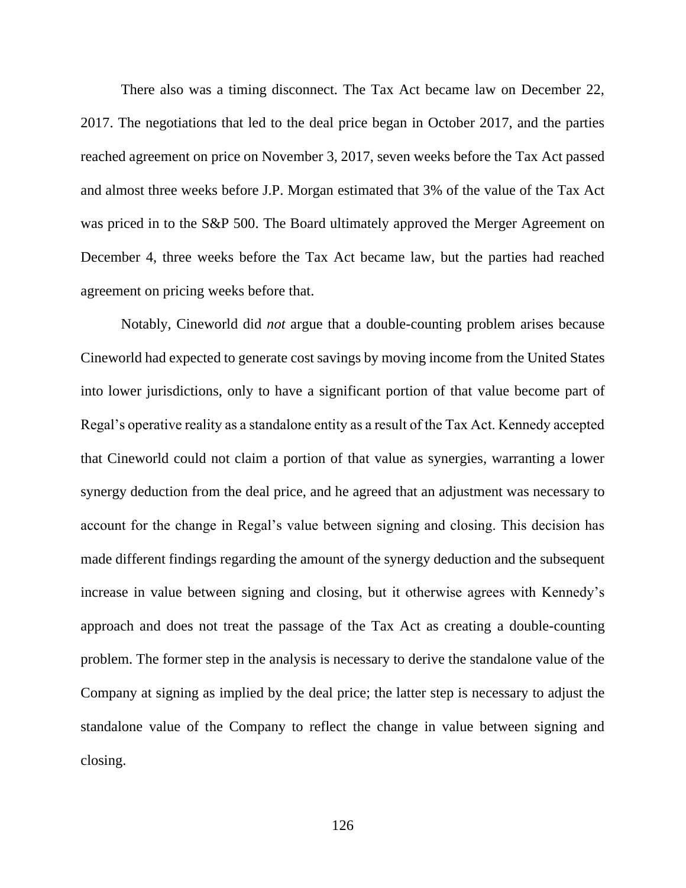There also was a timing disconnect. The Tax Act became law on December 22, 2017. The negotiations that led to the deal price began in October 2017, and the parties reached agreement on price on November 3, 2017, seven weeks before the Tax Act passed and almost three weeks before J.P. Morgan estimated that 3% of the value of the Tax Act was priced in to the S&P 500. The Board ultimately approved the Merger Agreement on December 4, three weeks before the Tax Act became law, but the parties had reached agreement on pricing weeks before that.

Notably, Cineworld did *not* argue that a double-counting problem arises because Cineworld had expected to generate cost savings by moving income from the United States into lower jurisdictions, only to have a significant portion of that value become part of Regal's operative reality as a standalone entity as a result of the Tax Act. Kennedy accepted that Cineworld could not claim a portion of that value as synergies, warranting a lower synergy deduction from the deal price, and he agreed that an adjustment was necessary to account for the change in Regal's value between signing and closing. This decision has made different findings regarding the amount of the synergy deduction and the subsequent increase in value between signing and closing, but it otherwise agrees with Kennedy's approach and does not treat the passage of the Tax Act as creating a double-counting problem. The former step in the analysis is necessary to derive the standalone value of the Company at signing as implied by the deal price; the latter step is necessary to adjust the standalone value of the Company to reflect the change in value between signing and closing.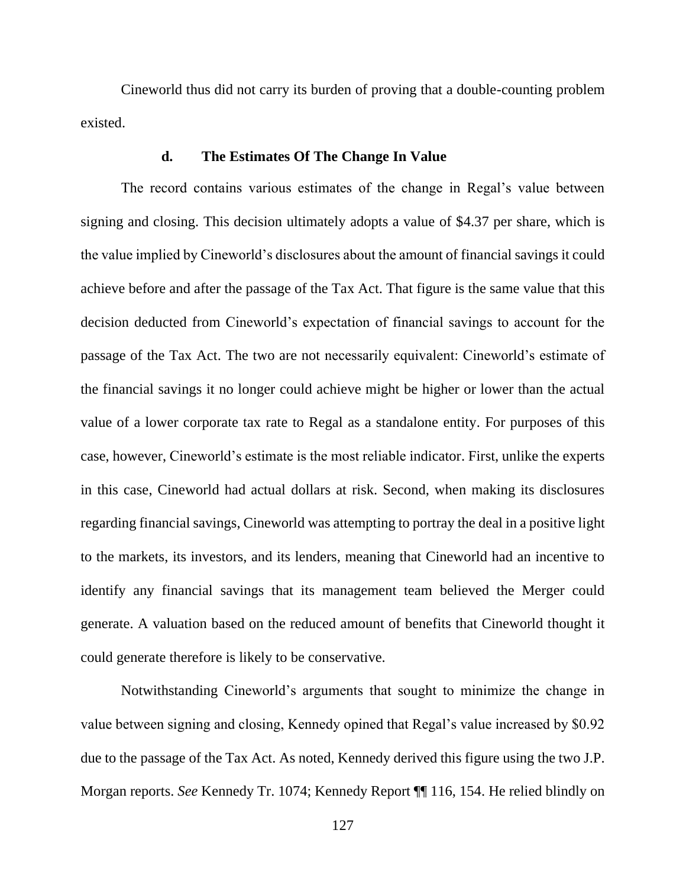Cineworld thus did not carry its burden of proving that a double-counting problem existed.

## **d. The Estimates Of The Change In Value**

The record contains various estimates of the change in Regal's value between signing and closing. This decision ultimately adopts a value of \$4.37 per share, which is the value implied by Cineworld's disclosures about the amount of financial savings it could achieve before and after the passage of the Tax Act. That figure is the same value that this decision deducted from Cineworld's expectation of financial savings to account for the passage of the Tax Act. The two are not necessarily equivalent: Cineworld's estimate of the financial savings it no longer could achieve might be higher or lower than the actual value of a lower corporate tax rate to Regal as a standalone entity. For purposes of this case, however, Cineworld's estimate is the most reliable indicator. First, unlike the experts in this case, Cineworld had actual dollars at risk. Second, when making its disclosures regarding financial savings, Cineworld was attempting to portray the deal in a positive light to the markets, its investors, and its lenders, meaning that Cineworld had an incentive to identify any financial savings that its management team believed the Merger could generate. A valuation based on the reduced amount of benefits that Cineworld thought it could generate therefore is likely to be conservative.

Notwithstanding Cineworld's arguments that sought to minimize the change in value between signing and closing, Kennedy opined that Regal's value increased by \$0.92 due to the passage of the Tax Act. As noted, Kennedy derived this figure using the two J.P. Morgan reports. *See* Kennedy Tr. 1074; Kennedy Report ¶¶ 116, 154. He relied blindly on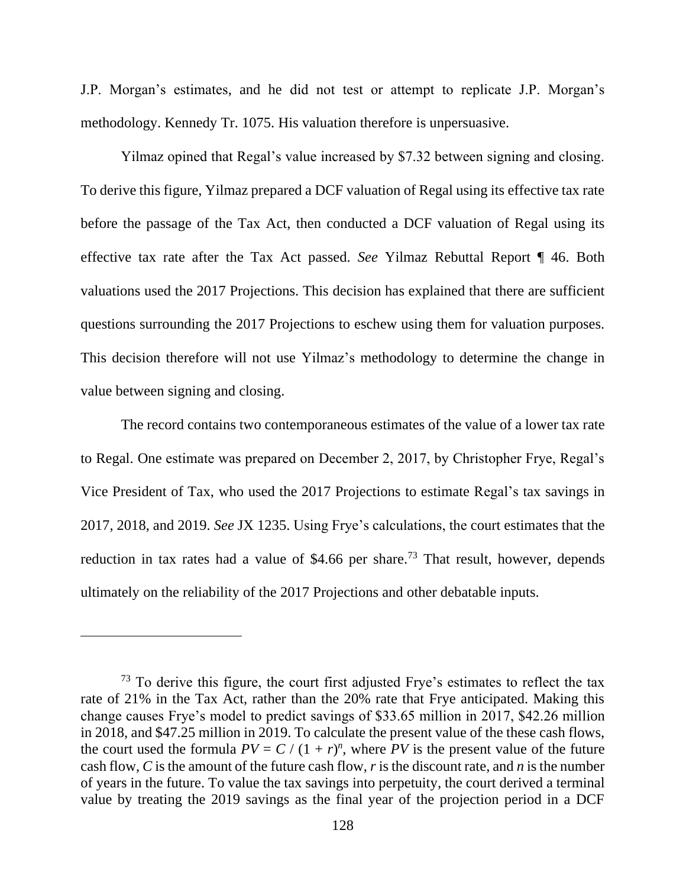J.P. Morgan's estimates, and he did not test or attempt to replicate J.P. Morgan's methodology. Kennedy Tr. 1075. His valuation therefore is unpersuasive.

Yilmaz opined that Regal's value increased by \$7.32 between signing and closing. To derive this figure, Yilmaz prepared a DCF valuation of Regal using its effective tax rate before the passage of the Tax Act, then conducted a DCF valuation of Regal using its effective tax rate after the Tax Act passed. *See* Yilmaz Rebuttal Report ¶ 46. Both valuations used the 2017 Projections. This decision has explained that there are sufficient questions surrounding the 2017 Projections to eschew using them for valuation purposes. This decision therefore will not use Yilmaz's methodology to determine the change in value between signing and closing.

The record contains two contemporaneous estimates of the value of a lower tax rate to Regal. One estimate was prepared on December 2, 2017, by Christopher Frye, Regal's Vice President of Tax, who used the 2017 Projections to estimate Regal's tax savings in 2017, 2018, and 2019. *See* JX 1235. Using Frye's calculations, the court estimates that the reduction in tax rates had a value of \$4.66 per share.<sup>73</sup> That result, however, depends ultimately on the reliability of the 2017 Projections and other debatable inputs.

 $73$  To derive this figure, the court first adjusted Frye's estimates to reflect the tax rate of 21% in the Tax Act, rather than the 20% rate that Frye anticipated. Making this change causes Frye's model to predict savings of \$33.65 million in 2017, \$42.26 million in 2018, and \$47.25 million in 2019. To calculate the present value of the these cash flows, the court used the formula  $PV = C / (1 + r)^n$ , where PV is the present value of the future cash flow, *C* is the amount of the future cash flow, *r* is the discount rate, and *n* is the number of years in the future. To value the tax savings into perpetuity, the court derived a terminal value by treating the 2019 savings as the final year of the projection period in a DCF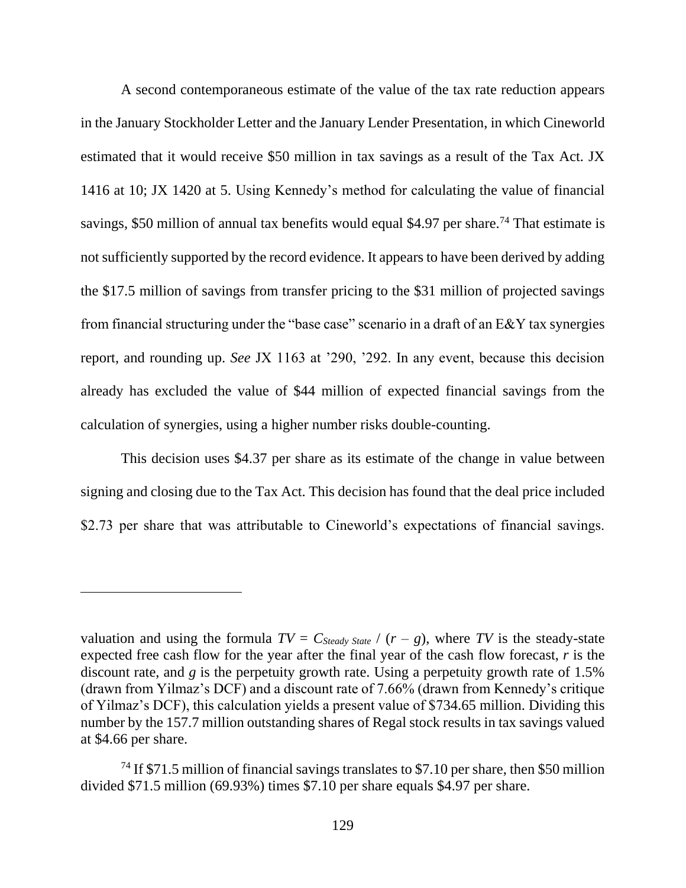A second contemporaneous estimate of the value of the tax rate reduction appears in the January Stockholder Letter and the January Lender Presentation, in which Cineworld estimated that it would receive \$50 million in tax savings as a result of the Tax Act. JX 1416 at 10; JX 1420 at 5. Using Kennedy's method for calculating the value of financial savings, \$50 million of annual tax benefits would equal \$4.97 per share.<sup>74</sup> That estimate is not sufficiently supported by the record evidence. It appears to have been derived by adding the \$17.5 million of savings from transfer pricing to the \$31 million of projected savings from financial structuring under the "base case" scenario in a draft of an E&Y tax synergies report, and rounding up. *See* JX 1163 at '290, '292. In any event, because this decision already has excluded the value of \$44 million of expected financial savings from the calculation of synergies, using a higher number risks double-counting.

This decision uses \$4.37 per share as its estimate of the change in value between signing and closing due to the Tax Act. This decision has found that the deal price included \$2.73 per share that was attributable to Cineworld's expectations of financial savings.

valuation and using the formula  $TV = C_{Steady \text{ State}} / (r - g)$ , where TV is the steady-state expected free cash flow for the year after the final year of the cash flow forecast, *r* is the discount rate, and *g* is the perpetuity growth rate. Using a perpetuity growth rate of 1.5% (drawn from Yilmaz's DCF) and a discount rate of 7.66% (drawn from Kennedy's critique of Yilmaz's DCF), this calculation yields a present value of \$734.65 million. Dividing this number by the 157.7 million outstanding shares of Regal stock results in tax savings valued at \$4.66 per share.

<sup>&</sup>lt;sup>74</sup> If \$71.5 million of financial savings translates to \$7.10 per share, then \$50 million divided \$71.5 million (69.93%) times \$7.10 per share equals \$4.97 per share.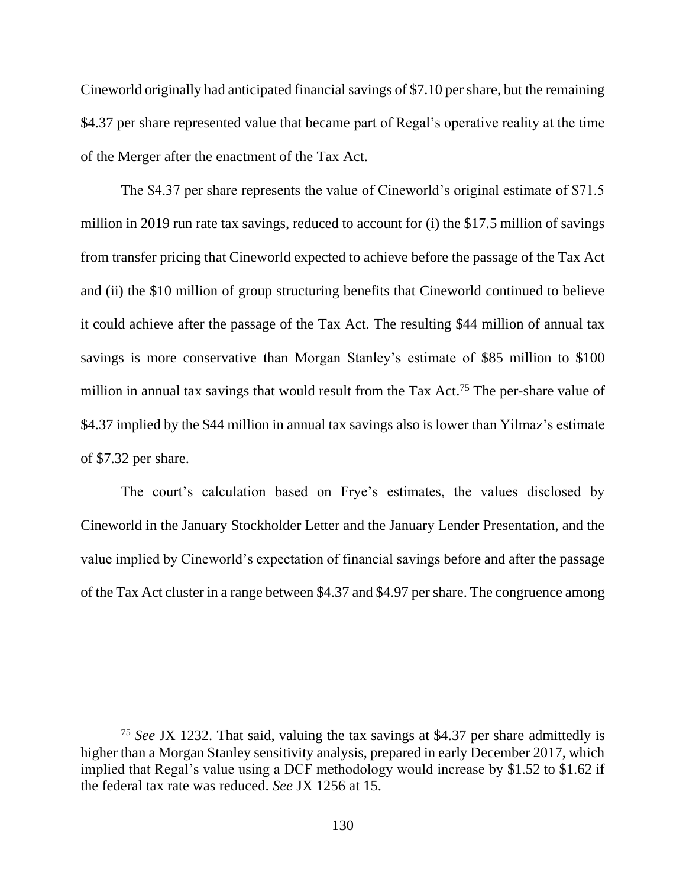Cineworld originally had anticipated financial savings of \$7.10 per share, but the remaining \$4.37 per share represented value that became part of Regal's operative reality at the time of the Merger after the enactment of the Tax Act.

The \$4.37 per share represents the value of Cineworld's original estimate of \$71.5 million in 2019 run rate tax savings, reduced to account for (i) the \$17.5 million of savings from transfer pricing that Cineworld expected to achieve before the passage of the Tax Act and (ii) the \$10 million of group structuring benefits that Cineworld continued to believe it could achieve after the passage of the Tax Act. The resulting \$44 million of annual tax savings is more conservative than Morgan Stanley's estimate of \$85 million to \$100 million in annual tax savings that would result from the Tax Act.<sup>75</sup> The per-share value of \$4.37 implied by the \$44 million in annual tax savings also is lower than Yilmaz's estimate of \$7.32 per share.

The court's calculation based on Frye's estimates, the values disclosed by Cineworld in the January Stockholder Letter and the January Lender Presentation, and the value implied by Cineworld's expectation of financial savings before and after the passage of the Tax Act cluster in a range between \$4.37 and \$4.97 per share. The congruence among

<sup>75</sup> *See* JX 1232. That said, valuing the tax savings at \$4.37 per share admittedly is higher than a Morgan Stanley sensitivity analysis, prepared in early December 2017, which implied that Regal's value using a DCF methodology would increase by \$1.52 to \$1.62 if the federal tax rate was reduced. *See* JX 1256 at 15.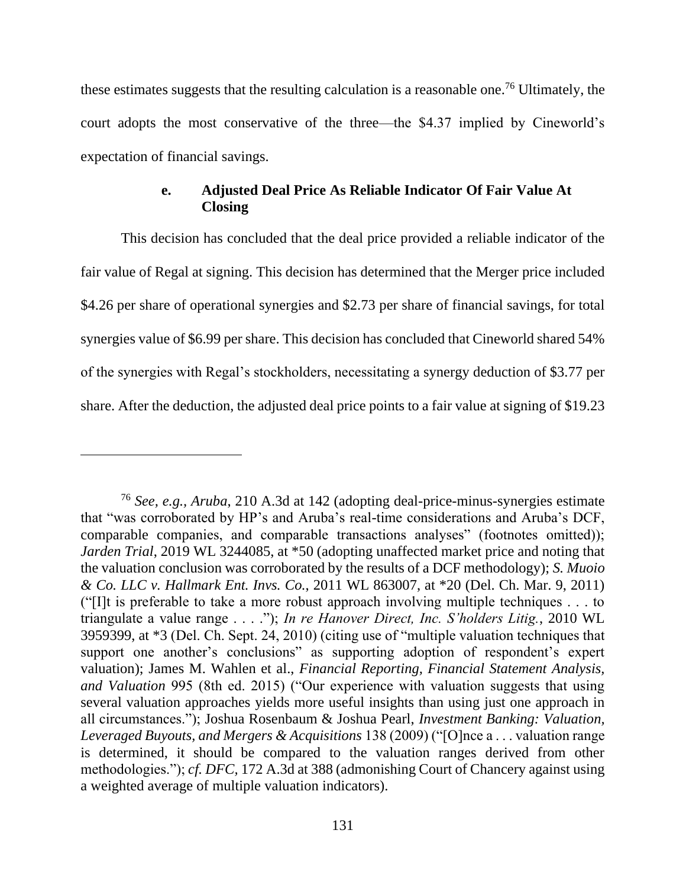these estimates suggests that the resulting calculation is a reasonable one.<sup>76</sup> Ultimately, the court adopts the most conservative of the three—the \$4.37 implied by Cineworld's expectation of financial savings.

# **e. Adjusted Deal Price As Reliable Indicator Of Fair Value At Closing**

This decision has concluded that the deal price provided a reliable indicator of the fair value of Regal at signing. This decision has determined that the Merger price included \$4.26 per share of operational synergies and \$2.73 per share of financial savings, for total synergies value of \$6.99 per share. This decision has concluded that Cineworld shared 54% of the synergies with Regal's stockholders, necessitating a synergy deduction of \$3.77 per share. After the deduction, the adjusted deal price points to a fair value at signing of \$19.23

<sup>76</sup> *See, e.g., Aruba*, 210 A.3d at 142 (adopting deal-price-minus-synergies estimate that "was corroborated by HP's and Aruba's real-time considerations and Aruba's DCF, comparable companies, and comparable transactions analyses" (footnotes omitted)); *Jarden Trial*, 2019 WL 3244085, at \*50 (adopting unaffected market price and noting that the valuation conclusion was corroborated by the results of a DCF methodology); *S. Muoio & Co. LLC v. Hallmark Ent. Invs. Co.*, 2011 WL 863007, at \*20 (Del. Ch. Mar. 9, 2011) ("[I]t is preferable to take a more robust approach involving multiple techniques . . . to triangulate a value range . . . ."); *In re Hanover Direct, Inc. S'holders Litig.*, 2010 WL 3959399, at \*3 (Del. Ch. Sept. 24, 2010) (citing use of "multiple valuation techniques that support one another's conclusions" as supporting adoption of respondent's expert valuation); James M. Wahlen et al., *Financial Reporting, Financial Statement Analysis, and Valuation* 995 (8th ed. 2015) ("Our experience with valuation suggests that using several valuation approaches yields more useful insights than using just one approach in all circumstances."); Joshua Rosenbaum & Joshua Pearl, *Investment Banking: Valuation, Leveraged Buyouts, and Mergers & Acquisitions* 138 (2009) ("[O]nce a . . . valuation range is determined, it should be compared to the valuation ranges derived from other methodologies."); *cf. DFC,* 172 A.3d at 388 (admonishing Court of Chancery against using a weighted average of multiple valuation indicators).